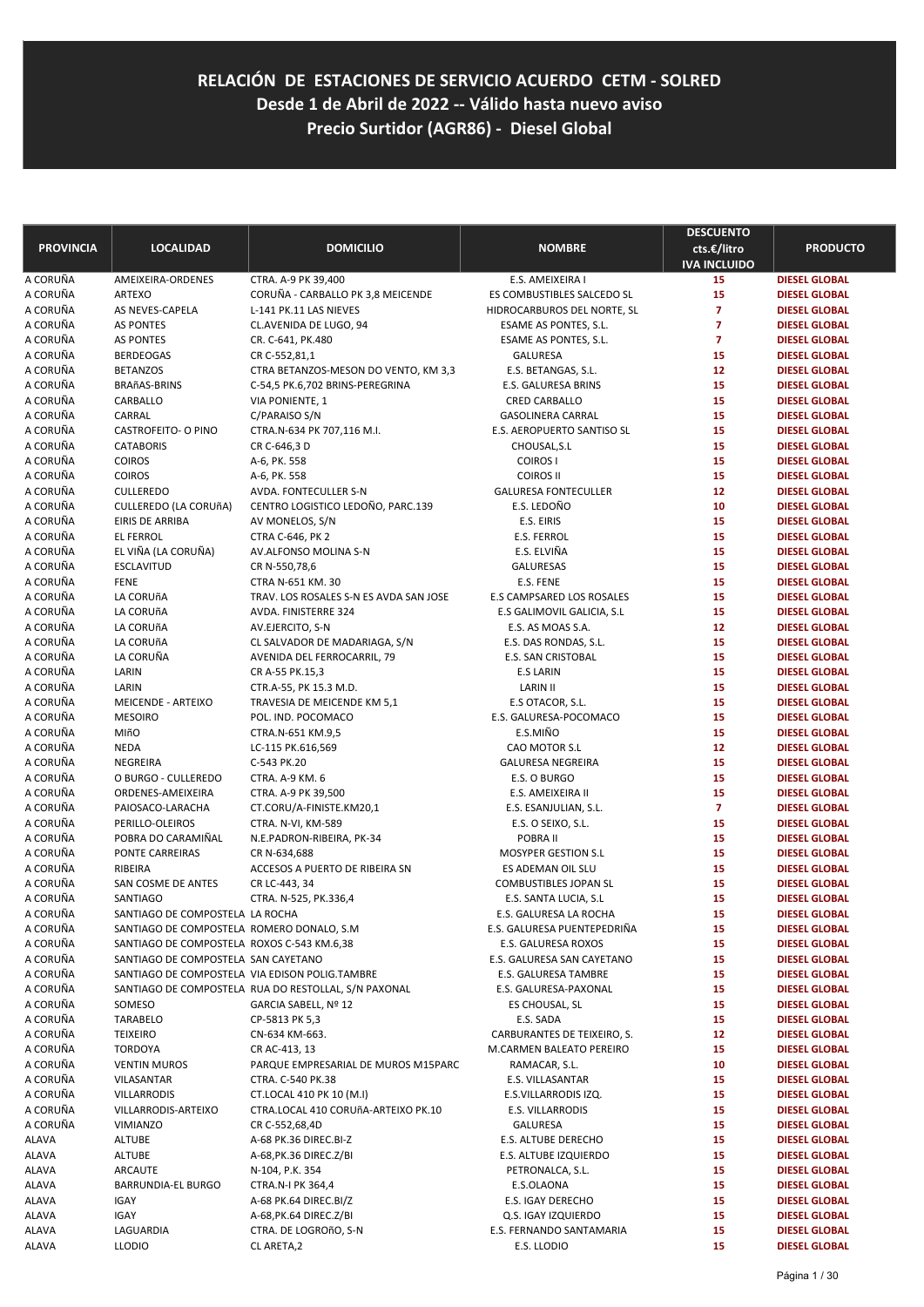**RELACIÓN DE ESTACIONES DE SERVICIO ACUERDO CETM - SOLRED Desde 1 de Abril de 2022 -- Válido hasta nuevo aviso Precio Surtidor (AGR86) - Diesel Global**

| <b>PROVINCIA</b>     | <b>LOCALIDAD</b>                               | <b>DOMICILIO</b>                                     | <b>NOMBRE</b>                              | <b>DESCUENTO</b><br>cts.€/litro<br><b>IVA INCLUIDO</b> | <b>PRODUCTO</b>                              |
|----------------------|------------------------------------------------|------------------------------------------------------|--------------------------------------------|--------------------------------------------------------|----------------------------------------------|
| A CORUÑA             | AMEIXEIRA-ORDENES                              | CTRA. A-9 PK 39,400                                  | E.S. AMEIXEIRA I                           | 15                                                     | <b>DIESEL GLOBAL</b>                         |
| A CORUÑA             | <b>ARTEXO</b>                                  | CORUÑA - CARBALLO PK 3,8 MEICENDE                    | ES COMBUSTIBLES SALCEDO SL                 | 15                                                     | <b>DIESEL GLOBAL</b>                         |
| A CORUÑA             | AS NEVES-CAPELA                                | L-141 PK.11 LAS NIEVES                               | HIDROCARBUROS DEL NORTE, SL                | $\overline{7}$                                         | <b>DIESEL GLOBAL</b>                         |
| A CORUÑA             | <b>AS PONTES</b>                               | CL.AVENIDA DE LUGO, 94                               | ESAME AS PONTES, S.L.                      | $\overline{7}$                                         | <b>DIESEL GLOBAL</b>                         |
| A CORUÑA             | <b>AS PONTES</b>                               | CR. C-641, PK.480                                    | ESAME AS PONTES, S.L.                      | $\overline{7}$                                         | <b>DIESEL GLOBAL</b>                         |
| A CORUÑA             | <b>BERDEOGAS</b>                               | CR C-552,81,1                                        | <b>GALURESA</b>                            | 15                                                     | <b>DIESEL GLOBAL</b>                         |
| A CORUÑA             | <b>BETANZOS</b>                                | CTRA BETANZOS-MESON DO VENTO, KM 3,3                 | E.S. BETANGAS, S.L.                        | 12                                                     | <b>DIESEL GLOBAL</b>                         |
| A CORUÑA             | <b>BRAñAS-BRINS</b>                            | C-54,5 PK.6,702 BRINS-PEREGRINA                      | E.S. GALURESA BRINS                        | 15                                                     | <b>DIESEL GLOBAL</b>                         |
| A CORUÑA             | CARBALLO                                       | VIA PONIENTE, 1                                      | <b>CRED CARBALLO</b>                       | 15                                                     | <b>DIESEL GLOBAL</b>                         |
| A CORUÑA             | CARRAL                                         | C/PARAISO S/N                                        | <b>GASOLINERA CARRAL</b>                   | 15                                                     | <b>DIESEL GLOBAL</b>                         |
| A CORUÑA             | <b>CASTROFEITO- O PINO</b>                     | CTRA.N-634 PK 707,116 M.I.                           | E.S. AEROPUERTO SANTISO SL                 | 15                                                     | <b>DIESEL GLOBAL</b>                         |
| A CORUÑA             | <b>CATABORIS</b>                               | CR C-646,3 D                                         | CHOUSAL,S.L                                | 15                                                     | <b>DIESEL GLOBAL</b>                         |
| A CORUÑA             | <b>COIROS</b>                                  | A-6, PK. 558                                         | <b>COIROS I</b>                            | 15                                                     | <b>DIESEL GLOBAL</b>                         |
| A CORUÑA             | <b>COIROS</b>                                  | A-6, PK. 558                                         | <b>COIROS II</b>                           | 15                                                     | <b>DIESEL GLOBAL</b>                         |
| A CORUÑA             | <b>CULLEREDO</b>                               | AVDA. FONTECULLER S-N                                | <b>GALURESA FONTECULLER</b>                | 12                                                     | <b>DIESEL GLOBAL</b>                         |
| A CORUÑA             | CULLEREDO (LA CORUÑA)                          | CENTRO LOGISTICO LEDOÑO, PARC.139                    | E.S. LEDOÑO                                | 10                                                     | <b>DIESEL GLOBAL</b>                         |
| A CORUÑA             | <b>EIRIS DE ARRIBA</b>                         | AV MONELOS, S/N                                      | E.S. EIRIS                                 | 15                                                     | <b>DIESEL GLOBAL</b>                         |
| A CORUÑA             | <b>EL FERROL</b>                               | CTRA C-646, PK 2                                     | <b>E.S. FERROL</b>                         | 15                                                     | <b>DIESEL GLOBAL</b>                         |
| A CORUÑA             | EL VIÑA (LA CORUÑA)                            | AV.ALFONSO MOLINA S-N                                | E.S. ELVIÑA                                | 15                                                     | <b>DIESEL GLOBAL</b>                         |
| A CORUÑA             | <b>ESCLAVITUD</b>                              | CR N-550,78,6                                        | <b>GALURESAS</b>                           | 15                                                     | <b>DIESEL GLOBAL</b>                         |
| A CORUÑA             | <b>FENE</b>                                    | CTRA N-651 KM. 30                                    | E.S. FENE                                  | 15                                                     | <b>DIESEL GLOBAL</b>                         |
| A CORUÑA             | LA CORUñA                                      | TRAV. LOS ROSALES S-N ES AVDA SAN JOSE               | <b>E.S CAMPSARED LOS ROSALES</b>           | 15                                                     | <b>DIESEL GLOBAL</b>                         |
| A CORUÑA             | LA CORUñA                                      | AVDA. FINISTERRE 324                                 | E.S GALIMOVIL GALICIA, S.L                 | 15                                                     | <b>DIESEL GLOBAL</b>                         |
| A CORUÑA             | LA CORUñA                                      | AV.EJERCITO, S-N                                     | E.S. AS MOAS S.A.                          | 12                                                     | <b>DIESEL GLOBAL</b>                         |
| A CORUÑA             | LA CORUñA                                      | CL SALVADOR DE MADARIAGA, S/N                        | E.S. DAS RONDAS, S.L.                      | 15                                                     | <b>DIESEL GLOBAL</b>                         |
| A CORUÑA             | LA CORUÑA                                      | AVENIDA DEL FERROCARRIL, 79                          | <b>E.S. SAN CRISTOBAL</b>                  | 15                                                     | <b>DIESEL GLOBAL</b>                         |
| A CORUÑA             | LARIN                                          | CR A-55 PK.15,3                                      | <b>E.S LARIN</b>                           | 15                                                     | <b>DIESEL GLOBAL</b>                         |
| A CORUÑA             | LARIN                                          | CTR.A-55, PK 15.3 M.D.                               | <b>LARIN II</b>                            | 15                                                     | <b>DIESEL GLOBAL</b>                         |
| A CORUÑA             | MEICENDE - ARTEIXO                             | TRAVESIA DE MEICENDE KM 5,1                          | E.S OTACOR, S.L.                           | 15                                                     | <b>DIESEL GLOBAL</b>                         |
| A CORUÑA             | <b>MESOIRO</b>                                 | POL. IND. POCOMACO                                   | E.S. GALURESA-POCOMACO                     | 15                                                     | <b>DIESEL GLOBAL</b>                         |
| A CORUÑA             | <b>MIñO</b>                                    | CTRA.N-651 KM.9,5                                    | E.S.MIÑO                                   | 15                                                     | <b>DIESEL GLOBAL</b>                         |
| A CORUÑA             | <b>NEDA</b>                                    | LC-115 PK.616,569                                    | CAO MOTOR S.L                              | 12                                                     | <b>DIESEL GLOBAL</b>                         |
| A CORUÑA<br>A CORUÑA | NEGREIRA                                       | C-543 PK.20                                          | <b>GALURESA NEGREIRA</b><br>E.S. O BURGO   | 15<br>15                                               | <b>DIESEL GLOBAL</b>                         |
| A CORUÑA             | O BURGO - CULLEREDO<br>ORDENES-AMEIXEIRA       | CTRA. A-9 KM. 6                                      |                                            | 15                                                     | <b>DIESEL GLOBAL</b><br><b>DIESEL GLOBAL</b> |
| A CORUÑA             | PAIOSACO-LARACHA                               | CTRA. A-9 PK 39,500<br>CT.CORU/A-FINISTE.KM20,1      | E.S. AMEIXEIRA II<br>E.S. ESANJULIAN, S.L. | $\overline{7}$                                         | <b>DIESEL GLOBAL</b>                         |
| A CORUÑA             | PERILLO-OLEIROS                                |                                                      |                                            | 15                                                     | <b>DIESEL GLOBAL</b>                         |
| A CORUÑA             | POBRA DO CARAMIÑAL                             | CTRA. N-VI, KM-589<br>N.E.PADRON-RIBEIRA, PK-34      | E.S. O SEIXO, S.L.<br>POBRA II             | 15                                                     | <b>DIESEL GLOBAL</b>                         |
| A CORUÑA             | PONTE CARREIRAS                                | CR N-634,688                                         | <b>MOSYPER GESTION S.L</b>                 | 15                                                     | <b>DIESEL GLOBAL</b>                         |
| A CORUÑA             | RIBEIRA                                        | ACCESOS A PUERTO DE RIBEIRA SN                       | ES ADEMAN OIL SLU                          | 15                                                     | <b>DIESEL GLOBAL</b>                         |
| A CORUÑA             | SAN COSME DE ANTES                             | CR LC-443, 34                                        | <b>COMBUSTIBLES JOPAN SL</b>               | 15                                                     | <b>DIESEL GLOBAL</b>                         |
| A CORUÑA             | <b>SANTIAGO</b>                                | CTRA. N-525, PK.336,4                                | E.S. SANTA LUCIA, S.L                      | 15                                                     | <b>DIESEL GLOBAL</b>                         |
| A CORUÑA             | SANTIAGO DE COMPOSTELA LA ROCHA                |                                                      | E.S. GALURESA LA ROCHA                     | 15                                                     | <b>DIESEL GLOBAL</b>                         |
| A CORUÑA             | SANTIAGO DE COMPOSTELA ROMERO DONALO, S.M.     |                                                      | E.S. GALURESA PUENTEPEDRIÑA                | 15                                                     | <b>DIESEL GLOBAL</b>                         |
| A CORUÑA             | SANTIAGO DE COMPOSTELA ROXOS C-543 KM.6,38     |                                                      | E.S. GALURESA ROXOS                        | 15                                                     | <b>DIESEL GLOBAL</b>                         |
| A CORUÑA             | SANTIAGO DE COMPOSTELA SAN CAYETANO            |                                                      | E.S. GALURESA SAN CAYETANO                 | 15                                                     | <b>DIESEL GLOBAL</b>                         |
| A CORUÑA             | SANTIAGO DE COMPOSTELA VIA EDISON POLIG.TAMBRE |                                                      | E.S. GALURESA TAMBRE                       | 15                                                     | DIESEL GLOBAL                                |
| A CORUÑA             |                                                | SANTIAGO DE COMPOSTELA RUA DO RESTOLLAL, S/N PAXONAL | E.S. GALURESA-PAXONAL                      | 15                                                     | <b>DIESEL GLOBAL</b>                         |
| A CORUÑA             | SOMESO                                         | GARCIA SABELL, Nº 12                                 | ES CHOUSAL, SL                             | 15                                                     | <b>DIESEL GLOBAL</b>                         |
| A CORUÑA             | TARABELO                                       | CP-5813 PK 5,3                                       | E.S. SADA                                  | 15                                                     | <b>DIESEL GLOBAL</b>                         |
| A CORUÑA             | <b>TEIXEIRO</b>                                | CN-634 KM-663.                                       | CARBURANTES DE TEIXEIRO, S.                | 12                                                     | <b>DIESEL GLOBAL</b>                         |
| A CORUÑA             | <b>TORDOYA</b>                                 | CR AC-413, 13                                        | M.CARMEN BALEATO PEREIRO                   | 15                                                     | <b>DIESEL GLOBAL</b>                         |
| A CORUÑA             | <b>VENTIN MUROS</b>                            | PARQUE EMPRESARIAL DE MUROS M15PARC                  | RAMACAR, S.L.                              | 10                                                     | <b>DIESEL GLOBAL</b>                         |
| A CORUÑA             | VILASANTAR                                     | CTRA. C-540 PK.38                                    | E.S. VILLASANTAR                           | 15                                                     | <b>DIESEL GLOBAL</b>                         |
| A CORUÑA             | <b>VILLARRODIS</b>                             | CT.LOCAL 410 PK 10 (M.I)                             | E.S.VILLARRODIS IZQ.                       | 15                                                     | <b>DIESEL GLOBAL</b>                         |
| A CORUÑA             | VILLARRODIS-ARTEIXO                            | CTRA.LOCAL 410 CORUñA-ARTEIXO PK.10                  | E.S. VILLARRODIS                           | 15                                                     | <b>DIESEL GLOBAL</b>                         |
| A CORUÑA             | <b>VIMIANZO</b>                                | CR C-552,68,4D                                       | <b>GALURESA</b>                            | 15                                                     | <b>DIESEL GLOBAL</b>                         |
| ALAVA                | ALTUBE                                         | A-68 PK.36 DIREC.BI-Z                                | E.S. ALTUBE DERECHO                        | 15                                                     | <b>DIESEL GLOBAL</b>                         |
| ALAVA                | <b>ALTUBE</b>                                  | A-68, PK.36 DIREC. Z/BI                              | E.S. ALTUBE IZQUIERDO                      | 15                                                     | <b>DIESEL GLOBAL</b>                         |
| ALAVA                | ARCAUTE                                        | N-104, P.K. 354                                      | PETRONALCA, S.L.                           | 15                                                     | <b>DIESEL GLOBAL</b>                         |
| ALAVA                | <b>BARRUNDIA-EL BURGO</b>                      | CTRA.N-I PK 364,4                                    | E.S.OLAONA                                 | 15                                                     | <b>DIESEL GLOBAL</b>                         |
| ALAVA                | IGAY                                           | A-68 PK.64 DIREC.BI/Z                                | E.S. IGAY DERECHO                          | 15                                                     | <b>DIESEL GLOBAL</b>                         |
| ALAVA                | IGAY                                           | A-68, PK.64 DIREC. Z/BI                              | Q.S. IGAY IZQUIERDO                        | 15                                                     | <b>DIESEL GLOBAL</b>                         |
| ALAVA                | LAGUARDIA                                      | CTRA. DE LOGROñO, S-N                                | E.S. FERNANDO SANTAMARIA                   | 15                                                     | <b>DIESEL GLOBAL</b>                         |
| ALAVA                | <b>LLODIO</b>                                  | CL ARETA,2                                           | E.S. LLODIO                                | 15                                                     | <b>DIESEL GLOBAL</b>                         |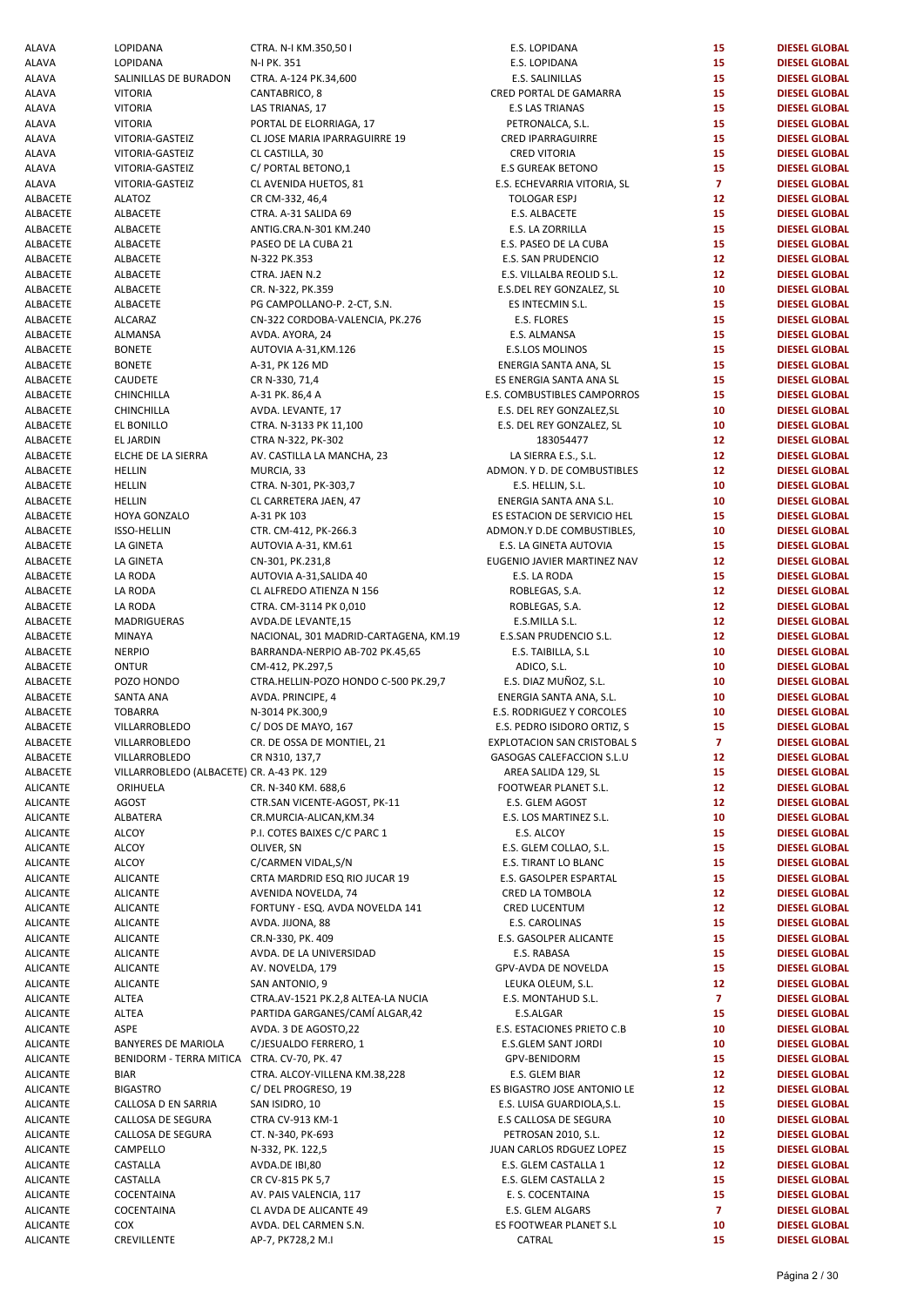| ALAVA           | <b>LOPIDANA</b>                             | CTRA. N-I KM.350,50 I                    | E.S. LOPIDANA                      | 15              | <b>DIESEL GLOBAL</b> |
|-----------------|---------------------------------------------|------------------------------------------|------------------------------------|-----------------|----------------------|
| ALAVA           | LOPIDANA                                    | N-I PK. 351                              | E.S. LOPIDANA                      | 15              | <b>DIESEL GLOBAL</b> |
| ALAVA           | SALINILLAS DE BURADON                       | CTRA. A-124 PK.34,600                    | E.S. SALINILLAS                    | 15              | <b>DIESEL GLOBAL</b> |
| ALAVA           | <b>VITORIA</b>                              | CANTABRICO, 8                            | CRED PORTAL DE GAMARRA             | 15              | <b>DIESEL GLOBAL</b> |
| ALAVA           | <b>VITORIA</b>                              | LAS TRIANAS, 17                          | <b>E.S LAS TRIANAS</b>             | 15              | <b>DIESEL GLOBAL</b> |
| ALAVA           | <b>VITORIA</b>                              | PORTAL DE ELORRIAGA, 17                  | PETRONALCA, S.L.                   | 15              | <b>DIESEL GLOBAL</b> |
| ALAVA           | VITORIA-GASTEIZ                             | CL JOSE MARIA IPARRAGUIRRE 19            | CRED IPARRAGUIRRE                  | 15              | <b>DIESEL GLOBAL</b> |
| ALAVA           | VITORIA-GASTEIZ                             | CL CASTILLA, 30                          | <b>CRED VITORIA</b>                | 15              | <b>DIESEL GLOBAL</b> |
| ALAVA           | VITORIA-GASTEIZ                             | C/ PORTAL BETONO,1                       | <b>E.S GUREAK BETONO</b>           | 15              | <b>DIESEL GLOBAL</b> |
| ALAVA           | VITORIA-GASTEIZ                             | CL AVENIDA HUETOS, 81                    | E.S. ECHEVARRIA VITORIA, SL        | $\mathbf{7}$    | <b>DIESEL GLOBAL</b> |
| ALBACETE        | <b>ALATOZ</b>                               | CR CM-332, 46,4                          | <b>TOLOGAR ESPJ</b>                | 12 <sub>2</sub> | <b>DIESEL GLOBAL</b> |
| <b>ALBACETE</b> | ALBACETE                                    | CTRA. A-31 SALIDA 69                     | E.S. ALBACETE                      | 15              | <b>DIESEL GLOBAL</b> |
| ALBACETE        |                                             | ANTIG.CRA.N-301 KM.240                   |                                    | 15              | <b>DIESEL GLOBAL</b> |
|                 | ALBACETE                                    |                                          | E.S. LA ZORRILLA                   |                 |                      |
| ALBACETE        | ALBACETE                                    | PASEO DE LA CUBA 21                      | E.S. PASEO DE LA CUBA              | 15              | <b>DIESEL GLOBAL</b> |
| ALBACETE        | ALBACETE                                    | N-322 PK.353                             | E.S. SAN PRUDENCIO                 | 12 <sub>2</sub> | <b>DIESEL GLOBAL</b> |
| ALBACETE        | ALBACETE                                    | CTRA. JAEN N.2                           | E.S. VILLALBA REOLID S.L.          | 12 <sub>2</sub> | <b>DIESEL GLOBAL</b> |
| ALBACETE        | ALBACETE                                    | CR. N-322, PK.359                        | E.S.DEL REY GONZALEZ, SL           | 10              | <b>DIESEL GLOBAL</b> |
| ALBACETE        | ALBACETE                                    | PG CAMPOLLANO-P. 2-CT, S.N.              | ES INTECMIN S.L.                   | 15              | <b>DIESEL GLOBAL</b> |
| ALBACETE        | ALCARAZ                                     | CN-322 CORDOBA-VALENCIA, PK.276          | E.S. FLORES                        | 15              | <b>DIESEL GLOBAL</b> |
| ALBACETE        | ALMANSA                                     | AVDA. AYORA, 24                          | E.S. ALMANSA                       | 15              | <b>DIESEL GLOBAL</b> |
| ALBACETE        | <b>BONETE</b>                               | AUTOVIA A-31, KM.126                     | <b>E.S.LOS MOLINOS</b>             | 15              | <b>DIESEL GLOBAL</b> |
| ALBACETE        | <b>BONETE</b>                               | A-31, PK 126 MD                          | ENERGIA SANTA ANA, SL              | 15              | <b>DIESEL GLOBAL</b> |
| ALBACETE        | CAUDETE                                     | CR N-330, 71,4                           | ES ENERGIA SANTA ANA SL            | 15              | <b>DIESEL GLOBAL</b> |
| ALBACETE        | CHINCHILLA                                  | A-31 PK. 86,4 A                          | E.S. COMBUSTIBLES CAMPORROS        | 15              | <b>DIESEL GLOBAL</b> |
| <b>ALBACETE</b> | CHINCHILLA                                  | AVDA. LEVANTE, 17                        | E.S. DEL REY GONZALEZ, SL          | 10              | <b>DIESEL GLOBAL</b> |
| ALBACETE        | EL BONILLO                                  | CTRA. N-3133 PK 11,100                   | E.S. DEL REY GONZALEZ, SL          | 10              | <b>DIESEL GLOBAL</b> |
| ALBACETE        | EL JARDIN                                   | CTRA N-322, PK-302                       | 183054477                          | 12 <sub>2</sub> | <b>DIESEL GLOBAL</b> |
| ALBACETE        | ELCHE DE LA SIERRA                          |                                          | LA SIERRA E.S., S.L.               | 12 <sub>2</sub> | <b>DIESEL GLOBAL</b> |
|                 |                                             | AV. CASTILLA LA MANCHA, 23<br>MURCIA, 33 |                                    | 12 <sub>2</sub> |                      |
| ALBACETE        | <b>HELLIN</b>                               |                                          | ADMON. Y D. DE COMBUSTIBLES        |                 | <b>DIESEL GLOBAL</b> |
| <b>ALBACETE</b> | <b>HELLIN</b>                               | CTRA. N-301, PK-303,7                    | E.S. HELLIN, S.L.                  | 10              | <b>DIESEL GLOBAL</b> |
| ALBACETE        | <b>HELLIN</b>                               | CL CARRETERA JAEN, 47                    | ENERGIA SANTA ANA S.L.             | 10              | <b>DIESEL GLOBAL</b> |
| <b>ALBACETE</b> | HOYA GONZALO                                | A-31 PK 103                              | ES ESTACION DE SERVICIO HEL        | 15              | <b>DIESEL GLOBAL</b> |
| ALBACETE        | <b>ISSO-HELLIN</b>                          | CTR. CM-412, PK-266.3                    | ADMON.Y D.DE COMBUSTIBLES,         | 10              | <b>DIESEL GLOBAL</b> |
| ALBACETE        | LA GINETA                                   | AUTOVIA A-31, KM.61                      | E.S. LA GINETA AUTOVIA             | 15              | <b>DIESEL GLOBAL</b> |
| ALBACETE        | LA GINETA                                   | CN-301, PK.231,8                         | EUGENIO JAVIER MARTINEZ NAV        | 12 <sub>2</sub> | <b>DIESEL GLOBAL</b> |
| ALBACETE        | LA RODA                                     | AUTOVIA A-31, SALIDA 40                  | E.S. LA RODA                       | 15              | <b>DIESEL GLOBAL</b> |
| ALBACETE        | LA RODA                                     | CL ALFREDO ATIENZA N 156                 | ROBLEGAS, S.A.                     | 12 <sub>2</sub> | <b>DIESEL GLOBAL</b> |
| ALBACETE        | LA RODA                                     | CTRA. CM-3114 PK 0,010                   | ROBLEGAS, S.A.                     | 12 <sub>2</sub> | <b>DIESEL GLOBAL</b> |
| ALBACETE        | MADRIGUERAS                                 | AVDA.DE LEVANTE,15                       | E.S.MILLA S.L.                     | 12              | <b>DIESEL GLOBAL</b> |
| ALBACETE        | <b>MINAYA</b>                               | NACIONAL, 301 MADRID-CARTAGENA, KM.19    | E.S.SAN PRUDENCIO S.L.             | 12 <sub>2</sub> | <b>DIESEL GLOBAL</b> |
| ALBACETE        | <b>NERPIO</b>                               | BARRANDA-NERPIO AB-702 PK.45,65          | E.S. TAIBILLA, S.L                 | 10              | <b>DIESEL GLOBAL</b> |
| ALBACETE        | <b>ONTUR</b>                                | CM-412, PK.297,5                         | ADICO, S.L.                        | 10              | <b>DIESEL GLOBAL</b> |
| ALBACETE        | POZO HONDO                                  | CTRA.HELLIN-POZO HONDO C-500 PK.29,7     | E.S. DIAZ MUÑOZ, S.L.              | 10              | <b>DIESEL GLOBAL</b> |
| ALBACETE        | <b>SANTA ANA</b>                            | AVDA. PRINCIPE, 4                        | ENERGIA SANTA ANA, S.L.            | 10              | <b>DIESEL GLOBAL</b> |
| ALBACETE        | <b>TOBARRA</b>                              | N-3014 PK.300,9                          | E.S. RODRIGUEZ Y CORCOLES          | 10              | <b>DIESEL GLOBAL</b> |
| <b>ALBACETE</b> | VILLARROBLEDO                               | C/DOS DE MAYO, 167                       | E.S. PEDRO ISIDORO ORTIZ, S        | 15              | <b>DIESEL GLOBAL</b> |
| <b>ALBACETE</b> |                                             |                                          |                                    | $\overline{7}$  |                      |
|                 | VILLARROBLEDO                               | CR. DE OSSA DE MONTIEL, 21               | <b>EXPLOTACION SAN CRISTOBAL S</b> |                 | <b>DIESEL GLOBAL</b> |
| ALBACETE        | VILLARROBLEDO                               | CR N310, 137,7                           | GASOGAS CALEFACCION S.L.U          | 12              | <b>DIESEL GLOBAL</b> |
| ALBACETE        | VILLARROBLEDO (ALBACETE) CR. A-43 PK. 129   |                                          | AREA SALIDA 129, SL                | 15              | <b>DIESEL GLOBAL</b> |
| <b>ALICANTE</b> | ORIHUELA                                    | CR. N-340 KM. 688,6                      | FOOTWEAR PLANET S.L.               | 12              | <b>DIESEL GLOBAL</b> |
| <b>ALICANTE</b> | <b>AGOST</b>                                | CTR.SAN VICENTE-AGOST, PK-11             | E.S. GLEM AGOST                    | 12 <sub>2</sub> | <b>DIESEL GLOBAL</b> |
| <b>ALICANTE</b> | ALBATERA                                    | CR.MURCIA-ALICAN, KM.34                  | E.S. LOS MARTINEZ S.L.             | 10              | <b>DIESEL GLOBAL</b> |
| <b>ALICANTE</b> | ALCOY                                       | P.I. COTES BAIXES C/C PARC 1             | E.S. ALCOY                         | 15              | <b>DIESEL GLOBAL</b> |
| <b>ALICANTE</b> | ALCOY                                       | OLIVER, SN                               | E.S. GLEM COLLAO, S.L.             | 15              | <b>DIESEL GLOBAL</b> |
| <b>ALICANTE</b> | ALCOY                                       | C/CARMEN VIDAL, S/N                      | E.S. TIRANT LO BLANC               | 15              | <b>DIESEL GLOBAL</b> |
| <b>ALICANTE</b> | <b>ALICANTE</b>                             | CRTA MARDRID ESQ RIO JUCAR 19            | E.S. GASOLPER ESPARTAL             | 15              | <b>DIESEL GLOBAL</b> |
| <b>ALICANTE</b> | <b>ALICANTE</b>                             | AVENIDA NOVELDA, 74                      | CRED LA TOMBOLA                    | 12              | <b>DIESEL GLOBAL</b> |
| <b>ALICANTE</b> | <b>ALICANTE</b>                             | FORTUNY - ESQ. AVDA NOVELDA 141          | <b>CRED LUCENTUM</b>               | 12              | <b>DIESEL GLOBAL</b> |
| <b>ALICANTE</b> | <b>ALICANTE</b>                             | AVDA. JIJONA, 88                         | E.S. CAROLINAS                     | 15              | <b>DIESEL GLOBAL</b> |
| <b>ALICANTE</b> | <b>ALICANTE</b>                             | CR.N-330, PK. 409                        | E.S. GASOLPER ALICANTE             | 15              | <b>DIESEL GLOBAL</b> |
| <b>ALICANTE</b> | <b>ALICANTE</b>                             | AVDA. DE LA UNIVERSIDAD                  | E.S. RABASA                        | 15              | <b>DIESEL GLOBAL</b> |
| <b>ALICANTE</b> | <b>ALICANTE</b>                             | AV. NOVELDA, 179                         | GPV-AVDA DE NOVELDA                | 15              | <b>DIESEL GLOBAL</b> |
|                 |                                             |                                          |                                    |                 |                      |
| <b>ALICANTE</b> | <b>ALICANTE</b>                             | SAN ANTONIO, 9                           | LEUKA OLEUM, S.L.                  | 12              | <b>DIESEL GLOBAL</b> |
| <b>ALICANTE</b> | <b>ALTEA</b>                                | CTRA.AV-1521 PK.2,8 ALTEA-LA NUCIA       | E.S. MONTAHUD S.L.                 | $\overline{7}$  | <b>DIESEL GLOBAL</b> |
| <b>ALICANTE</b> | <b>ALTEA</b>                                | PARTIDA GARGANES/CAMÍ ALGAR,42           | E.S.ALGAR                          | 15              | <b>DIESEL GLOBAL</b> |
| <b>ALICANTE</b> | ASPE                                        | AVDA. 3 DE AGOSTO, 22                    | E.S. ESTACIONES PRIETO C.B         | 10              | <b>DIESEL GLOBAL</b> |
| <b>ALICANTE</b> | <b>BANYERES DE MARIOLA</b>                  | C/JESUALDO FERRERO, 1                    | E.S.GLEM SANT JORDI                | 10              | <b>DIESEL GLOBAL</b> |
| <b>ALICANTE</b> | BENIDORM - TERRA MITICA CTRA. CV-70, PK. 47 |                                          | GPV-BENIDORM                       | 15              | <b>DIESEL GLOBAL</b> |
| <b>ALICANTE</b> | <b>BIAR</b>                                 | CTRA. ALCOY-VILLENA KM.38,228            | E.S. GLEM BIAR                     | 12              | <b>DIESEL GLOBAL</b> |
| ALICANTE        | <b>BIGASTRO</b>                             | C/DELPROGRESO, 19                        | ES BIGASTRO JOSE ANTONIO LE        | 12              | <b>DIESEL GLOBAL</b> |
| <b>ALICANTE</b> | CALLOSA D EN SARRIA                         | SAN ISIDRO, 10                           | E.S. LUISA GUARDIOLA, S.L.         | 15              | <b>DIESEL GLOBAL</b> |
| <b>ALICANTE</b> | CALLOSA DE SEGURA                           | CTRA CV-913 KM-1                         | E.S CALLOSA DE SEGURA              | 10              | <b>DIESEL GLOBAL</b> |
| <b>ALICANTE</b> | CALLOSA DE SEGURA                           | CT. N-340, PK-693                        | PETROSAN 2010, S.L.                | 12              | <b>DIESEL GLOBAL</b> |
| <b>ALICANTE</b> | CAMPELLO                                    | N-332, PK. 122,5                         | JUAN CARLOS RDGUEZ LOPEZ           | 15              | <b>DIESEL GLOBAL</b> |
| <b>ALICANTE</b> | CASTALLA                                    | AVDA.DE IBI,80                           | E.S. GLEM CASTALLA 1               | 12 <sub>2</sub> | <b>DIESEL GLOBAL</b> |
| <b>ALICANTE</b> | CASTALLA                                    | CR CV-815 PK 5,7                         | E.S. GLEM CASTALLA 2               | 15              | <b>DIESEL GLOBAL</b> |
| <b>ALICANTE</b> | COCENTAINA                                  | AV. PAIS VALENCIA, 117                   | E. S. COCENTAINA                   | 15              | <b>DIESEL GLOBAL</b> |
| ALICANTE        | COCENTAINA                                  | CL AVDA DE ALICANTE 49                   | E.S. GLEM ALGARS                   | $\overline{7}$  | <b>DIESEL GLOBAL</b> |
|                 |                                             |                                          |                                    |                 |                      |
| <b>ALICANTE</b> | COX                                         | AVDA. DEL CARMEN S.N.                    | ES FOOTWEAR PLANET S.L             | 10              | <b>DIESEL GLOBAL</b> |
| <b>ALICANTE</b> | CREVILLENTE                                 | AP-7, PK728,2 M.I                        | CATRAL                             | 15              | <b>DIESEL GLOBAL</b> |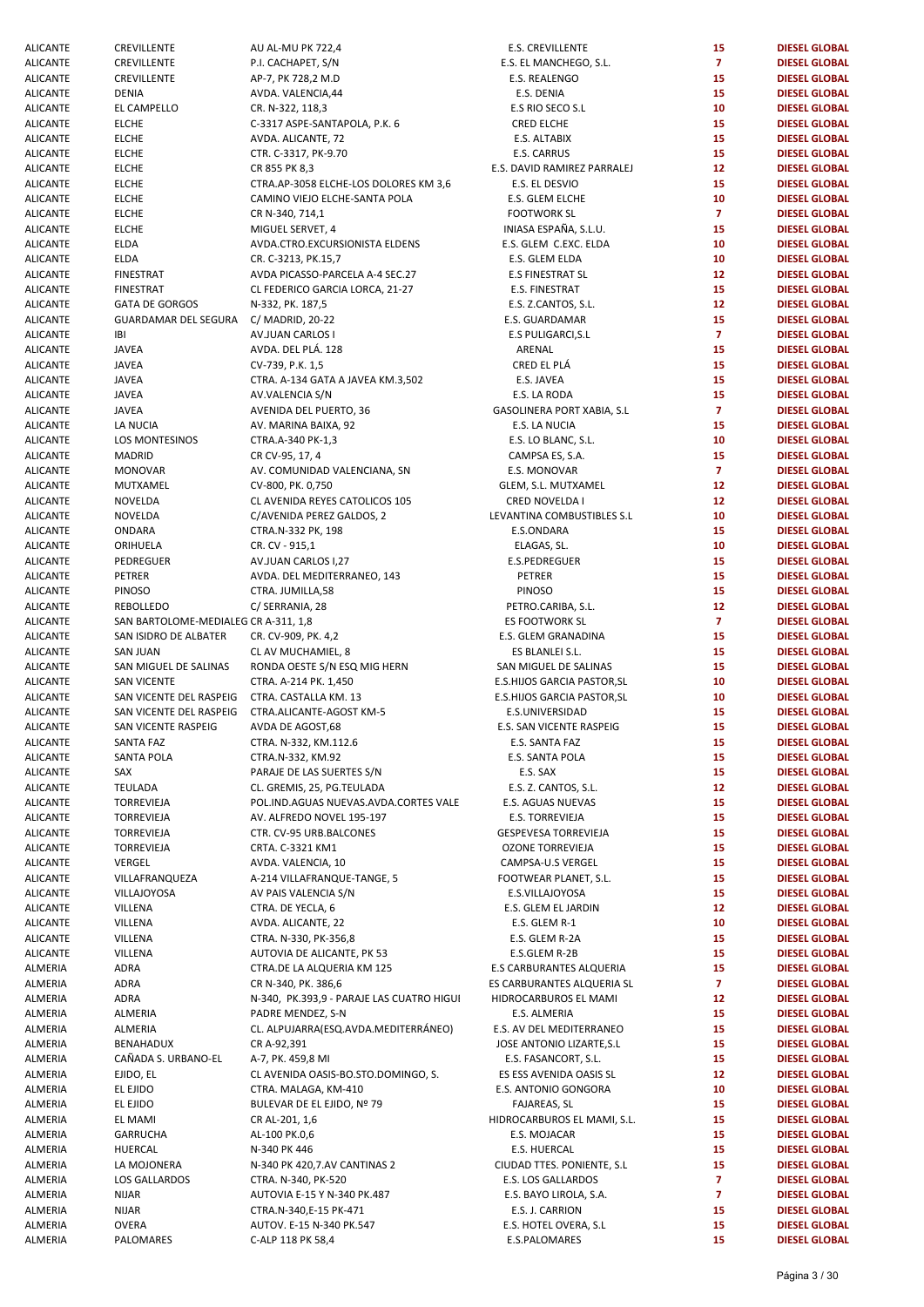| ALICANTE        | <b>CREVILLENIE</b>                            | AU AL-MU PK /22,4                         | E.S. CREVILLENTE            | 15              | <b>DIESEL GLOBAL</b> |
|-----------------|-----------------------------------------------|-------------------------------------------|-----------------------------|-----------------|----------------------|
| ALICANTE        | CREVILLENTE                                   | P.I. CACHAPET, S/N                        | E.S. EL MANCHEGO, S.L.      | $\overline{7}$  | <b>DIESEL GLOBAL</b> |
| <b>ALICANTE</b> | CREVILLENTE                                   | AP-7, PK 728,2 M.D                        | E.S. REALENGO               | 15              | <b>DIESEL GLOBAL</b> |
|                 |                                               |                                           |                             |                 |                      |
| <b>ALICANTE</b> | <b>DENIA</b>                                  | AVDA. VALENCIA, 44                        | E.S. DENIA                  | 15              | <b>DIESEL GLOBAL</b> |
| <b>ALICANTE</b> | EL CAMPELLO                                   | CR. N-322, 118,3                          | E.S RIO SECO S.L            | 10              | <b>DIESEL GLOBAL</b> |
| <b>ALICANTE</b> | <b>ELCHE</b>                                  | C-3317 ASPE-SANTAPOLA, P.K. 6             | <b>CRED ELCHE</b>           | 15              | <b>DIESEL GLOBAL</b> |
| <b>ALICANTE</b> | <b>ELCHE</b>                                  | AVDA. ALICANTE, 72                        | E.S. ALTABIX                | 15              | <b>DIESEL GLOBAL</b> |
|                 |                                               |                                           | E.S. CARRUS                 | 15              |                      |
| <b>ALICANTE</b> | <b>ELCHE</b>                                  | CTR. C-3317, PK-9.70                      |                             |                 | <b>DIESEL GLOBAL</b> |
| <b>ALICANTE</b> | <b>ELCHE</b>                                  | CR 855 PK 8,3                             | E.S. DAVID RAMIREZ PARRALEJ | 12              | <b>DIESEL GLOBAL</b> |
| <b>ALICANTE</b> | <b>ELCHE</b>                                  | CTRA.AP-3058 ELCHE-LOS DOLORES KM 3,6     | E.S. EL DESVIO              | 15              | <b>DIESEL GLOBAL</b> |
| <b>ALICANTE</b> | <b>ELCHE</b>                                  | CAMINO VIEJO ELCHE-SANTA POLA             | E.S. GLEM ELCHE             | 10              | <b>DIESEL GLOBAL</b> |
|                 |                                               |                                           |                             |                 |                      |
| <b>ALICANTE</b> | <b>ELCHE</b>                                  | CR N-340, 714,1                           | <b>FOOTWORK SL</b>          | $\mathbf{7}$    | <b>DIESEL GLOBAL</b> |
| <b>ALICANTE</b> | <b>ELCHE</b>                                  | MIGUEL SERVET, 4                          | INIASA ESPAÑA, S.L.U.       | 15              | <b>DIESEL GLOBAL</b> |
| <b>ALICANTE</b> | ELDA                                          | AVDA.CTRO.EXCURSIONISTA ELDENS            | E.S. GLEM C.EXC. ELDA       | 10              | <b>DIESEL GLOBAL</b> |
| <b>ALICANTE</b> | <b>ELDA</b>                                   | CR. C-3213, PK.15,7                       | E.S. GLEM ELDA              | 10              | <b>DIESEL GLOBAL</b> |
|                 |                                               |                                           |                             |                 |                      |
| <b>ALICANTE</b> | <b>FINESTRAT</b>                              | AVDA PICASSO-PARCELA A-4 SEC.27           | <b>E.S FINESTRAT SL</b>     | 12 <sup>2</sup> | <b>DIESEL GLOBAL</b> |
| <b>ALICANTE</b> | <b>FINESTRAT</b>                              | CL FEDERICO GARCIA LORCA, 21-27           | E.S. FINESTRAT              | 15              | <b>DIESEL GLOBAL</b> |
| <b>ALICANTE</b> | <b>GATA DE GORGOS</b>                         | N-332, PK. 187,5                          | E.S. Z.CANTOS, S.L.         | 12              | <b>DIESEL GLOBAL</b> |
|                 |                                               |                                           |                             |                 |                      |
| <b>ALICANTE</b> | GUARDAMAR DEL SEGURA                          | C/ MADRID, 20-22                          | E.S. GUARDAMAR              | 15              | <b>DIESEL GLOBAL</b> |
| <b>ALICANTE</b> | IBI                                           | AV.JUAN CARLOS I                          | E.S PULIGARCI, S.L          | $\overline{7}$  | <b>DIESEL GLOBAL</b> |
| <b>ALICANTE</b> | <b>JAVEA</b>                                  | AVDA. DEL PLÁ. 128                        | ARENAL                      | 15              | <b>DIESEL GLOBAL</b> |
| <b>ALICANTE</b> | <b>JAVEA</b>                                  | CV-739, P.K. 1,5                          | CRED EL PLÁ                 | 15              | <b>DIESEL GLOBAL</b> |
|                 |                                               |                                           |                             |                 |                      |
| <b>ALICANTE</b> | <b>JAVEA</b>                                  | CTRA. A-134 GATA A JAVEA KM.3,502         | E.S. JAVEA                  | 15              | <b>DIESEL GLOBAL</b> |
| <b>ALICANTE</b> | <b>JAVEA</b>                                  | AV.VALENCIA S/N                           | E.S. LA RODA                | 15              | <b>DIESEL GLOBAL</b> |
| <b>ALICANTE</b> | <b>JAVEA</b>                                  | AVENIDA DEL PUERTO, 36                    | GASOLINERA PORT XABIA, S.L  | $\mathbf{7}$    | <b>DIESEL GLOBAL</b> |
|                 |                                               |                                           |                             |                 |                      |
| <b>ALICANTE</b> | LA NUCIA                                      | AV. MARINA BAIXA, 92                      | E.S. LA NUCIA               | 15              | <b>DIESEL GLOBAL</b> |
| ALICANTE        | LOS MONTESINOS                                | CTRA.A-340 PK-1,3                         | E.S. LO BLANC, S.L.         | 10              | <b>DIESEL GLOBAL</b> |
| <b>ALICANTE</b> | MADRID                                        | CR CV-95, 17, 4                           | CAMPSA ES, S.A.             | 15              | <b>DIESEL GLOBAL</b> |
|                 |                                               |                                           |                             |                 |                      |
| <b>ALICANTE</b> | <b>MONOVAR</b>                                | AV. COMUNIDAD VALENCIANA, SN              | E.S. MONOVAR                | $\overline{7}$  | <b>DIESEL GLOBAL</b> |
| <b>ALICANTE</b> | MUTXAMEL                                      | CV-800, PK. 0,750                         | GLEM, S.L. MUTXAMEL         | 12 <sub>2</sub> | <b>DIESEL GLOBAL</b> |
| <b>ALICANTE</b> | NOVELDA                                       | CL AVENIDA REYES CATOLICOS 105            | CRED NOVELDA I              | 12              | <b>DIESEL GLOBAL</b> |
| <b>ALICANTE</b> | NOVELDA                                       | C/AVENIDA PEREZ GALDOS, 2                 | LEVANTINA COMBUSTIBLES S.L  | 10              | <b>DIESEL GLOBAL</b> |
|                 |                                               |                                           |                             |                 |                      |
| <b>ALICANTE</b> | ONDARA                                        | CTRA.N-332 PK, 198                        | E.S.ONDARA                  | 15              | <b>DIESEL GLOBAL</b> |
| <b>ALICANTE</b> | ORIHUELA                                      | CR. CV - 915,1                            | ELAGAS, SL.                 | 10              | <b>DIESEL GLOBAL</b> |
| <b>ALICANTE</b> | PEDREGUER                                     | AV.JUAN CARLOS I,27                       | E.S.PEDREGUER               | 15              | <b>DIESEL GLOBAL</b> |
| <b>ALICANTE</b> | PETRER                                        | AVDA. DEL MEDITERRANEO, 143               | <b>PETRER</b>               | 15              | <b>DIESEL GLOBAL</b> |
|                 |                                               |                                           |                             |                 |                      |
| <b>ALICANTE</b> | PINOSO                                        | CTRA. JUMILLA,58                          | <b>PINOSO</b>               | 15              | <b>DIESEL GLOBAL</b> |
| <b>ALICANTE</b> | REBOLLEDO                                     | C/ SERRANIA, 28                           | PETRO.CARIBA, S.L.          | 12 <sup>2</sup> | <b>DIESEL GLOBAL</b> |
| <b>ALICANTE</b> | SAN BARTOLOME-MEDIALEG CR A-311, 1,8          |                                           | <b>ES FOOTWORK SL</b>       | $\overline{7}$  | <b>DIESEL GLOBAL</b> |
|                 |                                               |                                           |                             |                 |                      |
| <b>ALICANTE</b> | SAN ISIDRO DE ALBATER                         | CR. CV-909, PK. 4,2                       | E.S. GLEM GRANADINA         | 15              | <b>DIESEL GLOBAL</b> |
| <b>ALICANTE</b> | <b>SAN JUAN</b>                               | CL AV MUCHAMIEL, 8                        | ES BLANLEI S.L.             | 15              | <b>DIESEL GLOBAL</b> |
| <b>ALICANTE</b> | SAN MIGUEL DE SALINAS                         | RONDA OESTE S/N ESQ MIG HERN              | SAN MIGUEL DE SALINAS       | 15              | <b>DIESEL GLOBAL</b> |
| ALICANTE        | <b>SAN VICENTE</b>                            | CTRA. A-214 PK. 1,450                     | E.S.HIJOS GARCIA PASTOR, SL | 10              | <b>DIESEL GLOBAL</b> |
|                 |                                               |                                           |                             |                 |                      |
| <b>ALICANTE</b> | SAN VICENTE DEL RASPEIG CTRA. CASTALLA KM. 13 |                                           | E.S.HIJOS GARCIA PASTOR, SL | 10              | <b>DIESEL GLOBAL</b> |
| <b>ALICANTE</b> | SAN VICENTE DEL RASPEIG                       | CTRA.ALICANTE-AGOST KM-5                  | E.S.UNIVERSIDAD             | 15              | <b>DIESEL GLOBAL</b> |
| <b>ALICANTE</b> | SAN VICENTE RASPEIG                           | AVDA DE AGOST,68                          | E.S. SAN VICENTE RASPEIG    | 15              | <b>DIESEL GLOBAL</b> |
| ALICANTE        | SANTA FAZ                                     | CTRA. N-332, KM.112.6                     | E.S. SANTA FAZ              | 15              | <b>DIESEL GLOBAL</b> |
|                 |                                               |                                           |                             |                 |                      |
| ALICANTE        | SANTA POLA                                    | CTRA.N-332, KM.92                         | E.S. SANTA POLA             | 15              | <b>DIESEL GLOBAL</b> |
| <b>ALICANTE</b> | SAX                                           | PARAJE DE LAS SUERTES S/N                 | E.S. SAX                    | 15              | <b>DIESEL GLOBAL</b> |
| <b>ALICANTE</b> | TEULADA                                       | CL. GREMIS, 25, PG.TEULADA                | E.S. Z. CANTOS, S.L.        | 12              | <b>DIESEL GLOBAL</b> |
|                 |                                               |                                           |                             |                 |                      |
| <b>ALICANTE</b> | <b>TORREVIEJA</b>                             | POL.IND.AGUAS NUEVAS.AVDA.CORTES VALE     | E.S. AGUAS NUEVAS           | 15              | <b>DIESEL GLOBAL</b> |
| ALICANTE        | TORREVIEJA                                    | AV. ALFREDO NOVEL 195-197                 | E.S. TORREVIEJA             | 15              | <b>DIESEL GLOBAL</b> |
| <b>ALICANTE</b> | TORREVIEJA                                    | CTR. CV-95 URB.BALCONES                   | GESPEVESA TORREVIEJA        | 15              | <b>DIESEL GLOBAL</b> |
|                 |                                               |                                           |                             |                 | <b>DIESEL GLOBAL</b> |
| <b>ALICANTE</b> | TORREVIEJA                                    | CRTA. C-3321 KM1                          | <b>OZONE TORREVIEJA</b>     | 15              |                      |
| <b>ALICANTE</b> | VERGEL                                        | AVDA. VALENCIA, 10                        | CAMPSA-U.S VERGEL           | 15              | <b>DIESEL GLOBAL</b> |
| <b>ALICANTE</b> | VILLAFRANQUEZA                                | A-214 VILLAFRANQUE-TANGE, 5               | FOOTWEAR PLANET, S.L.       | 15              | <b>DIESEL GLOBAL</b> |
| <b>ALICANTE</b> | VILLAJOYOSA                                   | AV PAIS VALENCIA S/N                      | E.S.VILLAJOYOSA             | 15              | <b>DIESEL GLOBAL</b> |
|                 |                                               |                                           |                             |                 |                      |
| <b>ALICANTE</b> | VILLENA                                       | CTRA. DE YECLA, 6                         | E.S. GLEM EL JARDIN         | 12              | <b>DIESEL GLOBAL</b> |
| ALICANTE        | VILLENA                                       | AVDA. ALICANTE, 22                        | E.S. GLEM R-1               | 10              | <b>DIESEL GLOBAL</b> |
| <b>ALICANTE</b> | VILLENA                                       | CTRA. N-330, PK-356,8                     | E.S. GLEM R-2A              | 15              | <b>DIESEL GLOBAL</b> |
| <b>ALICANTE</b> | VILLENA                                       | AUTOVIA DE ALICANTE, PK 53                | E.S.GLEM R-2B               | 15              | <b>DIESEL GLOBAL</b> |
|                 |                                               |                                           |                             |                 |                      |
| ALMERIA         | ADRA                                          | CTRA.DE LA ALQUERIA KM 125                | E.S CARBURANTES ALQUERIA    | 15              | <b>DIESEL GLOBAL</b> |
| ALMERIA         | ADRA                                          | CR N-340, PK. 386,6                       | ES CARBURANTES ALQUERIA SL  | $\overline{7}$  | <b>DIESEL GLOBAL</b> |
| ALMERIA         | ADRA                                          | N-340, PK.393,9 - PARAJE LAS CUATRO HIGUI | HIDROCARBUROS EL MAMI       | 12              | <b>DIESEL GLOBAL</b> |
|                 |                                               |                                           |                             |                 |                      |
| ALMERIA         | ALMERIA                                       | PADRE MENDEZ, S-N                         | E.S. ALMERIA                | 15              | <b>DIESEL GLOBAL</b> |
| ALMERIA         | ALMERIA                                       | CL. ALPUJARRA(ESQ.AVDA.MEDITERRÁNEO)      | E.S. AV DEL MEDITERRANEO    | 15              | <b>DIESEL GLOBAL</b> |
| ALMERIA         | BENAHADUX                                     | CR A-92,391                               | JOSE ANTONIO LIZARTE, S.L   | 15              | <b>DIESEL GLOBAL</b> |
| ALMERIA         | CAÑADA S. URBANO-EL                           | A-7, PK. 459,8 MI                         | E.S. FASANCORT, S.L.        | 15              | <b>DIESEL GLOBAL</b> |
|                 |                                               |                                           |                             |                 |                      |
| ALMERIA         | EJIDO, EL                                     | CL AVENIDA OASIS-BO.STO.DOMINGO, S.       | ES ESS AVENIDA OASIS SL     | 12              | <b>DIESEL GLOBAL</b> |
| ALMERIA         | EL EJIDO                                      | CTRA. MALAGA, KM-410                      | E.S. ANTONIO GONGORA        | 10              | <b>DIESEL GLOBAL</b> |
| ALMERIA         | EL EJIDO                                      | BULEVAR DE EL EJIDO, Nº 79                | FAJAREAS, SL                | 15              | <b>DIESEL GLOBAL</b> |
| ALMERIA         | EL MAMI                                       |                                           |                             | 15              | <b>DIESEL GLOBAL</b> |
|                 |                                               | CR AL-201, 1,6                            | HIDROCARBUROS EL MAMI, S.L. |                 |                      |
| ALMERIA         | GARRUCHA                                      | AL-100 PK.0,6                             | E.S. MOJACAR                | 15              | <b>DIESEL GLOBAL</b> |
| ALMERIA         | HUERCAL                                       | N-340 PK 446                              | E.S. HUERCAL                | 15              | <b>DIESEL GLOBAL</b> |
| ALMERIA         | LA MOJONERA                                   | N-340 PK 420,7.AV CANTINAS 2              | CIUDAD TTES. PONIENTE, S.L. | 15              | <b>DIESEL GLOBAL</b> |
|                 |                                               |                                           |                             |                 |                      |
| ALMERIA         | LOS GALLARDOS                                 | CTRA. N-340, PK-520                       | E.S. LOS GALLARDOS          | $\overline{7}$  | <b>DIESEL GLOBAL</b> |
| ALMERIA         | NIJAR                                         | AUTOVIA E-15 Y N-340 PK.487               | E.S. BAYO LIROLA, S.A.      | 7               | <b>DIESEL GLOBAL</b> |
| ALMERIA         | <b>NIJAR</b>                                  | CTRA.N-340,E-15 PK-471                    | E.S. J. CARRION             | 15              | <b>DIESEL GLOBAL</b> |
|                 | <b>OVERA</b>                                  |                                           | E.S. HOTEL OVERA, S.L       | 15              | <b>DIESEL GLOBAL</b> |
| ALMERIA         |                                               | AUTOV. E-15 N-340 PK.547                  |                             |                 |                      |
| ALMERIA         | PALOMARES                                     | C-ALP 118 PK 58,4                         | E.S.PALOMARES               | 15              | <b>DIESEL GLOBAL</b> |

| <b>ALICANTE</b> | CREVILLENTE                           | AU AL-MU PK 722,4                         | <b>E.S. CREVILLENTE</b>     | 15              | <b>DIESEL GLOBAL</b> |
|-----------------|---------------------------------------|-------------------------------------------|-----------------------------|-----------------|----------------------|
| <b>ALICANTE</b> | CREVILLENTE                           | P.I. CACHAPET, S/N                        | E.S. EL MANCHEGO, S.L.      | $\mathbf{7}$    | <b>DIESEL GLOBAL</b> |
| <b>ALICANTE</b> | CREVILLENTE                           | AP-7, PK 728,2 M.D                        | E.S. REALENGO               | 15              | <b>DIESEL GLOBAL</b> |
| <b>ALICANTE</b> | <b>DENIA</b>                          | AVDA. VALENCIA, 44                        | E.S. DENIA                  | 15              | <b>DIESEL GLOBAL</b> |
|                 |                                       |                                           |                             |                 |                      |
| ALICANTE        | EL CAMPELLO                           | CR. N-322, 118,3                          | E.S RIO SECO S.L            | 10              | <b>DIESEL GLOBAL</b> |
| <b>ALICANTE</b> | <b>ELCHE</b>                          | C-3317 ASPE-SANTAPOLA, P.K. 6             | <b>CRED ELCHE</b>           | 15              | <b>DIESEL GLOBAL</b> |
| <b>ALICANTE</b> | <b>ELCHE</b>                          | AVDA. ALICANTE, 72                        | E.S. ALTABIX                | 15              | <b>DIESEL GLOBAL</b> |
| <b>ALICANTE</b> | <b>ELCHE</b>                          | CTR. C-3317, PK-9.70                      | E.S. CARRUS                 | 15              | <b>DIESEL GLOBAL</b> |
| <b>ALICANTE</b> | <b>ELCHE</b>                          | CR 855 PK 8,3                             | E.S. DAVID RAMIREZ PARRALEJ | 12              | <b>DIESEL GLOBAL</b> |
| <b>ALICANTE</b> | <b>ELCHE</b>                          | CTRA.AP-3058 ELCHE-LOS DOLORES KM 3,6     | E.S. EL DESVIO              | 15              | <b>DIESEL GLOBAL</b> |
|                 |                                       | CAMINO VIEJO ELCHE-SANTA POLA             |                             | 10              | <b>DIESEL GLOBAL</b> |
| <b>ALICANTE</b> | <b>ELCHE</b>                          |                                           | E.S. GLEM ELCHE             |                 |                      |
| <b>ALICANTE</b> | <b>ELCHE</b>                          | CR N-340, 714,1                           | <b>FOOTWORK SL</b>          | $\overline{7}$  | <b>DIESEL GLOBAL</b> |
| ALICANTE        | <b>ELCHE</b>                          | MIGUEL SERVET, 4                          | INIASA ESPAÑA, S.L.U.       | 15              | <b>DIESEL GLOBAL</b> |
| <b>ALICANTE</b> | <b>ELDA</b>                           | AVDA.CTRO.EXCURSIONISTA ELDENS            | E.S. GLEM C.EXC. ELDA       | 10              | <b>DIESEL GLOBAL</b> |
| <b>ALICANTE</b> | <b>ELDA</b>                           | CR. C-3213, PK.15,7                       | E.S. GLEM ELDA              | 10              | <b>DIESEL GLOBAL</b> |
| <b>ALICANTE</b> | <b>FINESTRAT</b>                      | AVDA PICASSO-PARCELA A-4 SEC.27           | <b>E.S FINESTRAT SL</b>     | 12 <sup>2</sup> | <b>DIESEL GLOBAL</b> |
| <b>ALICANTE</b> | <b>FINESTRAT</b>                      | CL FEDERICO GARCIA LORCA, 21-27           | E.S. FINESTRAT              | 15              | <b>DIESEL GLOBAL</b> |
|                 |                                       |                                           |                             |                 |                      |
| <b>ALICANTE</b> | <b>GATA DE GORGOS</b>                 | N-332, PK. 187,5                          | E.S. Z.CANTOS, S.L.         | 12              | <b>DIESEL GLOBAL</b> |
| <b>ALICANTE</b> | GUARDAMAR DEL SEGURA C/ MADRID, 20-22 |                                           | E.S. GUARDAMAR              | 15              | <b>DIESEL GLOBAL</b> |
| ALICANTE        | IBI                                   | AV.JUAN CARLOS I                          | <b>E.S PULIGARCI, S.L</b>   | $\overline{7}$  | <b>DIESEL GLOBAL</b> |
| <b>ALICANTE</b> | <b>JAVEA</b>                          | AVDA. DEL PLÁ. 128                        | ARENAL                      | 15              | <b>DIESEL GLOBAL</b> |
| <b>ALICANTE</b> | <b>JAVEA</b>                          | CV-739, P.K. 1,5                          | CRED EL PLÁ                 | 15              | <b>DIESEL GLOBAL</b> |
| <b>ALICANTE</b> | <b>JAVEA</b>                          | CTRA. A-134 GATA A JAVEA KM.3,502         | E.S. JAVEA                  | 15              | <b>DIESEL GLOBAL</b> |
|                 |                                       |                                           |                             |                 |                      |
| <b>ALICANTE</b> | <b>JAVEA</b>                          | AV.VALENCIA S/N                           | E.S. LA RODA                | 15              | <b>DIESEL GLOBAL</b> |
| <b>ALICANTE</b> | <b>JAVEA</b>                          | AVENIDA DEL PUERTO, 36                    | GASOLINERA PORT XABIA, S.L  | $\overline{7}$  | <b>DIESEL GLOBAL</b> |
| ALICANTE        | LA NUCIA                              | AV. MARINA BAIXA, 92                      | E.S. LA NUCIA               | 15              | <b>DIESEL GLOBAL</b> |
| <b>ALICANTE</b> | LOS MONTESINOS                        | CTRA.A-340 PK-1,3                         | E.S. LO BLANC, S.L.         | 10              | <b>DIESEL GLOBAL</b> |
| ALICANTE        | <b>MADRID</b>                         | CR CV-95, 17, 4                           | CAMPSA ES, S.A.             | 15              | <b>DIESEL GLOBAL</b> |
| <b>ALICANTE</b> | <b>MONOVAR</b>                        | AV. COMUNIDAD VALENCIANA, SN              | E.S. MONOVAR                | $\mathbf{7}$    | <b>DIESEL GLOBAL</b> |
|                 |                                       |                                           |                             |                 |                      |
| <b>ALICANTE</b> | MUTXAMEL                              | CV-800, PK. 0,750                         | GLEM, S.L. MUTXAMEL         | 12 <sub>2</sub> | <b>DIESEL GLOBAL</b> |
| <b>ALICANTE</b> | NOVELDA                               | CL AVENIDA REYES CATOLICOS 105            | CRED NOVELDA I              | 12 <sub>2</sub> | <b>DIESEL GLOBAL</b> |
| <b>ALICANTE</b> | NOVELDA                               | C/AVENIDA PEREZ GALDOS, 2                 | LEVANTINA COMBUSTIBLES S.L  | 10              | <b>DIESEL GLOBAL</b> |
| <b>ALICANTE</b> | ONDARA                                | CTRA.N-332 PK, 198                        | E.S.ONDARA                  | 15              | <b>DIESEL GLOBAL</b> |
| ALICANTE        | ORIHUELA                              | CR. CV - 915,1                            | ELAGAS, SL.                 | 10              | <b>DIESEL GLOBAL</b> |
| <b>ALICANTE</b> | PEDREGUER                             | AV.JUAN CARLOS I,27                       | E.S.PEDREGUER               | 15              | <b>DIESEL GLOBAL</b> |
|                 |                                       |                                           |                             |                 |                      |
| <b>ALICANTE</b> | PETRER                                | AVDA. DEL MEDITERRANEO, 143               | <b>PETRER</b>               | 15              | <b>DIESEL GLOBAL</b> |
| <b>ALICANTE</b> | PINOSO                                | CTRA. JUMILLA,58                          | <b>PINOSO</b>               | 15              | <b>DIESEL GLOBAL</b> |
| <b>ALICANTE</b> | <b>REBOLLEDO</b>                      | C/ SERRANIA, 28                           | PETRO.CARIBA, S.L.          | 12              | <b>DIESEL GLOBAL</b> |
| ALICANTE        | SAN BARTOLOME-MEDIALEG CR A-311, 1,8  |                                           | ES FOOTWORK SL              | $\mathbf{7}$    | <b>DIESEL GLOBAL</b> |
| <b>ALICANTE</b> | SAN ISIDRO DE ALBATER                 | CR. CV-909, PK. 4,2                       | E.S. GLEM GRANADINA         | 15              | <b>DIESEL GLOBAL</b> |
| <b>ALICANTE</b> | <b>SAN JUAN</b>                       | CL AV MUCHAMIEL, 8                        | ES BLANLEI S.L.             | 15              | <b>DIESEL GLOBAL</b> |
| ALICANTE        | SAN MIGUEL DE SALINAS                 | RONDA OESTE S/N ESQ MIG HERN              | SAN MIGUEL DE SALINAS       | 15              | <b>DIESEL GLOBAL</b> |
|                 |                                       |                                           |                             |                 |                      |
| <b>ALICANTE</b> | <b>SAN VICENTE</b>                    | CTRA. A-214 PK. 1,450                     | E.S.HIJOS GARCIA PASTOR, SL | 10              | <b>DIESEL GLOBAL</b> |
| ALICANTE        | SAN VICENTE DEL RASPEIG               | CTRA. CASTALLA KM. 13                     | E.S.HIJOS GARCIA PASTOR, SL | 10              | <b>DIESEL GLOBAL</b> |
| <b>ALICANTE</b> | SAN VICENTE DEL RASPEIG               | CTRA.ALICANTE-AGOST KM-5                  | E.S.UNIVERSIDAD             | 15              | <b>DIESEL GLOBAL</b> |
| ALICANTE        | SAN VICENTE RASPEIG                   | AVDA DE AGOST,68                          | E.S. SAN VICENTE RASPEIG    | 15              | <b>DIESEL GLOBAL</b> |
| ALICANTE        | SANTA FAZ                             | CTRA. N-332, KM.112.6                     | E.S. SANTA FAZ              | 15              | <b>DIESEL GLOBAL</b> |
| <b>ALICANTE</b> | <b>SANTA POLA</b>                     | CTRA.N-332, KM.92                         | E.S. SANTA POLA             | 15              | <b>DIESEL GLOBAL</b> |
|                 |                                       |                                           |                             |                 |                      |
| <b>ALICANTE</b> | SAX                                   | PARAJE DE LAS SUERTES S/N                 | E.S. SAX                    | 15              | <b>DIESEL GLOBAL</b> |
| <b>ALICANTE</b> | <b>TEULADA</b>                        | CL. GREMIS, 25, PG.TEULADA                | E.S. Z. CANTOS, S.L.        | 12              | <b>DIESEL GLOBAL</b> |
| ALICANTE        | TORREVIEJA                            | POL.IND.AGUAS NUEVAS.AVDA.CORTES VALE     | E.S. AGUAS NUEVAS           | 15              | <b>DIESEL GLOBAL</b> |
| <b>ALICANTE</b> | TORREVIEJA                            | AV. ALFREDO NOVEL 195-197                 | E.S. TORREVIEJA             | 15              | <b>DIESEL GLOBAL</b> |
| <b>ALICANTE</b> | <b>TORREVIEJA</b>                     | CTR. CV-95 URB.BALCONES                   | <b>GESPEVESA TORREVIEJA</b> | 15              | <b>DIESEL GLOBAL</b> |
| <b>ALICANTE</b> | TORREVIEJA                            | CRTA. C-3321 KM1                          | <b>OZONE TORREVIEJA</b>     | 15              | <b>DIESEL GLOBAL</b> |
|                 |                                       |                                           |                             |                 |                      |
| <b>ALICANTE</b> | VERGEL                                | AVDA. VALENCIA, 10                        | CAMPSA-U.S VERGEL           | 15              | <b>DIESEL GLOBAL</b> |
| <b>ALICANTE</b> | VILLAFRANQUEZA                        | A-214 VILLAFRANQUE-TANGE, 5               | FOOTWEAR PLANET, S.L.       | 15              | <b>DIESEL GLOBAL</b> |
| ALICANTE        | VILLAJOYOSA                           | AV PAIS VALENCIA S/N                      | E.S.VILLAJOYOSA             | 15              | <b>DIESEL GLOBAL</b> |
| <b>ALICANTE</b> | VILLENA                               | CTRA. DE YECLA, 6                         | E.S. GLEM EL JARDIN         | 12 <sub>2</sub> | <b>DIESEL GLOBAL</b> |
| <b>ALICANTE</b> | VILLENA                               | AVDA. ALICANTE, 22                        | E.S. GLEM R-1               | 10              | <b>DIESEL GLOBAL</b> |
| ALICANTE        | VILLENA                               | CTRA. N-330, PK-356,8                     | E.S. GLEM R-2A              | 15              | <b>DIESEL GLOBAL</b> |
| <b>ALICANTE</b> |                                       |                                           |                             | 15              | <b>DIESEL GLOBAL</b> |
|                 | VILLENA                               | AUTOVIA DE ALICANTE, PK 53                | E.S.GLEM R-2B               |                 |                      |
| ALMERIA         | <b>ADRA</b>                           | CTRA.DE LA ALQUERIA KM 125                | E.S CARBURANTES ALQUERIA    | 15              | <b>DIESEL GLOBAL</b> |
| ALMERIA         | ADRA                                  | CR N-340, PK. 386,6                       | ES CARBURANTES ALQUERIA SL  | $\mathbf{7}$    | <b>DIESEL GLOBAL</b> |
| ALMERIA         | ADRA                                  | N-340, PK.393,9 - PARAJE LAS CUATRO HIGUI | HIDROCARBUROS EL MAMI       | 12              | <b>DIESEL GLOBAL</b> |
| ALMERIA         | ALMERIA                               | PADRE MENDEZ, S-N                         | E.S. ALMERIA                | 15              | <b>DIESEL GLOBAL</b> |
| ALMERIA         | ALMERIA                               | CL. ALPUJARRA(ESQ.AVDA.MEDITERRÁNEO)      | E.S. AV DEL MEDITERRANEO    | 15              | <b>DIESEL GLOBAL</b> |
| ALMERIA         | <b>BENAHADUX</b>                      | CR A-92,391                               | JOSE ANTONIO LIZARTE, S.L   | 15              | <b>DIESEL GLOBAL</b> |
|                 |                                       |                                           |                             |                 |                      |
| ALMERIA         | CAÑADA S. URBANO-EL                   | A-7, PK. 459,8 MI                         | E.S. FASANCORT, S.L.        | 15              | <b>DIESEL GLOBAL</b> |
| ALMERIA         | EJIDO, EL                             | CL AVENIDA OASIS-BO.STO.DOMINGO, S.       | ES ESS AVENIDA OASIS SL     | 12 <sub>2</sub> | <b>DIESEL GLOBAL</b> |
| ALMERIA         | EL EJIDO                              | CTRA. MALAGA, KM-410                      | E.S. ANTONIO GONGORA        | 10              | <b>DIESEL GLOBAL</b> |
| ALMERIA         | EL EJIDO                              | BULEVAR DE EL EJIDO, Nº 79                | FAJAREAS, SL                | 15              | <b>DIESEL GLOBAL</b> |
| ALMERIA         | EL MAMI                               | CR AL-201, 1,6                            | HIDROCARBUROS EL MAMI, S.L. | 15              | <b>DIESEL GLOBAL</b> |
| ALMERIA         | GARRUCHA                              | AL-100 PK.0,6                             | E.S. MOJACAR                | 15              | <b>DIESEL GLOBAL</b> |
|                 |                                       |                                           |                             |                 |                      |
| ALMERIA         | HUERCAL                               | N-340 PK 446                              | E.S. HUERCAL                | 15              | <b>DIESEL GLOBAL</b> |
| ALMERIA         | LA MOJONERA                           | N-340 PK 420,7.AV CANTINAS 2              | CIUDAD TTES. PONIENTE, S.L  | 15              | <b>DIESEL GLOBAL</b> |
| ALMERIA         | LOS GALLARDOS                         | CTRA. N-340, PK-520                       | E.S. LOS GALLARDOS          | $\overline{7}$  | <b>DIESEL GLOBAL</b> |
| ALMERIA         | <b>NIJAR</b>                          | AUTOVIA E-15 Y N-340 PK.487               | E.S. BAYO LIROLA, S.A.      | $\overline{7}$  | <b>DIESEL GLOBAL</b> |
| ALMERIA         | <b>NIJAR</b>                          | CTRA.N-340,E-15 PK-471                    | E.S. J. CARRION             | 15              | <b>DIESEL GLOBAL</b> |
| ALMERIA         | <b>OVERA</b>                          | AUTOV. E-15 N-340 PK.547                  | E.S. HOTEL OVERA, S.L       | 15              | <b>DIESEL GLOBAL</b> |
|                 |                                       |                                           |                             |                 |                      |
| ALMERIA         | PALOMARES                             | C-ALP 118 PK 58,4                         | E.S.PALOMARES               | 15              | <b>DIESEL GLOBAL</b> |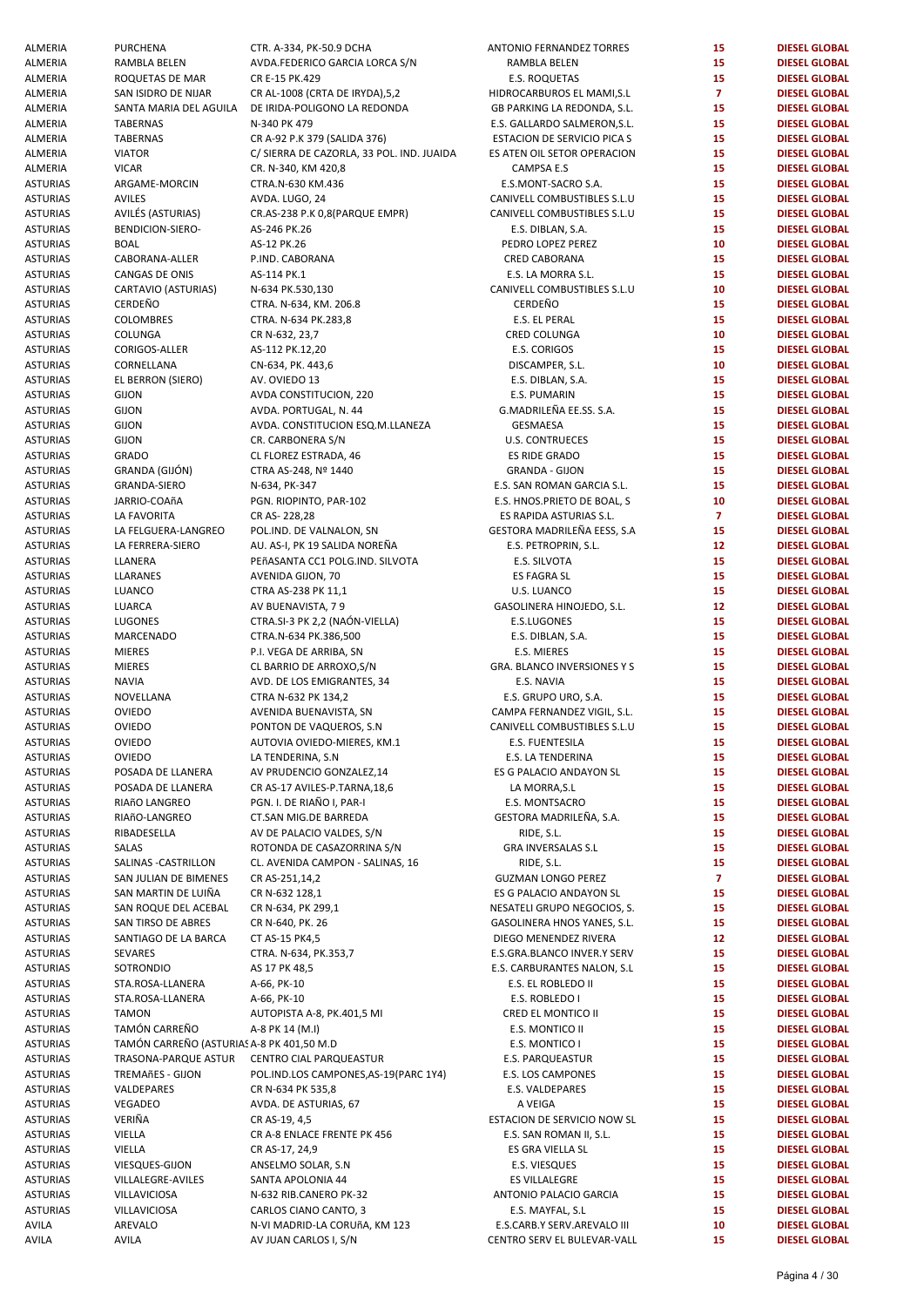| ALMERIA         | <b>PURCHENA</b>                           | CTR. A-334, PK-50.9 DCHA                  | ANTONIO FERNANDEZ TORRES     | 15             | <b>DIESEL GLOBAL</b> |
|-----------------|-------------------------------------------|-------------------------------------------|------------------------------|----------------|----------------------|
| ALMERIA         | RAMBLA BELEN                              | AVDA.FEDERICO GARCIA LORCA S/N            | RAMBLA BELEN                 | 15             | <b>DIESEL GLOBAL</b> |
| ALMERIA         | ROQUETAS DE MAR                           | CR E-15 PK.429                            | E.S. ROQUETAS                | 15             | <b>DIESEL GLOBAL</b> |
| ALMERIA         | SAN ISIDRO DE NIJAR                       | CR AL-1008 (CRTA DE IRYDA), 5, 2          | HIDROCARBUROS EL MAMI, S.L   | $\overline{7}$ | <b>DIESEL GLOBAL</b> |
|                 |                                           |                                           |                              |                |                      |
| ALMERIA         | SANTA MARIA DEL AGUILA                    | DE IRIDA-POLIGONO LA REDONDA              | GB PARKING LA REDONDA, S.L.  | 15             | <b>DIESEL GLOBAL</b> |
| ALMERIA         | <b>TABERNAS</b>                           | N-340 PK 479                              | E.S. GALLARDO SALMERON, S.L. | 15             | <b>DIESEL GLOBAL</b> |
| ALMERIA         | TABERNAS                                  | CR A-92 P.K 379 (SALIDA 376)              | ESTACION DE SERVICIO PICA S  | 15             | <b>DIESEL GLOBAL</b> |
| ALMERIA         | <b>VIATOR</b>                             | C/ SIERRA DE CAZORLA, 33 POL. IND. JUAIDA | ES ATEN OIL SETOR OPERACION  | 15             | <b>DIESEL GLOBAL</b> |
| ALMERIA         | <b>VICAR</b>                              | CR. N-340, KM 420,8                       | CAMPSA E.S                   | 15             | <b>DIESEL GLOBAL</b> |
| ASTURIAS        | ARGAME-MORCIN                             | CTRA.N-630 KM.436                         | E.S.MONT-SACRO S.A.          | 15             | <b>DIESEL GLOBAL</b> |
| ASTURIAS        | <b>AVILES</b>                             | AVDA. LUGO, 24                            | CANIVELL COMBUSTIBLES S.L.U  | 15             | <b>DIESEL GLOBAL</b> |
|                 |                                           |                                           |                              |                |                      |
| ASTURIAS        | AVILÉS (ASTURIAS)                         | CR.AS-238 P.K 0,8(PARQUE EMPR)            | CANIVELL COMBUSTIBLES S.L.U  | 15             | <b>DIESEL GLOBAL</b> |
| <b>ASTURIAS</b> | BENDICION-SIERO-                          | AS-246 PK.26                              | E.S. DIBLAN, S.A.            | 15             | <b>DIESEL GLOBAL</b> |
| <b>ASTURIAS</b> | <b>BOAL</b>                               | AS-12 PK.26                               | PEDRO LOPEZ PEREZ            | 10             | <b>DIESEL GLOBAL</b> |
| ASTURIAS        | CABORANA-ALLER                            | P.IND. CABORANA                           | <b>CRED CABORANA</b>         | 15             | <b>DIESEL GLOBAL</b> |
| ASTURIAS        | CANGAS DE ONIS                            | AS-114 PK.1                               | E.S. LA MORRA S.L.           | 15             | <b>DIESEL GLOBAL</b> |
| ASTURIAS        | CARTAVIO (ASTURIAS)                       | N-634 PK.530,130                          | CANIVELL COMBUSTIBLES S.L.U  | 10             | <b>DIESEL GLOBAL</b> |
|                 | CERDEÑO                                   |                                           | CERDEÑO                      | 15             |                      |
| ASTURIAS        |                                           | CTRA. N-634, KM. 206.8                    |                              |                | <b>DIESEL GLOBAL</b> |
| ASTURIAS        | COLOMBRES                                 | CTRA. N-634 PK.283,8                      | E.S. EL PERAL                | 15             | <b>DIESEL GLOBAL</b> |
| ASTURIAS        | COLUNGA                                   | CR N-632, 23,7                            | CRED COLUNGA                 | 10             | <b>DIESEL GLOBAL</b> |
| ASTURIAS        | CORIGOS-ALLER                             | AS-112 PK.12,20                           | E.S. CORIGOS                 | 15             | <b>DIESEL GLOBAL</b> |
| <b>ASTURIAS</b> | CORNELLANA                                | CN-634, PK. 443,6                         | DISCAMPER, S.L.              | 10             | <b>DIESEL GLOBAL</b> |
| <b>ASTURIAS</b> | EL BERRON (SIERO)                         | AV. OVIEDO 13                             | E.S. DIBLAN, S.A.            | 15             | <b>DIESEL GLOBAL</b> |
| <b>ASTURIAS</b> |                                           |                                           |                              | 15             |                      |
|                 | <b>GIJON</b>                              | AVDA CONSTITUCION, 220                    | E.S. PUMARIN                 |                | <b>DIESEL GLOBAL</b> |
| <b>ASTURIAS</b> | <b>GIJON</b>                              | AVDA. PORTUGAL, N. 44                     | G.MADRILEÑA EE.SS. S.A.      | 15             | <b>DIESEL GLOBAL</b> |
| <b>ASTURIAS</b> | <b>GIJON</b>                              | AVDA. CONSTITUCION ESQ.M.LLANEZA          | <b>GESMAESA</b>              | 15             | <b>DIESEL GLOBAL</b> |
| <b>ASTURIAS</b> | <b>GIJON</b>                              | CR. CARBONERA S/N                         | <b>U.S. CONTRUECES</b>       | 15             | <b>DIESEL GLOBAL</b> |
| ASTURIAS        | <b>GRADO</b>                              | CL FLOREZ ESTRADA, 46                     | ES RIDE GRADO                | 15             | <b>DIESEL GLOBAL</b> |
| <b>ASTURIAS</b> | GRANDA (GIJÓN)                            | CTRA AS-248, Nº 1440                      | <b>GRANDA - GIJON</b>        | 15             | <b>DIESEL GLOBAL</b> |
|                 |                                           |                                           |                              |                |                      |
| <b>ASTURIAS</b> | GRANDA-SIERO                              | N-634, PK-347                             | E.S. SAN ROMAN GARCIA S.L.   | 15             | <b>DIESEL GLOBAL</b> |
| <b>ASTURIAS</b> | JARRIO-COAñA                              | PGN. RIOPINTO, PAR-102                    | E.S. HNOS.PRIETO DE BOAL, S  | 10             | <b>DIESEL GLOBAL</b> |
| ASTURIAS        | LA FAVORITA                               | CR AS-228,28                              | ES RAPIDA ASTURIAS S.L.      | $\mathbf{7}$   | <b>DIESEL GLOBAL</b> |
| ASTURIAS        | LA FELGUERA-LANGREO                       | POL.IND. DE VALNALON, SN                  | GESTORA MADRILEÑA EESS, S.A  | 15             | <b>DIESEL GLOBAL</b> |
| ASTURIAS        | LA FERRERA-SIERO                          | AU. AS-I, PK 19 SALIDA NOREÑA             | E.S. PETROPRIN, S.L.         | 12             | <b>DIESEL GLOBAL</b> |
| <b>ASTURIAS</b> | LLANERA                                   | PEñASANTA CC1 POLG.IND. SILVOTA           | E.S. SILVOTA                 | 15             | <b>DIESEL GLOBAL</b> |
| ASTURIAS        | LLARANES                                  | AVENIDA GIJON, 70                         | ES FAGRA SL                  | 15             | <b>DIESEL GLOBAL</b> |
|                 |                                           |                                           |                              |                |                      |
| ASTURIAS        | LUANCO                                    | CTRA AS-238 PK 11,1                       | U.S. LUANCO                  | 15             | <b>DIESEL GLOBAL</b> |
| ASTURIAS        | LUARCA                                    | AV BUENAVISTA, 79                         | GASOLINERA HINOJEDO, S.L.    | 12             | <b>DIESEL GLOBAL</b> |
| ASTURIAS        | LUGONES                                   | CTRA.SI-3 PK 2,2 (NAÓN-VIELLA)            | E.S.LUGONES                  | 15             | <b>DIESEL GLOBAL</b> |
| ASTURIAS        | MARCENADO                                 | CTRA.N-634 PK.386,500                     | E.S. DIBLAN, S.A.            | 15             | <b>DIESEL GLOBAL</b> |
| ASTURIAS        | <b>MIERES</b>                             | P.I. VEGA DE ARRIBA, SN                   | E.S. MIERES                  | 15             | <b>DIESEL GLOBAL</b> |
|                 |                                           |                                           |                              |                | <b>DIESEL GLOBAL</b> |
| ASTURIAS        | <b>MIERES</b>                             | CL BARRIO DE ARROXO, S/N                  | GRA. BLANCO INVERSIONES Y S  | 15             |                      |
| ASTURIAS        | <b>NAVIA</b>                              | AVD. DE LOS EMIGRANTES, 34                | E.S. NAVIA                   | 15             | <b>DIESEL GLOBAL</b> |
| ASTURIAS        | NOVELLANA                                 | CTRA N-632 PK 134,2                       | E.S. GRUPO URO, S.A.         | 15             | <b>DIESEL GLOBAL</b> |
| <b>ASTURIAS</b> | <b>OVIEDO</b>                             | AVENIDA BUENAVISTA, SN                    | CAMPA FERNANDEZ VIGIL, S.L.  | 15             | <b>DIESEL GLOBAL</b> |
| <b>ASTURIAS</b> | OVIEDO                                    | PONTON DE VAQUEROS, S.N.                  | CANIVELL COMBUSTIBLES S.L.U  | 15             | <b>DIESEL GLOBAL</b> |
| <b>ASTURIAS</b> | OVIEDO                                    | AUTOVIA OVIEDO-MIERES, KM.1               | E.S. FUENTESILA              | 15             | <b>DIESEL GLOBAL</b> |
|                 | <b>OVIEDO</b>                             |                                           |                              |                |                      |
| ASTURIAS        |                                           | LA TENDERINA, S.N                         | E.S. LA TENDERINA            | 15             | <b>DIESEL GLOBAL</b> |
| <b>ASTURIAS</b> | POSADA DE LLANERA                         | AV PRUDENCIO GONZALEZ,14                  | ES G PALACIO ANDAYON SL      | 15             | <b>DIESEL GLOBAL</b> |
| ASTURIAS        | POSADA DE LLANERA                         | CR AS-17 AVILES-P.TARNA,18,6              | LA MORRA, S.L                | 15             | <b>DIESEL GLOBAL</b> |
| ASTURIAS        | RIAñO LANGREO                             | PGN. I. DE RIAÑO I, PAR-I                 | E.S. MONTSACRO               | 15             | <b>DIESEL GLOBAL</b> |
| ASTURIAS        | RIAñO-LANGREO                             | CT.SAN MIG.DE BARREDA                     | GESTORA MADRILEÑA, S.A.      | 15             | <b>DIESEL GLOBAL</b> |
| ASTURIAS        | RIBADESELLA                               | AV DE PALACIO VALDES, S/N                 | RIDE, S.L.                   | 15             | <b>DIESEL GLOBAL</b> |
| ASTURIAS        | SALAS                                     | ROTONDA DE CASAZORRINA S/N                | <b>GRA INVERSALAS S.L</b>    | 15             | <b>DIESEL GLOBAL</b> |
|                 |                                           |                                           |                              |                |                      |
| ASTURIAS        | SALINAS - CASTRILLON                      | CL. AVENIDA CAMPON - SALINAS, 16          | RIDE, S.L.                   | 15             | <b>DIESEL GLOBAL</b> |
| <b>ASTURIAS</b> | SAN JULIAN DE BIMENES                     | CR AS-251,14,2                            | <b>GUZMAN LONGO PEREZ</b>    | $\overline{7}$ | <b>DIESEL GLOBAL</b> |
| <b>ASTURIAS</b> | SAN MARTIN DE LUIÑA                       | CR N-632 128,1                            | ES G PALACIO ANDAYON SL      | 15             | <b>DIESEL GLOBAL</b> |
| <b>ASTURIAS</b> | SAN ROQUE DEL ACEBAL                      | CR N-634, PK 299,1                        | NESATELI GRUPO NEGOCIOS, S.  | 15             | <b>DIESEL GLOBAL</b> |
| ASTURIAS        | SAN TIRSO DE ABRES                        | CR N-640, PK. 26                          | GASOLINERA HNOS YANES, S.L.  | 15             | <b>DIESEL GLOBAL</b> |
| ASTURIAS        | SANTIAGO DE LA BARCA                      | CT AS-15 PK4,5                            | DIEGO MENENDEZ RIVERA        | 12             | <b>DIESEL GLOBAL</b> |
|                 |                                           |                                           |                              |                |                      |
| ASTURIAS        | SEVARES                                   | CTRA. N-634, PK.353,7                     | E.S.GRA.BLANCO INVER.Y SERV  | 15             | <b>DIESEL GLOBAL</b> |
| ASTURIAS        | SOTRONDIO                                 | AS 17 PK 48,5                             | E.S. CARBURANTES NALON, S.L  | 15             | <b>DIESEL GLOBAL</b> |
| ASTURIAS        | STA.ROSA-LLANERA                          | A-66, PK-10                               | E.S. EL ROBLEDO II           | 15             | <b>DIESEL GLOBAL</b> |
| ASTURIAS        | STA.ROSA-LLANERA                          | A-66, PK-10                               | E.S. ROBLEDO I               | 15             | <b>DIESEL GLOBAL</b> |
| ASTURIAS        | <b>TAMON</b>                              | AUTOPISTA A-8, PK.401,5 MI                | CRED EL MONTICO II           | 15             | <b>DIESEL GLOBAL</b> |
| ASTURIAS        | TAMÓN CARREÑO                             | A-8 PK 14 (M.I)                           | E.S. MONTICO II              | 15             | <b>DIESEL GLOBAL</b> |
|                 |                                           |                                           |                              |                |                      |
| ASTURIAS        | TAMÓN CARREÑO (ASTURIAS A-8 PK 401,50 M.D |                                           | E.S. MONTICO I               | 15             | <b>DIESEL GLOBAL</b> |
| ASTURIAS        | TRASONA-PARQUE ASTUR                      | CENTRO CIAL PARQUEASTUR                   | E.S. PARQUEASTUR             | 15             | <b>DIESEL GLOBAL</b> |
| ASTURIAS        | <b>TREMAñES - GIJON</b>                   | POL. IND. LOS CAMPONES, AS-19 (PARC 1Y4)  | E.S. LOS CAMPONES            | 15             | <b>DIESEL GLOBAL</b> |
| ASTURIAS        | VALDEPARES                                | CR N-634 PK 535,8                         | E.S. VALDEPARES              | 15             | <b>DIESEL GLOBAL</b> |
| ASTURIAS        | VEGADEO                                   | AVDA. DE ASTURIAS, 67                     | A VEIGA                      | 15             | <b>DIESEL GLOBAL</b> |
| ASTURIAS        | VERIÑA                                    | CR AS-19, 4,5                             | ESTACION DE SERVICIO NOW SL  | 15             | <b>DIESEL GLOBAL</b> |
|                 |                                           |                                           |                              |                |                      |
| ASTURIAS        | VIELLA                                    | CR A-8 ENLACE FRENTE PK 456               | E.S. SAN ROMAN II, S.L.      | 15             | <b>DIESEL GLOBAL</b> |
| ASTURIAS        | VIELLA                                    | CR AS-17, 24,9                            | ES GRA VIELLA SL             | 15             | <b>DIESEL GLOBAL</b> |
| ASTURIAS        | VIESQUES-GIJON                            | ANSELMO SOLAR, S.N                        | E.S. VIESQUES                | 15             | <b>DIESEL GLOBAL</b> |
| ASTURIAS        | VILLALEGRE-AVILES                         | SANTA APOLONIA 44                         | <b>ES VILLALEGRE</b>         | 15             | <b>DIESEL GLOBAL</b> |
| ASTURIAS        | VILLAVICIOSA                              | N-632 RIB.CANERO PK-32                    | ANTONIO PALACIO GARCIA       | 15             | <b>DIESEL GLOBAL</b> |
| ASTURIAS        | VILLAVICIOSA                              | CARLOS CIANO CANTO, 3                     | E.S. MAYFAL, S.L             | 15             | <b>DIESEL GLOBAL</b> |
|                 |                                           |                                           |                              |                |                      |
| AVILA           | AREVALO                                   | N-VI MADRID-LA CORUñA, KM 123             | E.S.CARB.Y SERV.AREVALO III  | 10             | <b>DIESEL GLOBAL</b> |
| AVILA           | <b>AVILA</b>                              | AV JUAN CARLOS I, S/N                     | CENTRO SERV EL BULEVAR-VALL  | 15             | <b>DIESEL GLOBAL</b> |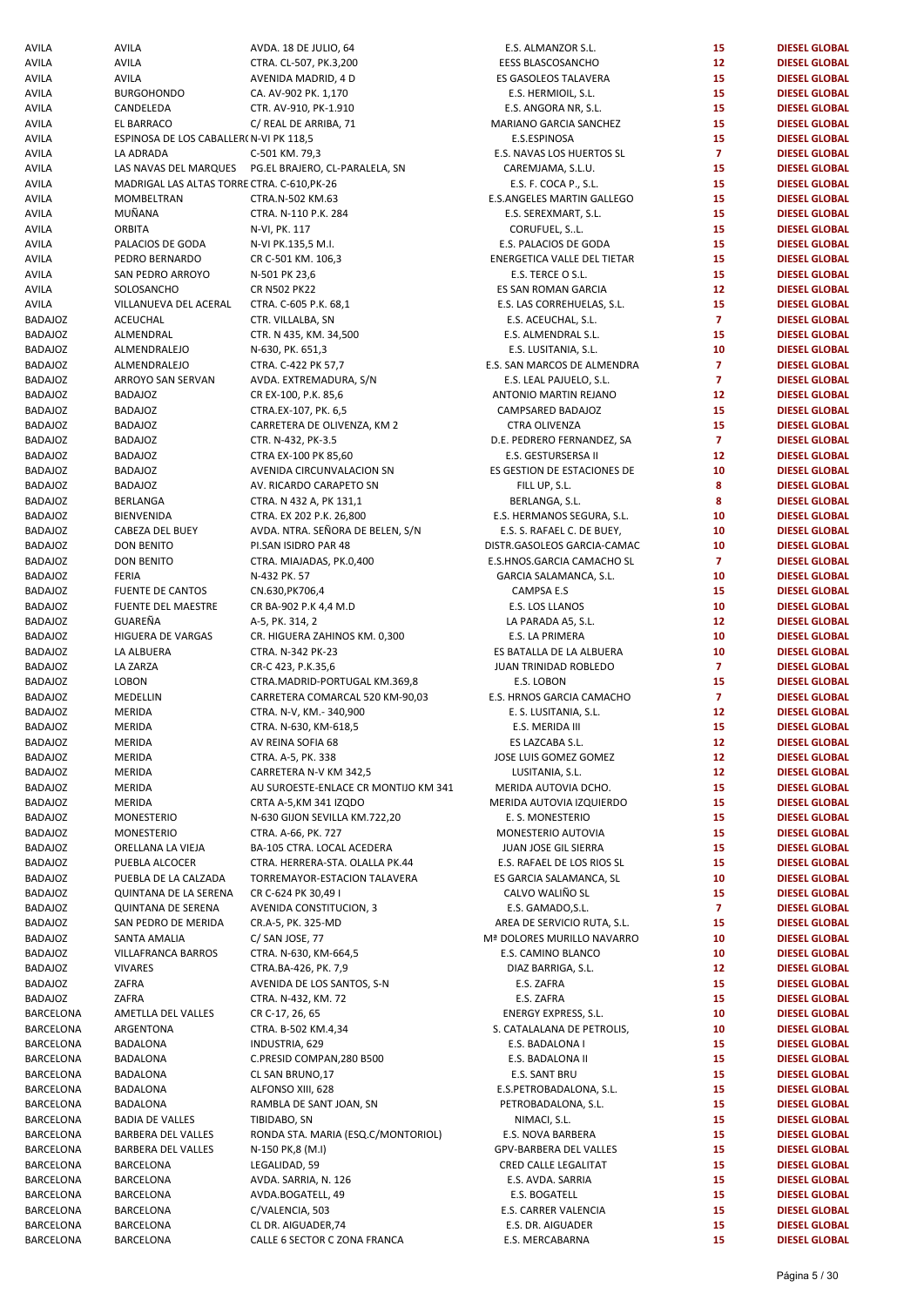AVILA AVILA AVIDA. 18 DE JULIO, 64<br>AVILA AVILA AVILA CTRA CL-507 PK 3 200 AVILA AVILA CTRA. CL-507, PK.3,200 EESS BLASCOSANCHO **12 DIESEL GLOBAL**  AVILA AVILA AVILA AVENIDA MADRID, 4 D<br>AVILA BURGOHONDO CA. AV-902 PK. 1.170 AVILA BURGOHONDO CA. AV-902 PK. 1,170 E.S. HERMIOIL, S.L. **15 DIESEL GLOBAL**  AVILA CANDELEDA CTR. AV-910, PK-1.910 AVILA EL BARRACO C/ REAL DE ARRIBA, 71 MARIANO GARCIA SANCHEZ **15 DIESEL GLOBAL**  AVILA **ESPINOSA DE LOS CABALLER( N-VI PK 118,5** AVILA LA ADRADA C-501 KM. 79,3 E.S. NAVAS LOS HUERTOS SL **7 DIESEL GLOBAL**  AVILA LAS NAVAS DEL MARQUES PG.EL BRAJERO, CL-PARALELA, SN AVILA MADRIGAL LAS ALTAS TORRE CTRA. C-610, PK-26 AVILA MOMBELTRAN CTRA.N-502 KM.63 E.S.ANGELES MARTIN GALLEGO **15 DIESEL GLOBAL**  AVILA MUÑANA CTRA. N-110 P.K. 284 AVILA ORBITA N-VI, PK. 117 CORUFUEL, S..L. **15 DIESEL GLOBAL**  AVILA PALACIOS DE GODA N-VI PK.135,5 M.I. E.S. PALACIOS DE GODA **15 DIESEL GLOBAL**  AVILA PEDRO BERNARDO CR C-501 KM. 106,3 ENERGETICA VALLE DEL TIETAR **15 DIESEL GLOBAL**  AVILA SAN PEDRO ARROYO N-501 PK 23,6 E.S. TERCE O S.L. **15 DIESEL GLOBAL**  AVILA SOLOSANCHO CR N502 PK22 ES SAN ROMAN GARCIA **12 DIESEL GLOBAL**  AVILA VILLANUEVA DEL ACERAL CTRA. C-605 P.K. 68,1 BADAJOZ ACEUCHAL CTR.VILLALBA, SN E.S. ACEUCHAL, S.L. **7 DIESEL GLOBAL**  BADAJOZ ALMENDRAL CTR. N 435, KM. 34,500 BADAJOZ ALMENDRALEJO N-630, PK. 651,3 E.S. LUSITANIA, S.L. **10 DIESEL GLOBAL**  BADAJOZ ALMENDRALEJO CTRA. C-422 PK 57,7 BADAJOZ ARROYO SAN SERVAN AVDA. EXTREMADURA. S/N BADAJOZ BADAJOZ CR EX-100, P.K. 85,6 BADAJOZ BADAJOZ CTRA.EX-107, PK. 6,5 CAMPSARED BADAJOZ **15 DIESEL GLOBAL**  BADAJOZ BADAJOZ CARRETERA DE OLIVENZA, KM 2 BADAJOZ BADAJOZ CTR. N-432, PK-3.5 D.E. PEDRERO FERNANDEZ, SA **7 DIESEL GLOBAL**  BADAJOZ BADAJOZ **CTRA EX-100 PK 85,60** BADAJOZ BADAJOZ **AVENIDA CIRCUNVALACION SN** BADAJOZ BADAJOZ **BADAJOZ** AV. RICARDO CARAPETO SN FILL UP, SERLANGA<br>BADAJOZ BERLANGA CTRA. N 432 A, PK 131,1 BADAJOZ BERLANGA CTRA. N 432 A, PK 131,1<br>BADAJOZ BIENVENIDA CTRA EX 202 P K 26 800 BADAJOZ BIENVENIDA CTRA. EX 202 P.K. 26,800 E.S. HERMANOS SEGURA, S.L. **10 DIESEL GLOBAL**  BADAJOZ CABEZA DEL BUEY AVDA. NTRA. SEÑORA DE BELEN, S/N E.S.S. RAFAEL C. DE BUEY, **10 DIESEL GLOBAL**  BADAJOZ DON BENITO PI.SAN ISIDRO PAR 48 DISTR.GASOLEOS GARCIA-CAMAC **10 DIESEL GLOBAL**  BADAJOZ DON BENITO CTRA. MIAJADAS, PK.0,400 BADAJOZ FERIA N-432 PK. 57 GARCIA SALAMANCA, S.L. **10 DIESEL GLOBAL**  BADAJOZ FUENTE DE CANTOS CN.630,PK706,4 CAMPSA E.S **15 DIESEL GLOBAL**  BADAJOZ FUENTE DEL MAESTRE CR BA-902 P.K 4,4 M.D BADAJOZ GUAREÑA A-5, PK. 314, 2 LA PARADA A5, S.L. **12 DIESEL GLOBAL**  BADAJOZ HIGUERA DE VARGAS CR. HIGUERA ZAHINOS KM. 0,300 BADAJOZ LA ALBUERA CTRA. N-342 PK-23 ES BATALLA DE LA ALBUERA **10 DIESEL GLOBAL**  BADAJOZ LA ZARZA CR-C 423, P.K.35,6 JUAN TRINIDAD ROBLEDO **7 DIESEL GLOBAL**  BADAJOZ LOBON **1.569.8** CTRA.MADRID-PORTUGAL KM.369.8 BADAJOZ MEDELLIN CARRETERA COMARCAL 520 KM-90.03 BADAJOZ MERIDA CTRA. N-V, KM.- 340,900 E. S. LUSITANIA, S.L. **12 DIESEL GLOBAL**  BADAJOZ MERIDA CTRA. N-630, KM-618,5 E.S. MERIDA III **15 DIESEL GLOBAL**  BADAJOZ MERIDA AVREINA SOFIA 68 ES LAZCABA S.L. **12 DIESEL GLOBAL**  BADAJOZ MERIDA CTRA. A-5, PK. 338 JOSE LUIS GOMEZ GOMEZ **12 DIESEL GLOBAL**  BADAJOZ MERIDA CARRETERA N-V KM 342.5 BADAJOZ MERIDA **AU SUROESTE-ENLACE CR MONTIJO KM 341** BADAJOZ MERIDA CRTA A-5,KM 341 IZQDO BADAJOZ MONESTERIO N-630 GIJON SEVILLA KM.722,20 BADAJOZ MONESTERIO CTRA. A-66, PK. 727 MONESTERIO AUTOVIA **15 DIESEL GLOBAL**  BADAJOZ ORELLANA LA VIEJA BA-105 CTRA. LOCAL ACEDERA BADAJOZ PUEBLA ALCOCER CTRA. HERRERA-STA. OLALLA PK.44 BADAJOZ PUEBLA DE LA CALZADA TORREMAYOR-ESTACION TALAVERA BADAJOZ QUINTANA DE LA SERENA CR C-624 PK 30,49 I BADAJOZ QUINTANA DE SERENA AVENIDA CONSTITUCION, 3 BADAJOZ SAN PEDRO DE MERIDA CR.A-5, PK. 325-MD BADAJOZ SANTA AMALIA C/ SAN JOSE, 77 Mª DOLORES MURILLO NAVARRO **10 DIESEL GLOBAL**  BADAJOZ VILLAFRANCA BARROS CTRA. N-630, KM-664,5 BADAJOZ VIVARES CTRA.BA-426, PK. 7,9 DIAZ BARRIGA, S.L. **12 DIESEL GLOBAL**  BADAJOZ **ZAFRA** AVENIDA DE LOS SANTOS, S-N BADAJOZ ZAFRA CTRA. N-432, KM. 72 E.S. ZAFRA **15 DIESEL GLOBAL**  BARCELONA AMETLLA DEL VALLES CR C-17, 26, 65 BARCELONA ARGENTONA CTRA. B-502 KM.4,34 BARCELONA BADALONA INDUSTRIA, 629 E.S. BADALONA I **15 DIESEL GLOBAL**  BARCELONA BADALONA **C.PRESID COMPAN,280 B500** BARCELONA BADALONA CL SAN BRUNO,17 E.S. SANT BRU **15 DIESEL GLOBAL**  BARCELONA BADALONA ALFONSO XIII, 628 E.S.PETROBADALONA, S.L. 15 DIESEL GLOBAL BARCELONA BADALONA **BADALONA** RAMBLA DE SANT JOAN, SN BARCELONA BADIA DE VALLES TIBIDABO, SN NIMACI, S.L. **15 DIESEL GLOBAL**  BARCELONA BARBERA DEL VALLES RONDA STA. MARIA (ESQ.C/MONTORIOL) BARCELONA BARBERA DEL VALLES N-150 PK,8 (M.I) BARCELONA BARCELONA LEGALIDAD, 59 CRED CALLE LEGALITAT **15 DIESEL GLOBAL**  BARCELONA BARCELONA **AVDA. SARRIA, N. 126** BARCELONA BARCELONA AVDA.BOGATELL, 49 E.S. BOGATELL **15 DIESEL GLOBAL**  BARCELONA BARCELONA C/VALENCIA, 503 E.S. CARRER VALENCIA **15 DIESEL GLOBAL**  BARCELONA BARCELONA CL DR. AIGUADER,74 E.S. DR. AIGUADER **15 DIESEL GLOBAL**  BARCELONA BARCELONA **CALLE 6 SECTOR C ZONA FRANCA** 

| E.S. ALMANZOR S.L.                | 15                      | <b>DIESEL GLOBAL</b> |
|-----------------------------------|-------------------------|----------------------|
| <b>EESS BLASCOSANCHO</b>          | 12                      | <b>DIESEL GLOBAL</b> |
|                                   |                         |                      |
| ES GASOLEOS TALAVERA              | 15                      | <b>DIESEL GLOBAL</b> |
| E.S. HERMIOIL, S.L.               | 15                      | <b>DIESEL GLOBAL</b> |
| E.S. ANGORA NR, S.L.              | 15                      | <b>DIESEL GLOBAL</b> |
| MARIANO GARCIA SANCHEZ            | 15                      | <b>DIESEL GLOBAL</b> |
| E.S.ESPINOSA                      | 15                      | <b>DIESEL GLOBAL</b> |
| E.S. NAVAS LOS HUERTOS SL         | $\overline{\mathbf{z}}$ | <b>DIESEL GLOBAL</b> |
| CAREMJAMA, S.L.U.                 | 15                      | <b>DIESEL GLOBAL</b> |
| E.S. F. COCA P., S.L.             | 15                      | <b>DIESEL GLOBAL</b> |
| E.S.ANGELES MARTIN GALLEGO        | 15                      | <b>DIESEL GLOBAL</b> |
| E.S. SEREXMART, S.L.              | 15                      | <b>DIESEL GLOBAL</b> |
| CORUFUEL, SL.                     | 15                      | <b>DIESEL GLOBAL</b> |
| E.S. PALACIOS DE GODA             | 15                      | <b>DIESEL GLOBAL</b> |
| ENERGETICA VALLE DEL TIETAR       | 15                      | <b>DIESEL GLOBAL</b> |
| E.S. TERCE O S.L.                 | 15                      | <b>DIESEL GLOBAL</b> |
|                                   |                         |                      |
| ES SAN ROMAN GARCIA               | 12                      | <b>DIESEL GLOBAL</b> |
| E.S. LAS CORREHUELAS, S.L.        | 15                      | <b>DIESEL GLOBAL</b> |
| E.S. ACEUCHAL, S.L.               | $\overline{7}$          | <b>DIESEL GLOBAL</b> |
| E.S. ALMENDRAL S.L.               | 15                      | <b>DIESEL GLOBAL</b> |
| E.S. LUSITANIA, S.L.              | 10                      | <b>DIESEL GLOBAL</b> |
| .S. SAN MARCOS DE ALMENDRA        | $\overline{7}$          | <b>DIESEL GLOBAL</b> |
| E.S. LEAL PAJUELO, S.L.           | $\overline{\mathbf{z}}$ | <b>DIESEL GLOBAL</b> |
| ANTONIO MARTIN REJANO             | 12                      | <b>DIESEL GLOBAL</b> |
| CAMPSARED BADAJOZ                 | 15                      | <b>DIESEL GLOBAL</b> |
| CTRA OLIVENZA                     | 15                      | <b>DIESEL GLOBAL</b> |
| D.E. PEDRERO FERNANDEZ, SA        | $\overline{7}$          | <b>DIESEL GLOBAL</b> |
| E.S. GESTURSERSA II               | 12                      | <b>DIESEL GLOBAL</b> |
| ES GESTION DE ESTACIONES DE       | 10                      | <b>DIESEL GLOBAL</b> |
| FILL UP, S.L.                     | 8                       | <b>DIESEL GLOBAL</b> |
|                                   |                         |                      |
| BERLANGA, S.L.                    | 8                       | <b>DIESEL GLOBAL</b> |
| E.S. HERMANOS SEGURA, S.L.        | 10                      | <b>DIESEL GLOBAL</b> |
| E.S. S. RAFAEL C. DE BUEY,        | 10                      | <b>DIESEL GLOBAL</b> |
| <b>ISTR.GASOLEOS GARCIA-CAMAC</b> | 10                      | <b>DIESEL GLOBAL</b> |
| E.S.HNOS.GARCIA CAMACHO SL        | $\overline{\mathbf{z}}$ | <b>DIESEL GLOBAL</b> |
| GARCIA SALAMANCA, S.L.            | 10                      | <b>DIESEL GLOBAL</b> |
| CAMPSA E.S                        | 15                      | <b>DIESEL GLOBAL</b> |
| E.S. LOS LLANOS                   | 10                      | <b>DIESEL GLOBAL</b> |
| LA PARADA A5, S.L.                | 12                      | <b>DIESEL GLOBAL</b> |
| E.S. LA PRIMERA                   | 10                      | <b>DIESEL GLOBAL</b> |
| ES BATALLA DE LA ALBUERA          | 10                      | <b>DIESEL GLOBAL</b> |
| JUAN TRINIDAD ROBLEDO             | $\overline{7}$          | <b>DIESEL GLOBAL</b> |
| E.S. LOBON                        | 15                      | <b>DIESEL GLOBAL</b> |
| E.S. HRNOS GARCIA CAMACHO         | $\overline{7}$          | <b>DIESEL GLOBAL</b> |
| E. S. LUSITANIA, S.L.             | 12                      | <b>DIESEL GLOBAL</b> |
| E.S. MERIDA III                   | 15                      | <b>DIESEL GLOBAL</b> |
| ES LAZCABA S.L.                   |                         | <b>DIESEL GLOBAL</b> |
|                                   | 12                      |                      |
| JOSE LUIS GOMEZ GOMEZ             | 12                      | <b>DIESEL GLOBAL</b> |
| LUSITANIA, S.L.                   | 12                      | <b>DIESEL GLOBAL</b> |
| MERIDA AUTOVIA DCHO.              | 15                      | <b>DIESEL GLOBAL</b> |
| MERIDA AUTOVIA IZQUIERDO          | 15                      | <b>DIESEL GLOBAL</b> |
| E. S. MONESTERIO                  | 15                      | <b>DIESEL GLOBAL</b> |
| MONESTERIO AUTOVIA                | 15                      | <b>DIESEL GLOBAL</b> |
| <b>JUAN JOSE GIL SIERRA</b>       | 15                      | <b>DIESEL GLOBAL</b> |
| E.S. RAFAEL DE LOS RIOS SL        | 15                      | <b>DIESEL GLOBAL</b> |
| ES GARCIA SALAMANCA, SL           | 10                      | <b>DIESEL GLOBAL</b> |
| CALVO WALIÑO SL                   | 15                      | <b>DIESEL GLOBAL</b> |
| E.S. GAMADO, S.L.                 | $\overline{7}$          | <b>DIESEL GLOBAL</b> |
| AREA DE SERVICIO RUTA, S.L.       | 15                      | <b>DIESEL GLOBAL</b> |
| 1ª DOLORES MURILLO NAVARRO        | 10                      | <b>DIESEL GLOBAL</b> |
| E.S. CAMINO BLANCO                | 10                      | <b>DIESEL GLOBAL</b> |
| DIAZ BARRIGA, S.L.                | 12                      | <b>DIESEL GLOBAL</b> |
|                                   |                         |                      |
| E.S. ZAFRA                        | 15                      | <b>DIESEL GLOBAL</b> |
| E.S. ZAFRA                        | 15                      | <b>DIESEL GLOBAL</b> |
| <b>ENERGY EXPRESS, S.L.</b>       | 10                      | <b>DIESEL GLOBAL</b> |
| S. CATALALANA DE PETROLIS,        | 10                      | <b>DIESEL GLOBAL</b> |
| E.S. BADALONA I                   | 15                      | <b>DIESEL GLOBAL</b> |
| E.S. BADALONA II                  | 15                      | <b>DIESEL GLOBAL</b> |
| E.S. SANT BRU                     | 15                      | <b>DIESEL GLOBAL</b> |
| E.S.PETROBADALONA, S.L.           | 15                      | <b>DIESEL GLOBAL</b> |
| PETROBADALONA, S.L.               | 15                      | <b>DIESEL GLOBAL</b> |
| NIMACI, S.L.                      | 15                      | <b>DIESEL GLOBAL</b> |
| E.S. NOVA BARBERA                 | 15                      | <b>DIESEL GLOBAL</b> |
| GPV-BARBERA DEL VALLES            | 15                      | <b>DIESEL GLOBAL</b> |
| <b>CRED CALLE LEGALITAT</b>       | 15                      | <b>DIESEL GLOBAL</b> |
| E.S. AVDA. SARRIA                 | 15                      | <b>DIESEL GLOBAL</b> |
| E.S. BOGATELL                     | 15                      | <b>DIESEL GLOBAL</b> |
| E.S. CARRER VALENCIA              | 15                      | <b>DIESEL GLOBAL</b> |
| E.S. DR. AIGUADER                 |                         | <b>DIESEL GLOBAL</b> |
|                                   | 15                      |                      |
| E.S. MERCABARNA                   | 15                      | <b>DIESEL GLOBAL</b> |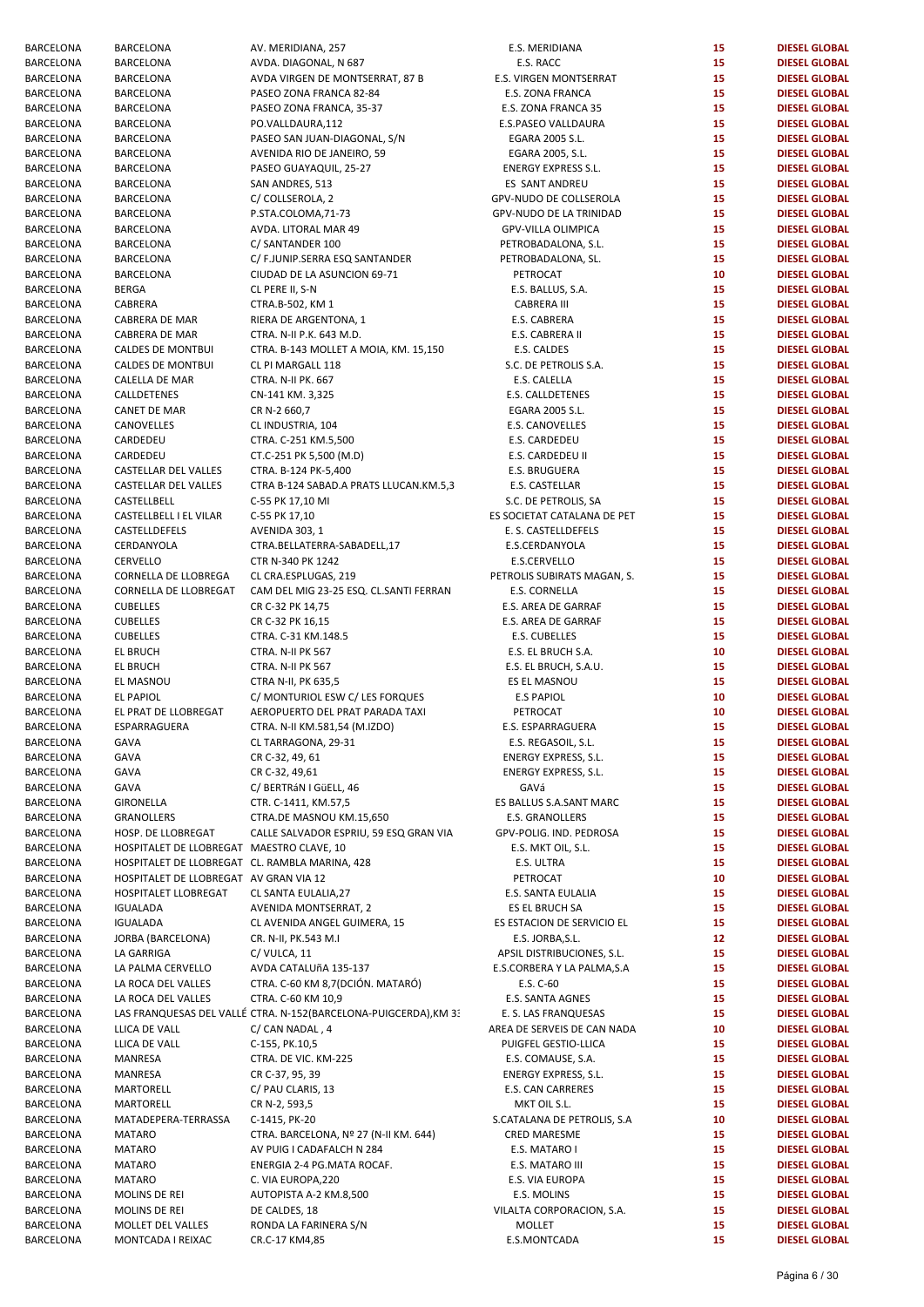| BARCELONA | BARCELONA                                      | AV. MERIDIANA, 257                                                | E.S. MERIDIANA              | 15 | <b>DIESEL GLOBAL</b> |
|-----------|------------------------------------------------|-------------------------------------------------------------------|-----------------------------|----|----------------------|
| BARCELONA |                                                | AVDA. DIAGONAL, N 687                                             | E.S. RACC                   | 15 |                      |
|           | BARCELONA                                      |                                                                   |                             |    | <b>DIESEL GLOBAL</b> |
| BARCELONA | <b>BARCELONA</b>                               | AVDA VIRGEN DE MONTSERRAT, 87 B                                   | E.S. VIRGEN MONTSERRAT      | 15 | <b>DIESEL GLOBAL</b> |
| BARCELONA | <b>BARCELONA</b>                               | PASEO ZONA FRANCA 82-84                                           | E.S. ZONA FRANCA            | 15 | <b>DIESEL GLOBAL</b> |
| BARCELONA | <b>BARCELONA</b>                               | PASEO ZONA FRANCA, 35-37                                          | E.S. ZONA FRANCA 35         | 15 | <b>DIESEL GLOBAL</b> |
| BARCELONA | <b>BARCELONA</b>                               | PO.VALLDAURA,112                                                  | E.S.PASEO VALLDAURA         | 15 | <b>DIESEL GLOBAL</b> |
| BARCELONA | <b>BARCELONA</b>                               | PASEO SAN JUAN-DIAGONAL, S/N                                      | EGARA 2005 S.L.             | 15 | <b>DIESEL GLOBAL</b> |
| BARCELONA | BARCELONA                                      | AVENIDA RIO DE JANEIRO, 59                                        | EGARA 2005, S.L.            | 15 | <b>DIESEL GLOBAL</b> |
| BARCELONA | BARCELONA                                      | PASEO GUAYAQUIL, 25-27                                            | <b>ENERGY EXPRESS S.L.</b>  | 15 | <b>DIESEL GLOBAL</b> |
| BARCELONA | BARCELONA                                      | SAN ANDRES, 513                                                   | ES SANT ANDREU              | 15 | <b>DIESEL GLOBAL</b> |
| BARCELONA | <b>BARCELONA</b>                               | C/ COLLSEROLA, 2                                                  | GPV-NUDO DE COLLSEROLA      | 15 | <b>DIESEL GLOBAL</b> |
| BARCELONA | <b>BARCELONA</b>                               | P.STA.COLOMA, 71-73                                               | GPV-NUDO DE LA TRINIDAD     | 15 | <b>DIESEL GLOBAL</b> |
|           |                                                |                                                                   |                             | 15 |                      |
| BARCELONA | BARCELONA                                      | AVDA. LITORAL MAR 49                                              | GPV-VILLA OLIMPICA          |    | <b>DIESEL GLOBAL</b> |
| BARCELONA | BARCELONA                                      | C/ SANTANDER 100                                                  | PETROBADALONA, S.L.         | 15 | <b>DIESEL GLOBAL</b> |
| BARCELONA | BARCELONA                                      | C/ F.JUNIP.SERRA ESQ SANTANDER                                    | PETROBADALONA, SL.          | 15 | <b>DIESEL GLOBAL</b> |
| BARCELONA | <b>BARCELONA</b>                               | CIUDAD DE LA ASUNCION 69-71                                       | PETROCAT                    | 10 | <b>DIESEL GLOBAL</b> |
| BARCELONA | <b>BERGA</b>                                   | CL PERE II, S-N                                                   | E.S. BALLUS, S.A.           | 15 | <b>DIESEL GLOBAL</b> |
| BARCELONA | CABRERA                                        | CTRA.B-502, KM 1                                                  | <b>CABRERA III</b>          | 15 | <b>DIESEL GLOBAL</b> |
| BARCELONA | CABRERA DE MAR                                 | RIERA DE ARGENTONA, 1                                             | E.S. CABRERA                | 15 | <b>DIESEL GLOBAL</b> |
| BARCELONA | CABRERA DE MAR                                 | CTRA. N-II P.K. 643 M.D.                                          | E.S. CABRERA II             | 15 | <b>DIESEL GLOBAL</b> |
| BARCELONA | <b>CALDES DE MONTBUI</b>                       | CTRA. B-143 MOLLET A MOIA, KM. 15,150                             | E.S. CALDES                 | 15 | <b>DIESEL GLOBAL</b> |
|           |                                                |                                                                   |                             |    |                      |
| BARCELONA | <b>CALDES DE MONTBUI</b>                       | CL PI MARGALL 118                                                 | S.C. DE PETROLIS S.A.       | 15 | <b>DIESEL GLOBAL</b> |
| BARCELONA | CALELLA DE MAR                                 | CTRA. N-II PK. 667                                                | E.S. CALELLA                | 15 | <b>DIESEL GLOBAL</b> |
| BARCELONA | CALLDETENES                                    | CN-141 KM. 3,325                                                  | E.S. CALLDETENES            | 15 | <b>DIESEL GLOBAL</b> |
| BARCELONA | <b>CANET DE MAR</b>                            | CR N-2 660,7                                                      | EGARA 2005 S.L.             | 15 | <b>DIESEL GLOBAL</b> |
| BARCELONA | CANOVELLES                                     | CL INDUSTRIA, 104                                                 | E.S. CANOVELLES             | 15 | <b>DIESEL GLOBAL</b> |
| BARCELONA | CARDEDEU                                       | CTRA. C-251 KM.5,500                                              | E.S. CARDEDEU               | 15 | <b>DIESEL GLOBAL</b> |
| BARCELONA | CARDEDEU                                       | CT.C-251 PK 5,500 (M.D)                                           | E.S. CARDEDEU II            | 15 | <b>DIESEL GLOBAL</b> |
| BARCELONA | CASTELLAR DEL VALLES                           | CTRA. B-124 PK-5,400                                              | E.S. BRUGUERA               | 15 | <b>DIESEL GLOBAL</b> |
|           |                                                |                                                                   |                             |    |                      |
| BARCELONA | CASTELLAR DEL VALLES                           | CTRA B-124 SABAD.A PRATS LLUCAN.KM.5,3                            | E.S. CASTELLAR              | 15 | <b>DIESEL GLOBAL</b> |
| BARCELONA | CASTELLBELL                                    | C-55 PK 17,10 MI                                                  | S.C. DE PETROLIS, SA        | 15 | <b>DIESEL GLOBAL</b> |
| BARCELONA | CASTELLBELL I EL VILAR                         | C-55 PK 17,10                                                     | ES SOCIETAT CATALANA DE PET | 15 | <b>DIESEL GLOBAL</b> |
| BARCELONA | CASTELLDEFELS                                  | AVENIDA 303, 1                                                    | E. S. CASTELLDEFELS         | 15 | <b>DIESEL GLOBAL</b> |
| BARCELONA | CERDANYOLA                                     | CTRA.BELLATERRA-SABADELL,17                                       | E.S.CERDANYOLA              | 15 | <b>DIESEL GLOBAL</b> |
| BARCELONA | CERVELLO                                       | CTR N-340 PK 1242                                                 | E.S.CERVELLO                | 15 | <b>DIESEL GLOBAL</b> |
| BARCELONA | CORNELLA DE LLOBREGA                           | CL CRA.ESPLUGAS, 219                                              | PETROLIS SUBIRATS MAGAN, S. | 15 | <b>DIESEL GLOBAL</b> |
| BARCELONA | CORNELLA DE LLOBREGAT                          | CAM DEL MIG 23-25 ESQ. CL.SANTI FERRAN                            | E.S. CORNELLA               | 15 | <b>DIESEL GLOBAL</b> |
|           |                                                |                                                                   |                             | 15 |                      |
| BARCELONA | <b>CUBELLES</b>                                | CR C-32 PK 14,75                                                  | E.S. AREA DE GARRAF         |    | <b>DIESEL GLOBAL</b> |
| BARCELONA | <b>CUBELLES</b>                                | CR C-32 PK 16,15                                                  | E.S. AREA DE GARRAF         | 15 | <b>DIESEL GLOBAL</b> |
| BARCELONA | <b>CUBELLES</b>                                | CTRA. C-31 KM.148.5                                               | E.S. CUBELLES               | 15 | <b>DIESEL GLOBAL</b> |
| BARCELONA | <b>EL BRUCH</b>                                | CTRA. N-II PK 567                                                 | E.S. EL BRUCH S.A.          | 10 | <b>DIESEL GLOBAL</b> |
| BARCELONA | <b>EL BRUCH</b>                                | CTRA. N-II PK 567                                                 | E.S. EL BRUCH, S.A.U.       | 15 | <b>DIESEL GLOBAL</b> |
| BARCELONA | EL MASNOU                                      | CTRA N-II, PK 635,5                                               | ES EL MASNOU                | 15 | <b>DIESEL GLOBAL</b> |
| BARCELONA | <b>EL PAPIOL</b>                               | C/ MONTURIOL ESW C/ LES FORQUES                                   | <b>E.S PAPIOL</b>           | 10 | <b>DIESEL GLOBAL</b> |
| BARCELONA | EL PRAT DE LLOBREGAT                           | AEROPUERTO DEL PRAT PARADA TAXI                                   | PETROCAT                    | 10 | <b>DIESEL GLOBAL</b> |
| BARCELONA | ESPARRAGUERA                                   | CTRA. N-II KM.581,54 (M.IZDO)                                     | E.S. ESPARRAGUERA           | 15 | <b>DIESEL GLOBAL</b> |
| BARCELONA |                                                |                                                                   |                             | 15 | <b>DIESEL GLOBAL</b> |
|           | GAVA                                           | CL TARRAGONA, 29-31                                               | E.S. REGASOIL, S.L.         |    |                      |
| BARCELONA | GAVA                                           | CR C-32, 49, 61                                                   | ENERGY EXPRESS, S.L.        | 15 | <b>DIESEL GLOBAL</b> |
| BARCELONA | GAVA                                           | CR C-32, 49,61                                                    | ENERGY EXPRESS, S.L.        | 15 | <b>DIESEL GLOBAL</b> |
| BARCELONA | GAVA                                           | C/ BERTRÁN I GüELL, 46                                            | GAVá                        | 15 | <b>DIESEL GLOBAL</b> |
| BARCELONA | <b>GIRONELLA</b>                               | CTR. C-1411, KM.57,5                                              | ES BALLUS S.A.SANT MARC     | 15 | <b>DIESEL GLOBAL</b> |
| BARCELONA | <b>GRANOLLERS</b>                              | CTRA.DE MASNOU KM.15,650                                          | E.S. GRANOLLERS             | 15 | <b>DIESEL GLOBAL</b> |
| BARCELONA | HOSP. DE LLOBREGAT                             | CALLE SALVADOR ESPRIU, 59 ESQ GRAN VIA                            | GPV-POLIG. IND. PEDROSA     | 15 | <b>DIESEL GLOBAL</b> |
| BARCELONA | HOSPITALET DE LLOBREGAT MAESTRO CLAVE, 10      |                                                                   | E.S. MKT OIL, S.L.          | 15 | <b>DIESEL GLOBAL</b> |
| BARCELONA | HOSPITALET DE LLOBREGAT CL. RAMBLA MARINA, 428 |                                                                   | E.S. ULTRA                  | 15 | <b>DIESEL GLOBAL</b> |
|           |                                                |                                                                   |                             |    |                      |
| BARCELONA | HOSPITALET DE LLOBREGAT AV GRAN VIA 12         |                                                                   | PETROCAT                    | 10 | <b>DIESEL GLOBAL</b> |
| BARCELONA | HOSPITALET LLOBREGAT                           | CL SANTA EULALIA, 27                                              | E.S. SANTA EULALIA          | 15 | <b>DIESEL GLOBAL</b> |
| BARCELONA | <b>IGUALADA</b>                                | AVENIDA MONTSERRAT, 2                                             | ES EL BRUCH SA              | 15 | <b>DIESEL GLOBAL</b> |
| BARCELONA | <b>IGUALADA</b>                                | CL AVENIDA ANGEL GUIMERA, 15                                      | ES ESTACION DE SERVICIO EL  | 15 | <b>DIESEL GLOBAL</b> |
| BARCELONA | JORBA (BARCELONA)                              | CR. N-II, PK.543 M.I                                              | E.S. JORBA, S.L.            | 12 | <b>DIESEL GLOBAL</b> |
| BARCELONA | LA GARRIGA                                     | C/VULCA, 11                                                       | APSIL DISTRIBUCIONES, S.L.  | 15 | <b>DIESEL GLOBAL</b> |
| BARCELONA | LA PALMA CERVELLO                              | AVDA CATALUñA 135-137                                             | E.S.CORBERA Y LA PALMA, S.A | 15 | <b>DIESEL GLOBAL</b> |
| BARCELONA | LA ROCA DEL VALLES                             | CTRA. C-60 KM 8,7 (DCIÓN. MATARÓ)                                 | E.S. C-60                   | 15 | <b>DIESEL GLOBAL</b> |
| BARCELONA | LA ROCA DEL VALLES                             | CTRA. C-60 KM 10,9                                                | E.S. SANTA AGNES            | 15 | <b>DIESEL GLOBAL</b> |
|           |                                                |                                                                   |                             |    |                      |
| BARCELONA |                                                | LAS FRANQUESAS DEL VALLÉ CTRA. N-152 (BARCELONA-PUIGCERDA), KM 33 | E. S. LAS FRANQUESAS        | 15 | <b>DIESEL GLOBAL</b> |
| BARCELONA | LLICA DE VALL                                  | C/ CAN NADAL, 4                                                   | AREA DE SERVEIS DE CAN NADA | 10 | <b>DIESEL GLOBAL</b> |
| BARCELONA | LLICA DE VALL                                  | C-155, PK.10,5                                                    | PUIGFEL GESTIO-LLICA        | 15 | <b>DIESEL GLOBAL</b> |
| BARCELONA | MANRESA                                        | CTRA. DE VIC. KM-225                                              | E.S. COMAUSE, S.A.          | 15 | <b>DIESEL GLOBAL</b> |
| BARCELONA | MANRESA                                        | CR C-37, 95, 39                                                   | ENERGY EXPRESS, S.L.        | 15 | <b>DIESEL GLOBAL</b> |
| BARCELONA | MARTORELL                                      | C/ PAU CLARIS, 13                                                 | E.S. CAN CARRERES           | 15 | <b>DIESEL GLOBAL</b> |
| BARCELONA | MARTORELL                                      | CR N-2, 593,5                                                     | MKT OIL S.L.                | 15 | <b>DIESEL GLOBAL</b> |
| BARCELONA | MATADEPERA-TERRASSA                            | C-1415, PK-20                                                     | S.CATALANA DE PETROLIS, S.A | 10 | <b>DIESEL GLOBAL</b> |
| BARCELONA | <b>MATARO</b>                                  | CTRA. BARCELONA, Nº 27 (N-II KM. 644)                             | <b>CRED MARESME</b>         | 15 | <b>DIESEL GLOBAL</b> |
|           | <b>MATARO</b>                                  | AV PUIG I CADAFALCH N 284                                         | E.S. MATARO I               | 15 | <b>DIESEL GLOBAL</b> |
| BARCELONA |                                                |                                                                   |                             |    |                      |
| BARCELONA | <b>MATARO</b>                                  | ENERGIA 2-4 PG.MATA ROCAF.                                        | E.S. MATARO III             | 15 | <b>DIESEL GLOBAL</b> |
| BARCELONA | <b>MATARO</b>                                  | C. VIA EUROPA, 220                                                | E.S. VIA EUROPA             | 15 | <b>DIESEL GLOBAL</b> |
| BARCELONA | MOLINS DE REI                                  | AUTOPISTA A-2 KM.8,500                                            | E.S. MOLINS                 | 15 | <b>DIESEL GLOBAL</b> |
| BARCELONA | MOLINS DE REI                                  | DE CALDES, 18                                                     | VILALTA CORPORACION, S.A.   | 15 | <b>DIESEL GLOBAL</b> |
| BARCELONA | MOLLET DEL VALLES                              | RONDA LA FARINERA S/N                                             | MOLLET                      | 15 | <b>DIESEL GLOBAL</b> |
| BARCELONA | MONTCADA I REIXAC                              | CR.C-17 KM4,85                                                    | E.S.MONTCADA                | 15 | <b>DIESEL GLOBAL</b> |
|           |                                                |                                                                   |                             |    |                      |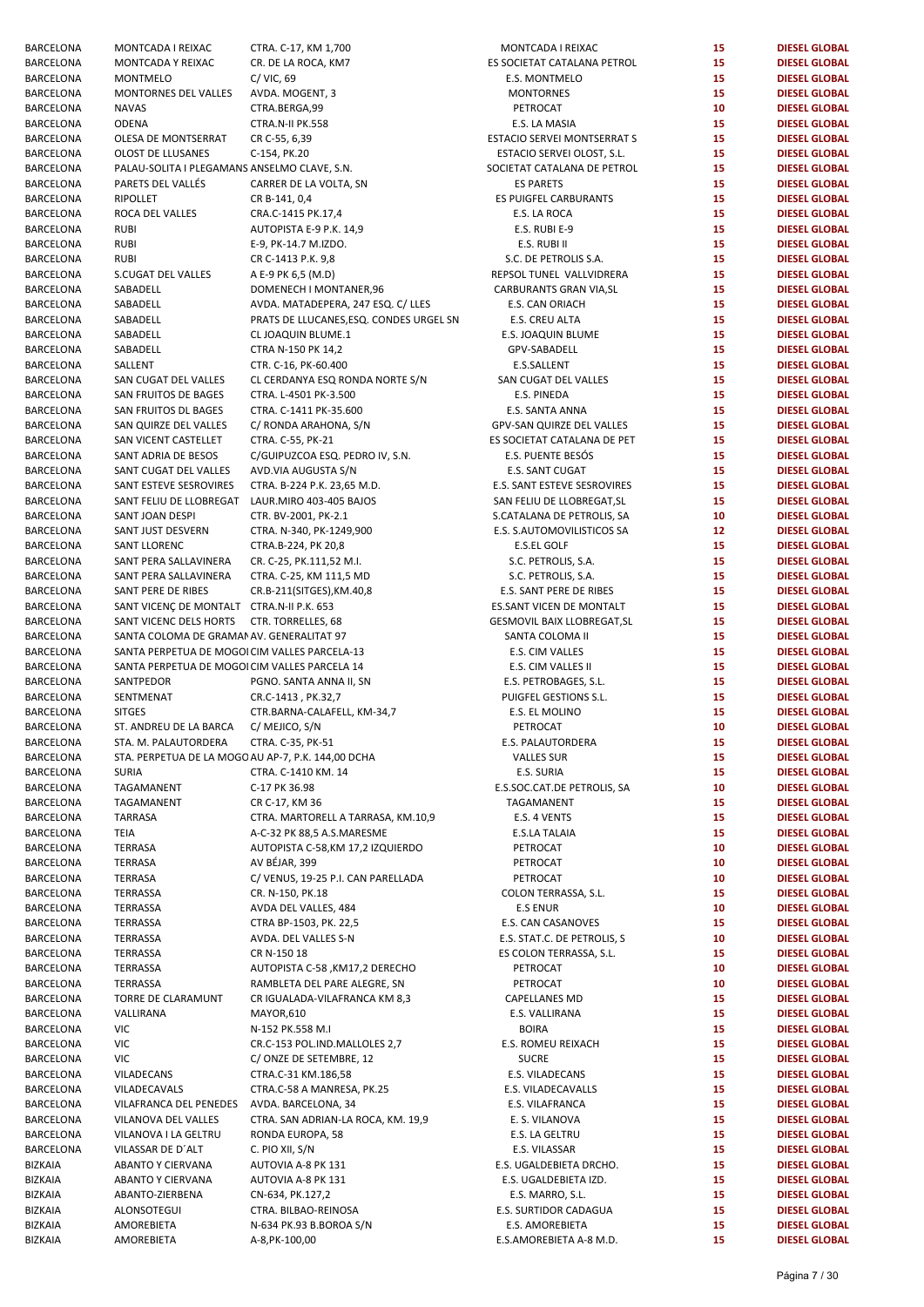| BARCELONA | MONTCADA I REIXAC                                  | CTRA. C-17, KM 1,700                    | MONTCADA I REIXAC           | 15 | <b>DIESEL GLOBAL</b> |
|-----------|----------------------------------------------------|-----------------------------------------|-----------------------------|----|----------------------|
| BARCELONA | MONTCADA Y REIXAC                                  | CR. DE LA ROCA, KM7                     | ES SOCIETAT CATALANA PETROL | 15 | <b>DIESEL GLOBAL</b> |
| BARCELONA | <b>MONTMELO</b>                                    | $C/$ VIC, 69                            | E.S. MONTMELO               | 15 | <b>DIESEL GLOBAL</b> |
| BARCELONA | MONTORNES DEL VALLES                               | AVDA. MOGENT, 3                         | <b>MONTORNES</b>            | 15 | <b>DIESEL GLOBAL</b> |
| BARCELONA | <b>NAVAS</b>                                       | CTRA.BERGA,99                           | PETROCAT                    | 10 | <b>DIESEL GLOBAL</b> |
| BARCELONA | <b>ODENA</b>                                       | CTRA.N-II PK.558                        | E.S. LA MASIA               | 15 | <b>DIESEL GLOBAL</b> |
| BARCELONA | OLESA DE MONTSERRAT                                | CR C-55, 6,39                           | ESTACIO SERVEI MONTSERRAT S | 15 | <b>DIESEL GLOBAL</b> |
| BARCELONA | OLOST DE LLUSANES                                  | C-154, PK.20                            | ESTACIO SERVEI OLOST, S.L.  | 15 | <b>DIESEL GLOBAL</b> |
| BARCELONA |                                                    |                                         | SOCIETAT CATALANA DE PETROL | 15 | <b>DIESEL GLOBAL</b> |
|           | PALAU-SOLITA I PLEGAMANS ANSELMO CLAVE, S.N.       |                                         |                             |    |                      |
| BARCELONA | PARETS DEL VALLÉS                                  | CARRER DE LA VOLTA, SN                  | <b>ES PARETS</b>            | 15 | <b>DIESEL GLOBAL</b> |
| BARCELONA | RIPOLLET                                           | CR B-141, 0,4                           | ES PUIGFEL CARBURANTS       | 15 | <b>DIESEL GLOBAL</b> |
| BARCELONA | ROCA DEL VALLES                                    | CRA.C-1415 PK.17,4                      | E.S. LA ROCA                | 15 | <b>DIESEL GLOBAL</b> |
| BARCELONA | <b>RUBI</b>                                        | AUTOPISTA E-9 P.K. 14,9                 | E.S. RUBI E-9               | 15 | <b>DIESEL GLOBAL</b> |
| BARCELONA | <b>RUBI</b>                                        | E-9, PK-14.7 M.IZDO.                    | E.S. RUBI II                | 15 | <b>DIESEL GLOBAL</b> |
| BARCELONA | <b>RUBI</b>                                        | CR C-1413 P.K. 9,8                      | S.C. DE PETROLIS S.A.       | 15 | <b>DIESEL GLOBAL</b> |
| BARCELONA | S.CUGAT DEL VALLES                                 | A E-9 PK 6,5 (M.D)                      | REPSOL TUNEL VALLVIDRERA    | 15 | <b>DIESEL GLOBAL</b> |
| BARCELONA | SABADELL                                           | DOMENECH I MONTANER,96                  | CARBURANTS GRAN VIA, SL     | 15 | <b>DIESEL GLOBAL</b> |
| BARCELONA | SABADELL                                           | AVDA. MATADEPERA, 247 ESQ. C/ LLES      | E.S. CAN ORIACH             | 15 | <b>DIESEL GLOBAL</b> |
| BARCELONA | SABADELL                                           | PRATS DE LLUCANES, ESQ. CONDES URGEL SN |                             | 15 | <b>DIESEL GLOBAL</b> |
|           |                                                    |                                         | E.S. CREU ALTA              |    |                      |
| BARCELONA | SABADELL                                           | CL JOAQUIN BLUME.1                      | E.S. JOAQUIN BLUME          | 15 | <b>DIESEL GLOBAL</b> |
| BARCELONA | SABADELL                                           | CTRA N-150 PK 14,2                      | GPV-SABADELL                | 15 | <b>DIESEL GLOBAL</b> |
| BARCELONA | SALLENT                                            | CTR. C-16, PK-60.400                    | E.S.SALLENT                 | 15 | <b>DIESEL GLOBAL</b> |
| BARCELONA | SAN CUGAT DEL VALLES                               | CL CERDANYA ESQ RONDA NORTE S/N         | SAN CUGAT DEL VALLES        | 15 | <b>DIESEL GLOBAL</b> |
| BARCELONA | SAN FRUITOS DE BAGES                               | CTRA. L-4501 PK-3.500                   | E.S. PINEDA                 | 15 | <b>DIESEL GLOBAL</b> |
| BARCELONA | SAN FRUITOS DL BAGES                               | CTRA. C-1411 PK-35.600                  | E.S. SANTA ANNA             | 15 | <b>DIESEL GLOBAL</b> |
| BARCELONA | SAN QUIRZE DEL VALLES                              | C/ RONDA ARAHONA, S/N                   | GPV-SAN QUIRZE DEL VALLES   | 15 | <b>DIESEL GLOBAL</b> |
| BARCELONA | SAN VICENT CASTELLET                               | CTRA. C-55, PK-21                       | ES SOCIETAT CATALANA DE PET | 15 | <b>DIESEL GLOBAL</b> |
| BARCELONA | SANT ADRIA DE BESOS                                | C/GUIPUZCOA ESQ. PEDRO IV, S.N.         | E.S. PUENTE BESÓS           | 15 | <b>DIESEL GLOBAL</b> |
| BARCELONA |                                                    |                                         |                             | 15 | <b>DIESEL GLOBAL</b> |
|           | SANT CUGAT DEL VALLES                              | AVD.VIA AUGUSTA S/N                     | E.S. SANT CUGAT             |    |                      |
| BARCELONA | SANT ESTEVE SESROVIRES                             | CTRA. B-224 P.K. 23,65 M.D.             | E.S. SANT ESTEVE SESROVIRES | 15 | <b>DIESEL GLOBAL</b> |
| BARCELONA | SANT FELIU DE LLOBREGAT LAUR.MIRO 403-405 BAJOS    |                                         | SAN FELIU DE LLOBREGAT, SL  | 15 | <b>DIESEL GLOBAL</b> |
| BARCELONA | SANT JOAN DESPI                                    | CTR. BV-2001, PK-2.1                    | S.CATALANA DE PETROLIS, SA  | 10 | <b>DIESEL GLOBAL</b> |
| BARCELONA | SANT JUST DESVERN                                  | CTRA. N-340, PK-1249,900                | E.S. S.AUTOMOVILISTICOS SA  | 12 | <b>DIESEL GLOBAL</b> |
| BARCELONA | SANT LLORENC                                       | CTRA.B-224, PK 20,8                     | E.S.EL GOLF                 | 15 | <b>DIESEL GLOBAL</b> |
| BARCELONA | SANT PERA SALLAVINERA                              | CR. C-25, PK.111,52 M.I.                | S.C. PETROLIS, S.A.         | 15 | <b>DIESEL GLOBAL</b> |
| BARCELONA | SANT PERA SALLAVINERA                              | CTRA. C-25, KM 111,5 MD                 | S.C. PETROLIS, S.A.         | 15 | <b>DIESEL GLOBAL</b> |
| BARCELONA | SANT PERE DE RIBES                                 | CR.B-211(SITGES), KM.40,8               | E.S. SANT PERE DE RIBES     | 15 | <b>DIESEL GLOBAL</b> |
| BARCELONA | SANT VICENÇ DE MONTALT CTRA.N-II P.K. 653          |                                         | ES.SANT VICEN DE MONTALT    | 15 | <b>DIESEL GLOBAL</b> |
| BARCELONA | SANT VICENC DELS HORTS                             | CTR. TORRELLES, 68                      | GESMOVIL BAIX LLOBREGAT, SL | 15 | <b>DIESEL GLOBAL</b> |
| BARCELONA | SANTA COLOMA DE GRAMAI AV. GENERALITAT 97          |                                         |                             | 15 | <b>DIESEL GLOBAL</b> |
|           |                                                    |                                         | SANTA COLOMA II             |    |                      |
| BARCELONA | SANTA PERPETUA DE MOGOI CIM VALLES PARCELA-13      |                                         | E.S. CIM VALLES             | 15 | <b>DIESEL GLOBAL</b> |
| BARCELONA | SANTA PERPETUA DE MOGOI CIM VALLES PARCELA 14      |                                         | E.S. CIM VALLES II          | 15 | <b>DIESEL GLOBAL</b> |
| BARCELONA | SANTPEDOR                                          | PGNO. SANTA ANNA II, SN                 | E.S. PETROBAGES, S.L.       | 15 | <b>DIESEL GLOBAL</b> |
| BARCELONA | SENTMENAT                                          | CR.C-1413, PK.32,7                      | PUIGFEL GESTIONS S.L.       | 15 | <b>DIESEL GLOBAL</b> |
| BARCELONA | <b>SITGES</b>                                      | CTR.BARNA-CALAFELL, KM-34,7             | E.S. EL MOLINO              | 15 | <b>DIESEL GLOBAL</b> |
| BARCELONA | ST. ANDREU DE LA BARCA                             | C/ MEJICO, S/N                          | PETROCAT                    | 10 | <b>DIESEL GLOBAL</b> |
| BARCELONA | STA. M. PALAUTORDERA                               | CTRA. C-35, PK-51                       | E.S. PALAUTORDERA           | 15 | <b>DIESEL GLOBAL</b> |
| BARCELONA | STA. PERPETUA DE LA MOGO AU AP-7, P.K. 144,00 DCHA |                                         | <b>VALLES SUR</b>           | 15 | <b>DIESEL GLOBAL</b> |
| BARCELONA | <b>SURIA</b>                                       | CTRA. C-1410 KM. 14                     | E.S. SURIA                  | 15 | <b>DIESEL GLOBAL</b> |
| BARCELONA | TAGAMANENT                                         | C-17 PK 36.98                           | E.S.SOC.CAT.DE PETROLIS, SA | 10 | <b>DIESEL GLOBAL</b> |
| BARCELONA | TAGAMANENT                                         | CR C-17, KM 36                          | TAGAMANENT                  | 15 | <b>DIESEL GLOBAL</b> |
|           |                                                    |                                         |                             |    |                      |
| BARCELONA | TARRASA                                            | CTRA. MARTORELL A TARRASA, KM.10,9      | E.S. 4 VENTS                | 15 | <b>DIESEL GLOBAL</b> |
| BARCELONA | TEIA                                               | A-C-32 PK 88,5 A.S.MARESME              | E.S.LA TALAIA               | 15 | <b>DIESEL GLOBAL</b> |
| BARCELONA | TERRASA                                            | AUTOPISTA C-58,KM 17,2 IZQUIERDO        | PETROCAT                    | 10 | <b>DIESEL GLOBAL</b> |
| BARCELONA | TERRASA                                            | AV BÉJAR, 399                           | PETROCAT                    | 10 | <b>DIESEL GLOBAL</b> |
| BARCELONA | TERRASA                                            | C/VENUS, 19-25 P.I. CAN PARELLADA       | PETROCAT                    | 10 | <b>DIESEL GLOBAL</b> |
| BARCELONA | TERRASSA                                           | CR. N-150, PK.18                        | COLON TERRASSA, S.L.        | 15 | <b>DIESEL GLOBAL</b> |
| BARCELONA | TERRASSA                                           | AVDA DEL VALLES, 484                    | <b>E.S ENUR</b>             | 10 | <b>DIESEL GLOBAL</b> |
| BARCELONA | TERRASSA                                           | CTRA BP-1503, PK. 22,5                  | E.S. CAN CASANOVES          | 15 | <b>DIESEL GLOBAL</b> |
| BARCELONA | TERRASSA                                           | AVDA. DEL VALLES S-N                    | E.S. STAT.C. DE PETROLIS, S | 10 | <b>DIESEL GLOBAL</b> |
| BARCELONA | TERRASSA                                           | CR N-150 18                             | ES COLON TERRASSA, S.L.     | 15 | <b>DIESEL GLOBAL</b> |
| BARCELONA | TERRASSA                                           | AUTOPISTA C-58, KM17,2 DERECHO          | PETROCAT                    | 10 | <b>DIESEL GLOBAL</b> |
| BARCELONA | TERRASSA                                           | RAMBLETA DEL PARE ALEGRE, SN            | PETROCAT                    | 10 | <b>DIESEL GLOBAL</b> |
| BARCELONA | TORRE DE CLARAMUNT                                 | CR IGUALADA-VILAFRANCA KM 8,3           | CAPELLANES MD               | 15 | <b>DIESEL GLOBAL</b> |
|           |                                                    |                                         |                             |    |                      |
| BARCELONA | VALLIRANA                                          | MAYOR,610                               | E.S. VALLIRANA              | 15 | <b>DIESEL GLOBAL</b> |
| BARCELONA | VIC                                                | N-152 PK.558 M.I                        | <b>BOIRA</b>                | 15 | <b>DIESEL GLOBAL</b> |
| BARCELONA | VIC                                                | CR.C-153 POL.IND.MALLOLES 2,7           | E.S. ROMEU REIXACH          | 15 | <b>DIESEL GLOBAL</b> |
| BARCELONA | VIC                                                | C/ONZE DE SETEMBRE, 12                  | <b>SUCRE</b>                | 15 | <b>DIESEL GLOBAL</b> |
| BARCELONA | VILADECANS                                         | CTRA.C-31 KM.186,58                     | E.S. VILADECANS             | 15 | <b>DIESEL GLOBAL</b> |
| BARCELONA | VILADECAVALS                                       | CTRA.C-58 A MANRESA, PK.25              | E.S. VILADECAVALLS          | 15 | <b>DIESEL GLOBAL</b> |
| BARCELONA | VILAFRANCA DEL PENEDES                             | AVDA. BARCELONA, 34                     | E.S. VILAFRANCA             | 15 | <b>DIESEL GLOBAL</b> |
| BARCELONA | VILANOVA DEL VALLES                                | CTRA. SAN ADRIAN-LA ROCA, KM. 19,9      | E. S. VILANOVA              | 15 | <b>DIESEL GLOBAL</b> |
| BARCELONA | VILANOVA I LA GELTRU                               | RONDA EUROPA, 58                        | E.S. LA GELTRU              | 15 | <b>DIESEL GLOBAL</b> |
| BARCELONA | VILASSAR DE D'ALT                                  | C. PIO XII, S/N                         | E.S. VILASSAR               | 15 | <b>DIESEL GLOBAL</b> |
| BIZKAIA   | ABANTO Y CIERVANA                                  | AUTOVIA A-8 PK 131                      | E.S. UGALDEBIETA DRCHO.     | 15 | <b>DIESEL GLOBAL</b> |
| BIZKAIA   | ABANTO Y CIERVANA                                  | AUTOVIA A-8 PK 131                      | E.S. UGALDEBIETA IZD.       | 15 | <b>DIESEL GLOBAL</b> |
| BIZKAIA   | ABANTO-ZIERBENA                                    | CN-634, PK.127,2                        | E.S. MARRO, S.L.            | 15 | <b>DIESEL GLOBAL</b> |
| BIZKAIA   | ALONSOTEGUI                                        | CTRA. BILBAO-REINOSA                    | E.S. SURTIDOR CADAGUA       | 15 | <b>DIESEL GLOBAL</b> |
|           |                                                    |                                         |                             |    |                      |
| BIZKAIA   | AMOREBIETA                                         | N-634 PK.93 B.BOROA S/N                 | E.S. AMOREBIETA             | 15 | <b>DIESEL GLOBAL</b> |
| BIZKAIA   | AMOREBIETA                                         | A-8, PK-100, 00                         | E.S.AMOREBIETA A-8 M.D.     | 15 | <b>DIESEL GLOBAL</b> |
|           |                                                    |                                         |                             |    |                      |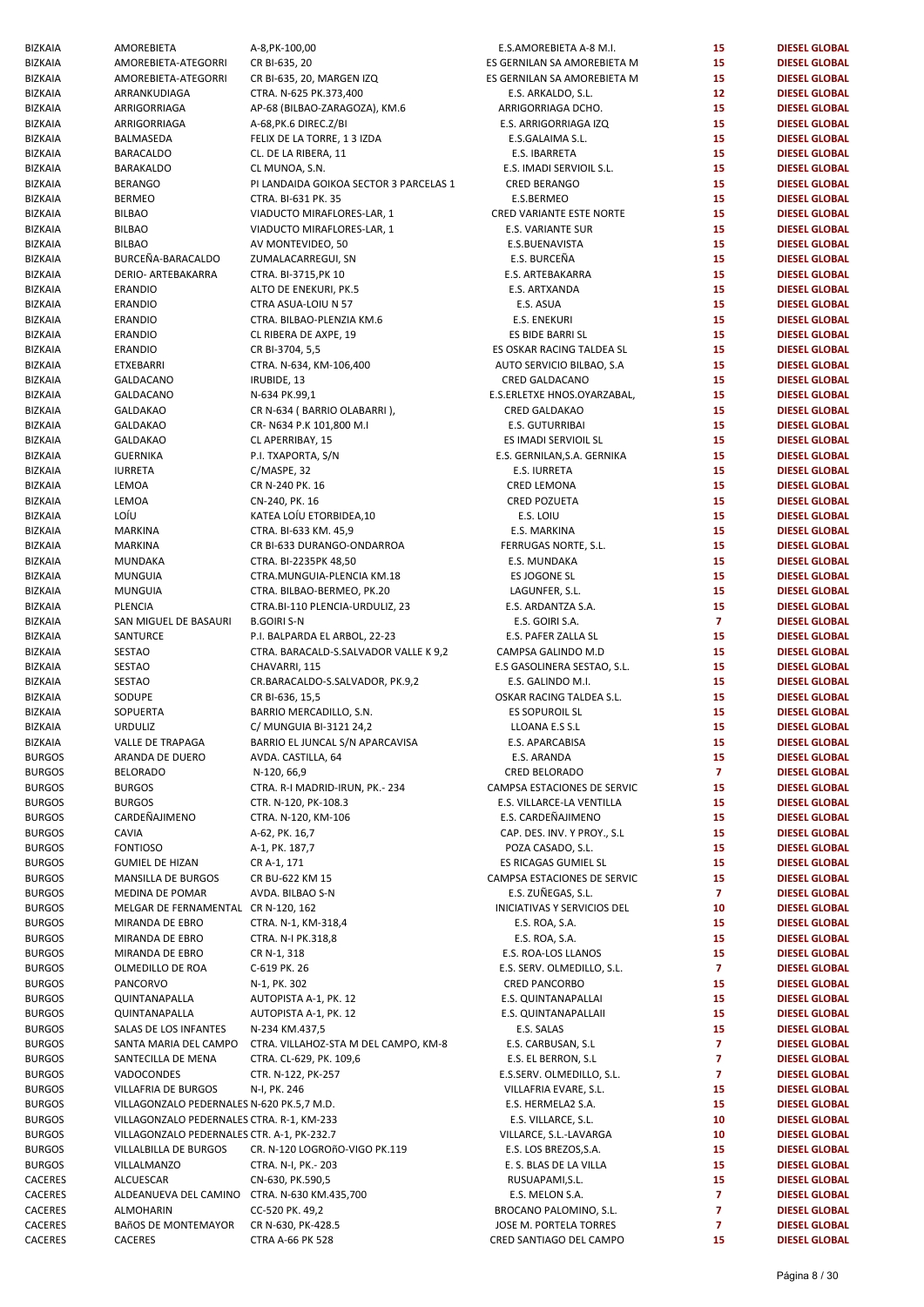| <b>BIZKAIA</b> | AMOREBIETA                                   | A-8, PK-100, 00                        | E.S.AMOREBIETA A-8 M.I.         | 15             | <b>DIESEL GLOBAL</b> |
|----------------|----------------------------------------------|----------------------------------------|---------------------------------|----------------|----------------------|
| <b>BIZKAIA</b> | AMOREBIETA-ATEGORRI                          | CR BI-635, 20                          | ES GERNILAN SA AMOREBIETA M     | 15             | <b>DIESEL GLOBAL</b> |
| <b>BIZKAIA</b> | AMOREBIETA-ATEGORRI                          | CR BI-635, 20, MARGEN IZQ              | ES GERNILAN SA AMOREBIETA M     | 15             | <b>DIESEL GLOBAL</b> |
|                |                                              | CTRA. N-625 PK.373,400                 |                                 | 12             |                      |
| BIZKAIA        | ARRANKUDIAGA                                 |                                        | E.S. ARKALDO, S.L.              |                | <b>DIESEL GLOBAL</b> |
| <b>BIZKAIA</b> | ARRIGORRIAGA                                 | AP-68 (BILBAO-ZARAGOZA), KM.6          | ARRIGORRIAGA DCHO.              | 15             | <b>DIESEL GLOBAL</b> |
| <b>BIZKAIA</b> | ARRIGORRIAGA                                 | A-68, PK.6 DIREC. Z/BI                 | E.S. ARRIGORRIAGA IZQ           | 15             | <b>DIESEL GLOBAL</b> |
| <b>BIZKAIA</b> | BALMASEDA                                    | FELIX DE LA TORRE, 1 3 IZDA            | E.S.GALAIMA S.L.                | 15             | <b>DIESEL GLOBAL</b> |
| BIZKAIA        | <b>BARACALDO</b>                             | CL. DE LA RIBERA, 11                   | E.S. IBARRETA                   | 15             | <b>DIESEL GLOBAL</b> |
| <b>BIZKAIA</b> | BARAKALDO                                    | CL MUNOA, S.N.                         | E.S. IMADI SERVIOIL S.L.        | 15             | <b>DIESEL GLOBAL</b> |
| <b>BIZKAIA</b> | <b>BERANGO</b>                               | PI LANDAIDA GOIKOA SECTOR 3 PARCELAS 1 | <b>CRED BERANGO</b>             | 15             | <b>DIESEL GLOBAL</b> |
| <b>BIZKAIA</b> | <b>BERMEO</b>                                | CTRA. BI-631 PK. 35                    | E.S.BERMEO                      | 15             | <b>DIESEL GLOBAL</b> |
|                |                                              |                                        |                                 |                |                      |
| BIZKAIA        | <b>BILBAO</b>                                | VIADUCTO MIRAFLORES-LAR, 1             | <b>CRED VARIANTE ESTE NORTE</b> | 15             | <b>DIESEL GLOBAL</b> |
| <b>BIZKAIA</b> | <b>BILBAO</b>                                | VIADUCTO MIRAFLORES-LAR, 1             | E.S. VARIANTE SUR               | 15             | <b>DIESEL GLOBAL</b> |
| <b>BIZKAIA</b> | <b>BILBAO</b>                                | AV MONTEVIDEO, 50                      | E.S.BUENAVISTA                  | 15             | <b>DIESEL GLOBAL</b> |
| <b>BIZKAIA</b> | BURCEÑA-BARACALDO                            | ZUMALACARREGUI, SN                     | E.S. BURCEÑA                    | 15             | <b>DIESEL GLOBAL</b> |
| <b>BIZKAIA</b> | <b>DERIO- ARTEBAKARRA</b>                    | CTRA. BI-3715, PK 10                   | E.S. ARTEBAKARRA                | 15             | <b>DIESEL GLOBAL</b> |
| <b>BIZKAIA</b> | <b>ERANDIO</b>                               | ALTO DE ENEKURI, PK.5                  | E.S. ARTXANDA                   | 15             | <b>DIESEL GLOBAL</b> |
|                |                                              |                                        |                                 | 15             |                      |
| <b>BIZKAIA</b> | ERANDIO                                      | CTRA ASUA-LOIU N 57                    | E.S. ASUA                       |                | <b>DIESEL GLOBAL</b> |
| <b>BIZKAIA</b> | ERANDIO                                      | CTRA. BILBAO-PLENZIA KM.6              | E.S. ENEKURI                    | 15             | <b>DIESEL GLOBAL</b> |
| BIZKAIA        | <b>ERANDIO</b>                               | CL RIBERA DE AXPE, 19                  | ES BIDE BARRI SL                | 15             | <b>DIESEL GLOBAL</b> |
| BIZKAIA        | ERANDIO                                      | CR BI-3704, 5,5                        | ES OSKAR RACING TALDEA SL       | 15             | <b>DIESEL GLOBAL</b> |
| <b>BIZKAIA</b> | <b>ETXEBARRI</b>                             | CTRA. N-634, KM-106,400                | AUTO SERVICIO BILBAO, S.A       | 15             | <b>DIESEL GLOBAL</b> |
| <b>BIZKAIA</b> | GALDACANO                                    | IRUBIDE, 13                            | CRED GALDACANO                  | 15             | <b>DIESEL GLOBAL</b> |
| BIZKAIA        | GALDACANO                                    | N-634 PK.99,1                          | E.S.ERLETXE HNOS.OYARZABAL,     | 15             | <b>DIESEL GLOBAL</b> |
|                |                                              |                                        |                                 |                |                      |
| <b>BIZKAIA</b> | <b>GALDAKAO</b>                              | CR N-634 (BARRIO OLABARRI),            | <b>CRED GALDAKAO</b>            | 15             | <b>DIESEL GLOBAL</b> |
| <b>BIZKAIA</b> | <b>GALDAKAO</b>                              | CR-N634 P.K 101,800 M.I                | E.S. GUTURRIBAI                 | 15             | <b>DIESEL GLOBAL</b> |
| <b>BIZKAIA</b> | <b>GALDAKAO</b>                              | CL APERRIBAY, 15                       | ES IMADI SERVIOIL SL            | 15             | <b>DIESEL GLOBAL</b> |
| <b>BIZKAIA</b> | <b>GUERNIKA</b>                              | P.I. TXAPORTA, S/N                     | E.S. GERNILAN, S.A. GERNIKA     | 15             | <b>DIESEL GLOBAL</b> |
| BIZKAIA        | <b>IURRETA</b>                               | C/MASPE, 32                            | E.S. IURRETA                    | 15             | <b>DIESEL GLOBAL</b> |
| <b>BIZKAIA</b> |                                              | CR N-240 PK. 16                        | <b>CRED LEMONA</b>              | 15             |                      |
|                | LEMOA                                        |                                        |                                 |                | <b>DIESEL GLOBAL</b> |
| <b>BIZKAIA</b> | LEMOA                                        | CN-240, PK. 16                         | <b>CRED POZUETA</b>             | 15             | <b>DIESEL GLOBAL</b> |
| <b>BIZKAIA</b> | LOÍU                                         | KATEA LOÍU ETORBIDEA,10                | E.S. LOIU                       | 15             | <b>DIESEL GLOBAL</b> |
| BIZKAIA        | MARKINA                                      | CTRA. BI-633 KM. 45,9                  | E.S. MARKINA                    | 15             | <b>DIESEL GLOBAL</b> |
| <b>BIZKAIA</b> | MARKINA                                      | CR BI-633 DURANGO-ONDARROA             | FERRUGAS NORTE, S.L.            | 15             | <b>DIESEL GLOBAL</b> |
| <b>BIZKAIA</b> | MUNDAKA                                      | CTRA. BI-2235PK 48,50                  | E.S. MUNDAKA                    | 15             | <b>DIESEL GLOBAL</b> |
| <b>BIZKAIA</b> | <b>MUNGUIA</b>                               | CTRA.MUNGUIA-PLENCIA KM.18             | ES JOGONE SL                    | 15             | <b>DIESEL GLOBAL</b> |
|                |                                              |                                        |                                 | 15             |                      |
| <b>BIZKAIA</b> | <b>MUNGUIA</b>                               | CTRA. BILBAO-BERMEO, PK.20             | LAGUNFER, S.L.                  |                | <b>DIESEL GLOBAL</b> |
| <b>BIZKAIA</b> | PLENCIA                                      | CTRA.BI-110 PLENCIA-URDULIZ, 23        | E.S. ARDANTZA S.A.              | 15             | <b>DIESEL GLOBAL</b> |
| <b>BIZKAIA</b> | SAN MIGUEL DE BASAURI                        | <b>B.GOIRI S-N</b>                     | E.S. GOIRI S.A.                 | $\overline{7}$ | <b>DIESEL GLOBAL</b> |
| <b>BIZKAIA</b> | SANTURCE                                     | P.I. BALPARDA EL ARBOL, 22-23          | E.S. PAFER ZALLA SL             | 15             | <b>DIESEL GLOBAL</b> |
| <b>BIZKAIA</b> | <b>SESTAO</b>                                | CTRA. BARACALD-S.SALVADOR VALLE K 9,2  | CAMPSA GALINDO M.D              | 15             | <b>DIESEL GLOBAL</b> |
| <b>BIZKAIA</b> | <b>SESTAO</b>                                | CHAVARRI, 115                          | E.S GASOLINERA SESTAO, S.L.     | 15             | <b>DIESEL GLOBAL</b> |
| <b>BIZKAIA</b> | <b>SESTAO</b>                                | CR.BARACALDO-S.SALVADOR, PK.9,2        | E.S. GALINDO M.I.               | 15             | <b>DIESEL GLOBAL</b> |
|                | SODUPE                                       |                                        |                                 | 15             |                      |
| <b>BIZKAIA</b> |                                              | CR BI-636, 15,5                        | OSKAR RACING TALDEA S.L.        |                | <b>DIESEL GLOBAL</b> |
| <b>BIZKAIA</b> | SOPUERTA                                     | BARRIO MERCADILLO, S.N.                | <b>ES SOPUROIL SL</b>           | 15             | <b>DIESEL GLOBAL</b> |
| <b>BIZKAIA</b> | <b>URDULIZ</b>                               | C/ MUNGUIA BI-3121 24,2                | LLOANA E.S S.L                  | 15             | <b>DIESEL GLOBAL</b> |
| BIZKAIA        | VALLE DE TRAPAGA                             | BARRIO EL JUNCAL S/N APARCAVISA        | E.S. APARCABISA                 | 15             | <b>DIESEL GLOBAL</b> |
| <b>BURGOS</b>  | ARANDA DE DUERO                              | AVDA. CASTILLA, 64                     | E.S. ARANDA                     | 15             | <b>DIESEL GLOBAL</b> |
| <b>BURGOS</b>  | <b>BELORADO</b>                              | N-120, 66,9                            | CRED BELORADO                   | $\overline{7}$ | <b>DIESEL GLOBAL</b> |
| <b>BURGOS</b>  | <b>BURGOS</b>                                | CTRA. R-I MADRID-IRUN, PK.- 234        | CAMPSA ESTACIONES DE SERVIC     | 15             | <b>DIESEL GLOBAL</b> |
|                |                                              |                                        | E.S. VILLARCE-LA VENTILLA       |                |                      |
| <b>BURGOS</b>  | <b>BURGOS</b>                                | CTR. N-120, PK-108.3                   |                                 | 15             | <b>DIESEL GLOBAL</b> |
| <b>BURGOS</b>  | CARDEÑAJIMENO                                | CTRA. N-120, KM-106                    | E.S. CARDEÑAJIMENO              | 15             | <b>DIESEL GLOBAL</b> |
| <b>BURGOS</b>  | CAVIA                                        | A-62, PK. 16,7                         | CAP. DES. INV. Y PROY., S.L     | 15             | <b>DIESEL GLOBAL</b> |
| <b>BURGOS</b>  | <b>FONTIOSO</b>                              | A-1, PK. 187,7                         | POZA CASADO, S.L.               | 15             | <b>DIESEL GLOBAL</b> |
| <b>BURGOS</b>  | <b>GUMIEL DE HIZAN</b>                       | CR A-1, 171                            | ES RICAGAS GUMIEL SL            | 15             | <b>DIESEL GLOBAL</b> |
| <b>BURGOS</b>  | MANSILLA DE BURGOS                           | CR BU-622 KM 15                        | CAMPSA ESTACIONES DE SERVIC     | 15             | <b>DIESEL GLOBAL</b> |
| <b>BURGOS</b>  | MEDINA DE POMAR                              |                                        | E.S. ZUÑEGAS, S.L.              | $\overline{7}$ | <b>DIESEL GLOBAL</b> |
|                |                                              | AVDA. BILBAO S-N                       |                                 |                |                      |
| <b>BURGOS</b>  | MELGAR DE FERNAMENTAL CR N-120, 162          |                                        | INICIATIVAS Y SERVICIOS DEL     | 10             | <b>DIESEL GLOBAL</b> |
| <b>BURGOS</b>  | MIRANDA DE EBRO                              | CTRA. N-1, KM-318,4                    | E.S. ROA, S.A.                  | 15             | <b>DIESEL GLOBAL</b> |
| <b>BURGOS</b>  | MIRANDA DE EBRO                              | CTRA. N-I PK.318,8                     | E.S. ROA, S.A.                  | 15             | <b>DIESEL GLOBAL</b> |
| <b>BURGOS</b>  | MIRANDA DE EBRO                              | CR N-1, 318                            | E.S. ROA-LOS LLANOS             | 15             | <b>DIESEL GLOBAL</b> |
| <b>BURGOS</b>  | OLMEDILLO DE ROA                             | C-619 PK. 26                           | E.S. SERV. OLMEDILLO, S.L.      | $\overline{7}$ | <b>DIESEL GLOBAL</b> |
| <b>BURGOS</b>  | PANCORVO                                     | N-1, PK. 302                           | <b>CRED PANCORBO</b>            | 15             | <b>DIESEL GLOBAL</b> |
| <b>BURGOS</b>  | QUINTANAPALLA                                | AUTOPISTA A-1, PK. 12                  | E.S. QUINTANAPALLAI             | 15             | <b>DIESEL GLOBAL</b> |
|                |                                              |                                        |                                 |                |                      |
| <b>BURGOS</b>  | QUINTANAPALLA                                | AUTOPISTA A-1, PK. 12                  | E.S. QUINTANAPALLAII            | 15             | <b>DIESEL GLOBAL</b> |
| <b>BURGOS</b>  | SALAS DE LOS INFANTES                        | N-234 KM.437,5                         | E.S. SALAS                      | 15             | <b>DIESEL GLOBAL</b> |
| <b>BURGOS</b>  | SANTA MARIA DEL CAMPO                        | CTRA. VILLAHOZ-STA M DEL CAMPO, KM-8   | E.S. CARBUSAN, S.L              | $\overline{7}$ | <b>DIESEL GLOBAL</b> |
| <b>BURGOS</b>  | SANTECILLA DE MENA                           | CTRA. CL-629, PK. 109,6                | E.S. EL BERRON, S.L             | $\overline{7}$ | <b>DIESEL GLOBAL</b> |
| <b>BURGOS</b>  | VADOCONDES                                   | CTR. N-122, PK-257                     | E.S.SERV. OLMEDILLO, S.L.       | $\overline{7}$ | <b>DIESEL GLOBAL</b> |
| <b>BURGOS</b>  | VILLAFRIA DE BURGOS                          | N-I, PK. 246                           | VILLAFRIA EVARE, S.L.           | 15             | <b>DIESEL GLOBAL</b> |
| <b>BURGOS</b>  | VILLAGONZALO PEDERNALES N-620 PK.5,7 M.D.    |                                        | E.S. HERMELA2 S.A.              | 15             | <b>DIESEL GLOBAL</b> |
|                |                                              |                                        |                                 |                |                      |
| <b>BURGOS</b>  | VILLAGONZALO PEDERNALES CTRA. R-1, KM-233    |                                        | E.S. VILLARCE, S.L.             | 10             | <b>DIESEL GLOBAL</b> |
| <b>BURGOS</b>  | VILLAGONZALO PEDERNALES CTR. A-1, PK-232.7   |                                        | VILLARCE, S.L.-LAVARGA          | 10             | <b>DIESEL GLOBAL</b> |
| <b>BURGOS</b>  | VILLALBILLA DE BURGOS                        | CR. N-120 LOGROñO-VIGO PK.119          | E.S. LOS BREZOS, S.A.           | 15             | <b>DIESEL GLOBAL</b> |
| <b>BURGOS</b>  | VILLALMANZO                                  | CTRA. N-I, PK.- 203                    | E. S. BLAS DE LA VILLA          | 15             | <b>DIESEL GLOBAL</b> |
| CACERES        | ALCUESCAR                                    | CN-630, PK.590,5                       | RUSUAPAMI, S.L.                 | 15             | <b>DIESEL GLOBAL</b> |
| CACERES        | ALDEANUEVA DEL CAMINO CTRA. N-630 KM.435,700 |                                        | E.S. MELON S.A.                 | $\overline{7}$ | <b>DIESEL GLOBAL</b> |
|                |                                              |                                        |                                 | $\overline{7}$ |                      |
| CACERES        | ALMOHARIN                                    | CC-520 PK. 49,2                        | BROCANO PALOMINO, S.L.          |                | <b>DIESEL GLOBAL</b> |
| CACERES        | BAñOS DE MONTEMAYOR                          | CR N-630, PK-428.5                     | JOSE M. PORTELA TORRES          | $\overline{7}$ | <b>DIESEL GLOBAL</b> |
| <b>CACERES</b> | CACERES                                      | <b>CTRA A-66 PK 528</b>                | CRED SANTIAGO DEL CAMPO         | 15             | <b>DIESEL GLOBAL</b> |

| E.S.AMOREBIETA A-8 M.I.           | 15                      | <b>DIESEL GLOBAL</b> |
|-----------------------------------|-------------------------|----------------------|
|                                   |                         |                      |
| GERNILAN SA AMOREBIETA M          | 15                      | <b>DIESEL GLOBAL</b> |
| GERNILAN SA AMOREBIETA M          | 15                      | <b>DIESEL GLOBAL</b> |
| E.S. ARKALDO, S.L.                | 12                      | <b>DIESEL GLOBAL</b> |
| ARRIGORRIAGA DCHO.                | 15                      | <b>DIESEL GLOBAL</b> |
| E.S. ARRIGORRIAGA IZQ             | 15                      | <b>DIESEL GLOBAL</b> |
| E.S.GALAIMA S.L.                  | 15                      | <b>DIESEL GLOBAL</b> |
| E.S. IBARRETA                     | 15                      | <b>DIESEL GLOBAL</b> |
| E.S. IMADI SERVIOIL S.L.          | 15                      | <b>DIESEL GLOBAL</b> |
| <b>CRED BERANGO</b>               | 15                      | <b>DIESEL GLOBAL</b> |
| E.S.BERMEO                        | 15                      | <b>DIESEL GLOBAL</b> |
| RED VARIANTE ESTE NORTE           | 15                      | <b>DIESEL GLOBAL</b> |
| <b>E.S. VARIANTE SUR</b>          | 15                      | <b>DIESEL GLOBAL</b> |
| E.S.BUENAVISTA                    | 15                      | <b>DIESEL GLOBAL</b> |
| E.S. BURCEÑA                      | 15                      | <b>DIESEL GLOBAL</b> |
| E.S. ARTEBAKARRA                  | 15                      | <b>DIESEL GLOBAL</b> |
|                                   |                         |                      |
| E.S. ARTXANDA                     | 15                      | <b>DIESEL GLOBAL</b> |
| E.S. ASUA                         | 15                      | <b>DIESEL GLOBAL</b> |
| <b>E.S. ENEKURI</b>               | 15                      | <b>DIESEL GLOBAL</b> |
| ES BIDE BARRI SL                  | 15                      | <b>DIESEL GLOBAL</b> |
| <b>GOSKAR RACING TALDEA SL</b>    | 15                      | <b>DIESEL GLOBAL</b> |
| UTO SERVICIO BILBAO, S.A          | 15                      | <b>DIESEL GLOBAL</b> |
| CRED GALDACANO                    | 15                      | <b>DIESEL GLOBAL</b> |
| S.ERLETXE HNOS.OYARZABAL,         | 15                      | <b>DIESEL GLOBAL</b> |
| <b>CRED GALDAKAO</b>              | 15                      | <b>DIESEL GLOBAL</b> |
| <b>E.S. GUTURRIBAI</b>            | 15                      | <b>DIESEL GLOBAL</b> |
| ES IMADI SERVIOIL SL              | 15                      | <b>DIESEL GLOBAL</b> |
| .S. GERNILAN, S.A. GERNIKA        | 15                      | <b>DIESEL GLOBAL</b> |
| E.S. IURRETA                      | 15                      | <b>DIESEL GLOBAL</b> |
|                                   |                         |                      |
| <b>CRED LEMONA</b>                | 15                      | <b>DIESEL GLOBAL</b> |
| <b>CRED POZUETA</b>               | 15                      | <b>DIESEL GLOBAL</b> |
| E.S. LOIU                         | 15                      | <b>DIESEL GLOBAL</b> |
| E.S. MARKINA                      | 15                      | <b>DIESEL GLOBAL</b> |
| FERRUGAS NORTE, S.L.              | 15                      | <b>DIESEL GLOBAL</b> |
| E.S. MUNDAKA                      | 15                      | <b>DIESEL GLOBAL</b> |
| ES JOGONE SL                      | 15                      | <b>DIESEL GLOBAL</b> |
| LAGUNFER, S.L.                    | 15                      | <b>DIESEL GLOBAL</b> |
| E.S. ARDANTZA S.A.                | 15                      | <b>DIESEL GLOBAL</b> |
| E.S. GOIRI S.A.                   | $\overline{7}$          | <b>DIESEL GLOBAL</b> |
| E.S. PAFER ZALLA SL               | 15                      | <b>DIESEL GLOBAL</b> |
| :AMPSA GALINDO M.D                | 15                      | <b>DIESEL GLOBAL</b> |
| .S GASOLINERA SESTAO, S.L.        | 15                      | <b>DIESEL GLOBAL</b> |
| E.S. GALINDO M.I.                 | 15                      | <b>DIESEL GLOBAL</b> |
| <b>SKAR RACING TALDEA S.L.</b>    | 15                      | <b>DIESEL GLOBAL</b> |
| <b>ES SOPUROIL SL</b>             |                         | <b>DIESEL GLOBAL</b> |
|                                   | 15                      |                      |
| LLOANA E.S S.L                    | 15                      | <b>DIESEL GLOBAL</b> |
| E.S. APARCABISA                   | 15                      | <b>DIESEL GLOBAL</b> |
| E.S. ARANDA                       | 15                      | <b>DIESEL GLOBAL</b> |
| CRED BELORADO                     | $\overline{\mathbf{z}}$ | <b>DIESEL GLOBAL</b> |
| MPSA ESTACIONES DE SERVIC         | 15                      | <b>DIESEL GLOBAL</b> |
| .S. VILLARCE-LA VENTILLA          | 15                      | <b>DIESEL GLOBAL</b> |
| E.S. CARDEÑAJIMENO                | 15                      | <b>DIESEL GLOBAL</b> |
| CAP. DES. INV. Y PROY., S.L       | 15                      | <b>DIESEL GLOBAL</b> |
| POZA CASADO, S.L.                 | 15                      | <b>DIESEL GLOBAL</b> |
| ES RICAGAS GUMIEL SL              | 15                      | <b>DIESEL GLOBAL</b> |
| MPSA ESTACIONES DE SERVIC         | 15                      | <b>DIESEL GLOBAL</b> |
| E.S. ZUÑEGAS, S.L.                | $\overline{7}$          | <b>DIESEL GLOBAL</b> |
| <b>NICIATIVAS Y SERVICIOS DEL</b> | 10                      | <b>DIESEL GLOBAL</b> |
| E.S. ROA, S.A.                    | 15                      | <b>DIESEL GLOBAL</b> |
|                                   | 15                      | <b>DIESEL GLOBAL</b> |
| E.S. ROA, S.A.                    |                         |                      |
| E.S. ROA-LOS LLANOS               | 15                      | <b>DIESEL GLOBAL</b> |
| E.S. SERV. OLMEDILLO, S.L.        | $\overline{7}$          | <b>DIESEL GLOBAL</b> |
| <b>CRED PANCORBO</b>              | 15                      | <b>DIESEL GLOBAL</b> |
| E.S. QUINTANAPALLAI               | 15                      | <b>DIESEL GLOBAL</b> |
| E.S. QUINTANAPALLAII              | 15                      | <b>DIESEL GLOBAL</b> |
| E.S. SALAS                        | 15                      | <b>DIESEL GLOBAL</b> |
| E.S. CARBUSAN, S.L                | $\overline{7}$          | <b>DIESEL GLOBAL</b> |
| E.S. EL BERRON, S.L               | $\overline{\mathbf{z}}$ | <b>DIESEL GLOBAL</b> |
| E.S.SERV. OLMEDILLO, S.L.         | $\overline{\mathbf{z}}$ | <b>DIESEL GLOBAL</b> |
| VILLAFRIA EVARE, S.L.             | 15                      | <b>DIESEL GLOBAL</b> |
| E.S. HERMELA2 S.A.                | 15                      | <b>DIESEL GLOBAL</b> |
| E.S. VILLARCE, S.L.               | 10                      | <b>DIESEL GLOBAL</b> |
| VILLARCE, S.L.-LAVARGA            | 10                      | <b>DIESEL GLOBAL</b> |
| E.S. LOS BREZOS, S.A.             | 15                      | <b>DIESEL GLOBAL</b> |
| E. S. BLAS DE LA VILLA            | 15                      | <b>DIESEL GLOBAL</b> |
|                                   | 15                      | <b>DIESEL GLOBAL</b> |
| RUSUAPAMI, S.L.                   |                         |                      |
| E.S. MELON S.A.                   | $\overline{7}$          | <b>DIESEL GLOBAL</b> |
| ROCANO PALOMINO, S.L.             | 7                       | <b>DIESEL GLOBAL</b> |
| OSE M. PORTELA TORRES             | $\overline{7}$          | <b>DIESEL GLOBAL</b> |
| ED SANTIAGO DEL CAMPO             | 15                      | <b>DIESEL GLOBAL</b> |
|                                   |                         |                      |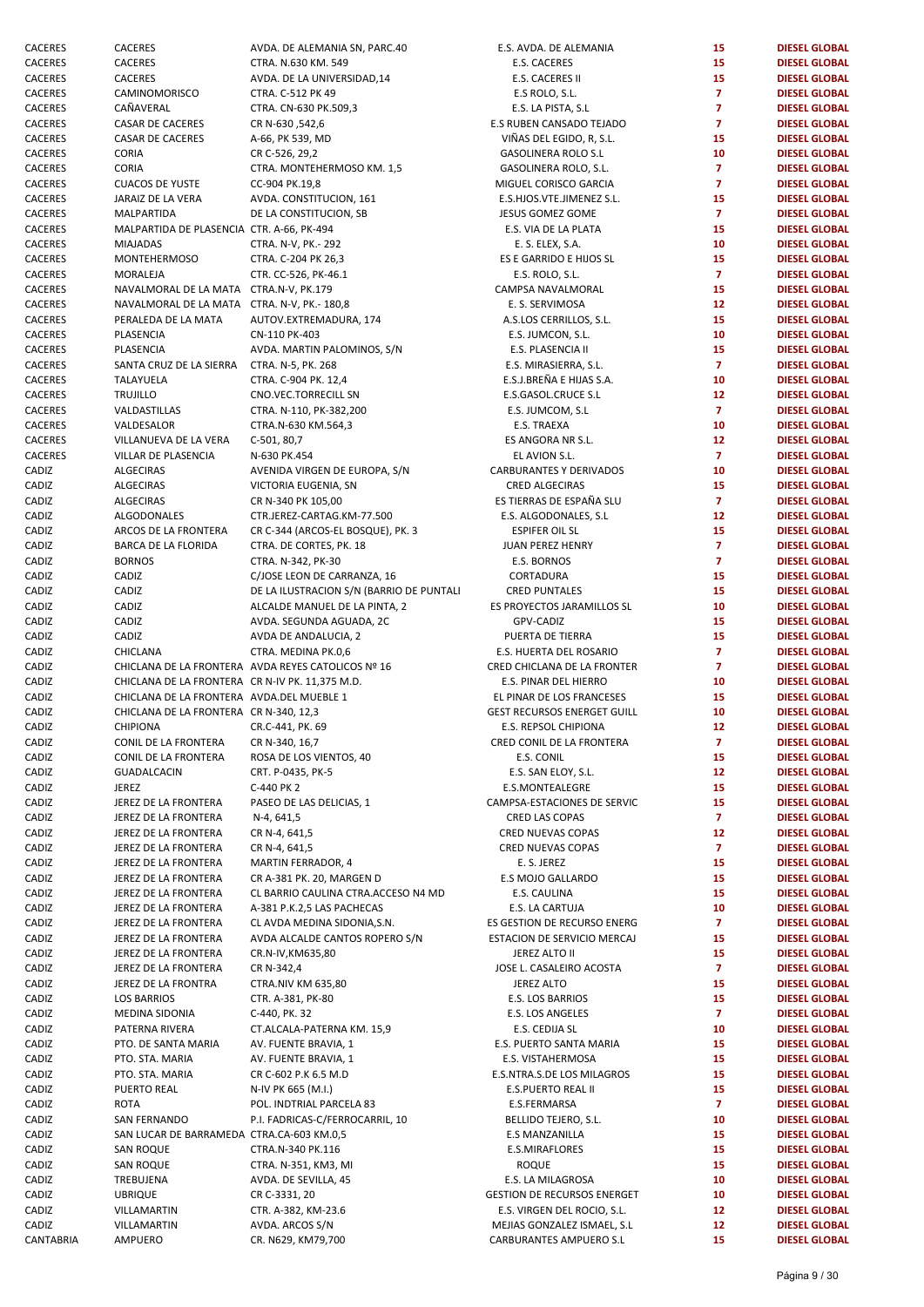| CACERES   | CACERES                                         | AVDA. DE ALEMANIA SN, PARC.40                      | E.S. AVDA. DE ALEMANIA             | 15              | <b>DIESEL GLOBAL</b> |
|-----------|-------------------------------------------------|----------------------------------------------------|------------------------------------|-----------------|----------------------|
| CACERES   | CACERES                                         | CTRA. N.630 KM. 549                                | E.S. CACERES                       | 15              | <b>DIESEL GLOBAL</b> |
| CACERES   | CACERES                                         | AVDA. DE LA UNIVERSIDAD,14                         | E.S. CACERES II                    | 15              | <b>DIESEL GLOBAL</b> |
| CACERES   | CAMINOMORISCO                                   | CTRA. C-512 PK 49                                  | E.S ROLO, S.L.                     | $\overline{7}$  | <b>DIESEL GLOBAL</b> |
| CACERES   | CAÑAVERAL                                       | CTRA. CN-630 PK.509,3                              | E.S. LA PISTA, S.L                 | $\overline{7}$  | <b>DIESEL GLOBAL</b> |
| CACERES   | <b>CASAR DE CACERES</b>                         | CR N-630,542,6                                     | E.S RUBEN CANSADO TEJADO           | $\overline{7}$  | <b>DIESEL GLOBAL</b> |
| CACERES   | CASAR DE CACERES                                | A-66, PK 539, MD                                   | VIÑAS DEL EGIDO, R, S.L.           | 15              | <b>DIESEL GLOBAL</b> |
|           |                                                 |                                                    |                                    |                 |                      |
| CACERES   | <b>CORIA</b>                                    | CR C-526, 29,2                                     | <b>GASOLINERA ROLO S.L</b>         | 10              | <b>DIESEL GLOBAL</b> |
| CACERES   | <b>CORIA</b>                                    | CTRA. MONTEHERMOSO KM. 1,5                         | GASOLINERA ROLO, S.L.              | $\overline{7}$  | <b>DIESEL GLOBAL</b> |
| CACERES   | <b>CUACOS DE YUSTE</b>                          | CC-904 PK.19,8                                     | MIGUEL CORISCO GARCIA              | $\overline{7}$  | <b>DIESEL GLOBAL</b> |
| CACERES   | JARAIZ DE LA VERA                               | AVDA. CONSTITUCION, 161                            | E.S.HJOS.VTE.JIMENEZ S.L.          | 15              | <b>DIESEL GLOBAL</b> |
| CACERES   | MALPARTIDA                                      | DE LA CONSTITUCION, SB                             | JESUS GOMEZ GOME                   | $\mathbf{7}$    | <b>DIESEL GLOBAL</b> |
| CACERES   | MALPARTIDA DE PLASENCIA CTR. A-66, PK-494       |                                                    | E.S. VIA DE LA PLATA               | 15              | <b>DIESEL GLOBAL</b> |
|           |                                                 |                                                    |                                    |                 |                      |
| CACERES   | <b>MIAJADAS</b>                                 | CTRA. N-V, PK.- 292                                | E. S. ELEX, S.A.                   | 10              | <b>DIESEL GLOBAL</b> |
| CACERES   | <b>MONTEHERMOSO</b>                             | CTRA. C-204 PK 26,3                                | ES E GARRIDO E HIJOS SL            | 15              | <b>DIESEL GLOBAL</b> |
| CACERES   | MORALEJA                                        | CTR. CC-526, PK-46.1                               | E.S. ROLO, S.L.                    | $\mathbf{7}$    | <b>DIESEL GLOBAL</b> |
| CACERES   | NAVALMORAL DE LA MATA CTRA.N-V, PK.179          |                                                    | CAMPSA NAVALMORAL                  | 15              | <b>DIESEL GLOBAL</b> |
| CACERES   | NAVALMORAL DE LA MATA CTRA. N-V, PK.- 180,8     |                                                    | E. S. SERVIMOSA                    | 12              | <b>DIESEL GLOBAL</b> |
| CACERES   | PERALEDA DE LA MATA                             | AUTOV.EXTREMADURA, 174                             | A.S.LOS CERRILLOS, S.L.            | 15              | <b>DIESEL GLOBAL</b> |
| CACERES   | PLASENCIA                                       | CN-110 PK-403                                      |                                    | 10              | <b>DIESEL GLOBAL</b> |
|           |                                                 |                                                    | E.S. JUMCON, S.L.                  |                 |                      |
| CACERES   | PLASENCIA                                       | AVDA. MARTIN PALOMINOS, S/N                        | E.S. PLASENCIA II                  | 15              | <b>DIESEL GLOBAL</b> |
| CACERES   | SANTA CRUZ DE LA SIERRA CTRA. N-5, PK. 268      |                                                    | E.S. MIRASIERRA, S.L.              | $\mathbf{7}$    | <b>DIESEL GLOBAL</b> |
| CACERES   | <b>TALAYUELA</b>                                | CTRA. C-904 PK. 12,4                               | E.S.J.BREÑA E HIJAS S.A.           | 10              | <b>DIESEL GLOBAL</b> |
| CACERES   | <b>TRUJILLO</b>                                 | CNO.VEC.TORRECILL SN                               | E.S.GASOL.CRUCE S.L                | 12              | <b>DIESEL GLOBAL</b> |
| CACERES   | VALDASTILLAS                                    | CTRA. N-110, PK-382,200                            | E.S. JUMCOM, S.L                   | $\overline{7}$  | <b>DIESEL GLOBAL</b> |
| CACERES   | VALDESALOR                                      | CTRA.N-630 KM.564,3                                | E.S. TRAEXA                        | 10              | <b>DIESEL GLOBAL</b> |
|           |                                                 |                                                    |                                    |                 |                      |
| CACERES   | VILLANUEVA DE LA VERA                           | C-501, 80,7                                        | ES ANGORA NR S.L.                  | 12              | <b>DIESEL GLOBAL</b> |
| CACERES   | VILLAR DE PLASENCIA                             | N-630 PK.454                                       | EL AVION S.L.                      | $\overline{7}$  | <b>DIESEL GLOBAL</b> |
| CADIZ     | <b>ALGECIRAS</b>                                | AVENIDA VIRGEN DE EUROPA, S/N                      | <b>CARBURANTES Y DERIVADOS</b>     | 10              | <b>DIESEL GLOBAL</b> |
| CADIZ     | <b>ALGECIRAS</b>                                | VICTORIA EUGENIA, SN                               | <b>CRED ALGECIRAS</b>              | 15              | <b>DIESEL GLOBAL</b> |
| CADIZ     | <b>ALGECIRAS</b>                                | CR N-340 PK 105,00                                 | ES TIERRAS DE ESPAÑA SLU           | $\overline{7}$  | <b>DIESEL GLOBAL</b> |
| CADIZ     | ALGODONALES                                     | CTR.JEREZ-CARTAG.KM-77.500                         | E.S. ALGODONALES, S.L              | 12              | <b>DIESEL GLOBAL</b> |
|           |                                                 |                                                    | <b>ESPIFER OIL SL</b>              | 15              |                      |
| CADIZ     | ARCOS DE LA FRONTERA                            | CR C-344 (ARCOS-EL BOSQUE), PK. 3                  |                                    |                 | <b>DIESEL GLOBAL</b> |
| CADIZ     | BARCA DE LA FLORIDA                             | CTRA. DE CORTES, PK. 18                            | JUAN PEREZ HENRY                   | $\overline{7}$  | <b>DIESEL GLOBAL</b> |
| CADIZ     | <b>BORNOS</b>                                   | CTRA. N-342, PK-30                                 | E.S. BORNOS                        | $\mathbf{7}$    | <b>DIESEL GLOBAL</b> |
| CADIZ     | CADIZ                                           | C/JOSE LEON DE CARRANZA, 16                        | CORTADURA                          | 15              | <b>DIESEL GLOBAL</b> |
| CADIZ     | CADIZ                                           | DE LA ILUSTRACION S/N (BARRIO DE PUNTALI           | <b>CRED PUNTALES</b>               | 15              | <b>DIESEL GLOBAL</b> |
| CADIZ     | CADIZ                                           | ALCALDE MANUEL DE LA PINTA, 2                      | ES PROYECTOS JARAMILLOS SL         | 10              | <b>DIESEL GLOBAL</b> |
| CADIZ     | CADIZ                                           | AVDA. SEGUNDA AGUADA, 2C                           | GPV-CADIZ                          | 15              | <b>DIESEL GLOBAL</b> |
|           |                                                 |                                                    |                                    |                 |                      |
| CADIZ     | CADIZ                                           | AVDA DE ANDALUCIA, 2                               | PUERTA DE TIERRA                   | 15              | <b>DIESEL GLOBAL</b> |
| CADIZ     | CHICLANA                                        | CTRA. MEDINA PK.0,6                                | E.S. HUERTA DEL ROSARIO            | $\overline{7}$  | <b>DIESEL GLOBAL</b> |
| CADIZ     |                                                 | CHICLANA DE LA FRONTERA AVDA REYES CATOLICOS Nº 16 | CRED CHICLANA DE LA FRONTER        | $\overline{7}$  | <b>DIESEL GLOBAL</b> |
| CADIZ     | CHICLANA DE LA FRONTERA CR N-IV PK. 11,375 M.D. |                                                    | E.S. PINAR DEL HIERRO              | 10              | <b>DIESEL GLOBAL</b> |
| CADIZ     | CHICLANA DE LA FRONTERA AVDA.DEL MUEBLE 1       |                                                    | EL PINAR DE LOS FRANCESES          | 15              | <b>DIESEL GLOBAL</b> |
| CADIZ     | CHICLANA DE LA FRONTERA CR N-340, 12,3          |                                                    | <b>GEST RECURSOS ENERGET GUILL</b> | 10              | <b>DIESEL GLOBAL</b> |
|           |                                                 |                                                    |                                    |                 |                      |
| CADIZ     | <b>CHIPIONA</b>                                 | CR.C-441, PK. 69                                   | E.S. REPSOL CHIPIONA               | 12 <sup>2</sup> | <b>DIESEL GLOBAL</b> |
| CADIZ     | CONIL DE LA FRONTERA                            | CR N-340, 16,7                                     | CRED CONIL DE LA FRONTERA          | 7               | <b>DIESEL GLOBAL</b> |
| CADIZ     | CONIL DE LA FRONTERA                            | ROSA DE LOS VIENTOS, 40                            | E.S. CONIL                         | 15              | <b>DIESEL GLOBAL</b> |
| CADIZ     | GUADALCACIN                                     | CRT. P-0435, PK-5                                  | E.S. SAN ELOY, S.L.                | 12              | <b>DIESEL GLOBAL</b> |
| CADIZ     | JEREZ                                           | C-440 PK 2                                         | E.S.MONTEALEGRE                    | 15              | <b>DIESEL GLOBAL</b> |
| CADIZ     | JEREZ DE LA FRONTERA                            | PASEO DE LAS DELICIAS, 1                           | CAMPSA-ESTACIONES DE SERVIC        | 15              | <b>DIESEL GLOBAL</b> |
|           |                                                 |                                                    |                                    | $\overline{7}$  |                      |
| CADIZ     | JEREZ DE LA FRONTERA                            | N-4, 641,5                                         | <b>CRED LAS COPAS</b>              |                 | <b>DIESEL GLOBAL</b> |
| CADIZ     | JEREZ DE LA FRONTERA                            | CR N-4, 641,5                                      | CRED NUEVAS COPAS                  | 12              | <b>DIESEL GLOBAL</b> |
| CADIZ     | JEREZ DE LA FRONTERA                            | CR N-4, 641,5                                      | CRED NUEVAS COPAS                  | $\overline{7}$  | <b>DIESEL GLOBAL</b> |
| CADIZ     | JEREZ DE LA FRONTERA                            | <b>MARTIN FERRADOR, 4</b>                          | E. S. JEREZ                        | 15              | <b>DIESEL GLOBAL</b> |
| CADIZ     | JEREZ DE LA FRONTERA                            | CR A-381 PK. 20, MARGEN D                          | E.S MOJO GALLARDO                  | 15              | <b>DIESEL GLOBAL</b> |
| CADIZ     | JEREZ DE LA FRONTERA                            | CL BARRIO CAULINA CTRA.ACCESO N4 MD                | E.S. CAULINA                       | 15              | <b>DIESEL GLOBAL</b> |
| CADIZ     | JEREZ DE LA FRONTERA                            | A-381 P.K.2,5 LAS PACHECAS                         | E.S. LA CARTUJA                    | 10              | <b>DIESEL GLOBAL</b> |
|           |                                                 |                                                    |                                    |                 |                      |
| CADIZ     | JEREZ DE LA FRONTERA                            | CL AVDA MEDINA SIDONIA, S.N.                       | ES GESTION DE RECURSO ENERG        | $\overline{7}$  | <b>DIESEL GLOBAL</b> |
| CADIZ     | JEREZ DE LA FRONTERA                            | AVDA ALCALDE CANTOS ROPERO S/N                     | ESTACION DE SERVICIO MERCAJ        | 15              | <b>DIESEL GLOBAL</b> |
| CADIZ     | JEREZ DE LA FRONTERA                            | CR.N-IV, KM635, 80                                 | JEREZ ALTO II                      | 15              | <b>DIESEL GLOBAL</b> |
| CADIZ     | JEREZ DE LA FRONTERA                            | CR N-342,4                                         | JOSE L. CASALEIRO ACOSTA           | $\overline{7}$  | <b>DIESEL GLOBAL</b> |
| CADIZ     | JEREZ DE LA FRONTRA                             | CTRA.NIV KM 635,80                                 | <b>JEREZ ALTO</b>                  | 15              | <b>DIESEL GLOBAL</b> |
| CADIZ     | <b>LOS BARRIOS</b>                              | CTR. A-381, PK-80                                  | E.S. LOS BARRIOS                   | 15              | <b>DIESEL GLOBAL</b> |
|           |                                                 |                                                    |                                    |                 |                      |
| CADIZ     | MEDINA SIDONIA                                  | C-440, PK. 32                                      | E.S. LOS ANGELES                   | $\overline{7}$  | <b>DIESEL GLOBAL</b> |
| CADIZ     | PATERNA RIVERA                                  | CT.ALCALA-PATERNA KM. 15,9                         | E.S. CEDIJA SL                     | 10              | <b>DIESEL GLOBAL</b> |
| CADIZ     | PTO. DE SANTA MARIA                             | AV. FUENTE BRAVIA, 1                               | E.S. PUERTO SANTA MARIA            | 15              | <b>DIESEL GLOBAL</b> |
| CADIZ     | PTO. STA. MARIA                                 | AV. FUENTE BRAVIA, 1                               | E.S. VISTAHERMOSA                  | 15              | <b>DIESEL GLOBAL</b> |
| CADIZ     | PTO. STA. MARIA                                 | CR C-602 P.K 6.5 M.D                               | E.S.NTRA.S.DE LOS MILAGROS         | 15              | <b>DIESEL GLOBAL</b> |
| CADIZ     | <b>PUERTO REAL</b>                              | N-IV PK 665 (M.I.)                                 | <b>E.S.PUERTO REAL II</b>          | 15              | <b>DIESEL GLOBAL</b> |
| CADIZ     | <b>ROTA</b>                                     | POL. INDTRIAL PARCELA 83                           | E.S.FERMARSA                       | $\overline{7}$  | <b>DIESEL GLOBAL</b> |
|           |                                                 |                                                    |                                    |                 |                      |
| CADIZ     | <b>SAN FERNANDO</b>                             | P.I. FADRICAS-C/FERROCARRIL, 10                    | BELLIDO TEJERO, S.L.               | 10              | <b>DIESEL GLOBAL</b> |
| CADIZ     | SAN LUCAR DE BARRAMEDA CTRA.CA-603 KM.0,5       |                                                    | <b>E.S MANZANILLA</b>              | 15              | <b>DIESEL GLOBAL</b> |
| CADIZ     | <b>SAN ROQUE</b>                                | CTRA.N-340 PK.116                                  | E.S.MIRAFLORES                     | 15              | <b>DIESEL GLOBAL</b> |
| CADIZ     | <b>SAN ROQUE</b>                                | CTRA. N-351, KM3, MI                               | <b>ROQUE</b>                       | 15              | <b>DIESEL GLOBAL</b> |
| CADIZ     | TREBUJENA                                       | AVDA. DE SEVILLA, 45                               | E.S. LA MILAGROSA                  | 10              | <b>DIESEL GLOBAL</b> |
| CADIZ     | <b>UBRIQUE</b>                                  | CR C-3331, 20                                      | <b>GESTION DE RECURSOS ENERGET</b> | 10              | <b>DIESEL GLOBAL</b> |
|           |                                                 |                                                    |                                    |                 |                      |
| CADIZ     | VILLAMARTIN                                     | CTR. A-382, KM-23.6                                | E.S. VIRGEN DEL ROCIO, S.L.        | 12              | <b>DIESEL GLOBAL</b> |
| CADIZ     | VILLAMARTIN                                     | AVDA. ARCOS S/N                                    | MEJIAS GONZALEZ ISMAEL, S.L        | 12              | <b>DIESEL GLOBAL</b> |
| CANTABRIA | AMPUERO                                         | CR. N629, KM79,700                                 | CARBURANTES AMPUERO S.L            | 15              | <b>DIESEL GLOBAL</b> |
|           |                                                 |                                                    |                                    |                 |                      |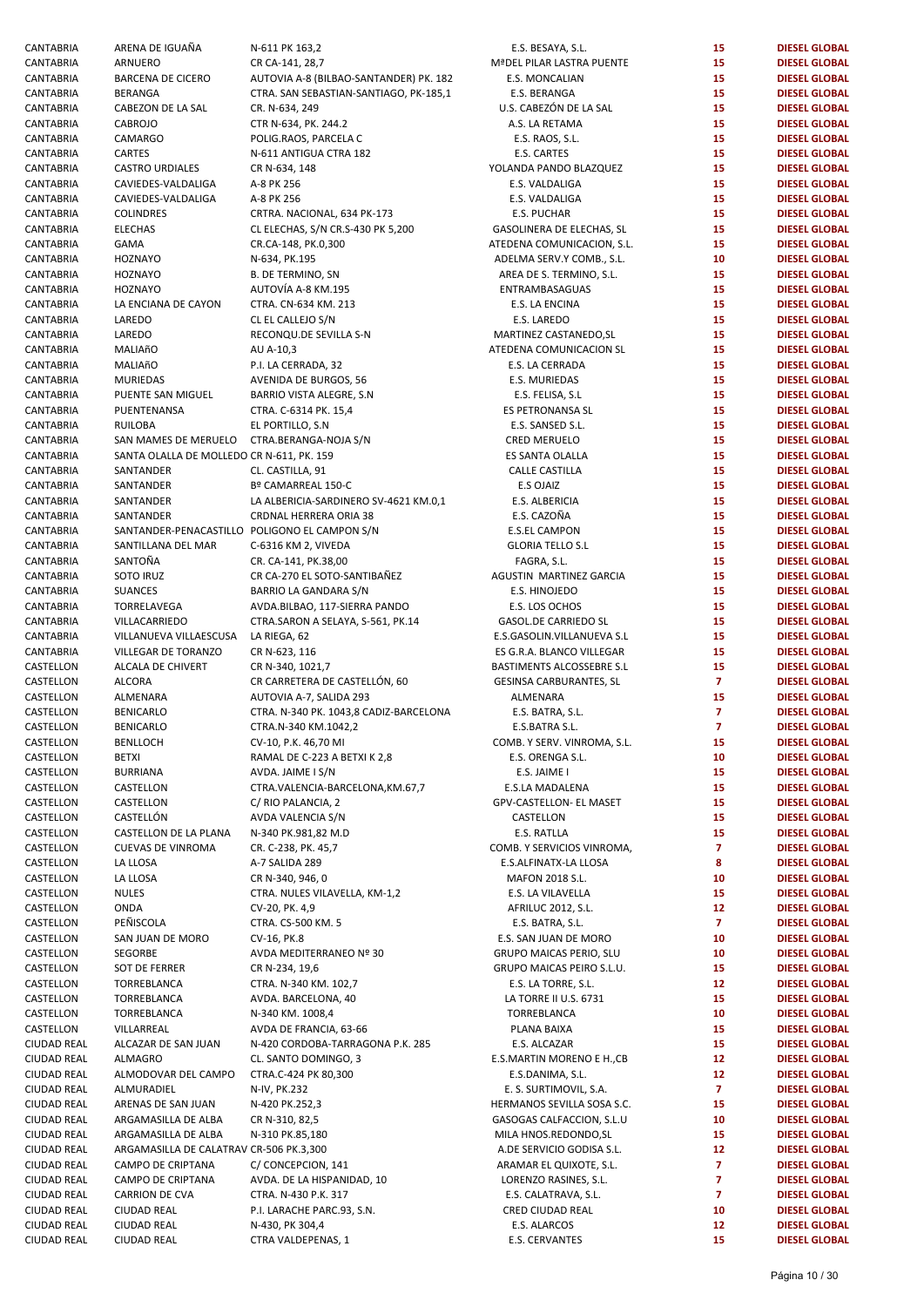| CANTABRIA                  | ARENA DE IGUAÑA                               | N-611 PK 163,2                         | E.S. BESAYA, S.L.              | 15              | <b>DIESEL GLOBAL</b>                         |
|----------------------------|-----------------------------------------------|----------------------------------------|--------------------------------|-----------------|----------------------------------------------|
| CANTABRIA                  | ARNUERO                                       | CR CA-141, 28,7                        | MªDEL PILAR LASTRA PUENTE      | 15              | <b>DIESEL GLOBAL</b>                         |
|                            |                                               |                                        |                                |                 |                                              |
| CANTABRIA                  | <b>BARCENA DE CICERO</b>                      | AUTOVIA A-8 (BILBAO-SANTANDER) PK. 182 | E.S. MONCALIAN                 | 15              | <b>DIESEL GLOBAL</b>                         |
| CANTABRIA                  | <b>BERANGA</b>                                | CTRA. SAN SEBASTIAN-SANTIAGO, PK-185,1 | E.S. BERANGA                   | 15              | <b>DIESEL GLOBAL</b>                         |
| CANTABRIA                  | CABEZON DE LA SAL                             | CR. N-634, 249                         | U.S. CABEZÓN DE LA SAL         | 15              | <b>DIESEL GLOBAL</b>                         |
| CANTABRIA                  | <b>CABROJO</b>                                | CTR N-634, PK. 244.2                   | A.S. LA RETAMA                 | 15              | <b>DIESEL GLOBAL</b>                         |
| CANTABRIA                  | CAMARGO                                       | POLIG.RAOS, PARCELA C                  | E.S. RAOS, S.L.                | 15              | <b>DIESEL GLOBAL</b>                         |
|                            |                                               |                                        |                                |                 |                                              |
| CANTABRIA                  | CARTES                                        | N-611 ANTIGUA CTRA 182                 | E.S. CARTES                    | 15              | <b>DIESEL GLOBAL</b>                         |
| CANTABRIA                  | <b>CASTRO URDIALES</b>                        | CR N-634, 148                          | YOLANDA PANDO BLAZQUEZ         | 15              | <b>DIESEL GLOBAL</b>                         |
| CANTABRIA                  | CAVIEDES-VALDALIGA                            | A-8 PK 256                             | E.S. VALDALIGA                 | 15              | <b>DIESEL GLOBAL</b>                         |
| CANTABRIA                  | CAVIEDES-VALDALIGA                            | A-8 PK 256                             |                                | 15              | <b>DIESEL GLOBAL</b>                         |
|                            |                                               |                                        | E.S. VALDALIGA                 |                 |                                              |
| CANTABRIA                  | <b>COLINDRES</b>                              | CRTRA. NACIONAL, 634 PK-173            | E.S. PUCHAR                    | 15              | <b>DIESEL GLOBAL</b>                         |
| CANTABRIA                  | <b>ELECHAS</b>                                | CL ELECHAS, S/N CR.S-430 PK 5,200      | GASOLINERA DE ELECHAS, SL      | 15              | <b>DIESEL GLOBAL</b>                         |
| CANTABRIA                  | GAMA                                          | CR.CA-148, PK.0,300                    | ATEDENA COMUNICACION, S.L.     | 15              | <b>DIESEL GLOBAL</b>                         |
|                            |                                               |                                        |                                |                 |                                              |
| CANTABRIA                  | <b>HOZNAYO</b>                                | N-634, PK.195                          | ADELMA SERV.Y COMB., S.L.      | 10              | <b>DIESEL GLOBAL</b>                         |
| CANTABRIA                  | <b>HOZNAYO</b>                                | <b>B. DE TERMINO, SN</b>               | AREA DE S. TERMINO, S.L.       | 15              | <b>DIESEL GLOBAL</b>                         |
| CANTABRIA                  | <b>HOZNAYO</b>                                | AUTOVÍA A-8 KM.195                     | ENTRAMBASAGUAS                 | 15              | <b>DIESEL GLOBAL</b>                         |
| CANTABRIA                  |                                               | CTRA. CN-634 KM. 213                   |                                | 15              | <b>DIESEL GLOBAL</b>                         |
|                            | LA ENCIANA DE CAYON                           |                                        | E.S. LA ENCINA                 |                 |                                              |
| CANTABRIA                  | LAREDO                                        | CL EL CALLEJO S/N                      | E.S. LAREDO                    | 15              | <b>DIESEL GLOBAL</b>                         |
| CANTABRIA                  | LAREDO                                        | RECONQU.DE SEVILLA S-N                 | MARTINEZ CASTANEDO, SL         | 15              | <b>DIESEL GLOBAL</b>                         |
| CANTABRIA                  | MALIAñO                                       | AU A-10,3                              | ATEDENA COMUNICACION SL        | 15              | <b>DIESEL GLOBAL</b>                         |
|                            |                                               |                                        |                                |                 |                                              |
| CANTABRIA                  | MALIAñO                                       | P.I. LA CERRADA, 32                    | E.S. LA CERRADA                | 15              | <b>DIESEL GLOBAL</b>                         |
| CANTABRIA                  | <b>MURIEDAS</b>                               | AVENIDA DE BURGOS, 56                  | E.S. MURIEDAS                  | 15              | <b>DIESEL GLOBAL</b>                         |
| CANTABRIA                  | PUENTE SAN MIGUEL                             | BARRIO VISTA ALEGRE, S.N.              | E.S. FELISA, S.L.              | 15              | <b>DIESEL GLOBAL</b>                         |
| CANTABRIA                  | PUENTENANSA                                   | CTRA. C-6314 PK. 15,4                  | ES PETRONANSA SL               | 15              | <b>DIESEL GLOBAL</b>                         |
|                            |                                               |                                        |                                |                 |                                              |
| CANTABRIA                  | <b>RUILOBA</b>                                | EL PORTILLO, S.N.                      | E.S. SANSED S.L.               | 15              | <b>DIESEL GLOBAL</b>                         |
| CANTABRIA                  | SAN MAMES DE MERUELO                          | CTRA.BERANGA-NOJA S/N                  | <b>CRED MERUELO</b>            | 15              | <b>DIESEL GLOBAL</b>                         |
| CANTABRIA                  | SANTA OLALLA DE MOLLEDO CR N-611, PK. 159     |                                        | ES SANTA OLALLA                | 15              | <b>DIESEL GLOBAL</b>                         |
|                            |                                               |                                        |                                |                 |                                              |
| CANTABRIA                  | SANTANDER                                     | CL. CASTILLA, 91                       | <b>CALLE CASTILLA</b>          | 15              | <b>DIESEL GLOBAL</b>                         |
| CANTABRIA                  | SANTANDER                                     | Bº CAMARREAL 150-C                     | E.S OJAIZ                      | 15              | <b>DIESEL GLOBAL</b>                         |
| CANTABRIA                  | SANTANDER                                     | LA ALBERICIA-SARDINERO SV-4621 KM.0,1  | E.S. ALBERICIA                 | 15              | <b>DIESEL GLOBAL</b>                         |
| CANTABRIA                  | SANTANDER                                     | CRDNAL HERRERA ORIA 38                 | E.S. CAZOÑA                    | 15              | <b>DIESEL GLOBAL</b>                         |
|                            |                                               |                                        |                                |                 |                                              |
| CANTABRIA                  | SANTANDER-PENACASTILLO POLIGONO EL CAMPON S/N |                                        | <b>E.S.EL CAMPON</b>           | 15              | <b>DIESEL GLOBAL</b>                         |
| CANTABRIA                  | SANTILLANA DEL MAR                            | C-6316 KM 2, VIVEDA                    | <b>GLORIA TELLO S.L</b>        | 15              | <b>DIESEL GLOBAL</b>                         |
| CANTABRIA                  | SANTOÑA                                       | CR. CA-141, PK.38,00                   | FAGRA, S.L.                    | 15              | <b>DIESEL GLOBAL</b>                         |
| CANTABRIA                  | SOTO IRUZ                                     | CR CA-270 EL SOTO-SANTIBAÑEZ           | AGUSTIN MARTINEZ GARCIA        | 15              | <b>DIESEL GLOBAL</b>                         |
|                            |                                               |                                        |                                |                 |                                              |
| CANTABRIA                  | <b>SUANCES</b>                                | BARRIO LA GANDARA S/N                  | E.S. HINOJEDO                  | 15              | <b>DIESEL GLOBAL</b>                         |
| CANTABRIA                  | TORRELAVEGA                                   | AVDA.BILBAO, 117-SIERRA PANDO          | E.S. LOS OCHOS                 | 15              | <b>DIESEL GLOBAL</b>                         |
| CANTABRIA                  | VILLACARRIEDO                                 | CTRA.SARON A SELAYA, S-561, PK.14      | GASOL.DE CARRIEDO SL           | 15              | <b>DIESEL GLOBAL</b>                         |
| CANTABRIA                  | VILLANUEVA VILLAESCUSA                        | LA RIEGA, 62                           | E.S.GASOLIN.VILLANUEVA S.L     | 15              | <b>DIESEL GLOBAL</b>                         |
|                            |                                               |                                        |                                |                 |                                              |
| CANTABRIA                  | VILLEGAR DE TORANZO                           | CR N-623, 116                          | ES G.R.A. BLANCO VILLEGAR      | 15              | <b>DIESEL GLOBAL</b>                         |
| CASTELLON                  | ALCALA DE CHIVERT                             | CR N-340, 1021,7                       | BASTIMENTS ALCOSSEBRE S.L      | 15              | <b>DIESEL GLOBAL</b>                         |
| CASTELLON                  | <b>ALCORA</b>                                 | CR CARRETERA DE CASTELLÓN, 60          | GESINSA CARBURANTES, SL        | $\overline{7}$  | <b>DIESEL GLOBAL</b>                         |
|                            |                                               |                                        |                                |                 |                                              |
| CASTELLON                  | ALMENARA                                      | AUTOVIA A-7, SALIDA 293                | ALMENARA                       | 15              | <b>DIESEL GLOBAL</b>                         |
| CASTELLON                  | <b>BENICARLO</b>                              | CTRA. N-340 PK. 1043,8 CADIZ-BARCELONA | E.S. BATRA, S.L.               | $\overline{7}$  | <b>DIESEL GLOBAL</b>                         |
| CASTELLON                  | <b>BENICARLO</b>                              | CTRA.N-340 KM.1042,2                   | E.S.BATRA S.L.                 | $\overline{7}$  | <b>DIESEL GLOBAL</b>                         |
| CASTELLON                  | <b>BENLLOCH</b>                               | CV-10, P.K. 46,70 MI                   | COMB. Y SERV. VINROMA, S.L.    | 15              | <b>DIESEL GLOBAL</b>                         |
|                            |                                               |                                        |                                |                 |                                              |
| CASTELLON                  | <b>BETXI</b>                                  | RAMAL DE C-223 A BETXI K 2,8           | E.S. ORENGA S.L.               | 10              | <b>DIESEL GLOBAL</b>                         |
| CASTELLON                  | <b>BURRIANA</b>                               | AVDA. JAIME I S/N                      | E.S. JAIME I                   | 15              | <b>DIESEL GLOBAL</b>                         |
| CASTELLON                  | CASTELLON                                     | CTRA.VALENCIA-BARCELONA,KM.67,7        | E.S.LA MADALENA                | 15              | <b>DIESEL GLOBAL</b>                         |
| CASTELLON                  | CASTELLON                                     | C/RIO PALANCIA, 2                      | GPV-CASTELLON- EL MASET        | 15              | <b>DIESEL GLOBAL</b>                         |
|                            |                                               |                                        |                                |                 |                                              |
| CASTELLON                  | CASTELLÓN                                     | AVDA VALENCIA S/N                      | CASTELLON                      | 15              | <b>DIESEL GLOBAL</b>                         |
| CASTELLON                  | CASTELLON DE LA PLANA                         | N-340 PK.981,82 M.D                    | E.S. RATLLA                    | 15              | <b>DIESEL GLOBAL</b>                         |
| CASTELLON                  | <b>CUEVAS DE VINROMA</b>                      | CR. C-238, PK. 45,7                    | COMB. Y SERVICIOS VINROMA,     | 7               | <b>DIESEL GLOBAL</b>                         |
|                            |                                               |                                        |                                |                 |                                              |
| CASTELLON                  | LA LLOSA                                      | A-7 SALIDA 289                         | E.S.ALFINATX-LA LLOSA          | 8               | <b>DIESEL GLOBAL</b>                         |
| CASTELLON                  | LA LLOSA                                      | CR N-340, 946, 0                       | MAFON 2018 S.L.                | 10              | <b>DIESEL GLOBAL</b>                         |
| CASTELLON                  | <b>NULES</b>                                  | CTRA. NULES VILAVELLA, KM-1,2          | E.S. LA VILAVELLA              | 15              | <b>DIESEL GLOBAL</b>                         |
| CASTELLON                  | ONDA                                          | CV-20, PK. 4,9                         | AFRILUC 2012, S.L.             | 12 <sub>2</sub> | <b>DIESEL GLOBAL</b>                         |
|                            |                                               |                                        |                                |                 |                                              |
| CASTELLON                  | PEÑISCOLA                                     | CTRA. CS-500 KM. 5                     | E.S. BATRA, S.L.               | $\overline{7}$  | <b>DIESEL GLOBAL</b>                         |
| CASTELLON                  | SAN JUAN DE MORO                              | CV-16, PK.8                            | E.S. SAN JUAN DE MORO          | 10              | <b>DIESEL GLOBAL</b>                         |
| CASTELLON                  | SEGORBE                                       | AVDA MEDITERRANEO Nº 30                | GRUPO MAICAS PERIO, SLU        | 10              | <b>DIESEL GLOBAL</b>                         |
|                            |                                               |                                        |                                |                 |                                              |
| CASTELLON                  | SOT DE FERRER                                 | CR N-234, 19,6                         | GRUPO MAICAS PEIRO S.L.U.      | 15              | <b>DIESEL GLOBAL</b>                         |
| CASTELLON                  | TORREBLANCA                                   | CTRA. N-340 KM. 102,7                  | E.S. LA TORRE, S.L.            | 12              | <b>DIESEL GLOBAL</b>                         |
|                            |                                               |                                        |                                |                 |                                              |
| CASTELLON                  | TORREBLANCA                                   | AVDA. BARCELONA, 40                    | LA TORRE II U.S. 6731          | 15              | <b>DIESEL GLOBAL</b>                         |
|                            |                                               |                                        |                                |                 |                                              |
| CASTELLON                  | TORREBLANCA                                   | N-340 KM. 1008,4                       | TORREBLANCA                    | 10              | <b>DIESEL GLOBAL</b>                         |
| CASTELLON                  | VILLARREAL                                    | AVDA DE FRANCIA, 63-66                 | PLANA BAIXA                    | 15              | <b>DIESEL GLOBAL</b>                         |
| CIUDAD REAL                | ALCAZAR DE SAN JUAN                           | N-420 CORDOBA-TARRAGONA P.K. 285       | E.S. ALCAZAR                   | 15              | <b>DIESEL GLOBAL</b>                         |
|                            |                                               |                                        |                                |                 |                                              |
| CIUDAD REAL                | <b>ALMAGRO</b>                                | CL. SANTO DOMINGO, 3                   | E.S.MARTIN MORENO E H., CB     | 12              | <b>DIESEL GLOBAL</b>                         |
| CIUDAD REAL                | ALMODOVAR DEL CAMPO                           | CTRA.C-424 PK 80,300                   | E.S.DANIMA, S.L.               | 12              | <b>DIESEL GLOBAL</b>                         |
| CIUDAD REAL                | ALMURADIEL                                    | N-IV, PK.232                           | E. S. SURTIMOVIL, S.A.         | $\mathbf{7}$    | <b>DIESEL GLOBAL</b>                         |
| CIUDAD REAL                | ARENAS DE SAN JUAN                            | N-420 PK.252,3                         | HERMANOS SEVILLA SOSA S.C.     | 15              | <b>DIESEL GLOBAL</b>                         |
|                            |                                               |                                        |                                |                 |                                              |
| CIUDAD REAL                | ARGAMASILLA DE ALBA                           | CR N-310, 82,5                         | GASOGAS CALFACCION, S.L.U      | 10              | <b>DIESEL GLOBAL</b>                         |
| CIUDAD REAL                | ARGAMASILLA DE ALBA                           | N-310 PK.85,180                        | MILA HNOS.REDONDO, SL          | 15              | <b>DIESEL GLOBAL</b>                         |
| CIUDAD REAL                | ARGAMASILLA DE CALATRAV CR-506 PK.3,300       |                                        | A.DE SERVICIO GODISA S.L.      | 12              | <b>DIESEL GLOBAL</b>                         |
| CIUDAD REAL                | CAMPO DE CRIPTANA                             | C/ CONCEPCION, 141                     |                                | $\overline{7}$  | <b>DIESEL GLOBAL</b>                         |
|                            |                                               |                                        | ARAMAR EL QUIXOTE, S.L.        |                 |                                              |
| CIUDAD REAL                | CAMPO DE CRIPTANA                             | AVDA. DE LA HISPANIDAD, 10             | LORENZO RASINES, S.L.          | 7               | <b>DIESEL GLOBAL</b>                         |
| CIUDAD REAL                | <b>CARRION DE CVA</b>                         | CTRA. N-430 P.K. 317                   | E.S. CALATRAVA, S.L.           | $\overline{7}$  | <b>DIESEL GLOBAL</b>                         |
| CIUDAD REAL                | <b>CIUDAD REAL</b>                            | P.I. LARACHE PARC.93, S.N.             | CRED CIUDAD REAL               | 10              | <b>DIESEL GLOBAL</b>                         |
|                            |                                               |                                        |                                |                 |                                              |
| CIUDAD REAL<br>CIUDAD REAL | <b>CIUDAD REAL</b><br><b>CIUDAD REAL</b>      | N-430, PK 304,4<br>CTRA VALDEPENAS, 1  | E.S. ALARCOS<br>E.S. CERVANTES | 12<br>15        | <b>DIESEL GLOBAL</b><br><b>DIESEL GLOBAL</b> |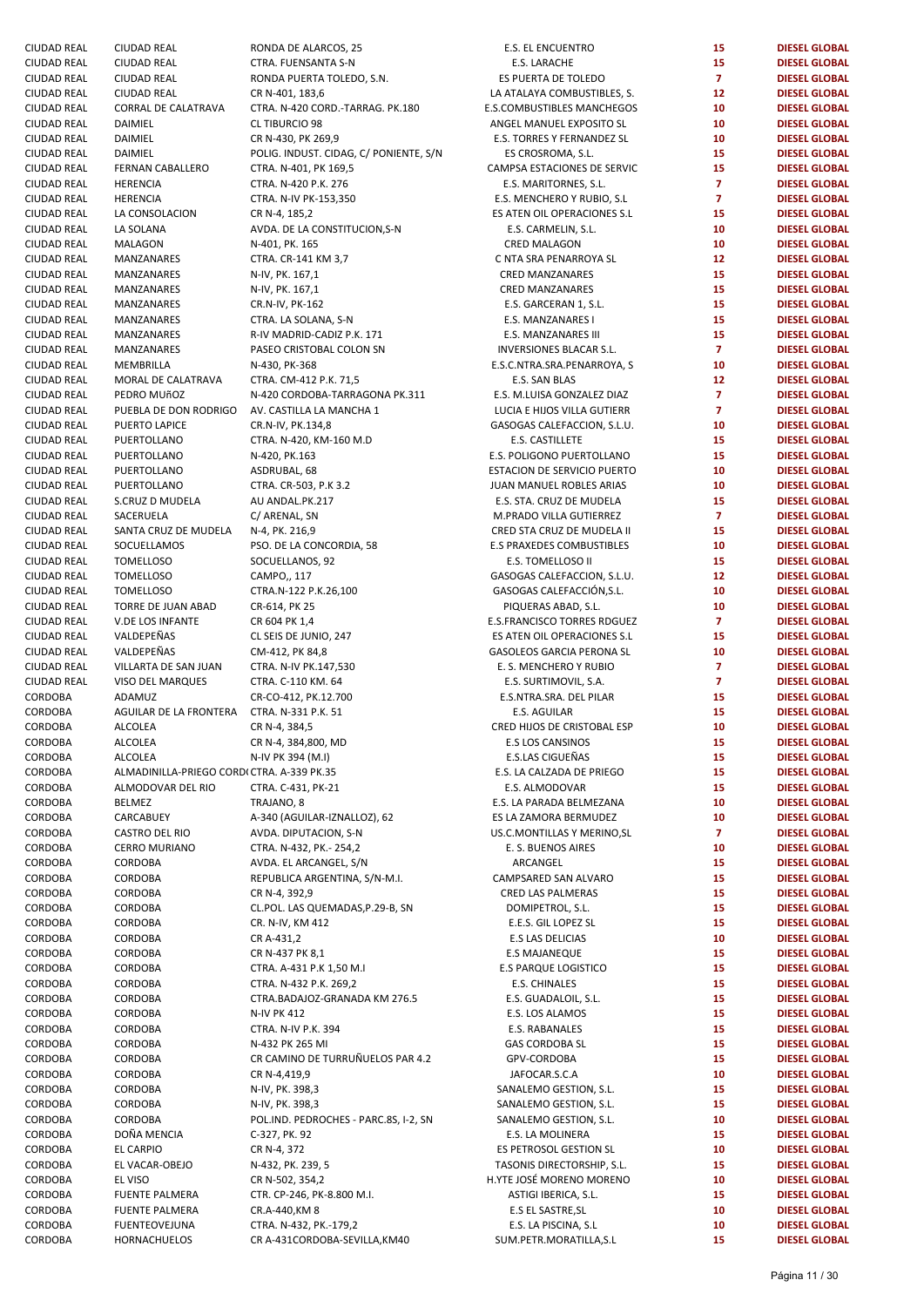| CIUDAD REAL | <b>CIUDAD REAL</b>                         | RONDA DE ALARCOS, 25                   | <b>E.S. EL ENCUENTRO</b>         | 15              | <b>DIESEL GLOBAL</b> |
|-------------|--------------------------------------------|----------------------------------------|----------------------------------|-----------------|----------------------|
| CIUDAD REAL | <b>CIUDAD REAL</b>                         | CTRA. FUENSANTA S-N                    | E.S. LARACHE                     | 15              | <b>DIESEL GLOBAL</b> |
| CIUDAD REAL | <b>CIUDAD REAL</b>                         | RONDA PUERTA TOLEDO, S.N.              | ES PUERTA DE TOLEDO              | $\mathbf{7}$    | <b>DIESEL GLOBAL</b> |
|             |                                            |                                        |                                  |                 |                      |
| CIUDAD REAL | <b>CIUDAD REAL</b>                         | CR N-401, 183,6                        | LA ATALAYA COMBUSTIBLES, S.      | 12              | <b>DIESEL GLOBAL</b> |
| CIUDAD REAL | CORRAL DE CALATRAVA                        | CTRA. N-420 CORD.-TARRAG. PK.180       | E.S.COMBUSTIBLES MANCHEGOS       | 10              | <b>DIESEL GLOBAL</b> |
| CIUDAD REAL | DAIMIEL                                    | <b>CL TIBURCIO 98</b>                  | ANGEL MANUEL EXPOSITO SL         | 10              | <b>DIESEL GLOBAL</b> |
| CIUDAD REAL | DAIMIEL                                    | CR N-430, PK 269,9                     | E.S. TORRES Y FERNANDEZ SL       | 10              | <b>DIESEL GLOBAL</b> |
| CIUDAD REAL | DAIMIEL                                    | POLIG. INDUST. CIDAG, C/ PONIENTE, S/N | ES CROSROMA, S.L.                | 15              | <b>DIESEL GLOBAL</b> |
| CIUDAD REAL | FERNAN CABALLERO                           | CTRA. N-401, PK 169,5                  | CAMPSA ESTACIONES DE SERVIC      | 15              | <b>DIESEL GLOBAL</b> |
| CIUDAD REAL | <b>HERENCIA</b>                            | CTRA. N-420 P.K. 276                   | E.S. MARITORNES, S.L.            | $\overline{7}$  | <b>DIESEL GLOBAL</b> |
|             |                                            |                                        |                                  |                 |                      |
| CIUDAD REAL | <b>HERENCIA</b>                            | CTRA. N-IV PK-153,350                  | E.S. MENCHERO Y RUBIO, S.L       | $\overline{7}$  | <b>DIESEL GLOBAL</b> |
| CIUDAD REAL | LA CONSOLACION                             | CR N-4, 185,2                          | ES ATEN OIL OPERACIONES S.L      | 15              | <b>DIESEL GLOBAL</b> |
| CIUDAD REAL | LA SOLANA                                  | AVDA. DE LA CONSTITUCION, S-N          | E.S. CARMELIN, S.L.              | 10              | <b>DIESEL GLOBAL</b> |
| CIUDAD REAL | <b>MALAGON</b>                             | N-401, PK. 165                         | <b>CRED MALAGON</b>              | 10              | <b>DIESEL GLOBAL</b> |
| CIUDAD REAL | MANZANARES                                 | CTRA. CR-141 KM 3,7                    | C NTA SRA PENARROYA SL           | 12 <sub>2</sub> | <b>DIESEL GLOBAL</b> |
| CIUDAD REAL | MANZANARES                                 | N-IV, PK. 167,1                        | <b>CRED MANZANARES</b>           | 15              | <b>DIESEL GLOBAL</b> |
|             |                                            |                                        |                                  |                 |                      |
| CIUDAD REAL | MANZANARES                                 | N-IV, PK. 167,1                        | <b>CRED MANZANARES</b>           | 15              | <b>DIESEL GLOBAL</b> |
| CIUDAD REAL | MANZANARES                                 | CR.N-IV, PK-162                        | E.S. GARCERAN 1, S.L.            | 15              | <b>DIESEL GLOBAL</b> |
| CIUDAD REAL | MANZANARES                                 | CTRA. LA SOLANA, S-N                   | E.S. MANZANARES I                | 15              | <b>DIESEL GLOBAL</b> |
| CIUDAD REAL | MANZANARES                                 | R-IV MADRID-CADIZ P.K. 171             | E.S. MANZANARES III              | 15              | <b>DIESEL GLOBAL</b> |
| CIUDAD REAL | MANZANARES                                 | PASEO CRISTOBAL COLON SN               | INVERSIONES BLACAR S.L.          | $\mathbf{7}$    | <b>DIESEL GLOBAL</b> |
| CIUDAD REAL | MEMBRILLA                                  | N-430, PK-368                          | E.S.C.NTRA.SRA.PENARROYA, S      | 10              | <b>DIESEL GLOBAL</b> |
|             |                                            |                                        |                                  |                 |                      |
| CIUDAD REAL | MORAL DE CALATRAVA                         | CTRA. CM-412 P.K. 71,5                 | E.S. SAN BLAS                    | 12              | <b>DIESEL GLOBAL</b> |
| CIUDAD REAL | PEDRO MUñOZ                                | N-420 CORDOBA-TARRAGONA PK.311         | E.S. M.LUISA GONZALEZ DIAZ       | $\overline{7}$  | <b>DIESEL GLOBAL</b> |
| CIUDAD REAL | PUEBLA DE DON RODRIGO                      | AV. CASTILLA LA MANCHA 1               | LUCIA E HIJOS VILLA GUTIERR      | $\overline{7}$  | <b>DIESEL GLOBAL</b> |
| CIUDAD REAL | PUERTO LAPICE                              | CR.N-IV, PK.134,8                      | GASOGAS CALEFACCION, S.L.U.      | 10              | <b>DIESEL GLOBAL</b> |
| CIUDAD REAL | PUERTOLLANO                                | CTRA. N-420, KM-160 M.D                | E.S. CASTILLETE                  | 15              | <b>DIESEL GLOBAL</b> |
| CIUDAD REAL | PUERTOLLANO                                | N-420, PK.163                          | E.S. POLIGONO PUERTOLLANO        | 15              | <b>DIESEL GLOBAL</b> |
|             |                                            |                                        |                                  |                 |                      |
| CIUDAD REAL | PUERTOLLANO                                | ASDRUBAL, 68                           | ESTACION DE SERVICIO PUERTO      | 10              | <b>DIESEL GLOBAL</b> |
| CIUDAD REAL | PUERTOLLANO                                | CTRA. CR-503, P.K 3.2                  | JUAN MANUEL ROBLES ARIAS         | 10              | <b>DIESEL GLOBAL</b> |
| CIUDAD REAL | S.CRUZ D MUDELA                            | AU ANDAL.PK.217                        | E.S. STA. CRUZ DE MUDELA         | 15              | <b>DIESEL GLOBAL</b> |
| CIUDAD REAL | SACERUELA                                  | C/ ARENAL, SN                          | M.PRADO VILLA GUTIERREZ          | $\mathbf{7}$    | <b>DIESEL GLOBAL</b> |
| CIUDAD REAL | SANTA CRUZ DE MUDELA                       | N-4, PK. 216,9                         | CRED STA CRUZ DE MUDELA II       | 15              | <b>DIESEL GLOBAL</b> |
| CIUDAD REAL | SOCUELLAMOS                                | PSO. DE LA CONCORDIA, 58               | E.S PRAXEDES COMBUSTIBLES        | 10              | <b>DIESEL GLOBAL</b> |
|             |                                            |                                        |                                  |                 |                      |
| CIUDAD REAL | <b>TOMELLOSO</b>                           | SOCUELLANOS, 92                        | E.S. TOMELLOSO II                | 15              | <b>DIESEL GLOBAL</b> |
| CIUDAD REAL | <b>TOMELLOSO</b>                           | CAMPO,, 117                            | GASOGAS CALEFACCION, S.L.U.      | 12 <sub>2</sub> | <b>DIESEL GLOBAL</b> |
| CIUDAD REAL | <b>TOMELLOSO</b>                           | CTRA.N-122 P.K.26,100                  | GASOGAS CALEFACCIÓN, S.L.        | 10              | <b>DIESEL GLOBAL</b> |
| CIUDAD REAL | TORRE DE JUAN ABAD                         | CR-614, PK 25                          | PIQUERAS ABAD, S.L.              | 10              | <b>DIESEL GLOBAL</b> |
| CIUDAD REAL | <b>V.DE LOS INFANTE</b>                    | CR 604 PK 1,4                          | E.S.FRANCISCO TORRES RDGUEZ      | $\mathbf{7}$    | <b>DIESEL GLOBAL</b> |
| CIUDAD REAL | VALDEPEÑAS                                 | CL SEIS DE JUNIO, 247                  | ES ATEN OIL OPERACIONES S.L      | 15              | <b>DIESEL GLOBAL</b> |
|             |                                            |                                        |                                  |                 |                      |
| CIUDAD REAL | VALDEPEÑAS                                 | CM-412, PK 84,8                        | <b>GASOLEOS GARCIA PERONA SL</b> | 10              | <b>DIESEL GLOBAL</b> |
| CIUDAD REAL | VILLARTA DE SAN JUAN                       | CTRA. N-IV PK.147,530                  | E. S. MENCHERO Y RUBIO           | $\overline{7}$  | <b>DIESEL GLOBAL</b> |
| CIUDAD REAL | VISO DEL MARQUES                           | CTRA. C-110 KM. 64                     | E.S. SURTIMOVIL, S.A.            | $\overline{7}$  | <b>DIESEL GLOBAL</b> |
| CORDOBA     | ADAMUZ                                     | CR-CO-412, PK.12.700                   | E.S.NTRA.SRA. DEL PILAR          | 15              | <b>DIESEL GLOBAL</b> |
| CORDOBA     | AGUILAR DE LA FRONTERA                     | CTRA. N-331 P.K. 51                    | E.S. AGUILAR                     | 15              | <b>DIESEL GLOBAL</b> |
| CORDOBA     | <b>ALCOLEA</b>                             | CR N-4, 384,5                          | CRED HIJOS DE CRISTOBAL ESP      | 10              | <b>DIESEL GLOBAL</b> |
|             |                                            |                                        |                                  |                 |                      |
| CORDOBA     | <b>ALCOLEA</b>                             | CR N-4, 384,800, MD                    | E.S LOS CANSINOS                 | 15              | <b>DIESEL GLOBAL</b> |
| CORDOBA     | ALCOLEA                                    | N-IV PK 394 (M.I)                      | E.S.LAS CIGUEÑAS                 | 15              | <b>DIESEL GLOBAL</b> |
| CORDOBA     | ALMADINILLA-PRIEGO CORDI CTRA. A-339 PK.35 |                                        | E.S. LA CALZADA DE PRIEGO        | 15              | <b>DIESEL GLOBAL</b> |
| CORDOBA     | ALMODOVAR DEL RIO                          | CTRA. C-431, PK-21                     | E.S. ALMODOVAR                   | 15              | <b>DIESEL GLOBAL</b> |
| CORDOBA     | <b>BELMEZ</b>                              | TRAJANO, 8                             | E.S. LA PARADA BELMEZANA         | 10              | <b>DIESEL GLOBAL</b> |
| CORDOBA     | CARCABUEY                                  | A-340 (AGUILAR-IZNALLOZ), 62           | ES LA ZAMORA BERMUDEZ            | 10              | <b>DIESEL GLOBAL</b> |
|             |                                            |                                        |                                  |                 |                      |
| CORDOBA     | <b>CASTRO DEL RIO</b>                      | AVDA. DIPUTACION, S-N                  | US.C.MONTILLAS Y MERINO, SL      | 7               | <b>DIESEL GLOBAL</b> |
| CORDOBA     | <b>CERRO MURIANO</b>                       | CTRA. N-432, PK.- 254,2                | E. S. BUENOS AIRES               | 10              | <b>DIESEL GLOBAL</b> |
| CORDOBA     | CORDOBA                                    | AVDA. EL ARCANGEL, S/N                 | ARCANGEL                         | 15              | <b>DIESEL GLOBAL</b> |
| CORDOBA     | CORDOBA                                    | REPUBLICA ARGENTINA, S/N-M.I.          | CAMPSARED SAN ALVARO             | 15              | <b>DIESEL GLOBAL</b> |
| CORDOBA     | CORDOBA                                    | CR N-4, 392,9                          | CRED LAS PALMERAS                | 15              | <b>DIESEL GLOBAL</b> |
|             |                                            |                                        | DOMIPETROL, S.L.                 |                 | <b>DIESEL GLOBAL</b> |
| CORDOBA     | CORDOBA                                    | CL.POL. LAS QUEMADAS, P.29-B, SN       |                                  | 15              |                      |
| CORDOBA     | CORDOBA                                    | CR. N-IV, KM 412                       | E.E.S. GIL LOPEZ SL              | 15              | <b>DIESEL GLOBAL</b> |
| CORDOBA     | CORDOBA                                    | CR A-431,2                             | <b>E.S LAS DELICIAS</b>          | 10              | <b>DIESEL GLOBAL</b> |
| CORDOBA     | CORDOBA                                    | CR N-437 PK 8,1                        | <b>E.S MAJANEQUE</b>             | 15              | <b>DIESEL GLOBAL</b> |
| CORDOBA     | CORDOBA                                    | CTRA. A-431 P.K 1,50 M.I               | <b>E.S PARQUE LOGISTICO</b>      | 15              | <b>DIESEL GLOBAL</b> |
| CORDOBA     | CORDOBA                                    | CTRA. N-432 P.K. 269,2                 | E.S. CHINALES                    | 15              | <b>DIESEL GLOBAL</b> |
| CORDOBA     | CORDOBA                                    | CTRA.BADAJOZ-GRANADA KM 276.5          | E.S. GUADALOIL, S.L.             | 15              | <b>DIESEL GLOBAL</b> |
|             |                                            |                                        |                                  |                 |                      |
| CORDOBA     | CORDOBA                                    | N-IV PK 412                            | E.S. LOS ALAMOS                  | 15              | <b>DIESEL GLOBAL</b> |
| CORDOBA     | CORDOBA                                    | CTRA. N-IV P.K. 394                    | E.S. RABANALES                   | 15              | <b>DIESEL GLOBAL</b> |
| CORDOBA     | CORDOBA                                    | N-432 PK 265 MI                        | <b>GAS CORDOBA SL</b>            | 15              | <b>DIESEL GLOBAL</b> |
| CORDOBA     | CORDOBA                                    | CR CAMINO DE TURRUÑUELOS PAR 4.2       | GPV-CORDOBA                      | 15              | <b>DIESEL GLOBAL</b> |
| CORDOBA     | CORDOBA                                    | CR N-4,419,9                           | JAFOCAR.S.C.A                    | 10              | <b>DIESEL GLOBAL</b> |
| CORDOBA     | CORDOBA                                    | N-IV, PK. 398,3                        | SANALEMO GESTION, S.L.           | 15              | <b>DIESEL GLOBAL</b> |
|             |                                            |                                        |                                  |                 |                      |
| CORDOBA     | CORDOBA                                    | N-IV, PK. 398,3                        | SANALEMO GESTION, S.L.           | 15              | <b>DIESEL GLOBAL</b> |
| CORDOBA     | CORDOBA                                    | POL.IND. PEDROCHES - PARC.8S, I-2, SN  | SANALEMO GESTION, S.L.           | 10              | <b>DIESEL GLOBAL</b> |
| CORDOBA     | DOÑA MENCIA                                | C-327, PK. 92                          | E.S. LA MOLINERA                 | 15              | <b>DIESEL GLOBAL</b> |
| CORDOBA     | <b>EL CARPIO</b>                           | CR N-4, 372                            | ES PETROSOL GESTION SL           | 10              | <b>DIESEL GLOBAL</b> |
| CORDOBA     | EL VACAR-OBEJO                             | N-432, PK. 239, 5                      | TASONIS DIRECTORSHIP, S.L.       | 15              | <b>DIESEL GLOBAL</b> |
| CORDOBA     | EL VISO                                    | CR N-502, 354,2                        | H.YTE JOSÉ MORENO MORENO         | 10              | <b>DIESEL GLOBAL</b> |
|             |                                            |                                        |                                  |                 |                      |
| CORDOBA     | <b>FUENTE PALMERA</b>                      | CTR. CP-246, PK-8.800 M.I.             | ASTIGI IBERICA, S.L.             | 15              | <b>DIESEL GLOBAL</b> |
| CORDOBA     | <b>FUENTE PALMERA</b>                      | CR.A-440, KM 8                         | E.S EL SASTRE, SL                | 10              | <b>DIESEL GLOBAL</b> |
| CORDOBA     | FUENTEOVEJUNA                              | CTRA. N-432, PK.-179,2                 | E.S. LA PISCINA, S.L             | 10              | <b>DIESEL GLOBAL</b> |
| CORDOBA     | HORNACHUELOS                               | CR A-431CORDOBA-SEVILLA, KM40          | SUM.PETR.MORATILLA,S.L           | 15              | <b>DIESEL GLOBAL</b> |
|             |                                            |                                        |                                  |                 |                      |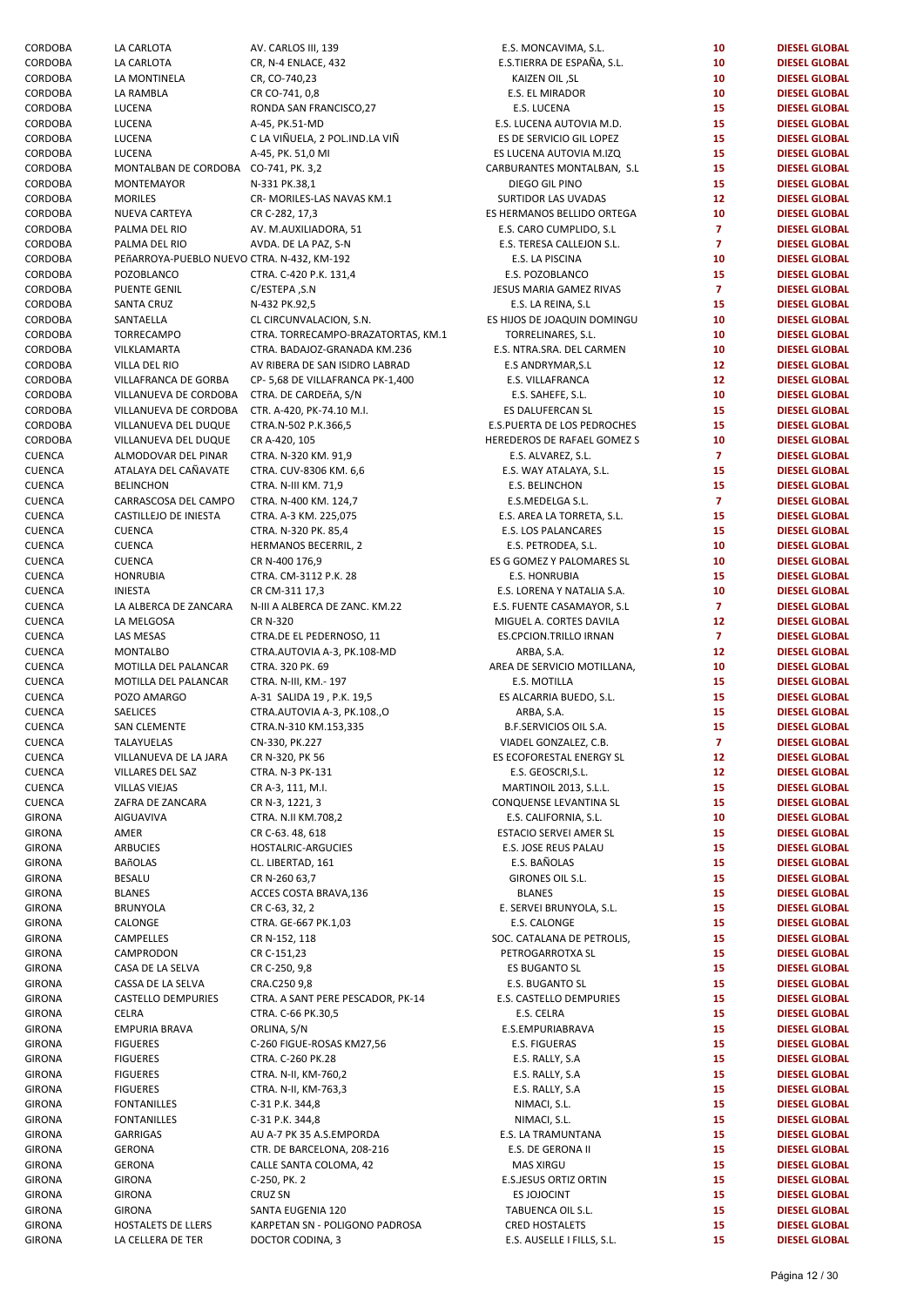| CORDOBA       | LA CARLOTA                                  | AV. CARLOS III, 139                | E.S. MONCAVIMA, S.L.          | 10              | <b>DIESEL GLOBAL</b> |
|---------------|---------------------------------------------|------------------------------------|-------------------------------|-----------------|----------------------|
| CORDOBA       | LA CARLOTA                                  | CR, N-4 ENLACE, 432                | E.S.TIERRA DE ESPAÑA, S.L.    | 10              | <b>DIESEL GLOBAL</b> |
| CORDOBA       | LA MONTINELA                                | CR, CO-740,23                      | KAIZEN OIL, SL                | 10              | <b>DIESEL GLOBAL</b> |
| CORDOBA       | LA RAMBLA                                   | CR CO-741, 0,8                     | E.S. EL MIRADOR               | 10              | <b>DIESEL GLOBAL</b> |
|               |                                             |                                    |                               |                 |                      |
| CORDOBA       | LUCENA                                      | RONDA SAN FRANCISCO, 27            | E.S. LUCENA                   | 15              | <b>DIESEL GLOBAL</b> |
| CORDOBA       | LUCENA                                      | A-45, PK.51-MD                     | E.S. LUCENA AUTOVIA M.D.      | 15              | <b>DIESEL GLOBAL</b> |
| CORDOBA       | LUCENA                                      | C LA VIÑUELA, 2 POL.IND.LA VIÑ     | ES DE SERVICIO GIL LOPEZ      | 15              | <b>DIESEL GLOBAL</b> |
| CORDOBA       | LUCENA                                      | A-45, PK. 51,0 MI                  | ES LUCENA AUTOVIA M.IZQ       | 15              | <b>DIESEL GLOBAL</b> |
| CORDOBA       | MONTALBAN DE CORDOBA CO-741, PK. 3,2        |                                    | CARBURANTES MONTALBAN, S.L    | 15              | <b>DIESEL GLOBAL</b> |
| CORDOBA       | MONTEMAYOR                                  | N-331 PK.38,1                      | DIEGO GIL PINO                | 15              | <b>DIESEL GLOBAL</b> |
| CORDOBA       | <b>MORILES</b>                              | CR- MORILES-LAS NAVAS KM.1         | SURTIDOR LAS UVADAS           | 12 <sub>2</sub> | <b>DIESEL GLOBAL</b> |
| CORDOBA       | NUEVA CARTEYA                               | CR C-282, 17,3                     | ES HERMANOS BELLIDO ORTEGA    | 10              | <b>DIESEL GLOBAL</b> |
|               |                                             |                                    |                               |                 | <b>DIESEL GLOBAL</b> |
| CORDOBA       | PALMA DEL RIO                               | AV. M.AUXILIADORA, 51              | E.S. CARO CUMPLIDO, S.L       | $\overline{7}$  |                      |
| CORDOBA       | PALMA DEL RIO                               | AVDA. DE LA PAZ, S-N               | E.S. TERESA CALLEJON S.L.     | $\overline{7}$  | <b>DIESEL GLOBAL</b> |
| CORDOBA       | PEñARROYA-PUEBLO NUEVO CTRA. N-432, KM-192  |                                    | E.S. LA PISCINA               | 10              | <b>DIESEL GLOBAL</b> |
| CORDOBA       | POZOBLANCO                                  | CTRA. C-420 P.K. 131,4             | E.S. POZOBLANCO               | 15              | <b>DIESEL GLOBAL</b> |
| CORDOBA       | <b>PUENTE GENIL</b>                         | C/ESTEPA, S.N                      | JESUS MARIA GAMEZ RIVAS       | $\overline{7}$  | <b>DIESEL GLOBAL</b> |
| CORDOBA       | <b>SANTA CRUZ</b>                           | N-432 PK.92,5                      | E.S. LA REINA, S.L            | 15              | <b>DIESEL GLOBAL</b> |
|               |                                             |                                    |                               |                 |                      |
| CORDOBA       | SANTAELLA                                   | CL CIRCUNVALACION, S.N.            | ES HIJOS DE JOAQUIN DOMINGU   | 10              | <b>DIESEL GLOBAL</b> |
| CORDOBA       | TORRECAMPO                                  | CTRA. TORRECAMPO-BRAZATORTAS, KM.1 | TORRELINARES, S.L.            | 10              | <b>DIESEL GLOBAL</b> |
| CORDOBA       | VILKLAMARTA                                 | CTRA. BADAJOZ-GRANADA KM.236       | E.S. NTRA.SRA. DEL CARMEN     | 10              | <b>DIESEL GLOBAL</b> |
| CORDOBA       | VILLA DEL RIO                               | AV RIBERA DE SAN ISIDRO LABRAD     | E.S ANDRYMAR, S.L             | 12 <sub>2</sub> | <b>DIESEL GLOBAL</b> |
| CORDOBA       | VILLAFRANCA DE GORBA                        | CP-5,68 DE VILLAFRANCA PK-1,400    | E.S. VILLAFRANCA              | 12 <sup>2</sup> | <b>DIESEL GLOBAL</b> |
| CORDOBA       | VILLANUEVA DE CORDOBA CTRA. DE CARDEñA, S/N |                                    | E.S. SAHEFE, S.L.             | 10              | <b>DIESEL GLOBAL</b> |
|               |                                             |                                    |                               |                 |                      |
| CORDOBA       | VILLANUEVA DE CORDOBA                       | CTR. A-420, PK-74.10 M.I.          | ES DALUFERCAN SL              | 15              | <b>DIESEL GLOBAL</b> |
| CORDOBA       | VILLANUEVA DEL DUQUE                        | CTRA.N-502 P.K.366,5               | E.S.PUERTA DE LOS PEDROCHES   | 15              | <b>DIESEL GLOBAL</b> |
| CORDOBA       | VILLANUEVA DEL DUQUE                        | CR A-420, 105                      | HEREDEROS DE RAFAEL GOMEZ S   | 10              | <b>DIESEL GLOBAL</b> |
| CUENCA        | ALMODOVAR DEL PINAR                         | CTRA. N-320 KM. 91,9               | E.S. ALVAREZ, S.L.            | $\mathbf{7}$    | <b>DIESEL GLOBAL</b> |
| <b>CUENCA</b> | ATALAYA DEL CAÑAVATE                        | CTRA. CUV-8306 KM. 6,6             | E.S. WAY ATALAYA, S.L.        | 15              | <b>DIESEL GLOBAL</b> |
| CUENCA        | <b>BELINCHON</b>                            | CTRA. N-III KM. 71,9               | E.S. BELINCHON                | 15              | <b>DIESEL GLOBAL</b> |
|               |                                             |                                    |                               |                 |                      |
| CUENCA        | CARRASCOSA DEL CAMPO                        | CTRA. N-400 KM. 124,7              | E.S.MEDELGA S.L.              | $\mathbf{7}$    | <b>DIESEL GLOBAL</b> |
| CUENCA        | CASTILLEJO DE INIESTA                       | CTRA. A-3 KM. 225,075              | E.S. AREA LA TORRETA, S.L.    | 15              | <b>DIESEL GLOBAL</b> |
| CUENCA        | <b>CUENCA</b>                               | CTRA. N-320 PK. 85,4               | E.S. LOS PALANCARES           | 15              | <b>DIESEL GLOBAL</b> |
| CUENCA        | <b>CUENCA</b>                               | HERMANOS BECERRIL, 2               | E.S. PETRODEA, S.L.           | 10              | <b>DIESEL GLOBAL</b> |
| CUENCA        | CUENCA                                      | CR N-400 176,9                     | ES G GOMEZ Y PALOMARES SL     | 10              | <b>DIESEL GLOBAL</b> |
| CUENCA        | <b>HONRUBIA</b>                             | CTRA. CM-3112 P.K. 28              | E.S. HONRUBIA                 | 15              | <b>DIESEL GLOBAL</b> |
|               | <b>INIESTA</b>                              |                                    |                               | 10              |                      |
| CUENCA        |                                             | CR CM-311 17,3                     | E.S. LORENA Y NATALIA S.A.    |                 | <b>DIESEL GLOBAL</b> |
| CUENCA        | LA ALBERCA DE ZANCARA                       | N-III A ALBERCA DE ZANC. KM.22     | E.S. FUENTE CASAMAYOR, S.L    | $\overline{7}$  | <b>DIESEL GLOBAL</b> |
| CUENCA        | LA MELGOSA                                  | CR N-320                           | MIGUEL A. CORTES DAVILA       | 12 <sup>2</sup> | <b>DIESEL GLOBAL</b> |
| CUENCA        | LAS MESAS                                   | CTRA.DE EL PEDERNOSO, 11           | ES.CPCION.TRILLO IRNAN        | $\mathbf{7}$    | <b>DIESEL GLOBAL</b> |
| CUENCA        | <b>MONTALBO</b>                             | CTRA.AUTOVIA A-3, PK.108-MD        | ARBA, S.A.                    | 12 <sub>2</sub> | <b>DIESEL GLOBAL</b> |
| CUENCA        | MOTILLA DEL PALANCAR                        | CTRA. 320 PK. 69                   | AREA DE SERVICIO MOTILLANA,   | 10              | <b>DIESEL GLOBAL</b> |
| CUENCA        | MOTILLA DEL PALANCAR                        | CTRA. N-III, KM.- 197              | E.S. MOTILLA                  | 15              | <b>DIESEL GLOBAL</b> |
|               |                                             |                                    |                               |                 |                      |
| CUENCA        | POZO AMARGO                                 | A-31 SALIDA 19, P.K. 19,5          | ES ALCARRIA BUEDO, S.L.       | 15              | <b>DIESEL GLOBAL</b> |
| CUENCA        | SAELICES                                    | CTRA.AUTOVIA A-3, PK.108.,O        | ARBA, S.A.                    | 15              | <b>DIESEL GLOBAL</b> |
| CUENCA        | <b>SAN CLEMENTE</b>                         | CTRA.N-310 KM.153,335              | <b>B.F.SERVICIOS OIL S.A.</b> | 15              | <b>DIESEL GLOBAL</b> |
| CUENCA        | TALAYUELAS                                  | CN-330, PK.227                     | VIADEL GONZALEZ, C.B.         | $\overline{7}$  | <b>DIESEL GLOBAL</b> |
| CUENCA        | VILLANUEVA DE LA JARA                       | CR N-320, PK 56                    | ES ECOFORESTAL ENERGY SL      | 12              | <b>DIESEL GLOBAL</b> |
| CUENCA        | VILLARES DEL SAZ                            | CTRA. N-3 PK-131                   | E.S. GEOSCRI, S.L.            | 12 <sub>2</sub> | <b>DIESEL GLOBAL</b> |
|               |                                             |                                    |                               |                 |                      |
| CUENCA        | <b>VILLAS VIEJAS</b>                        | CR A-3, 111, M.I.                  | MARTINOIL 2013, S.L.L.        | 15              | <b>DIESEL GLOBAL</b> |
| CUENCA        | ZAFRA DE ZANCARA                            | CR N-3, 1221, 3                    | CONQUENSE LEVANTINA SL        | 15              | <b>DIESEL GLOBAL</b> |
| GIRONA        | AIGUAVIVA                                   | CTRA. N.II KM.708,2                | E.S. CALIFORNIA, S.L.         | 10              | <b>DIESEL GLOBAL</b> |
| GIRONA        | AMER                                        | CR C-63. 48, 618                   | ESTACIO SERVEI AMER SL        | 15              | <b>DIESEL GLOBAL</b> |
| GIRONA        | <b>ARBUCIES</b>                             | HOSTALRIC-ARGUCIES                 | E.S. JOSE REUS PALAU          | 15              | <b>DIESEL GLOBAL</b> |
| GIRONA        | <b>BAñOLAS</b>                              | CL. LIBERTAD, 161                  | E.S. BAÑOLAS                  | 15              | <b>DIESEL GLOBAL</b> |
|               |                                             |                                    |                               |                 |                      |
| GIRONA        | <b>BESALU</b>                               | CR N-260 63,7                      | GIRONES OIL S.L.              | 15              | <b>DIESEL GLOBAL</b> |
| GIRONA        | <b>BLANES</b>                               | ACCES COSTA BRAVA,136              | <b>BLANES</b>                 | 15              | <b>DIESEL GLOBAL</b> |
| GIRONA        | <b>BRUNYOLA</b>                             | CR C-63, 32, 2                     | E. SERVEI BRUNYOLA, S.L.      | 15              | <b>DIESEL GLOBAL</b> |
| GIRONA        | CALONGE                                     | CTRA. GE-667 PK.1,03               | E.S. CALONGE                  | 15              | <b>DIESEL GLOBAL</b> |
| GIRONA        | CAMPELLES                                   | CR N-152, 118                      | SOC. CATALANA DE PETROLIS,    | 15              | <b>DIESEL GLOBAL</b> |
| GIRONA        | CAMPRODON                                   | CR C-151,23                        | PETROGARROTXA SL              | 15              | <b>DIESEL GLOBAL</b> |
|               |                                             | CR C-250, 9,8                      |                               | 15              | <b>DIESEL GLOBAL</b> |
| GIRONA        | CASA DE LA SELVA                            |                                    | ES BUGANTO SL                 |                 |                      |
| GIRONA        | CASSA DE LA SELVA                           | CRA.C250 9,8                       | E.S. BUGANTO SL               | 15              | <b>DIESEL GLOBAL</b> |
| GIRONA        | <b>CASTELLO DEMPURIES</b>                   | CTRA. A SANT PERE PESCADOR, PK-14  | E.S. CASTELLO DEMPURIES       | 15              | <b>DIESEL GLOBAL</b> |
| GIRONA        | CELRA                                       | CTRA. C-66 PK.30,5                 | E.S. CELRA                    | 15              | <b>DIESEL GLOBAL</b> |
| GIRONA        | <b>EMPURIA BRAVA</b>                        | ORLINA, S/N                        | E.S.EMPURIABRAVA              | 15              | <b>DIESEL GLOBAL</b> |
| GIRONA        | <b>FIGUERES</b>                             | C-260 FIGUE-ROSAS KM27,56          | E.S. FIGUERAS                 | 15              | <b>DIESEL GLOBAL</b> |
| GIRONA        | <b>FIGUERES</b>                             | CTRA. C-260 PK.28                  |                               | 15              | <b>DIESEL GLOBAL</b> |
|               |                                             |                                    | E.S. RALLY, S.A               |                 |                      |
| GIRONA        | <b>FIGUERES</b>                             | CTRA. N-II, KM-760,2               | E.S. RALLY, S.A               | 15              | <b>DIESEL GLOBAL</b> |
| GIRONA        | <b>FIGUERES</b>                             | CTRA. N-II, KM-763,3               | E.S. RALLY, S.A               | 15              | <b>DIESEL GLOBAL</b> |
| GIRONA        | <b>FONTANILLES</b>                          | C-31 P.K. 344,8                    | NIMACI, S.L.                  | 15              | <b>DIESEL GLOBAL</b> |
| GIRONA        | <b>FONTANILLES</b>                          | C-31 P.K. 344,8                    | NIMACI, S.L.                  | 15              | <b>DIESEL GLOBAL</b> |
| GIRONA        | <b>GARRIGAS</b>                             | AU A-7 PK 35 A.S.EMPORDA           | E.S. LA TRAMUNTANA            | 15              | <b>DIESEL GLOBAL</b> |
| GIRONA        | <b>GERONA</b>                               | CTR. DE BARCELONA, 208-216         | E.S. DE GERONA II             | 15              | <b>DIESEL GLOBAL</b> |
|               |                                             |                                    |                               |                 |                      |
| GIRONA        | <b>GERONA</b>                               | CALLE SANTA COLOMA, 42             | <b>MAS XIRGU</b>              | 15              | <b>DIESEL GLOBAL</b> |
| GIRONA        | <b>GIRONA</b>                               | C-250, PK. 2                       | <b>E.S.JESUS ORTIZ ORTIN</b>  | 15              | <b>DIESEL GLOBAL</b> |
| GIRONA        | <b>GIRONA</b>                               | <b>CRUZ SN</b>                     | ES JOJOCINT                   | 15              | <b>DIESEL GLOBAL</b> |
| GIRONA        | <b>GIRONA</b>                               | SANTA EUGENIA 120                  | TABUENCA OIL S.L.             | 15              | <b>DIESEL GLOBAL</b> |
| GIRONA        | HOSTALETS DE LLERS                          | KARPETAN SN - POLIGONO PADROSA     | <b>CRED HOSTALETS</b>         | 15              | <b>DIESEL GLOBAL</b> |
| GIRONA        |                                             | DOCTOR CODINA, 3                   |                               | 15              | <b>DIESEL GLOBAL</b> |
|               | LA CELLERA DE TER                           |                                    | E.S. AUSELLE I FILLS, S.L.    |                 |                      |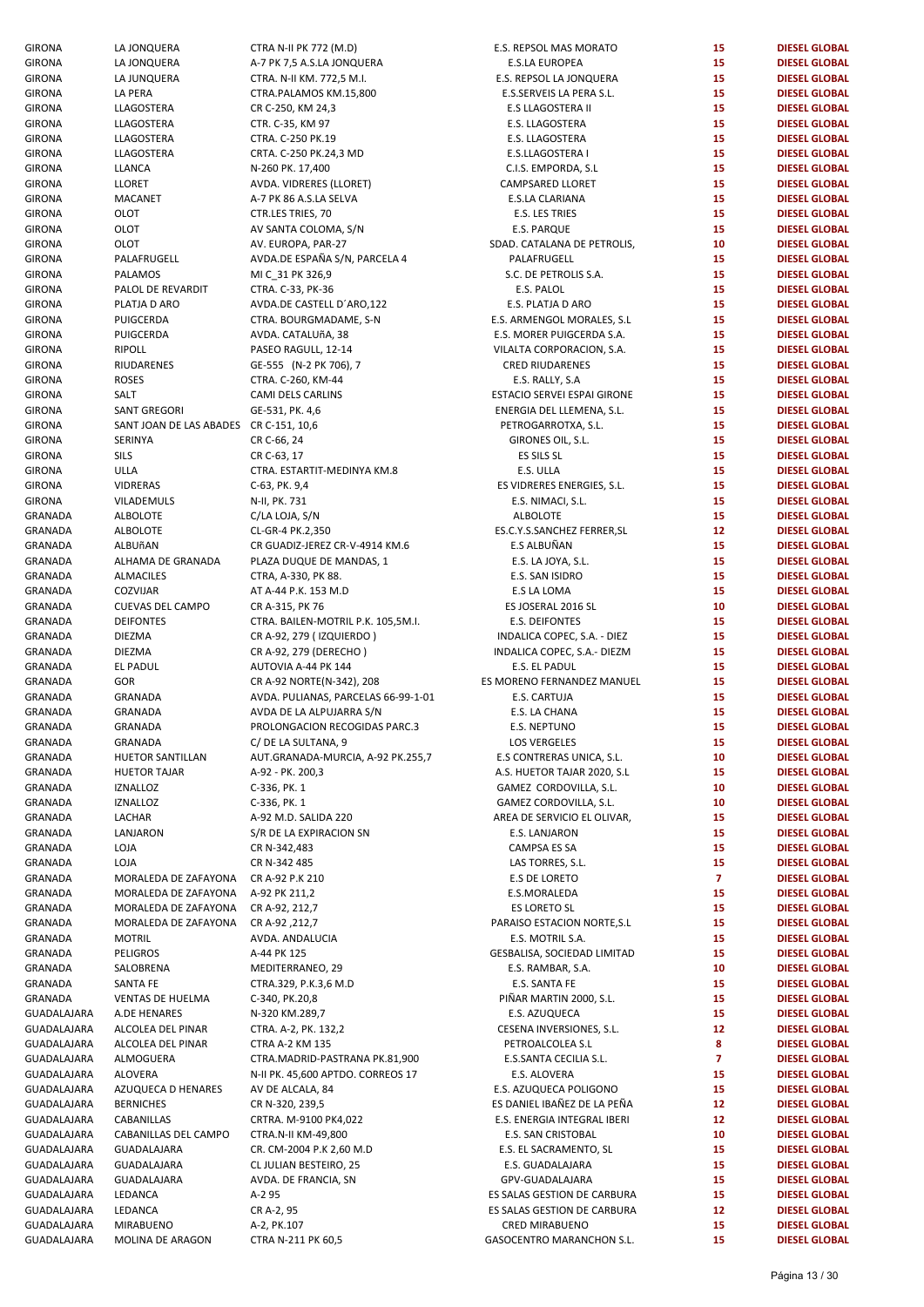| <b>GIRONA</b>  | LA JONQUERA                            | CTRA N-II PK 772 (M.D)              | E.S. REPSOL MAS MORATO      | 15              | <b>DIESEL GLOBAL</b> |
|----------------|----------------------------------------|-------------------------------------|-----------------------------|-----------------|----------------------|
| GIRONA         | LA JONQUERA                            | A-7 PK 7,5 A.S.LA JONQUERA          | <b>E.S.LA EUROPEA</b>       | 15              | <b>DIESEL GLOBAL</b> |
| GIRONA         | LA JUNQUERA                            | CTRA. N-II KM. 772,5 M.I.           | E.S. REPSOL LA JONQUERA     | 15              | <b>DIESEL GLOBAL</b> |
| GIRONA         | LA PERA                                | CTRA.PALAMOS KM.15,800              | E.S.SERVEIS LA PERA S.L.    | 15              | <b>DIESEL GLOBAL</b> |
| GIRONA         | LLAGOSTERA                             | CR C-250, KM 24,3                   | E.S LLAGOSTERA II           | 15              | <b>DIESEL GLOBAL</b> |
| <b>GIRONA</b>  | LLAGOSTERA                             | CTR. C-35, KM 97                    | E.S. LLAGOSTERA             | 15              | <b>DIESEL GLOBAL</b> |
| GIRONA         | LLAGOSTERA                             | CTRA. C-250 PK.19                   | E.S. LLAGOSTERA             | 15              | <b>DIESEL GLOBAL</b> |
| GIRONA         | LLAGOSTERA                             | CRTA. C-250 PK.24,3 MD              | E.S.LLAGOSTERA I            | 15              | <b>DIESEL GLOBAL</b> |
|                |                                        |                                     |                             | 15              |                      |
| GIRONA         | LLANCA                                 | N-260 PK. 17,400                    | C.I.S. EMPORDA, S.L         |                 | <b>DIESEL GLOBAL</b> |
| GIRONA         | <b>LLORET</b>                          | AVDA. VIDRERES (LLORET)             | CAMPSARED LLORET            | 15              | <b>DIESEL GLOBAL</b> |
| GIRONA         | <b>MACANET</b>                         | A-7 PK 86 A.S.LA SELVA              | E.S.LA CLARIANA             | 15              | <b>DIESEL GLOBAL</b> |
| <b>GIRONA</b>  | OLOT                                   | CTR.LES TRIES, 70                   | E.S. LES TRIES              | 15              | <b>DIESEL GLOBAL</b> |
| GIRONA         | OLOT                                   | AV SANTA COLOMA, S/N                | E.S. PARQUE                 | 15              | <b>DIESEL GLOBAL</b> |
| GIRONA         | OLOT                                   | AV. EUROPA, PAR-27                  | SDAD. CATALANA DE PETROLIS, | 10              | <b>DIESEL GLOBAL</b> |
| GIRONA         | PALAFRUGELL                            | AVDA.DE ESPAÑA S/N, PARCELA 4       | PALAFRUGELL                 | 15              | <b>DIESEL GLOBAL</b> |
| GIRONA         | <b>PALAMOS</b>                         | MI C_31 PK 326,9                    | S.C. DE PETROLIS S.A.       | 15              | <b>DIESEL GLOBAL</b> |
| GIRONA         | PALOL DE REVARDIT                      | CTRA. C-33, PK-36                   | E.S. PALOL                  | 15              | <b>DIESEL GLOBAL</b> |
| GIRONA         | PLATJA D ARO                           | AVDA.DE CASTELL D'ARO,122           | E.S. PLATJA D ARO           | 15              | <b>DIESEL GLOBAL</b> |
| GIRONA         | PUIGCERDA                              | CTRA. BOURGMADAME, S-N              | E.S. ARMENGOL MORALES, S.L  | 15              | <b>DIESEL GLOBAL</b> |
| GIRONA         | PUIGCERDA                              | AVDA. CATALUñA, 38                  | E.S. MORER PUIGCERDA S.A.   | 15              | <b>DIESEL GLOBAL</b> |
| GIRONA         | <b>RIPOLL</b>                          | PASEO RAGULL, 12-14                 | VILALTA CORPORACION, S.A.   | 15              | <b>DIESEL GLOBAL</b> |
| GIRONA         | RIUDARENES                             | GE-555 (N-2 PK 706), 7              | <b>CRED RIUDARENES</b>      | 15              | <b>DIESEL GLOBAL</b> |
| GIRONA         | <b>ROSES</b>                           | CTRA. C-260, KM-44                  | E.S. RALLY, S.A             | 15              | <b>DIESEL GLOBAL</b> |
| GIRONA         | SALT                                   | CAMI DELS CARLINS                   | ESTACIO SERVEI ESPAI GIRONE | 15              | <b>DIESEL GLOBAL</b> |
|                |                                        |                                     |                             | 15              | <b>DIESEL GLOBAL</b> |
| GIRONA         | <b>SANT GREGORI</b>                    | GE-531, PK. 4,6                     | ENERGIA DEL LLEMENA, S.L.   |                 |                      |
| GIRONA         | SANT JOAN DE LAS ABADES CR C-151, 10,6 |                                     | PETROGARROTXA, S.L.         | 15              | <b>DIESEL GLOBAL</b> |
| GIRONA         | SERINYA                                | CR C-66, 24                         | GIRONES OIL, S.L.           | 15              | <b>DIESEL GLOBAL</b> |
| <b>GIRONA</b>  | <b>SILS</b>                            | CR C-63, 17                         | ES SILS SL                  | 15              | <b>DIESEL GLOBAL</b> |
| GIRONA         | ULLA                                   | CTRA. ESTARTIT-MEDINYA KM.8         | E.S. ULLA                   | 15              | <b>DIESEL GLOBAL</b> |
| GIRONA         | <b>VIDRERAS</b>                        | C-63, PK. 9,4                       | ES VIDRERES ENERGIES, S.L.  | 15              | <b>DIESEL GLOBAL</b> |
| GIRONA         | VILADEMULS                             | N-II, PK. 731                       | E.S. NIMACI, S.L.           | 15              | <b>DIESEL GLOBAL</b> |
| GRANADA        | <b>ALBOLOTE</b>                        | C/LA LOJA, S/N                      | <b>ALBOLOTE</b>             | 15              | <b>DIESEL GLOBAL</b> |
| GRANADA        | <b>ALBOLOTE</b>                        | CL-GR-4 PK.2,350                    | ES.C.Y.S.SANCHEZ FERRER, SL | 12              | <b>DIESEL GLOBAL</b> |
| GRANADA        | ALBUñAN                                | CR GUADIZ-JEREZ CR-V-4914 KM.6      | E.S ALBUÑAN                 | 15              | <b>DIESEL GLOBAL</b> |
| GRANADA        | ALHAMA DE GRANADA                      | PLAZA DUQUE DE MANDAS, 1            | E.S. LA JOYA, S.L.          | 15              | <b>DIESEL GLOBAL</b> |
| GRANADA        | <b>ALMACILES</b>                       | CTRA, A-330, PK 88.                 | E.S. SAN ISIDRO             | 15              | <b>DIESEL GLOBAL</b> |
| GRANADA        | COZVIJAR                               | AT A-44 P.K. 153 M.D                | E.S LA LOMA                 | 15              | <b>DIESEL GLOBAL</b> |
| GRANADA        | <b>CUEVAS DEL CAMPO</b>                | CR A-315, PK 76                     | ES JOSERAL 2016 SL          | 10              | <b>DIESEL GLOBAL</b> |
| GRANADA        | <b>DEIFONTES</b>                       | CTRA. BAILEN-MOTRIL P.K. 105,5M.I.  | <b>E.S. DEIFONTES</b>       | 15              | <b>DIESEL GLOBAL</b> |
| GRANADA        | <b>DIEZMA</b>                          | CR A-92, 279 (IZQUIERDO)            | INDALICA COPEC, S.A. - DIEZ | 15              | <b>DIESEL GLOBAL</b> |
| GRANADA        | <b>DIEZMA</b>                          | CR A-92, 279 (DERECHO)              | INDALICA COPEC, S.A.- DIEZM | 15              | <b>DIESEL GLOBAL</b> |
|                |                                        |                                     |                             | 15              |                      |
| GRANADA        | EL PADUL                               | AUTOVIA A-44 PK 144                 | E.S. EL PADUL               |                 | <b>DIESEL GLOBAL</b> |
| GRANADA        | GOR                                    | CR A-92 NORTE(N-342), 208           | ES MORENO FERNANDEZ MANUEL  | 15              | <b>DIESEL GLOBAL</b> |
| GRANADA        | GRANADA                                | AVDA. PULIANAS, PARCELAS 66-99-1-01 | E.S. CARTUJA                | 15              | <b>DIESEL GLOBAL</b> |
| <b>GRANADA</b> | <b>GRANADA</b>                         | AVDA DE LA ALPUJARRA S/N            | E.S. LA CHANA               | 15              | <b>DIESEL GLOBAL</b> |
| GRANADA        | <b>GRANADA</b>                         | PROLONGACION RECOGIDAS PARC.3       | E.S. NEPTUNO                | 15              | <b>DIESEL GLOBAL</b> |
| GRANADA        | GRANADA                                | C/ DE LA SULTANA, 9                 | LOS VERGELES                | 15              | <b>DIESEL GLOBAL</b> |
| GRANADA        | HUETOR SANTILLAN                       | AUT.GRANADA-MURCIA, A-92 PK.255,7   | E.S CONTRERAS UNICA, S.L.   | 10              | <b>DIESEL GLOBAL</b> |
| GRANADA        | <b>HUETOR TAJAR</b>                    | A-92 - PK. 200,3                    | A.S. HUETOR TAJAR 2020, S.L | 15              | <b>DIESEL GLOBAL</b> |
| GRANADA        | <b>IZNALLOZ</b>                        | C-336, PK. 1                        | GAMEZ CORDOVILLA, S.L.      | 10              | <b>DIESEL GLOBAL</b> |
| GRANADA        | <b>IZNALLOZ</b>                        | C-336, PK. 1                        | GAMEZ CORDOVILLA, S.L.      | 10              | <b>DIESEL GLOBAL</b> |
| GRANADA        | LACHAR                                 | A-92 M.D. SALIDA 220                | AREA DE SERVICIO EL OLIVAR, | 15              | <b>DIESEL GLOBAL</b> |
| GRANADA        | LANJARON                               | S/R DE LA EXPIRACION SN             | E.S. LANJARON               | 15              | <b>DIESEL GLOBAL</b> |
| GRANADA        | LOJA                                   | CR N-342,483                        | CAMPSA ES SA                | 15              | <b>DIESEL GLOBAL</b> |
| GRANADA        | LOJA                                   | CR N-342 485                        | LAS TORRES, S.L.            | 15              | <b>DIESEL GLOBAL</b> |
| GRANADA        | MORALEDA DE ZAFAYONA                   | CR A-92 P.K 210                     | <b>E.S DE LORETO</b>        | $\overline{7}$  | <b>DIESEL GLOBAL</b> |
|                |                                        |                                     |                             |                 |                      |
| GRANADA        | MORALEDA DE ZAFAYONA                   | A-92 PK 211,2                       | E.S.MORALEDA                | 15              | <b>DIESEL GLOBAL</b> |
| GRANADA        | MORALEDA DE ZAFAYONA                   | CR A-92, 212,7                      | ES LORETO SL                | 15              | <b>DIESEL GLOBAL</b> |
| GRANADA        | MORALEDA DE ZAFAYONA                   | CR A-92,212,7                       | PARAISO ESTACION NORTE, S.L | 15              | <b>DIESEL GLOBAL</b> |
| GRANADA        | <b>MOTRIL</b>                          | AVDA. ANDALUCIA                     | E.S. MOTRIL S.A.            | 15              | <b>DIESEL GLOBAL</b> |
| GRANADA        | <b>PELIGROS</b>                        | A-44 PK 125                         | GESBALISA, SOCIEDAD LIMITAD | 15              | <b>DIESEL GLOBAL</b> |
| GRANADA        | SALOBRENA                              | MEDITERRANEO, 29                    | E.S. RAMBAR, S.A.           | 10              | <b>DIESEL GLOBAL</b> |
| GRANADA        | SANTA FE                               | CTRA.329, P.K.3,6 M.D               | E.S. SANTA FE               | 15              | <b>DIESEL GLOBAL</b> |
| GRANADA        | VENTAS DE HUELMA                       | C-340, PK.20,8                      | PIÑAR MARTIN 2000, S.L.     | 15              | <b>DIESEL GLOBAL</b> |
| GUADALAJARA    | A.DE HENARES                           | N-320 KM.289,7                      | E.S. AZUQUECA               | 15              | <b>DIESEL GLOBAL</b> |
| GUADALAJARA    | ALCOLEA DEL PINAR                      | CTRA. A-2, PK. 132,2                | CESENA INVERSIONES, S.L.    | 12 <sub>2</sub> | <b>DIESEL GLOBAL</b> |
| GUADALAJARA    | ALCOLEA DEL PINAR                      | CTRA A-2 KM 135                     | PETROALCOLEA S.L            | 8               | <b>DIESEL GLOBAL</b> |
| GUADALAJARA    | ALMOGUERA                              | CTRA.MADRID-PASTRANA PK.81,900      | E.S.SANTA CECILIA S.L.      | $\overline{7}$  | <b>DIESEL GLOBAL</b> |
| GUADALAJARA    | <b>ALOVERA</b>                         | N-II PK. 45,600 APTDO. CORREOS 17   | E.S. ALOVERA                | 15              | <b>DIESEL GLOBAL</b> |
| GUADALAJARA    | AZUQUECA D HENARES                     | AV DE ALCALA, 84                    | E.S. AZUQUECA POLIGONO      | 15              | <b>DIESEL GLOBAL</b> |
| GUADALAJARA    | <b>BERNICHES</b>                       | CR N-320, 239,5                     | ES DANIEL IBAÑEZ DE LA PEÑA | 12 <sub>2</sub> | <b>DIESEL GLOBAL</b> |
| GUADALAJARA    | CABANILLAS                             | CRTRA. M-9100 PK4,022               | E.S. ENERGIA INTEGRAL IBERI | 12 <sub>2</sub> | <b>DIESEL GLOBAL</b> |
| GUADALAJARA    | CABANILLAS DEL CAMPO                   | CTRA.N-II KM-49,800                 | E.S. SAN CRISTOBAL          | 10              | <b>DIESEL GLOBAL</b> |
|                |                                        |                                     |                             |                 |                      |
| GUADALAJARA    | GUADALAJARA                            | CR. CM-2004 P.K 2,60 M.D            | E.S. EL SACRAMENTO, SL      | 15              | <b>DIESEL GLOBAL</b> |
| GUADALAJARA    | GUADALAJARA                            | CL JULIAN BESTEIRO, 25              | E.S. GUADALAJARA            | 15              | <b>DIESEL GLOBAL</b> |
| GUADALAJARA    | GUADALAJARA                            | AVDA. DE FRANCIA, SN                | GPV-GUADALAJARA             | 15              | <b>DIESEL GLOBAL</b> |
| GUADALAJARA    | LEDANCA                                | A-2 95                              | ES SALAS GESTION DE CARBURA | 15              | <b>DIESEL GLOBAL</b> |
| GUADALAJARA    | LEDANCA                                | CR A-2, 95                          | ES SALAS GESTION DE CARBURA | 12 <sub>2</sub> | <b>DIESEL GLOBAL</b> |
| GUADALAJARA    | <b>MIRABUENO</b>                       | A-2, PK.107                         | <b>CRED MIRABUENO</b>       | 15              | <b>DIESEL GLOBAL</b> |
| GUADALAJARA    | MOLINA DE ARAGON                       | CTRA N-211 PK 60,5                  | GASOCENTRO MARANCHON S.L.   | 15              | <b>DIESEL GLOBAL</b> |
|                |                                        |                                     |                             |                 |                      |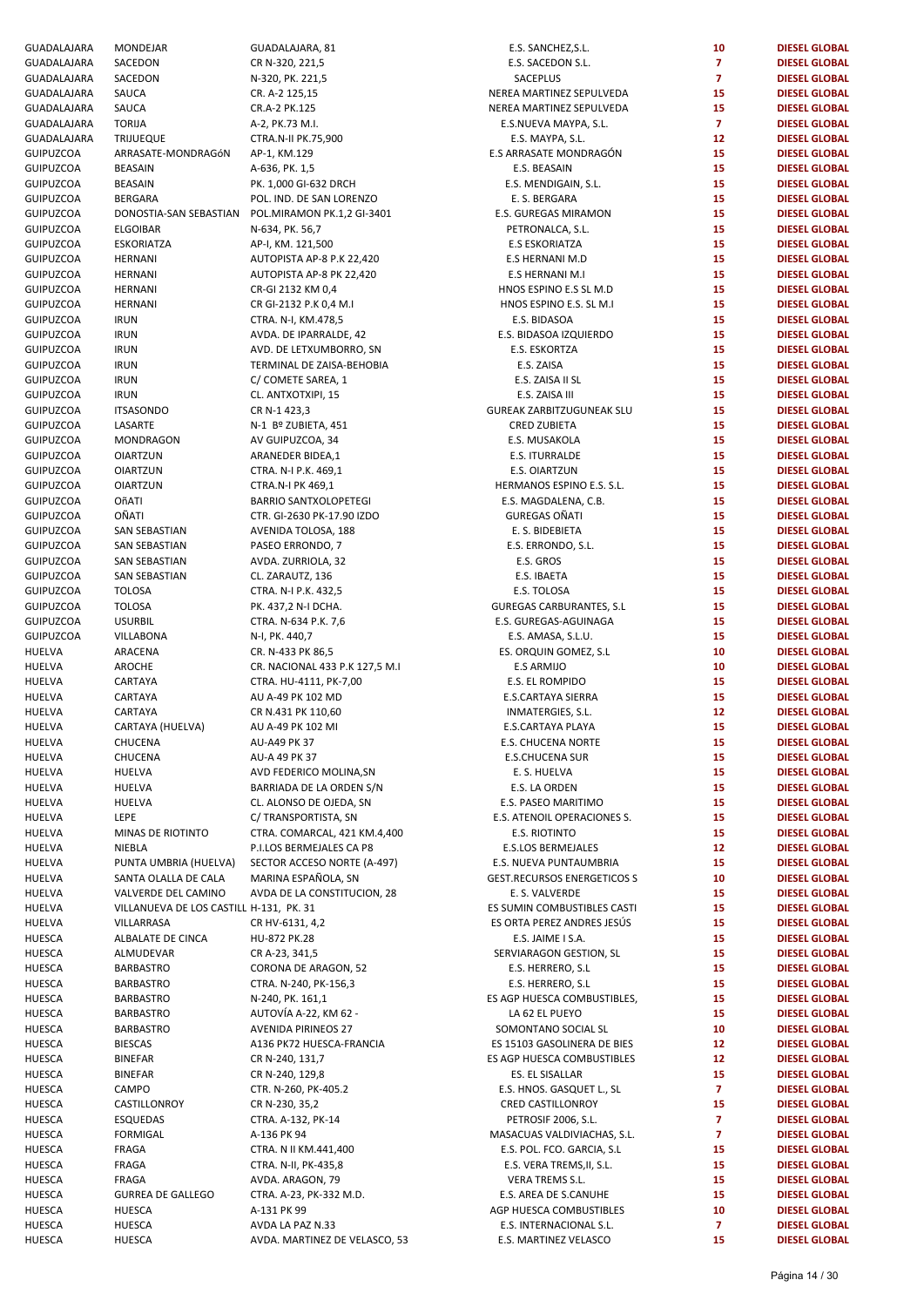| GUADALAJARA      | MONDEJAR                                | GUADALAJARA, 81                | E.S. SANCHEZ, S.L.                 | 10              | <b>DIESEL GLOBAL</b> |
|------------------|-----------------------------------------|--------------------------------|------------------------------------|-----------------|----------------------|
| GUADALAJARA      | SACEDON                                 | CR N-320, 221,5                | E.S. SACEDON S.L.                  | $\overline{7}$  | <b>DIESEL GLOBAL</b> |
| GUADALAJARA      | SACEDON                                 | N-320, PK. 221,5               | SACEPLUS                           | $\overline{7}$  | <b>DIESEL GLOBAL</b> |
|                  |                                         |                                |                                    |                 |                      |
| GUADALAJARA      | SAUCA                                   | CR. A-2 125,15                 | NEREA MARTINEZ SEPULVEDA           | 15              | <b>DIESEL GLOBAL</b> |
| GUADALAJARA      | SAUCA                                   | CR.A-2 PK.125                  | NEREA MARTINEZ SEPULVEDA           | 15              | <b>DIESEL GLOBAL</b> |
| GUADALAJARA      | <b>TORIJA</b>                           | A-2, PK.73 M.I.                | E.S.NUEVA MAYPA, S.L.              | $\mathbf{7}$    | <b>DIESEL GLOBAL</b> |
| GUADALAJARA      | <b>TRIJUEQUE</b>                        | CTRA.N-II PK.75,900            | E.S. MAYPA, S.L.                   | 12 <sub>2</sub> | <b>DIESEL GLOBAL</b> |
| GUIPUZCOA        | ARRASATE-MONDRAGÓN                      | AP-1, KM.129                   | E.S ARRASATE MONDRAGÓN             | 15              | <b>DIESEL GLOBAL</b> |
| GUIPUZCOA        | <b>BEASAIN</b>                          | A-636, PK. 1,5                 | E.S. BEASAIN                       | 15              | <b>DIESEL GLOBAL</b> |
| GUIPUZCOA        | <b>BEASAIN</b>                          | PK. 1,000 GI-632 DRCH          | E.S. MENDIGAIN, S.L.               | 15              | <b>DIESEL GLOBAL</b> |
| GUIPUZCOA        | <b>BERGARA</b>                          | POL. IND. DE SAN LORENZO       | E. S. BERGARA                      | 15              | <b>DIESEL GLOBAL</b> |
|                  |                                         |                                |                                    |                 |                      |
| GUIPUZCOA        | DONOSTIA-SAN SEBASTIAN                  | POL.MIRAMON PK.1,2 GI-3401     | E.S. GUREGAS MIRAMON               | 15              | <b>DIESEL GLOBAL</b> |
| GUIPUZCOA        | <b>ELGOIBAR</b>                         | N-634, PK. 56,7                | PETRONALCA, S.L.                   | 15              | <b>DIESEL GLOBAL</b> |
| GUIPUZCOA        | <b>ESKORIATZA</b>                       | AP-I, KM. 121,500              | <b>E.S ESKORIATZA</b>              | 15              | <b>DIESEL GLOBAL</b> |
| GUIPUZCOA        | HERNANI                                 | AUTOPISTA AP-8 P.K 22,420      | E.S HERNANI M.D                    | 15              | <b>DIESEL GLOBAL</b> |
| GUIPUZCOA        | <b>HERNANI</b>                          | AUTOPISTA AP-8 PK 22,420       | E.S HERNANI M.I                    | 15              | <b>DIESEL GLOBAL</b> |
| GUIPUZCOA        | HERNANI                                 | CR-GI 2132 KM 0,4              | HNOS ESPINO E.S SL M.D             | 15              | <b>DIESEL GLOBAL</b> |
|                  |                                         |                                |                                    |                 |                      |
| GUIPUZCOA        | <b>HERNANI</b>                          | CR GI-2132 P.K 0,4 M.I         | HNOS ESPINO E.S. SL M.I            | 15              | <b>DIESEL GLOBAL</b> |
| GUIPUZCOA        | <b>IRUN</b>                             | CTRA. N-I, KM.478,5            | E.S. BIDASOA                       | 15              | <b>DIESEL GLOBAL</b> |
| GUIPUZCOA        | <b>IRUN</b>                             | AVDA. DE IPARRALDE, 42         | E.S. BIDASOA IZQUIERDO             | 15              | <b>DIESEL GLOBAL</b> |
| GUIPUZCOA        | <b>IRUN</b>                             | AVD. DE LETXUMBORRO, SN        | E.S. ESKORTZA                      | 15              | <b>DIESEL GLOBAL</b> |
| GUIPUZCOA        | <b>IRUN</b>                             | TERMINAL DE ZAISA-BEHOBIA      | E.S. ZAISA                         | 15              | <b>DIESEL GLOBAL</b> |
| GUIPUZCOA        | <b>IRUN</b>                             | C/ COMETE SAREA, 1             | E.S. ZAISA II SL                   | 15              | <b>DIESEL GLOBAL</b> |
| <b>GUIPUZCOA</b> |                                         |                                |                                    | 15              |                      |
|                  | <b>IRUN</b>                             | CL. ANTXOTXIPI, 15             | E.S. ZAISA III                     |                 | <b>DIESEL GLOBAL</b> |
| GUIPUZCOA        | <b>ITSASONDO</b>                        | CR N-1 423,3                   | <b>GUREAK ZARBITZUGUNEAK SLU</b>   | 15              | <b>DIESEL GLOBAL</b> |
| GUIPUZCOA        | LASARTE                                 | N-1 Bº ZUBIETA, 451            | <b>CRED ZUBIETA</b>                | 15              | <b>DIESEL GLOBAL</b> |
| <b>GUIPUZCOA</b> | MONDRAGON                               | AV GUIPUZCOA, 34               | E.S. MUSAKOLA                      | 15              | <b>DIESEL GLOBAL</b> |
| GUIPUZCOA        | <b>OIARTZUN</b>                         | ARANEDER BIDEA,1               | E.S. ITURRALDE                     | 15              | <b>DIESEL GLOBAL</b> |
| GUIPUZCOA        | <b>OIARTZUN</b>                         | CTRA. N-I P.K. 469,1           | E.S. OIARTZUN                      | 15              | <b>DIESEL GLOBAL</b> |
|                  |                                         |                                |                                    |                 |                      |
| GUIPUZCOA        | <b>OIARTZUN</b>                         | CTRA.N-I PK 469,1              | HERMANOS ESPINO E.S. S.L.          | 15              | <b>DIESEL GLOBAL</b> |
| GUIPUZCOA        | OñATI                                   | <b>BARRIO SANTXOLOPETEGI</b>   | E.S. MAGDALENA, C.B.               | 15              | <b>DIESEL GLOBAL</b> |
| GUIPUZCOA        | OÑATI                                   | CTR. GI-2630 PK-17.90 IZDO     | <b>GUREGAS OÑATI</b>               | 15              | <b>DIESEL GLOBAL</b> |
| GUIPUZCOA        | SAN SEBASTIAN                           | AVENIDA TOLOSA, 188            | E. S. BIDEBIETA                    | 15              | <b>DIESEL GLOBAL</b> |
| GUIPUZCOA        | SAN SEBASTIAN                           | PASEO ERRONDO, 7               | E.S. ERRONDO, S.L.                 | 15              | <b>DIESEL GLOBAL</b> |
| GUIPUZCOA        | SAN SEBASTIAN                           | AVDA. ZURRIOLA, 32             | E.S. GROS                          | 15              | <b>DIESEL GLOBAL</b> |
| GUIPUZCOA        | SAN SEBASTIAN                           |                                | E.S. IBAETA                        | 15              | <b>DIESEL GLOBAL</b> |
|                  |                                         | CL. ZARAUTZ, 136               |                                    |                 |                      |
| GUIPUZCOA        | <b>TOLOSA</b>                           | CTRA. N-I P.K. 432,5           | E.S. TOLOSA                        | 15              | <b>DIESEL GLOBAL</b> |
| GUIPUZCOA        | <b>TOLOSA</b>                           | PK. 437,2 N-I DCHA.            | <b>GUREGAS CARBURANTES, S.L</b>    | 15              | <b>DIESEL GLOBAL</b> |
| GUIPUZCOA        | <b>USURBIL</b>                          | CTRA. N-634 P.K. 7,6           | E.S. GUREGAS-AGUINAGA              | 15              | <b>DIESEL GLOBAL</b> |
| GUIPUZCOA        | VILLABONA                               | N-I, PK. 440,7                 | E.S. AMASA, S.L.U.                 | 15              | <b>DIESEL GLOBAL</b> |
| HUELVA           | ARACENA                                 | CR. N-433 PK 86,5              | ES. ORQUIN GOMEZ, S.L              | 10              | <b>DIESEL GLOBAL</b> |
| HUELVA           | AROCHE                                  | CR. NACIONAL 433 P.K 127,5 M.I | <b>E.S ARMIJO</b>                  | 10              | <b>DIESEL GLOBAL</b> |
|                  |                                         |                                |                                    |                 |                      |
| HUELVA           | CARTAYA                                 | CTRA. HU-4111, PK-7,00         | E.S. EL ROMPIDO                    | 15              | <b>DIESEL GLOBAL</b> |
| HUELVA           | CARTAYA                                 | AU A-49 PK 102 MD              | E.S.CARTAYA SIERRA                 | 15              | <b>DIESEL GLOBAL</b> |
| HUELVA           | CARTAYA                                 | CR N.431 PK 110,60             | INMATERGIES, S.L.                  | 12 <sub>2</sub> | <b>DIESEL GLOBAL</b> |
| HUELVA           | CARTAYA (HUELVA)                        | AU A-49 PK 102 MI              | E.S.CARTAYA PLAYA                  | 15              | <b>DIESEL GLOBAL</b> |
| HUELVA           | CHUCENA                                 | AU-A49 PK 37                   | <b>E.S. CHUCENA NORTE</b>          | 15              | <b>DIESEL GLOBAL</b> |
| HUELVA           | CHUCENA                                 | AU-A 49 PK 37                  | <b>E.S.CHUCENA SUR</b>             | 15              | <b>DIESEL GLOBAL</b> |
|                  |                                         |                                |                                    |                 |                      |
| HUELVA           | HUELVA                                  | AVD FEDERICO MOLINA, SN        | E. S. HUELVA                       | 15              | <b>DIESEL GLOBAL</b> |
| HUELVA           | HUELVA                                  | BARRIADA DE LA ORDEN S/N       | E.S. LA ORDEN                      | 15              | <b>DIESEL GLOBAL</b> |
| HUELVA           | <b>HUELVA</b>                           | CL. ALONSO DE OJEDA, SN        | E.S. PASEO MARITIMO                | 15              | <b>DIESEL GLOBAL</b> |
| HUELVA           | LEPE                                    | C/ TRANSPORTISTA, SN           | E.S. ATENOIL OPERACIONES S.        | 15              | <b>DIESEL GLOBAL</b> |
| HUELVA           | MINAS DE RIOTINTO                       | CTRA. COMARCAL, 421 KM.4,400   | E.S. RIOTINTO                      | 15              | <b>DIESEL GLOBAL</b> |
| HUELVA           | NIEBLA                                  | P.I.LOS BERMEJALES CA P8       | E.S.LOS BERMEJALES                 | 12              | <b>DIESEL GLOBAL</b> |
|                  |                                         |                                |                                    |                 |                      |
| HUELVA           | PUNTA UMBRIA (HUELVA)                   | SECTOR ACCESO NORTE (A-497)    | E.S. NUEVA PUNTAUMBRIA             | 15              | <b>DIESEL GLOBAL</b> |
| HUELVA           | SANTA OLALLA DE CALA                    | MARINA ESPAÑOLA, SN            | <b>GEST.RECURSOS ENERGETICOS S</b> | 10              | <b>DIESEL GLOBAL</b> |
| HUELVA           | VALVERDE DEL CAMINO                     | AVDA DE LA CONSTITUCION, 28    | E. S. VALVERDE                     | 15              | <b>DIESEL GLOBAL</b> |
| HUELVA           | VILLANUEVA DE LOS CASTILL H-131, PK. 31 |                                | ES SUMIN COMBUSTIBLES CASTI        | 15              | <b>DIESEL GLOBAL</b> |
| HUELVA           | VILLARRASA                              | CR HV-6131, 4,2                | ES ORTA PEREZ ANDRES JESÚS         | 15              | <b>DIESEL GLOBAL</b> |
| HUESCA           | ALBALATE DE CINCA                       | HU-872 PK.28                   | E.S. JAIME I S.A.                  | 15              | <b>DIESEL GLOBAL</b> |
| HUESCA           | ALMUDEVAR                               | CR A-23, 341,5                 | SERVIARAGON GESTION, SL            | 15              | <b>DIESEL GLOBAL</b> |
|                  |                                         |                                |                                    |                 |                      |
| HUESCA           | <b>BARBASTRO</b>                        | CORONA DE ARAGON, 52           | E.S. HERRERO, S.L                  | 15              | <b>DIESEL GLOBAL</b> |
| HUESCA           | <b>BARBASTRO</b>                        | CTRA. N-240, PK-156,3          | E.S. HERRERO, S.L                  | 15              | <b>DIESEL GLOBAL</b> |
| HUESCA           | <b>BARBASTRO</b>                        | N-240, PK. 161,1               | ES AGP HUESCA COMBUSTIBLES,        | 15              | <b>DIESEL GLOBAL</b> |
| HUESCA           | <b>BARBASTRO</b>                        | AUTOVÍA A-22, KM 62 -          | LA 62 EL PUEYO                     | 15              | <b>DIESEL GLOBAL</b> |
| HUESCA           | <b>BARBASTRO</b>                        | <b>AVENIDA PIRINEOS 27</b>     | SOMONTANO SOCIAL SL                | 10              | <b>DIESEL GLOBAL</b> |
| HUESCA           | <b>BIESCAS</b>                          | A136 PK72 HUESCA-FRANCIA       | ES 15103 GASOLINERA DE BIES        | 12              | <b>DIESEL GLOBAL</b> |
|                  |                                         |                                | ES AGP HUESCA COMBUSTIBLES         | 12              | <b>DIESEL GLOBAL</b> |
| HUESCA           | <b>BINEFAR</b>                          | CR N-240, 131,7                |                                    |                 |                      |
| HUESCA           | <b>BINEFAR</b>                          | CR N-240, 129,8                | ES. EL SISALLAR                    | 15              | <b>DIESEL GLOBAL</b> |
| HUESCA           | CAMPO                                   | CTR. N-260, PK-405.2           | E.S. HNOS. GASQUET L., SL          | $\overline{7}$  | <b>DIESEL GLOBAL</b> |
| HUESCA           | CASTILLONROY                            | CR N-230, 35,2                 | CRED CASTILLONROY                  | 15              | <b>DIESEL GLOBAL</b> |
| HUESCA           | <b>ESQUEDAS</b>                         | CTRA. A-132, PK-14             | PETROSIF 2006, S.L.                | $\overline{7}$  | <b>DIESEL GLOBAL</b> |
| HUESCA           | <b>FORMIGAL</b>                         | A-136 PK 94                    | MASACUAS VALDIVIACHAS, S.L.        | $\mathbf{7}$    | <b>DIESEL GLOBAL</b> |
| HUESCA           | FRAGA                                   | CTRA. N II KM.441,400          | E.S. POL. FCO. GARCIA, S.L         | 15              | <b>DIESEL GLOBAL</b> |
|                  |                                         |                                |                                    |                 |                      |
| HUESCA           | FRAGA                                   | CTRA. N-II, PK-435,8           | E.S. VERA TREMS, II, S.L.          | 15              | <b>DIESEL GLOBAL</b> |
| HUESCA           | FRAGA                                   | AVDA. ARAGON, 79               | VERA TREMS S.L.                    | 15              | <b>DIESEL GLOBAL</b> |
| HUESCA           | <b>GURREA DE GALLEGO</b>                | CTRA. A-23, PK-332 M.D.        | E.S. AREA DE S.CANUHE              | 15              | <b>DIESEL GLOBAL</b> |
| HUESCA           | <b>HUESCA</b>                           | A-131 PK 99                    | AGP HUESCA COMBUSTIBLES            | 10              | <b>DIESEL GLOBAL</b> |
| HUESCA           | HUESCA                                  | AVDA LA PAZ N.33               | E.S. INTERNACIONAL S.L.            | $\overline{7}$  | <b>DIESEL GLOBAL</b> |
| HUESCA           | <b>HUESCA</b>                           | AVDA. MARTINEZ DE VELASCO, 53  | E.S. MARTINEZ VELASCO              | 15              | <b>DIESEL GLOBAL</b> |
|                  |                                         |                                |                                    |                 |                      |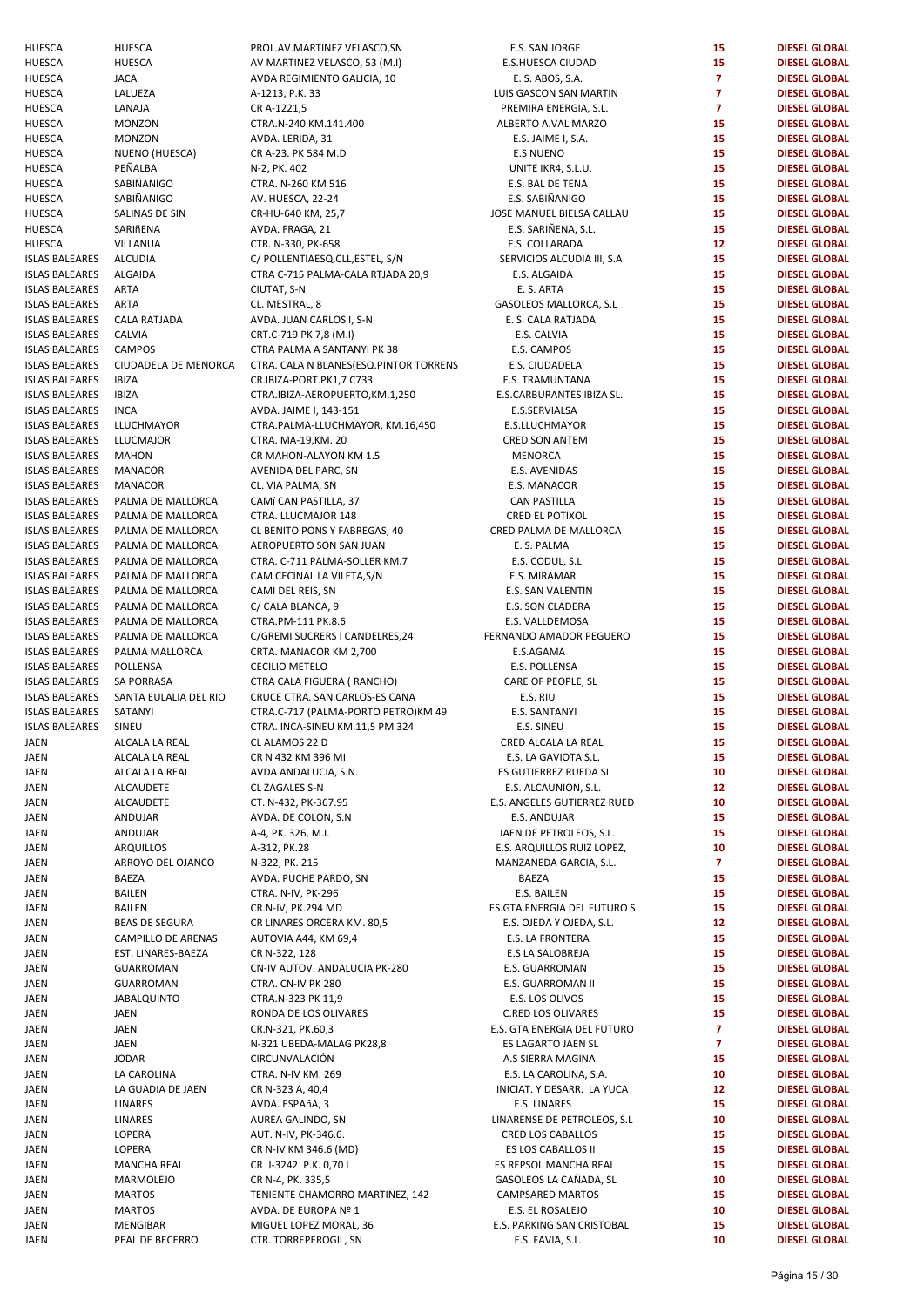| HUESCA                | <b>HUESCA</b>               | PROL.AV.MARTINEZ VELASCO,SN                     | E.S. SAN JORGE                                 | 15              | <b>DIESEL GLOBAL</b>                         |
|-----------------------|-----------------------------|-------------------------------------------------|------------------------------------------------|-----------------|----------------------------------------------|
| HUESCA                | <b>HUESCA</b>               | AV MARTINEZ VELASCO, 53 (M.I)                   | E.S.HUESCA CIUDAD                              | 15              | <b>DIESEL GLOBAL</b>                         |
| HUESCA                | <b>JACA</b>                 | AVDA REGIMIENTO GALICIA, 10                     | E. S. ABOS, S.A.                               | $\overline{7}$  | <b>DIESEL GLOBAL</b>                         |
| HUESCA                | LALUEZA                     | A-1213, P.K. 33                                 | LUIS GASCON SAN MARTIN                         | $\overline{7}$  | <b>DIESEL GLOBAL</b>                         |
| HUESCA                | LANAJA                      | CR A-1221,5                                     | PREMIRA ENERGIA, S.L.                          | $\overline{7}$  | <b>DIESEL GLOBAL</b>                         |
| HUESCA                | <b>MONZON</b>               | CTRA.N-240 KM.141.400                           | ALBERTO A.VAL MARZO                            | 15              | <b>DIESEL GLOBAL</b>                         |
| HUESCA                | <b>MONZON</b>               | AVDA. LERIDA, 31                                | E.S. JAIME I, S.A.                             | 15              | <b>DIESEL GLOBAL</b>                         |
|                       |                             |                                                 |                                                | 15              |                                              |
| HUESCA                | NUENO (HUESCA)              | CR A-23. PK 584 M.D                             | <b>E.S NUENO</b>                               |                 | <b>DIESEL GLOBAL</b>                         |
| HUESCA                | PEÑALBA                     | N-2, PK. 402                                    | UNITE IKR4, S.L.U.                             | 15              | <b>DIESEL GLOBAL</b>                         |
| HUESCA                | SABIÑANIGO                  | CTRA. N-260 KM 516                              | E.S. BAL DE TENA                               | 15              | <b>DIESEL GLOBAL</b>                         |
| HUESCA                | SABIÑANIGO                  | AV. HUESCA, 22-24                               | E.S. SABIÑANIGO                                | 15              | <b>DIESEL GLOBAL</b>                         |
| HUESCA                | SALINAS DE SIN              | CR-HU-640 KM, 25,7                              | JOSE MANUEL BIELSA CALLAU                      | 15              | <b>DIESEL GLOBAL</b>                         |
| HUESCA                | SARIñENA                    | AVDA. FRAGA, 21                                 | E.S. SARIÑENA, S.L.                            | 15              | <b>DIESEL GLOBAL</b>                         |
| HUESCA                | VILLANUA                    | CTR. N-330, PK-658                              | E.S. COLLARADA                                 | 12 <sub>2</sub> | <b>DIESEL GLOBAL</b>                         |
| <b>ISLAS BALEARES</b> | ALCUDIA                     | C/ POLLENTIAESQ.CLL,ESTEL, S/N                  | SERVICIOS ALCUDIA III, S.A                     | 15              | <b>DIESEL GLOBAL</b>                         |
|                       |                             |                                                 |                                                |                 |                                              |
| <b>ISLAS BALEARES</b> | ALGAIDA                     | CTRA C-715 PALMA-CALA RTJADA 20,9               | E.S. ALGAIDA                                   | 15              | <b>DIESEL GLOBAL</b>                         |
| <b>ISLAS BALEARES</b> | <b>ARTA</b>                 | CIUTAT, S-N                                     | E. S. ARTA                                     | 15              | <b>DIESEL GLOBAL</b>                         |
| <b>ISLAS BALEARES</b> | ARTA                        | CL. MESTRAL, 8                                  | GASOLEOS MALLORCA, S.L                         | 15              | <b>DIESEL GLOBAL</b>                         |
| ISLAS BALEARES        | <b>CALA RATJADA</b>         | AVDA. JUAN CARLOS I, S-N                        | E. S. CALA RATJADA                             | 15              | <b>DIESEL GLOBAL</b>                         |
| ISLAS BALEARES        | CALVIA                      | CRT.C-719 PK 7,8 (M.I)                          | E.S. CALVIA                                    | 15              | <b>DIESEL GLOBAL</b>                         |
| ISLAS BALEARES        | <b>CAMPOS</b>               | CTRA PALMA A SANTANYI PK 38                     | E.S. CAMPOS                                    | 15              | <b>DIESEL GLOBAL</b>                         |
| <b>ISLAS BALEARES</b> | CIUDADELA DE MENORCA        | CTRA. CALA N BLANES(ESQ.PINTOR TORRENS          | E.S. CIUDADELA                                 | 15              | <b>DIESEL GLOBAL</b>                         |
| <b>ISLAS BALEARES</b> | <b>IBIZA</b>                | CR.IBIZA-PORT.PK1,7 C733                        | E.S. TRAMUNTANA                                | 15              | <b>DIESEL GLOBAL</b>                         |
| ISLAS BALEARES        | <b>IBIZA</b>                | CTRA.IBIZA-AEROPUERTO, KM.1,250                 | E.S.CARBURANTES IBIZA SL.                      | 15              | <b>DIESEL GLOBAL</b>                         |
|                       |                             |                                                 |                                                |                 |                                              |
| ISLAS BALEARES        | <b>INCA</b>                 | AVDA. JAIME I, 143-151                          | E.S.SERVIALSA                                  | 15              | <b>DIESEL GLOBAL</b>                         |
| <b>ISLAS BALEARES</b> | LLUCHMAYOR                  | CTRA.PALMA-LLUCHMAYOR, KM.16,450                | E.S.LLUCHMAYOR                                 | 15              | <b>DIESEL GLOBAL</b>                         |
| ISLAS BALEARES        | <b>LLUCMAJOR</b>            | CTRA. MA-19, KM. 20                             | <b>CRED SON ANTEM</b>                          | 15              | <b>DIESEL GLOBAL</b>                         |
| ISLAS BALEARES        | <b>MAHON</b>                | CR MAHON-ALAYON KM 1.5                          | <b>MENORCA</b>                                 | 15              | <b>DIESEL GLOBAL</b>                         |
| ISLAS BALEARES        | <b>MANACOR</b>              | AVENIDA DEL PARC, SN                            | E.S. AVENIDAS                                  | 15              | <b>DIESEL GLOBAL</b>                         |
| <b>ISLAS BALEARES</b> | MANACOR                     | CL. VIA PALMA, SN                               | E.S. MANACOR                                   | 15              | <b>DIESEL GLOBAL</b>                         |
| ISLAS BALEARES        | PALMA DE MALLORCA           | CAMÍ CAN PASTILLA, 37                           | <b>CAN PASTILLA</b>                            | 15              | <b>DIESEL GLOBAL</b>                         |
| ISLAS BALEARES        | PALMA DE MALLORCA           | CTRA. LLUCMAJOR 148                             | CRED EL POTIXOL                                | 15              | <b>DIESEL GLOBAL</b>                         |
|                       |                             |                                                 |                                                | 15              |                                              |
| ISLAS BALEARES        | PALMA DE MALLORCA           | CL BENITO PONS Y FABREGAS, 40                   | CRED PALMA DE MALLORCA                         |                 | <b>DIESEL GLOBAL</b>                         |
| ISLAS BALEARES        | PALMA DE MALLORCA           | AEROPUERTO SON SAN JUAN                         | E. S. PALMA                                    | 15              | <b>DIESEL GLOBAL</b>                         |
| ISLAS BALEARES        | PALMA DE MALLORCA           | CTRA. C-711 PALMA-SOLLER KM.7                   | E.S. CODUL, S.L                                | 15              | <b>DIESEL GLOBAL</b>                         |
| ISLAS BALEARES        | PALMA DE MALLORCA           | CAM CECINAL LA VILETA, S/N                      | E.S. MIRAMAR                                   | 15              | <b>DIESEL GLOBAL</b>                         |
| ISLAS BALEARES        | PALMA DE MALLORCA           | CAMI DEL REIS, SN                               | E.S. SAN VALENTIN                              | 15              | <b>DIESEL GLOBAL</b>                         |
| ISLAS BALEARES        | PALMA DE MALLORCA           | C/ CALA BLANCA, 9                               | E.S. SON CLADERA                               | 15              | <b>DIESEL GLOBAL</b>                         |
| <b>ISLAS BALEARES</b> | PALMA DE MALLORCA           | CTRA.PM-111 PK.8.6                              | E.S. VALLDEMOSA                                | 15              | <b>DIESEL GLOBAL</b>                         |
| ISLAS BALEARES        | PALMA DE MALLORCA           | C/GREMI SUCRERS I CANDELRES,24                  | FERNANDO AMADOR PEGUERO                        | 15              | <b>DIESEL GLOBAL</b>                         |
| ISLAS BALEARES        | PALMA MALLORCA              | CRTA. MANACOR KM 2,700                          | E.S.AGAMA                                      | 15              | <b>DIESEL GLOBAL</b>                         |
| ISLAS BALEARES        | POLLENSA                    | CECILIO METELO                                  | E.S. POLLENSA                                  | 15              | <b>DIESEL GLOBAL</b>                         |
|                       |                             |                                                 |                                                |                 |                                              |
| ISLAS BALEARES        | SA PORRASA                  | CTRA CALA FIGUERA (RANCHO)                      | CARE OF PEOPLE, SL                             | 15              | <b>DIESEL GLOBAL</b>                         |
| ISLAS BALEARES        | SANTA EULALIA DEL RIO       | CRUCE CTRA. SAN CARLOS-ES CANA                  | E.S. RIU                                       | 15              | <b>DIESEL GLOBAL</b>                         |
| <b>ISLAS BALEARES</b> | SATANYI                     | CTRA.C-717 (PALMA-PORTO PETRO)KM 49             | E.S. SANTANYI                                  | 15              | <b>DIESEL GLOBAL</b>                         |
| <b>ISLAS BALEARES</b> | SINEU                       | CTRA. INCA-SINEU KM.11,5 PM 324                 | E.S. SINEU                                     | 15              | <b>DIESEL GLOBAL</b>                         |
| JAEN                  | ALCALA LA REAL              | CL ALAMOS 22 D                                  | CRED ALCALA LA REAL                            | 15              | <b>DIESEL GLOBAL</b>                         |
| JAEN                  | ALCALA LA REAL              | CR N 432 KM 396 MI                              | E.S. LA GAVIOTA S.L.                           | 15              | <b>DIESEL GLOBAL</b>                         |
| JAEN                  | ALCALA LA REAL              | AVDA ANDALUCIA, S.N.                            | ES GUTIERREZ RUEDA SL                          | 10              | <b>DIESEL GLOBAL</b>                         |
| JAEN                  | <b>ALCAUDETE</b>            | CL ZAGALES S-N                                  | E.S. ALCAUNION, S.L.                           | 12              | <b>DIESEL GLOBAL</b>                         |
|                       |                             |                                                 |                                                |                 |                                              |
| JAEN                  | <b>ALCAUDETE</b>            | CT. N-432, PK-367.95                            | E.S. ANGELES GUTIERREZ RUED                    | 10              | <b>DIESEL GLOBAL</b>                         |
| JAEN                  | ANDUJAR                     | AVDA. DE COLON, S.N.                            | E.S. ANDUJAR                                   | 15              | <b>DIESEL GLOBAL</b>                         |
| JAEN                  | ANDUJAR                     | A-4, PK. 326, M.I.                              | JAEN DE PETROLEOS, S.L.                        | 15              | <b>DIESEL GLOBAL</b>                         |
| JAEN                  | ARQUILLOS                   | A-312, PK.28                                    | E.S. ARQUILLOS RUIZ LOPEZ,                     | 10              | <b>DIESEL GLOBAL</b>                         |
| JAEN                  | ARROYO DEL OJANCO           | N-322, PK. 215                                  | MANZANEDA GARCIA, S.L.                         | $\overline{7}$  | <b>DIESEL GLOBAL</b>                         |
| JAEN                  | BAEZA                       | AVDA. PUCHE PARDO, SN                           | BAEZA                                          | 15              | <b>DIESEL GLOBAL</b>                         |
| JAEN                  | <b>BAILEN</b>               | CTRA. N-IV, PK-296                              | E.S. BAILEN                                    | 15              | <b>DIESEL GLOBAL</b>                         |
| JAEN                  | <b>BAILEN</b>               | CR.N-IV, PK.294 MD                              | ES.GTA.ENERGIA DEL FUTURO S                    | 15              | <b>DIESEL GLOBAL</b>                         |
| JAEN                  | <b>BEAS DE SEGURA</b>       | CR LINARES ORCERA KM. 80,5                      | E.S. OJEDA Y OJEDA, S.L.                       | 12              | <b>DIESEL GLOBAL</b>                         |
|                       |                             |                                                 |                                                |                 |                                              |
| JAEN                  | CAMPILLO DE ARENAS          | AUTOVIA A44, KM 69,4                            | E.S. LA FRONTERA                               | 15              | <b>DIESEL GLOBAL</b>                         |
| JAEN                  | EST. LINARES-BAEZA          | CR N-322, 128                                   | E.S LA SALOBREJA                               | 15              | <b>DIESEL GLOBAL</b>                         |
| JAEN                  | GUARROMAN                   | CN-IV AUTOV. ANDALUCIA PK-280                   | E.S. GUARROMAN                                 | 15              | <b>DIESEL GLOBAL</b>                         |
| JAEN                  | GUARROMAN                   | CTRA. CN-IV PK 280                              | E.S. GUARROMAN II                              | 15              | <b>DIESEL GLOBAL</b>                         |
| JAEN                  | <b>JABALQUINTO</b>          | CTRA.N-323 PK 11,9                              | E.S. LOS OLIVOS                                | 15              | <b>DIESEL GLOBAL</b>                         |
| JAEN                  | <b>JAEN</b>                 | RONDA DE LOS OLIVARES                           | <b>C.RED LOS OLIVARES</b>                      | 15              | <b>DIESEL GLOBAL</b>                         |
| JAEN                  | JAEN                        | CR.N-321, PK.60,3                               | E.S. GTA ENERGIA DEL FUTURO                    | $\overline{7}$  | <b>DIESEL GLOBAL</b>                         |
| JAEN                  | JAEN                        | N-321 UBEDA-MALAG PK28,8                        | ES LAGARTO JAEN SL                             | $\overline{7}$  | <b>DIESEL GLOBAL</b>                         |
| JAEN                  | <b>JODAR</b>                | CIRCUNVALACIÓN                                  | A.S SIERRA MAGINA                              | 15              | <b>DIESEL GLOBAL</b>                         |
|                       | LA CAROLINA                 | CTRA. N-IV KM. 269                              | E.S. LA CAROLINA, S.A.                         | 10              | <b>DIESEL GLOBAL</b>                         |
| JAEN                  |                             |                                                 |                                                |                 |                                              |
| JAEN                  | LA GUADIA DE JAEN           | CR N-323 A, 40,4                                | INICIAT. Y DESARR. LA YUCA                     | 12              | <b>DIESEL GLOBAL</b>                         |
| JAEN                  | LINARES                     | AVDA. ESPAñA, 3                                 | E.S. LINARES                                   | 15              | <b>DIESEL GLOBAL</b>                         |
| JAEN                  | LINARES                     | AUREA GALINDO, SN                               | LINARENSE DE PETROLEOS, S.L.                   | 10              | <b>DIESEL GLOBAL</b>                         |
| JAEN                  | LOPERA                      | AUT. N-IV, PK-346.6.                            | CRED LOS CABALLOS                              | 15              | <b>DIESEL GLOBAL</b>                         |
| JAEN                  | LOPERA                      | CR N-IV KM 346.6 (MD)                           | ES LOS CABALLOS II                             | 15              | <b>DIESEL GLOBAL</b>                         |
| JAEN                  | <b>MANCHA REAL</b>          | CR J-3242 P.K. 0,70 I                           | ES REPSOL MANCHA REAL                          | 15              | <b>DIESEL GLOBAL</b>                         |
|                       |                             |                                                 |                                                |                 | <b>DIESEL GLOBAL</b>                         |
| JAEN                  | MARMOLEJO                   | CR N-4, PK. 335,5                               | GASOLEOS LA CAÑADA, SL                         | 10              |                                              |
|                       |                             |                                                 |                                                |                 |                                              |
| JAEN                  | <b>MARTOS</b>               | TENIENTE CHAMORRO MARTINEZ, 142                 | CAMPSARED MARTOS                               | 15              | <b>DIESEL GLOBAL</b>                         |
| JAEN                  | <b>MARTOS</b>               | AVDA. DE EUROPA Nº 1                            | E.S. EL ROSALEJO                               | 10              | <b>DIESEL GLOBAL</b>                         |
| JAEN<br>JAEN          | MENGIBAR<br>PEAL DE BECERRO | MIGUEL LOPEZ MORAL, 36<br>CTR. TORREPEROGIL, SN | E.S. PARKING SAN CRISTOBAL<br>E.S. FAVIA, S.L. | 15<br>10        | <b>DIESEL GLOBAL</b><br><b>DIESEL GLOBAL</b> |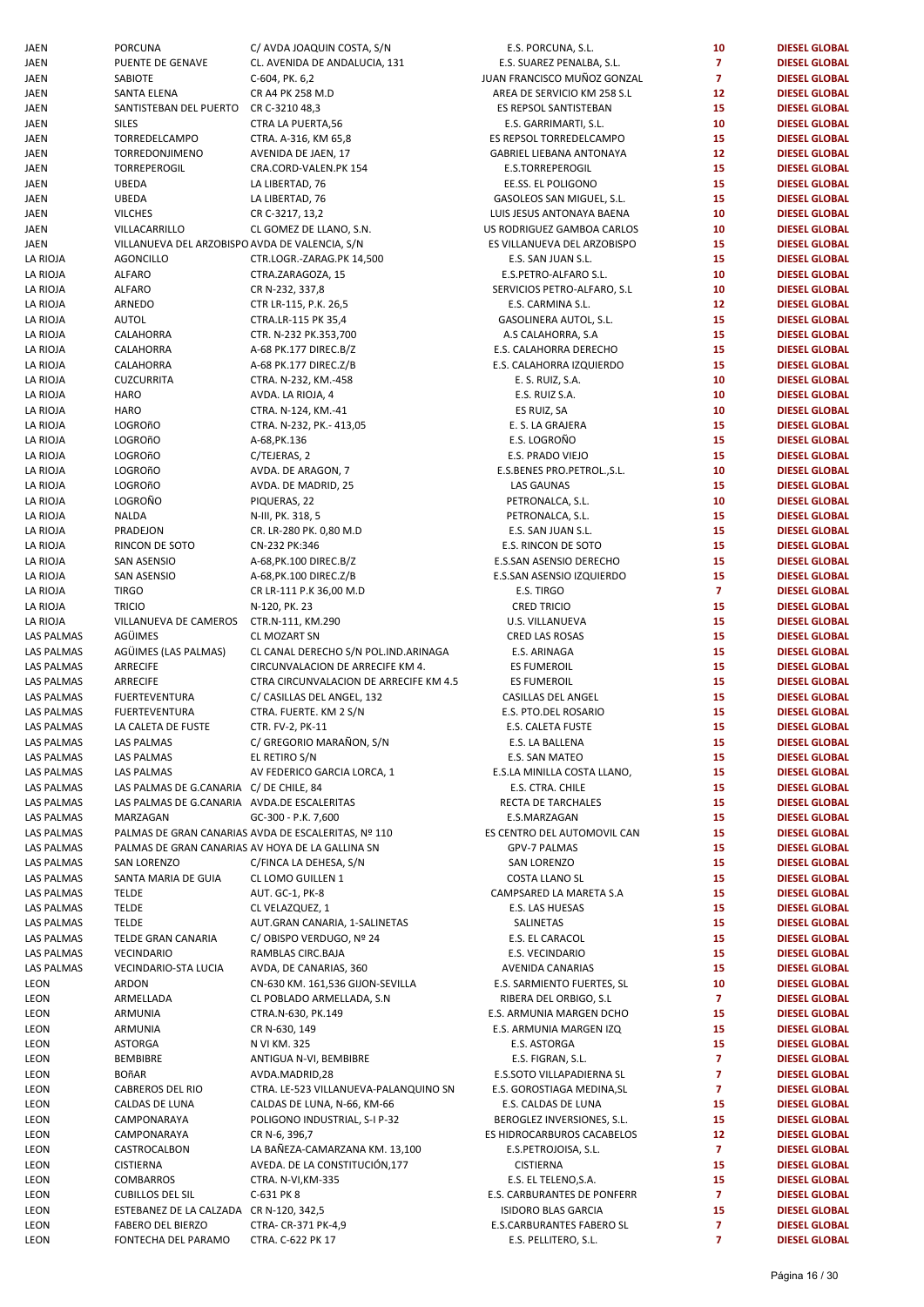| JAEN              | PORCUNA                                          | C/ AVDA JOAQUIN COSTA, S/N                          | E.S. PORCUNA, S.L.          | 10             | <b>DIESEL GLOBAL</b> |
|-------------------|--------------------------------------------------|-----------------------------------------------------|-----------------------------|----------------|----------------------|
| JAEN              | PUENTE DE GENAVE                                 | CL. AVENIDA DE ANDALUCIA, 131                       | E.S. SUAREZ PENALBA, S.L.   | $\overline{7}$ | <b>DIESEL GLOBAL</b> |
| JAEN              | SABIOTE                                          | C-604, PK. 6,2                                      | JUAN FRANCISCO MUÑOZ GONZAL | $\overline{7}$ | <b>DIESEL GLOBAL</b> |
| JAEN              | SANTA ELENA                                      | CR A4 PK 258 M.D                                    | AREA DE SERVICIO KM 258 S.L | 12             | <b>DIESEL GLOBAL</b> |
|                   |                                                  |                                                     |                             |                |                      |
| JAEN              | SANTISTEBAN DEL PUERTO                           | CR C-3210 48,3                                      | ES REPSOL SANTISTEBAN       | 15             | <b>DIESEL GLOBAL</b> |
| JAEN              | <b>SILES</b>                                     | CTRA LA PUERTA,56                                   | E.S. GARRIMARTI, S.L.       | 10             | <b>DIESEL GLOBAL</b> |
| JAEN              | TORREDELCAMPO                                    | CTRA. A-316, KM 65,8                                | ES REPSOL TORREDELCAMPO     | 15             | <b>DIESEL GLOBAL</b> |
| JAEN              | TORREDONJIMENO                                   | AVENIDA DE JAEN, 17                                 | GABRIEL LIEBANA ANTONAYA    | 12             | <b>DIESEL GLOBAL</b> |
| JAEN              | <b>TORREPEROGIL</b>                              | CRA.CORD-VALEN.PK 154                               | E.S.TORREPEROGIL            | 15             | <b>DIESEL GLOBAL</b> |
| JAEN              | UBEDA                                            | LA LIBERTAD, 76                                     | EE.SS. EL POLIGONO          | 15             | <b>DIESEL GLOBAL</b> |
| JAEN              | <b>UBEDA</b>                                     | LA LIBERTAD, 76                                     | GASOLEOS SAN MIGUEL, S.L.   | 15             | <b>DIESEL GLOBAL</b> |
|                   |                                                  |                                                     |                             |                |                      |
| JAEN              | <b>VILCHES</b>                                   | CR C-3217, 13,2                                     | LUIS JESUS ANTONAYA BAENA   | 10             | <b>DIESEL GLOBAL</b> |
| JAEN              | VILLACARRILLO                                    | CL GOMEZ DE LLANO, S.N.                             | US RODRIGUEZ GAMBOA CARLOS  | 10             | <b>DIESEL GLOBAL</b> |
| JAEN              | VILLANUEVA DEL ARZOBISPO AVDA DE VALENCIA, S/N   |                                                     | ES VILLANUEVA DEL ARZOBISPO | 15             | <b>DIESEL GLOBAL</b> |
| LA RIOJA          | <b>AGONCILLO</b>                                 | CTR.LOGR.-ZARAG.PK 14,500                           | E.S. SAN JUAN S.L.          | 15             | <b>DIESEL GLOBAL</b> |
| LA RIOJA          | <b>ALFARO</b>                                    | CTRA.ZARAGOZA, 15                                   | E.S.PETRO-ALFARO S.L.       | 10             | <b>DIESEL GLOBAL</b> |
| LA RIOJA          | <b>ALFARO</b>                                    |                                                     | SERVICIOS PETRO-ALFARO, S.L | 10             | <b>DIESEL GLOBAL</b> |
|                   |                                                  | CR N-232, 337,8                                     |                             |                |                      |
| LA RIOJA          | ARNEDO                                           | CTR LR-115, P.K. 26,5                               | E.S. CARMINA S.L.           | 12             | <b>DIESEL GLOBAL</b> |
| LA RIOJA          | <b>AUTOL</b>                                     | CTRA.LR-115 PK 35,4                                 | GASOLINERA AUTOL, S.L.      | 15             | <b>DIESEL GLOBAL</b> |
| LA RIOJA          | CALAHORRA                                        | CTR. N-232 PK.353,700                               | A.S CALAHORRA, S.A          | 15             | <b>DIESEL GLOBAL</b> |
| LA RIOJA          | CALAHORRA                                        | A-68 PK.177 DIREC.B/Z                               | E.S. CALAHORRA DERECHO      | 15             | <b>DIESEL GLOBAL</b> |
| LA RIOJA          | CALAHORRA                                        | A-68 PK.177 DIREC.Z/B                               | E.S. CALAHORRA IZQUIERDO    | 15             | <b>DIESEL GLOBAL</b> |
| LA RIOJA          | <b>CUZCURRITA</b>                                | CTRA. N-232, KM.-458                                |                             | 10             |                      |
|                   |                                                  |                                                     | E. S. RUIZ, S.A.            |                | <b>DIESEL GLOBAL</b> |
| LA RIOJA          | <b>HARO</b>                                      | AVDA. LA RIOJA, 4                                   | E.S. RUIZ S.A.              | 10             | <b>DIESEL GLOBAL</b> |
| LA RIOJA          | <b>HARO</b>                                      | CTRA. N-124, KM.-41                                 | ES RUIZ, SA                 | 10             | <b>DIESEL GLOBAL</b> |
| LA RIOJA          | LOGROñO                                          | CTRA. N-232, PK.- 413,05                            | E. S. LA GRAJERA            | 15             | <b>DIESEL GLOBAL</b> |
| LA RIOJA          | LOGROñO                                          | A-68, PK. 136                                       | E.S. LOGROÑO                | 15             | <b>DIESEL GLOBAL</b> |
| LA RIOJA          | <b>LOGROñO</b>                                   | C/TEJERAS, 2                                        | E.S. PRADO VIEJO            | 15             | <b>DIESEL GLOBAL</b> |
|                   |                                                  |                                                     |                             | 10             |                      |
| LA RIOJA          | LOGROñO                                          | AVDA. DE ARAGON, 7                                  | E.S.BENES PRO.PETROL., S.L. |                | <b>DIESEL GLOBAL</b> |
| LA RIOJA          | LOGROñO                                          | AVDA. DE MADRID, 25                                 | <b>LAS GAUNAS</b>           | 15             | <b>DIESEL GLOBAL</b> |
| LA RIOJA          | LOGROÑO                                          | PIQUERAS, 22                                        | PETRONALCA, S.L.            | 10             | <b>DIESEL GLOBAL</b> |
| LA RIOJA          | <b>NALDA</b>                                     | N-III, PK. 318, 5                                   | PETRONALCA, S.L.            | 15             | <b>DIESEL GLOBAL</b> |
| LA RIOJA          | PRADEJON                                         | CR. LR-280 PK. 0,80 M.D                             | E.S. SAN JUAN S.L.          | 15             | <b>DIESEL GLOBAL</b> |
| LA RIOJA          | RINCON DE SOTO                                   | CN-232 PK:346                                       | E.S. RINCON DE SOTO         | 15             | <b>DIESEL GLOBAL</b> |
| LA RIOJA          | SAN ASENSIO                                      | A-68, PK. 100 DIREC. B/Z                            | E.S.SAN ASENSIO DERECHO     | 15             | <b>DIESEL GLOBAL</b> |
|                   |                                                  |                                                     |                             |                |                      |
| LA RIOJA          | SAN ASENSIO                                      | A-68, PK. 100 DIREC. Z/B                            | E.S.SAN ASENSIO IZQUIERDO   | 15             | <b>DIESEL GLOBAL</b> |
| LA RIOJA          | <b>TIRGO</b>                                     | CR LR-111 P.K 36,00 M.D                             | E.S. TIRGO                  | $\overline{7}$ | <b>DIESEL GLOBAL</b> |
| LA RIOJA          | <b>TRICIO</b>                                    | N-120, PK. 23                                       | <b>CRED TRICIO</b>          | 15             | <b>DIESEL GLOBAL</b> |
| LA RIOJA          | VILLANUEVA DE CAMEROS                            | CTR.N-111, KM.290                                   | U.S. VILLANUEVA             | 15             | <b>DIESEL GLOBAL</b> |
| <b>LAS PALMAS</b> | AGÜIMES                                          | <b>CL MOZART SN</b>                                 | <b>CRED LAS ROSAS</b>       | 15             | <b>DIESEL GLOBAL</b> |
| <b>LAS PALMAS</b> | AGÜIMES (LAS PALMAS)                             | CL CANAL DERECHO S/N POL.IND.ARINAGA                | E.S. ARINAGA                | 15             | <b>DIESEL GLOBAL</b> |
|                   |                                                  |                                                     |                             |                |                      |
| LAS PALMAS        | <b>ARRECIFE</b>                                  | CIRCUNVALACION DE ARRECIFE KM 4.                    | <b>ES FUMEROIL</b>          | 15             | <b>DIESEL GLOBAL</b> |
| LAS PALMAS        | ARRECIFE                                         | CTRA CIRCUNVALACION DE ARRECIFE KM 4.5              | <b>ES FUMEROIL</b>          | 15             | <b>DIESEL GLOBAL</b> |
| LAS PALMAS        | <b>FUERTEVENTURA</b>                             | C/ CASILLAS DEL ANGEL, 132                          | CASILLAS DEL ANGEL          | 15             | <b>DIESEL GLOBAL</b> |
| <b>LAS PALMAS</b> | <b>FUERTEVENTURA</b>                             | CTRA. FUERTE. KM 2 S/N                              | E.S. PTO.DEL ROSARIO        | 15             | <b>DIESEL GLOBAL</b> |
| LAS PALMAS        | LA CALETA DE FUSTE                               | CTR. FV-2, PK-11                                    | E.S. CALETA FUSTE           | 15             | <b>DIESEL GLOBAL</b> |
| LAS PALMAS        | LAS PALMAS                                       | C/ GREGORIO MARAÑON, S/N                            | E.S. LA BALLENA             | 15             | <b>DIESEL GLOBAL</b> |
|                   |                                                  |                                                     |                             |                |                      |
| LAS PALMAS        | <b>LAS PALMAS</b>                                | EL RETIRO S/N                                       | E.S. SAN MATEO              | 15             | <b>DIESEL GLOBAL</b> |
| <b>LAS PALMAS</b> | LAS PALMAS                                       | AV FEDERICO GARCIA LORCA, 1                         | E.S.LA MINILLA COSTA LLANO, | 15             | <b>DIESEL GLOBAL</b> |
| <b>LAS PALMAS</b> | LAS PALMAS DE G.CANARIA C/ DE CHILE, 84          |                                                     | E.S. CTRA. CHILE            | 15             | <b>DIESEL GLOBAL</b> |
| LAS PALMAS        | LAS PALMAS DE G.CANARIA AVDA.DE ESCALERITAS      |                                                     | RECTA DE TARCHALES          | 15             | <b>DIESEL GLOBAL</b> |
| <b>LAS PALMAS</b> | MARZAGAN                                         | GC-300 - P.K. 7,600                                 | E.S.MARZAGAN                | 15             | <b>DIESEL GLOBAL</b> |
| <b>LAS PALMAS</b> |                                                  | PALMAS DE GRAN CANARIAS AVDA DE ESCALERITAS, Nº 110 | ES CENTRO DEL AUTOMOVIL CAN | 15             | <b>DIESEL GLOBAL</b> |
|                   |                                                  |                                                     |                             |                |                      |
| <b>LAS PALMAS</b> | PALMAS DE GRAN CANARIAS AV HOYA DE LA GALLINA SN |                                                     | GPV-7 PALMAS                | 15             | <b>DIESEL GLOBAL</b> |
| <b>LAS PALMAS</b> | <b>SAN LORENZO</b>                               | C/FINCA LA DEHESA, S/N                              | SAN LORENZO                 | 15             | <b>DIESEL GLOBAL</b> |
| <b>LAS PALMAS</b> | SANTA MARIA DE GUIA                              | CL LOMO GUILLEN 1                                   | <b>COSTA LLANO SL</b>       | 15             | <b>DIESEL GLOBAL</b> |
| LAS PALMAS        | <b>TELDE</b>                                     | AUT. GC-1, PK-8                                     | CAMPSARED LA MARETA S.A     | 15             | <b>DIESEL GLOBAL</b> |
| <b>LAS PALMAS</b> | <b>TELDE</b>                                     | CL VELAZQUEZ, 1                                     | E.S. LAS HUESAS             | 15             | <b>DIESEL GLOBAL</b> |
| <b>LAS PALMAS</b> | <b>TELDE</b>                                     | AUT.GRAN CANARIA, 1-SALINETAS                       | SALINETAS                   | 15             | <b>DIESEL GLOBAL</b> |
| <b>LAS PALMAS</b> | TELDE GRAN CANARIA                               | C/OBISPO VERDUGO, Nº 24                             | E.S. EL CARACOL             | 15             | <b>DIESEL GLOBAL</b> |
|                   |                                                  |                                                     |                             |                |                      |
| <b>LAS PALMAS</b> | VECINDARIO                                       | RAMBLAS CIRC.BAJA                                   | E.S. VECINDARIO             | 15             | <b>DIESEL GLOBAL</b> |
| <b>LAS PALMAS</b> | VECINDARIO-STA LUCIA                             | AVDA, DE CANARIAS, 360                              | AVENIDA CANARIAS            | 15             | <b>DIESEL GLOBAL</b> |
| LEON              | ARDON                                            | CN-630 KM. 161,536 GIJON-SEVILLA                    | E.S. SARMIENTO FUERTES, SL  | 10             | <b>DIESEL GLOBAL</b> |
| LEON              | ARMELLADA                                        | CL POBLADO ARMELLADA, S.N                           | RIBERA DEL ORBIGO, S.L      | $\overline{7}$ | <b>DIESEL GLOBAL</b> |
| LEON              | ARMUNIA                                          | CTRA.N-630, PK.149                                  | E.S. ARMUNIA MARGEN DCHO    | 15             | <b>DIESEL GLOBAL</b> |
| LEON              | ARMUNIA                                          | CR N-630, 149                                       | E.S. ARMUNIA MARGEN IZQ     | 15             | <b>DIESEL GLOBAL</b> |
|                   |                                                  |                                                     |                             |                |                      |
| LEON              | ASTORGA                                          | N VI KM. 325                                        | E.S. ASTORGA                | 15             | <b>DIESEL GLOBAL</b> |
| LEON              | BEMBIBRE                                         | ANTIGUA N-VI, BEMBIBRE                              | E.S. FIGRAN, S.L.           | $\overline{7}$ | <b>DIESEL GLOBAL</b> |
| LEON              | <b>BOñAR</b>                                     | AVDA.MADRID,28                                      | E.S.SOTO VILLAPADIERNA SL   | $\overline{7}$ | <b>DIESEL GLOBAL</b> |
| LEON              | CABREROS DEL RIO                                 | CTRA. LE-523 VILLANUEVA-PALANQUINO SN               | E.S. GOROSTIAGA MEDINA, SL  | $\overline{7}$ | <b>DIESEL GLOBAL</b> |
| LEON              | CALDAS DE LUNA                                   | CALDAS DE LUNA, N-66, KM-66                         | E.S. CALDAS DE LUNA         | 15             | <b>DIESEL GLOBAL</b> |
|                   |                                                  | POLIGONO INDUSTRIAL, S-I P-32                       |                             | 15             | <b>DIESEL GLOBAL</b> |
| LEON              | CAMPONARAYA                                      |                                                     | BEROGLEZ INVERSIONES, S.L.  |                |                      |
| LEON              | CAMPONARAYA                                      | CR N-6, 396,7                                       | ES HIDROCARBUROS CACABELOS  | 12             | <b>DIESEL GLOBAL</b> |
| LEON              | CASTROCALBON                                     | LA BAÑEZA-CAMARZANA KM. 13,100                      | E.S.PETROJOISA, S.L.        | $\overline{7}$ | <b>DIESEL GLOBAL</b> |
| LEON              | <b>CISTIERNA</b>                                 | AVEDA. DE LA CONSTITUCIÓN, 177                      | <b>CISTIERNA</b>            | 15             | <b>DIESEL GLOBAL</b> |
| LEON              | <b>COMBARROS</b>                                 | CTRA. N-VI, KM-335                                  | E.S. EL TELENO, S.A.        | 15             | <b>DIESEL GLOBAL</b> |
| LEON              | <b>CUBILLOS DEL SIL</b>                          | C-631 PK 8                                          | E.S. CARBURANTES DE PONFERR | $\overline{7}$ | <b>DIESEL GLOBAL</b> |
|                   |                                                  |                                                     |                             | 15             |                      |
| LEON              | ESTEBANEZ DE LA CALZADA CR N-120, 342,5          |                                                     | <b>ISIDORO BLAS GARCIA</b>  |                | <b>DIESEL GLOBAL</b> |
| LEON              | <b>FABERO DEL BIERZO</b>                         | CTRA- CR-371 PK-4,9                                 | E.S.CARBURANTES FABERO SL   | $\overline{7}$ | <b>DIESEL GLOBAL</b> |
| <b>LEON</b>       | FONTECHA DEL PARAMO                              | CTRA. C-622 PK 17                                   | E.S. PELLITERO, S.L.        | $\overline{7}$ | <b>DIESEL GLOBAL</b> |

| NA, S.L.                 | 10                      | <b>DIESEL GLOBAL</b>                         |
|--------------------------|-------------------------|----------------------------------------------|
| ENALBA, S.L.             | $\overline{7}$          | <b>DIESEL GLOBAL</b>                         |
| ) MUÑOZ GONZAL           | $\overline{ }$          | <b>DIESEL GLOBAL</b>                         |
| ICIO KM 258 S.L          | 12                      | <b>DIESEL GLOBAL</b>                         |
| NTISTEBAN<br>IARTI, S.L. | 15<br>10                | <b>DIESEL GLOBAL</b><br><b>DIESEL GLOBAL</b> |
| REDELCAMPO               | 15                      | <b>DIESEL GLOBAL</b>                         |
| <b>NA ANTONAYA</b>       | 12                      | <b>DIESEL GLOBAL</b>                         |
| EROGIL                   | 15                      | <b>DIESEL GLOBAL</b>                         |
| ligono                   | 15                      | <b>DIESEL GLOBAL</b>                         |
| N MIGUEL, S.L.           | 15                      | <b>DIESEL GLOBAL</b>                         |
| <b>ONAYA BAENA</b>       | 10                      | <b>DIESEL GLOBAL</b>                         |
| <b>GAMBOA CARLOS</b>     | 10                      | <b>DIESEL GLOBAL</b>                         |
| DEL ARZOBISPO            | 15                      | <b>DIESEL GLOBAL</b>                         |
| AN S.L.                  | 15                      | <b>DIESEL GLOBAL</b>                         |
| LFARO S.L.               | 10                      | <b>DIESEL GLOBAL</b>                         |
| RO-ALFARO, S.L           | 10                      | <b>DIESEL GLOBAL</b>                         |
| NA S.L.                  | 12                      | <b>DIESEL GLOBAL</b>                         |
| AUTOL, S.L.              | 15                      | <b>DIESEL GLOBAL</b>                         |
| RRA, S.A                 | 15                      | <b>DIESEL GLOBAL</b>                         |
| RA DERECHO               | 15                      | <b>DIESEL GLOBAL</b>                         |
| A IZQUIERDO              | 15                      | <b>DIESEL GLOBAL</b>                         |
| <b>S.A.</b>              | 10                      | <b>DIESEL GLOBAL</b>                         |
| 5.A.                     | 10                      | <b>DIESEL GLOBAL</b><br><b>DIESEL GLOBAL</b> |
| А<br>AJERA               | 10<br>15                | <b>DIESEL GLOBAL</b>                         |
| ÑΟ                       | 15                      | <b>DIESEL GLOBAL</b>                         |
| <b>VIEJO</b>             | 15                      | <b>DIESEL GLOBAL</b>                         |
| O.PETROL.,S.L.           | 10                      | <b>DIESEL GLOBAL</b>                         |
| ۹S                       | 15                      | <b>DIESEL GLOBAL</b>                         |
| .A, S.L.                 | 10                      | <b>DIESEL GLOBAL</b>                         |
| A, S.L.                  | 15                      | <b>DIESEL GLOBAL</b>                         |
| AN S.L.                  | 15                      | <b>DIESEL GLOBAL</b>                         |
| DE SOTO                  | 15                      | <b>DIESEL GLOBAL</b>                         |
| <b>IO DERECHO</b>        | 15                      | <b>DIESEL GLOBAL</b>                         |
| IO IZQUIERDO             | 15                      | <b>DIESEL GLOBAL</b>                         |
| C                        | $\overline{\mathbf{z}}$ | <b>DIESEL GLOBAL</b>                         |
| IО                       | 15                      | <b>DIESEL GLOBAL</b>                         |
| UEVA                     | 15                      | <b>DIESEL GLOBAL</b>                         |
| OSAS                     | 15                      | <b>DIESEL GLOBAL</b>                         |
| GА                       | 15                      | <b>DIESEL GLOBAL</b>                         |
| ЭIL                      | 15                      | <b>DIESEL GLOBAL</b><br><b>DIESEL GLOBAL</b> |
| ЭIL<br>L ANGEL           | 15<br>15                | <b>DIESEL GLOBAL</b>                         |
| <b>ROSARIO</b>           | 15                      | <b>DIESEL GLOBAL</b>                         |
| <b>FUSTE</b>             | 15                      | <b>DIESEL GLOBAL</b>                         |
| LENA                     | 15                      | <b>DIESEL GLOBAL</b>                         |
| ATEO                     | 15                      | <b>DIESEL GLOBAL</b>                         |
| COSTA LLANO,             | 15                      | <b>DIESEL GLOBAL</b>                         |
| CHILE                    | 15                      | <b>DIESEL GLOBAL</b>                         |
| RCHALES                  | 15                      | <b>DIESEL GLOBAL</b>                         |
| GAN                      | 15                      | <b>DIESEL GLOBAL</b>                         |
| AUTOMOVIL CAN            | 15                      | <b>DIESEL GLOBAL</b>                         |
| MAS                      | 15                      | <b>DIESEL GLOBAL</b>                         |
| <b>ZO</b>                | 15                      | <b>DIESEL GLOBAL</b>                         |
| JO SL                    | 15                      | <b>DIESEL GLOBAL</b>                         |
| A MARETA S.A             | 15                      | <b>DIESEL GLOBAL</b>                         |
| <b>ESAS</b>              | 15                      | <b>DIESEL GLOBAL</b>                         |
| 5                        | 15<br>15                | <b>DIESEL GLOBAL</b><br><b>DIESEL GLOBAL</b> |
| ACOL<br>ARIO             | 15                      | <b>DIESEL GLOBAL</b>                         |
| <b>NARIAS</b>            | 15                      | <b>DIESEL GLOBAL</b>                         |
| O FUERTES, SL            | 10                      | <b>DIESEL GLOBAL</b>                         |
| RBIGO, S.L               | $\overline{7}$          | <b>DIESEL GLOBAL</b>                         |
| <b>AARGEN DCHO</b>       | 15                      | <b>DIESEL GLOBAL</b>                         |
| MARGEN IZQ               | 15                      | <b>DIESEL GLOBAL</b>                         |
| GА                       | 15                      | <b>DIESEL GLOBAL</b>                         |
| N, S.L.                  | 7                       | <b>DIESEL GLOBAL</b>                         |
| APADIERNA SL             | $\overline{7}$          | <b>DIESEL GLOBAL</b>                         |
| GA MEDINA,SL             | $\overline{7}$          | <b>DIESEL GLOBAL</b>                         |
| DE LUNA                  | 15                      | <b>DIESEL GLOBAL</b>                         |
| ERSIONES, S.L.           | 15                      | <b>DIESEL GLOBAL</b>                         |
| ROS CACABELOS            | 12                      | <b>DIESEL GLOBAL</b>                         |
| JISA, S.L.               | $\overline{7}$          | <b>DIESEL GLOBAL</b>                         |
| ł.                       | 15                      | <b>DIESEL GLOBAL</b>                         |
| NO,S.A.                  | 15                      | <b>DIESEL GLOBAL</b>                         |
| TES DE PONFERR           | $\overline{7}$          | <b>DIESEL GLOBAL</b>                         |
| S GARCIA                 | 15                      | <b>DIESEL GLOBAL</b>                         |
| TES FABERO SL            | 7<br>7                  | <b>DIESEL GLOBAL</b><br><b>DIESEL GLOBAL</b> |
| <b>ERO, S.L.</b>         |                         |                                              |
|                          |                         |                                              |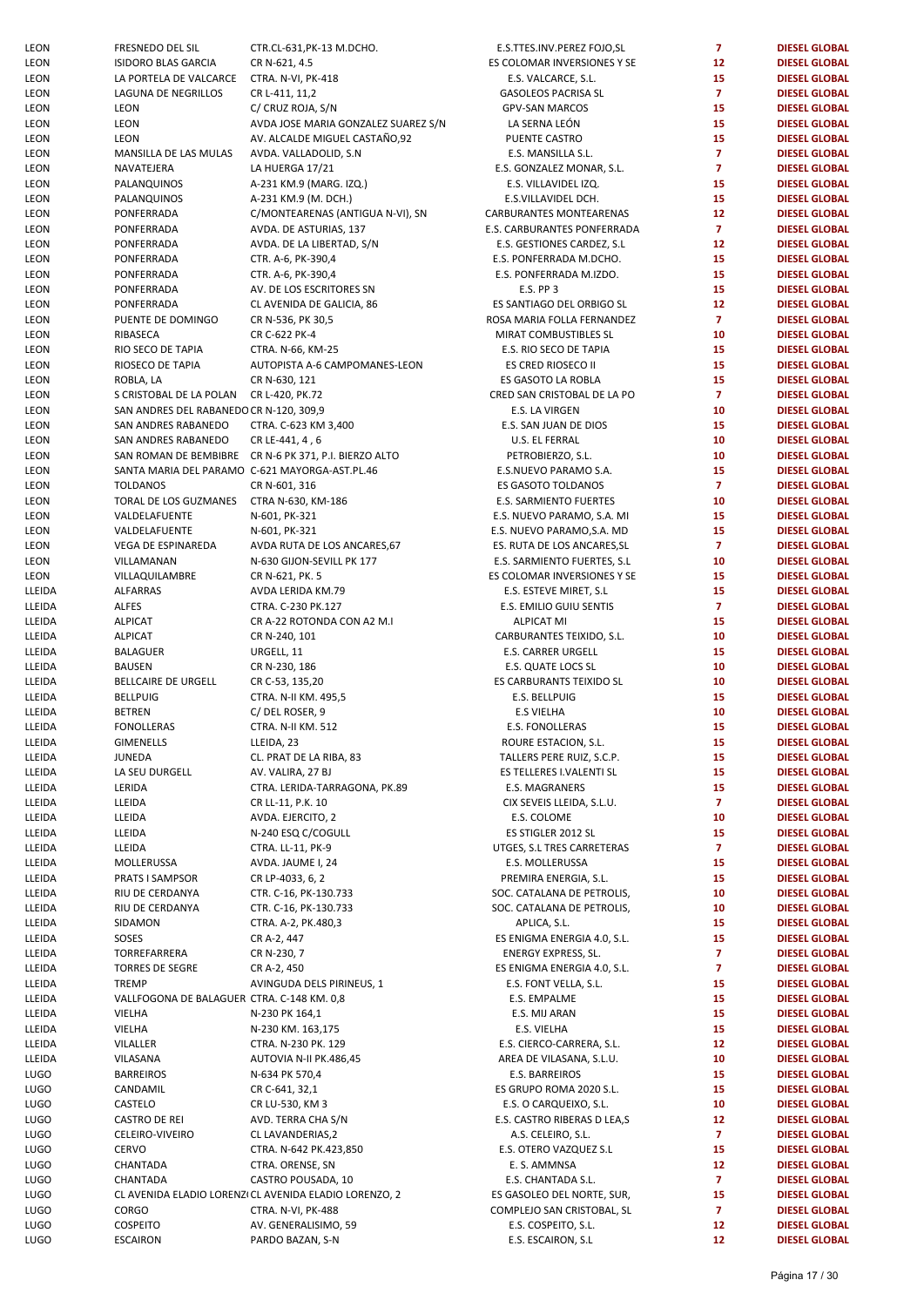| LEON                       | FRESNEDO DEL SIL                                               | CTR.CL-631, PK-13 M.DCH                      |
|----------------------------|----------------------------------------------------------------|----------------------------------------------|
| LEON                       | ISIDORO BLAS GARCIA                                            | CR N-621, 4.5                                |
| LEON<br>LEON               | LA PORTELA DE VALCARCE<br><b>LAGUNA DE NEGRILLOS</b>           | CTRA. N-VI, PK-418<br>CR L-411, 11,2         |
| LEON                       | LEON                                                           | C/ CRUZ ROJA, S/N                            |
| LEON                       | LEON                                                           | AVDA JOSE MARIA GONZA                        |
| LEON                       | LEON                                                           | AV. ALCALDE MIGUEL CAS                       |
| LEON                       | MANSILLA DE LAS MULAS                                          | AVDA. VALLADOLID, S.N                        |
| LEON                       | NAVATEJERA                                                     | LA HUERGA 17/21                              |
| LEON                       | PALANQUINOS                                                    | A-231 KM.9 (MARG. IZQ.)                      |
| LEON<br>LEON               | PALANQUINOS<br>PONFERRADA                                      | A-231 KM.9 (M. DCH.)<br>C/MONTEARENAS (ANTIG |
| <b>LEON</b>                | PONFERRADA                                                     | AVDA. DE ASTURIAS, 137                       |
| LEON                       | PONFERRADA                                                     | AVDA. DE LA LIBERTAD, S/                     |
| LEON                       | PONFERRADA                                                     | CTR. A-6, PK-390,4                           |
| LEON                       | PONFERRADA                                                     | CTR. A-6, PK-390,4                           |
| LEON                       | PONFERRADA                                                     | AV. DE LOS ESCRITORES SI                     |
| LEON                       | PONFERRADA                                                     | CL AVENIDA DE GALICIA, 8                     |
| LEON<br>LEON               | PUENTE DE DOMINGO<br>RIBASECA                                  | CR N-536, PK 30,5<br>CR C-622 PK-4           |
| LEON                       | RIO SECO DE TAPIA                                              | CTRA. N-66, KM-25                            |
| LEON                       | RIOSECO DE TAPIA                                               | AUTOPISTA A-6 CAMPOM                         |
| LEON                       | ROBLA, LA                                                      | CR N-630, 121                                |
| LEON                       | S CRISTOBAL DE LA POLAN                                        | CR L-420, PK.72                              |
| LEON                       | SAN ANDRES DEL RABANEDO CR N-120, 309,9<br>SAN ANDRES RABANEDO | CTRA. C-623 KM 3,400                         |
| LEON<br>LEON               | SAN ANDRES RABANEDO                                            | CR LE-441, 4, 6                              |
| LEON                       | SAN ROMAN DE BEMBIBRE                                          | CR N-6 PK 371, P.I. BIERZC                   |
| LEON                       | SANTA MARIA DEL PARAMO C-621 MAYORGA-AST.PL.4                  |                                              |
| LEON                       | <b>TOLDANOS</b>                                                | CR N-601, 316                                |
| LEON                       | TORAL DE LOS GUZMANES                                          | CTRA N-630, KM-186                           |
| LEON<br>LEON               | VALDELAFUENTE<br>VALDELAFUENTE                                 | N-601, PK-321<br>N-601, PK-321               |
| LEON                       | VEGA DE ESPINAREDA                                             | AVDA RUTA DE LOS ANCA                        |
| LEON                       | VILLAMANAN                                                     | N-630 GIJON-SEVILL PK 17                     |
| LEON                       | VILLAQUILAMBRE                                                 | CR N-621, PK. 5                              |
| LLEIDA                     | ALFARRAS                                                       | AVDA LERIDA KM.79                            |
| LLEIDA<br>LLEIDA           | <b>ALFES</b><br><b>ALPICAT</b>                                 | CTRA. C-230 PK.127<br>CR A-22 ROTONDA CON A  |
| LLEIDA                     | <b>ALPICAT</b>                                                 | CR N-240, 101                                |
| LLEIDA                     | <b>BALAGUER</b>                                                | URGELL, 11                                   |
| LLEIDA                     | <b>BAUSEN</b>                                                  | CR N-230, 186                                |
| LLEIDA<br>LLEIDA           | BELLCAIRE DE URGELL<br><b>BELLPUIG</b>                         | CR C-53, 135,20<br>CTRA. N-II KM. 495,5      |
| LLEIDA                     | <b>BETREN</b>                                                  | C/DEL ROSER, 9                               |
| LLEIDA                     | <b>FONOLLERAS</b>                                              | <b>CTRA. N-II KM. 512</b>                    |
| LLEIDA                     | <b>GIMENELLS</b>                                               | LLEIDA, 23                                   |
| LLEIDA                     | JUNEDA<br>LA SEU DURGELL                                       | CL. PRAT DE LA RIBA, 83                      |
| LLEIDA<br>LLEIDA           | LERIDA                                                         | AV. VALIRA, 27 BJ<br>CTRA. LERIDA-TARRAGON.  |
| LLEIDA                     | LLEIDA                                                         | CR LL-11, P.K. 10                            |
| LLEIDA                     | LLEIDA                                                         | AVDA. EJERCITO, 2                            |
| LLEIDA                     | LLEIDA                                                         | N-240 ESQ C/COGULL                           |
| LLEIDA                     | LLEIDA                                                         | CTRA. LL-11, PK-9<br>AVDA. JAUME I, 24       |
| LLEIDA<br>LLEIDA           | MOLLERUSSA<br>PRATS I SAMPSOR                                  | CR LP-4033, 6, 2                             |
| LLEIDA                     | RIU DE CERDANYA                                                | CTR. C-16, PK-130.733                        |
| LLEIDA                     | RIU DE CERDANYA                                                | CTR. C-16, PK-130.733                        |
| LLEIDA                     | SIDAMON                                                        | CTRA. A-2, PK.480,3                          |
| LLEIDA<br>LLEIDA           | SOSES<br>TORREFARRERA                                          | CR A-2, 447<br>CR N-230, 7                   |
| LLEIDA                     | <b>TORRES DE SEGRE</b>                                         | CR A-2, 450                                  |
| LLEIDA                     | TREMP                                                          | AVINGUDA DELS PIRINEUS                       |
| LLEIDA                     | VALLFOGONA DE BALAGUER CTRA. C-148 KM. 0,8                     |                                              |
| LLEIDA                     | VIELHA                                                         | N-230 PK 164,1                               |
| LLEIDA<br>LLEIDA           | VIELHA<br>VILALLER                                             | N-230 KM. 163,175<br>CTRA. N-230 PK. 129     |
| LLEIDA                     | VILASANA                                                       | AUTOVIA N-II PK.486,45                       |
| LUGO                       | <b>BARREIROS</b>                                               | N-634 PK 570,4                               |
| LUGO                       | CANDAMIL                                                       | CR C-641, 32,1                               |
| <b>LUGO</b>                | CASTELO                                                        | CR LU-530, KM 3                              |
| <b>LUGO</b><br>LUGO        | CASTRO DE REI<br>CELEIRO-VIVEIRO                               | AVD. TERRA CHA S/N<br>CL LAVANDERIAS, 2      |
| LUGO                       | CERVO                                                          | CTRA. N-642 PK.423,850                       |
| LUGO                       | CHANTADA                                                       | CTRA. ORENSE, SN                             |
| <b>LUGO</b>                | CHANTADA                                                       | CASTRO POUSADA, 10                           |
| LUGO                       | CL AVENIDA ELADIO LORENZI CL AVENIDA ELADIO LORE               |                                              |
| <b>LUGO</b><br><b>LUGO</b> | CORGO<br><b>COSPEITO</b>                                       | CTRA. N-VI, PK-488<br>AV. GENERALISIMO, 59   |
| LUGO                       | <b>ESCAIRON</b>                                                | PARDO BAZAN, S-N                             |
|                            |                                                                |                                              |

| LEON   | FRESNEDO DEL SIL                               | CTR.CL-631, PK-13 M.DCHO.                              | E.S.TTES.INV.PEREZ FOJO,SL   | $\mathbf{7}$    | <b>DIESEL GLOBAL</b> |
|--------|------------------------------------------------|--------------------------------------------------------|------------------------------|-----------------|----------------------|
| LEON   | <b>ISIDORO BLAS GARCIA</b>                     | CR N-621, 4.5                                          | ES COLOMAR INVERSIONES Y SE  | 12              | <b>DIESEL GLOBAL</b> |
| LEON   | LA PORTELA DE VALCARCE                         | CTRA. N-VI, PK-418                                     | E.S. VALCARCE, S.L.          | 15              | <b>DIESEL GLOBAL</b> |
| LEON   | LAGUNA DE NEGRILLOS                            | CR L-411, 11,2                                         | <b>GASOLEOS PACRISA SL</b>   | $\mathbf{7}$    | <b>DIESEL GLOBAL</b> |
|        |                                                |                                                        | <b>GPV-SAN MARCOS</b>        | 15              |                      |
| LEON   | LEON                                           | C/ CRUZ ROJA, S/N                                      |                              |                 | <b>DIESEL GLOBAL</b> |
| LEON   | LEON                                           | AVDA JOSE MARIA GONZALEZ SUAREZ S/N                    | LA SERNA LEÓN                | 15              | <b>DIESEL GLOBAL</b> |
| LEON   | <b>LEON</b>                                    | AV. ALCALDE MIGUEL CASTAÑO,92                          | PUENTE CASTRO                | 15              | <b>DIESEL GLOBAL</b> |
| LEON   | MANSILLA DE LAS MULAS                          | AVDA. VALLADOLID, S.N.                                 | E.S. MANSILLA S.L.           | $\overline{7}$  | <b>DIESEL GLOBAL</b> |
| LEON   | NAVATEJERA                                     | LA HUERGA 17/21                                        | E.S. GONZALEZ MONAR, S.L.    | $\overline{7}$  | <b>DIESEL GLOBAL</b> |
| LEON   | PALANQUINOS                                    | A-231 KM.9 (MARG. IZQ.)                                | E.S. VILLAVIDEL IZQ.         | 15              | <b>DIESEL GLOBAL</b> |
| LEON   | PALANQUINOS                                    | A-231 KM.9 (M. DCH.)                                   | E.S.VILLAVIDEL DCH.          | 15              | <b>DIESEL GLOBAL</b> |
|        |                                                |                                                        |                              |                 |                      |
| LEON   | PONFERRADA                                     | C/MONTEARENAS (ANTIGUA N-VI), SN                       | CARBURANTES MONTEARENAS      | 12 <sub>2</sub> | <b>DIESEL GLOBAL</b> |
| LEON   | PONFERRADA                                     | AVDA. DE ASTURIAS, 137                                 | E.S. CARBURANTES PONFERRADA  | $\mathbf{7}$    | <b>DIESEL GLOBAL</b> |
| LEON   | PONFERRADA                                     | AVDA. DE LA LIBERTAD, S/N                              | E.S. GESTIONES CARDEZ, S.L.  | 12              | <b>DIESEL GLOBAL</b> |
| LEON   | PONFERRADA                                     | CTR. A-6, PK-390,4                                     | E.S. PONFERRADA M.DCHO.      | 15              | <b>DIESEL GLOBAL</b> |
| LEON   | PONFERRADA                                     | CTR. A-6, PK-390,4                                     | E.S. PONFERRADA M.IZDO.      | 15              | <b>DIESEL GLOBAL</b> |
|        |                                                |                                                        | E.S. PP 3                    | 15              |                      |
| LEON   | PONFERRADA                                     | AV. DE LOS ESCRITORES SN                               |                              |                 | <b>DIESEL GLOBAL</b> |
| LEON   | PONFERRADA                                     | CL AVENIDA DE GALICIA, 86                              | ES SANTIAGO DEL ORBIGO SL    | 12              | <b>DIESEL GLOBAL</b> |
| LEON   | PUENTE DE DOMINGO                              | CR N-536, PK 30,5                                      | ROSA MARIA FOLLA FERNANDEZ   | $\overline{7}$  | <b>DIESEL GLOBAL</b> |
| LEON   | RIBASECA                                       | CR C-622 PK-4                                          | MIRAT COMBUSTIBLES SL        | 10              | <b>DIESEL GLOBAL</b> |
| LEON   | RIO SECO DE TAPIA                              | CTRA. N-66, KM-25                                      | E.S. RIO SECO DE TAPIA       | 15              | <b>DIESEL GLOBAL</b> |
| LEON   | RIOSECO DE TAPIA                               | AUTOPISTA A-6 CAMPOMANES-LEON                          | ES CRED RIOSECO II           | 15              | <b>DIESEL GLOBAL</b> |
|        |                                                |                                                        |                              |                 |                      |
| LEON   | ROBLA, LA                                      | CR N-630, 121                                          | ES GASOTO LA ROBLA           | 15              | <b>DIESEL GLOBAL</b> |
| LEON   | S CRISTOBAL DE LA POLAN CR L-420, PK.72        |                                                        | CRED SAN CRISTOBAL DE LA PO  | $\mathbf{7}$    | <b>DIESEL GLOBAL</b> |
| LEON   | SAN ANDRES DEL RABANEDO CR N-120, 309,9        |                                                        | E.S. LA VIRGEN               | 10              | <b>DIESEL GLOBAL</b> |
| LEON   | SAN ANDRES RABANEDO                            | CTRA. C-623 KM 3,400                                   | E.S. SAN JUAN DE DIOS        | 15              | <b>DIESEL GLOBAL</b> |
| LEON   | SAN ANDRES RABANEDO                            | CR LE-441, 4, 6                                        | U.S. EL FERRAL               | 10              | <b>DIESEL GLOBAL</b> |
|        |                                                |                                                        |                              |                 |                      |
| LEON   |                                                | SAN ROMAN DE BEMBIBRE CR N-6 PK 371, P.I. BIERZO ALTO  | PETROBIERZO, S.L.            | 10              | <b>DIESEL GLOBAL</b> |
| LEON   | SANTA MARIA DEL PARAMO C-621 MAYORGA-AST.PL.46 |                                                        | E.S.NUEVO PARAMO S.A.        | 15              | <b>DIESEL GLOBAL</b> |
| LEON   | <b>TOLDANOS</b>                                | CR N-601, 316                                          | ES GASOTO TOLDANOS           | $\overline{7}$  | <b>DIESEL GLOBAL</b> |
| LEON   | TORAL DE LOS GUZMANES                          | CTRA N-630, KM-186                                     | E.S. SARMIENTO FUERTES       | 10              | <b>DIESEL GLOBAL</b> |
|        |                                                |                                                        |                              |                 |                      |
| LEON   | VALDELAFUENTE                                  | N-601, PK-321                                          | E.S. NUEVO PARAMO, S.A. MI   | 15              | <b>DIESEL GLOBAL</b> |
| LEON   | VALDELAFUENTE                                  | N-601, PK-321                                          | E.S. NUEVO PARAMO, S.A. MD   | 15              | <b>DIESEL GLOBAL</b> |
| LEON   | VEGA DE ESPINAREDA                             | AVDA RUTA DE LOS ANCARES, 67                           | ES. RUTA DE LOS ANCARES, SL  | $\overline{7}$  | <b>DIESEL GLOBAL</b> |
| LEON   | VILLAMANAN                                     | N-630 GIJON-SEVILL PK 177                              | E.S. SARMIENTO FUERTES, S.L. | 10              | <b>DIESEL GLOBAL</b> |
| LEON   | VILLAQUILAMBRE                                 | CR N-621, PK. 5                                        | ES COLOMAR INVERSIONES Y SE  | 15              | <b>DIESEL GLOBAL</b> |
|        |                                                |                                                        |                              |                 |                      |
| LLEIDA | <b>ALFARRAS</b>                                | AVDA LERIDA KM.79                                      | E.S. ESTEVE MIRET, S.L.      | 15              | <b>DIESEL GLOBAL</b> |
| LLEIDA | <b>ALFES</b>                                   | CTRA. C-230 PK.127                                     | E.S. EMILIO GUIU SENTIS      | $\overline{7}$  | <b>DIESEL GLOBAL</b> |
| lleida | ALPICAT                                        | CR A-22 ROTONDA CON A2 M.I                             | <b>ALPICAT MI</b>            | 15              | <b>DIESEL GLOBAL</b> |
| lleida | <b>ALPICAT</b>                                 | CR N-240, 101                                          | CARBURANTES TEIXIDO, S.L.    | 10              | <b>DIESEL GLOBAL</b> |
| LLEIDA | <b>BALAGUER</b>                                | URGELL, 11                                             | <b>E.S. CARRER URGELL</b>    | 15              | <b>DIESEL GLOBAL</b> |
|        |                                                |                                                        |                              |                 |                      |
| LLEIDA | <b>BAUSEN</b>                                  | CR N-230, 186                                          | E.S. QUATE LOCS SL           | 10              | <b>DIESEL GLOBAL</b> |
| LLEIDA | BELLCAIRE DE URGELL                            | CR C-53, 135,20                                        | ES CARBURANTS TEIXIDO SL     | 10              | <b>DIESEL GLOBAL</b> |
| LLEIDA | <b>BELLPUIG</b>                                | CTRA. N-II KM. 495,5                                   | E.S. BELLPUIG                | 15              | <b>DIESEL GLOBAL</b> |
| LLEIDA | <b>BETREN</b>                                  | C/DEL ROSER, 9                                         | <b>E.S VIELHA</b>            | 10              | <b>DIESEL GLOBAL</b> |
|        |                                                | <b>CTRA. N-II KM. 512</b>                              |                              |                 |                      |
| LLEIDA | FONOLLERAS                                     |                                                        | E.S. FONOLLERAS              | 15              | <b>DIESEL GLOBAL</b> |
| LLEIDA | <b>GIMENELLS</b>                               | LLEIDA, 23                                             | ROURE ESTACION, S.L.         | 15              | <b>DIESEL GLOBAL</b> |
| LLEIDA | JUNEDA                                         | CL. PRAT DE LA RIBA, 83                                | TALLERS PERE RUIZ, S.C.P.    | 15              | <b>DIESEL GLOBAL</b> |
| LLEIDA | LA SEU DURGELL                                 | AV. VALIRA, 27 BJ                                      | ES TELLERES I.VALENTI SL     | 15              | <b>DIESEL GLOBAL</b> |
| LLEIDA | LERIDA                                         | CTRA. LERIDA-TARRAGONA, PK.89                          | E.S. MAGRANERS               | 15              | <b>DIESEL GLOBAL</b> |
|        |                                                |                                                        |                              |                 |                      |
| LLEIDA | LLEIDA                                         | CR LL-11, P.K. 10                                      | CIX SEVEIS LLEIDA, S.L.U.    | 7               | <b>DIESEL GLOBAL</b> |
| LLEIDA | LLEIDA                                         | AVDA. EJERCITO, 2                                      | E.S. COLOME                  | 10              | <b>DIESEL GLOBAL</b> |
| LLEIDA | LLEIDA                                         | N-240 ESQ C/COGULL                                     | ES STIGLER 2012 SL           | 15              | <b>DIESEL GLOBAL</b> |
| LLEIDA | LLEIDA                                         | CTRA. LL-11, PK-9                                      | UTGES, S.L TRES CARRETERAS   | $\mathbf{7}$    | <b>DIESEL GLOBAL</b> |
|        |                                                | AVDA. JAUME I, 24                                      |                              |                 |                      |
| LLEIDA | MOLLERUSSA                                     |                                                        | E.S. MOLLERUSSA              | 15              | <b>DIESEL GLOBAL</b> |
| LLEIDA | PRATS I SAMPSOR                                | CR LP-4033, 6, 2                                       | PREMIRA ENERGIA, S.L.        | 15              | <b>DIESEL GLOBAL</b> |
| LLEIDA | RIU DE CERDANYA                                | CTR. C-16, PK-130.733                                  | SOC. CATALANA DE PETROLIS,   | 10              | <b>DIESEL GLOBAL</b> |
| LLEIDA | RIU DE CERDANYA                                | CTR. C-16, PK-130.733                                  | SOC. CATALANA DE PETROLIS,   | 10              | <b>DIESEL GLOBAL</b> |
| LLEIDA | SIDAMON                                        | CTRA. A-2, PK.480,3                                    | APLICA, S.L.                 | 15              | <b>DIESEL GLOBAL</b> |
| LLEIDA | SOSES                                          | CR A-2, 447                                            | ES ENIGMA ENERGIA 4.0, S.L.  | 15              | <b>DIESEL GLOBAL</b> |
|        |                                                |                                                        |                              |                 |                      |
| LLEIDA | TORREFARRERA                                   | CR N-230, 7                                            | ENERGY EXPRESS, SL.          | $\overline{7}$  | <b>DIESEL GLOBAL</b> |
| LLEIDA | <b>TORRES DE SEGRE</b>                         | CR A-2, 450                                            | ES ENIGMA ENERGIA 4.0, S.L.  | 7               | <b>DIESEL GLOBAL</b> |
| LLEIDA | <b>TREMP</b>                                   | AVINGUDA DELS PIRINEUS, 1                              | E.S. FONT VELLA, S.L.        | 15              | <b>DIESEL GLOBAL</b> |
| LLEIDA | VALLFOGONA DE BALAGUER CTRA. C-148 KM. 0,8     |                                                        | E.S. EMPALME                 | 15              | <b>DIESEL GLOBAL</b> |
|        |                                                |                                                        |                              |                 |                      |
| LLEIDA | <b>VIELHA</b>                                  | N-230 PK 164,1                                         | E.S. MIJ ARAN                | 15              | <b>DIESEL GLOBAL</b> |
| LLEIDA | VIELHA                                         | N-230 KM. 163,175                                      | E.S. VIELHA                  | 15              | <b>DIESEL GLOBAL</b> |
| LLEIDA | VILALLER                                       | CTRA. N-230 PK. 129                                    | E.S. CIERCO-CARRERA, S.L.    | 12              | <b>DIESEL GLOBAL</b> |
| LLEIDA | VILASANA                                       | AUTOVIA N-II PK.486,45                                 | AREA DE VILASANA, S.L.U.     | 10              | <b>DIESEL GLOBAL</b> |
| LUGO   | <b>BARREIROS</b>                               | N-634 PK 570,4                                         | <b>E.S. BARREIROS</b>        | 15              | <b>DIESEL GLOBAL</b> |
|        |                                                |                                                        |                              |                 |                      |
| LUGO   | CANDAMIL                                       | CR C-641, 32,1                                         | ES GRUPO ROMA 2020 S.L.      | 15              | <b>DIESEL GLOBAL</b> |
| LUGO   | CASTELO                                        | CR LU-530, KM 3                                        | E.S. O CARQUEIXO, S.L.       | 10              | <b>DIESEL GLOBAL</b> |
| LUGO   | CASTRO DE REI                                  | AVD. TERRA CHA S/N                                     | E.S. CASTRO RIBERAS D LEA,S  | 12              | <b>DIESEL GLOBAL</b> |
| LUGO   | CELEIRO-VIVEIRO                                | CL LAVANDERIAS, 2                                      | A.S. CELEIRO, S.L.           | $\mathbf{7}$    | <b>DIESEL GLOBAL</b> |
| LUGO   | <b>CERVO</b>                                   | CTRA. N-642 PK.423,850                                 | E.S. OTERO VAZQUEZ S.L       | 15              | <b>DIESEL GLOBAL</b> |
|        |                                                |                                                        |                              |                 |                      |
| LUGO   | CHANTADA                                       | CTRA. ORENSE, SN                                       | E. S. AMMNSA                 | 12              | <b>DIESEL GLOBAL</b> |
| LUGO   | CHANTADA                                       | CASTRO POUSADA, 10                                     | E.S. CHANTADA S.L.           | $\overline{7}$  | <b>DIESEL GLOBAL</b> |
| LUGO   |                                                | CL AVENIDA ELADIO LORENZI CL AVENIDA ELADIO LORENZO, 2 | ES GASOLEO DEL NORTE, SUR,   | 15              | <b>DIESEL GLOBAL</b> |
| LUGO   | CORGO                                          | CTRA. N-VI, PK-488                                     | COMPLEJO SAN CRISTOBAL, SL   | $\mathbf{7}$    | <b>DIESEL GLOBAL</b> |
|        | <b>COSPEITO</b>                                | AV. GENERALISIMO, 59                                   |                              | 12              | <b>DIESEL GLOBAL</b> |
| LUGO   |                                                |                                                        | E.S. COSPEITO, S.L.          |                 |                      |
| LUGO   | <b>ESCAIRON</b>                                | PARDO BAZAN, S-N                                       | E.S. ESCAIRON, S.L           | 12              | <b>DIESEL GLOBAL</b> |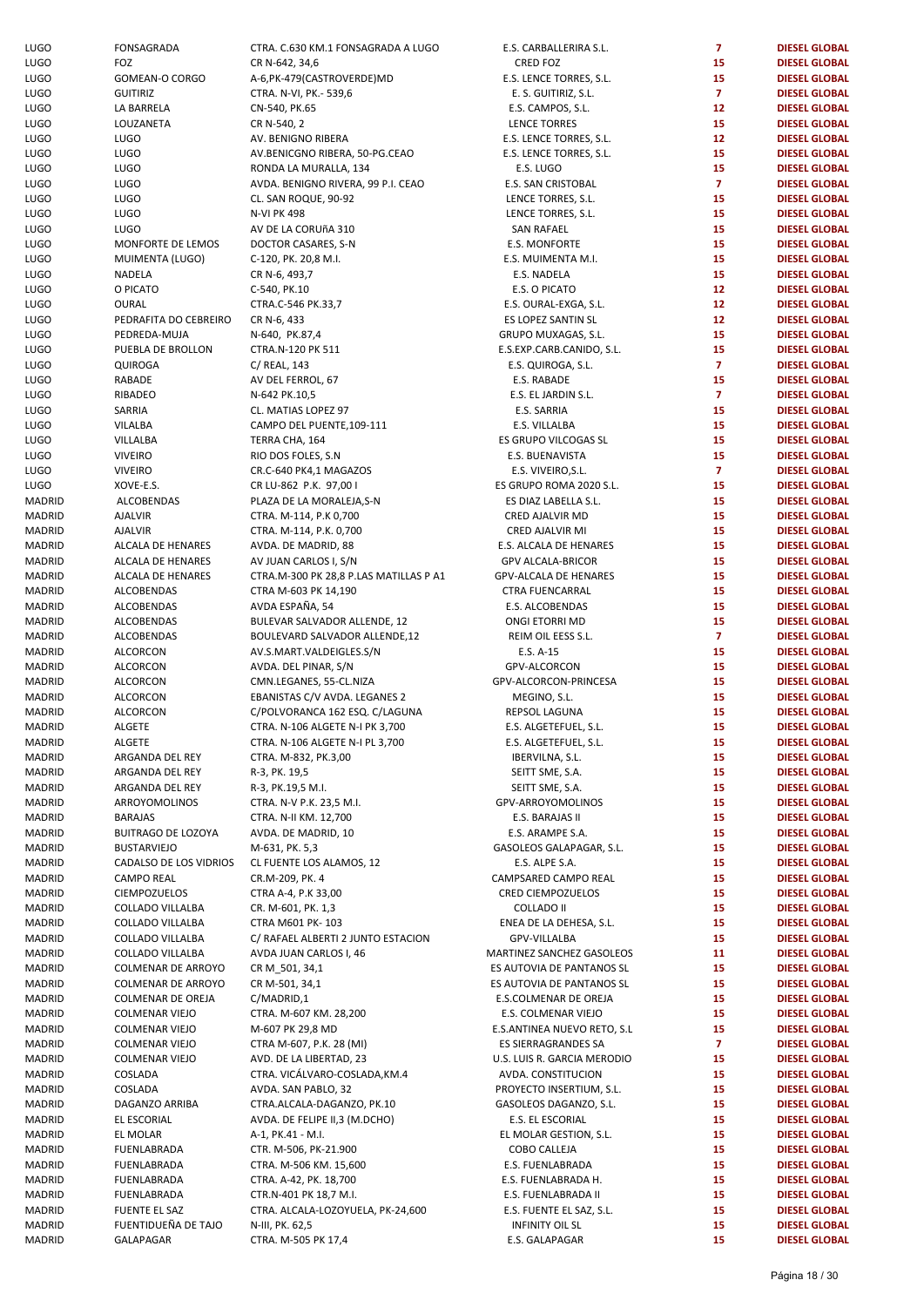| uuu<br><b>UGO</b> | <b>טווערינ</b><br>FOZ                          |
|-------------------|------------------------------------------------|
| UGO               | GOMEAN-O CORGO                                 |
| <b>UGO</b>        | <b>GUITIRIZ</b>                                |
| UGO               | LA BARRELA                                     |
| UGO               | LOUZANETA                                      |
| UGO               | LUGO                                           |
| UGO               | LUGO                                           |
| <b>UGO</b>        | LUGO                                           |
| UGO               | LUGO                                           |
| UGO               | LUGO                                           |
| UGO               | LUGO                                           |
| UGO               | <b>LUGO</b>                                    |
| UGO               | MONFORTE DE LEM                                |
| UGO               | MUIMENTA (LUGO)                                |
| UGO               | NADELA                                         |
| <b>UGO</b>        | O PICATO                                       |
| UGO               | OURAL                                          |
| <b>UGO</b>        | PEDRAFITA DO CEBR                              |
| UGO               | PEDREDA-MUJA                                   |
| UGO               | PUEBLA DE BROLLOI                              |
| UGO               | QUIROGA                                        |
| UGO               | <b>RABADE</b>                                  |
| UGO               | RIBADEO                                        |
| <b>UGO</b>        | SARRIA                                         |
| UGO               | VILALBA                                        |
| UGO               | VILLALBA                                       |
| UGO               | <b>VIVEIRO</b>                                 |
| UGO               | <b>VIVEIRO</b>                                 |
| <b>UGO</b>        | XOVE-E.S.                                      |
| <b>AADRID</b>     | ALCOBENDAS                                     |
| AADRID            | AJALVIR                                        |
| AADRID<br>AADRID  | <b>AJALVIR</b><br>ALCALA DE HENARES            |
| AADRID            | ALCALA DE HENARES                              |
| AADRID            | ALCALA DE HENARES                              |
| AADRID            | ALCOBENDAS                                     |
| AADRID            | ALCOBENDAS                                     |
| AADRID            | ALCOBENDAS                                     |
| AADRID            | ALCOBENDAS                                     |
| AADRID            | <b>ALCORCON</b>                                |
| AADRID            | <b>ALCORCON</b>                                |
| AADRID            | ALCORCON                                       |
| <b>AADRID</b>     | <b>ALCORCON</b>                                |
| <b>AADRID</b>     | <b>ALCORCON</b>                                |
| <b>AADRID</b>     | <b>ALGETE</b>                                  |
| AADRID            | ALGETE                                         |
| AADRID            | ARGANDA DEL REY                                |
| AADRID            | ARGANDA DEL REY                                |
| AADRID            | ARGANDA DEL REY                                |
| <b>AADRID</b>     | <b>ARROYOMOLINOS</b>                           |
| <b>AADRID</b>     | <b>BARAJAS</b>                                 |
| AADRID            | <b>BUITRAGO DE LOZO'</b>                       |
| <b>AADRID</b>     | <b>BUSTARVIEJO</b>                             |
| <b>AADRID</b>     | CADALSO DE LOS VII                             |
| AADRID            | <b>CAMPO REAL</b>                              |
| AADRID            | <b>CIEMPOZUELOS</b>                            |
| AADRID            | COLLADO VILLALBA                               |
| AADRID            | COLLADO VILLALBA                               |
| AADRID            | COLLADO VILLALBA                               |
| AADRID            | COLLADO VILLALBA                               |
| AADRID            | <b>COLMENAR DE ARRO</b>                        |
| AADRID            | <b>COLMENAR DE ARRO</b>                        |
| AADRID            | <b>COLMENAR DE OREJ</b>                        |
| AADRID<br>AADRID  | <b>COLMENAR VIEJO</b><br><b>COLMENAR VIEJO</b> |
| AADRID            | <b>COLMENAR VIEJO</b>                          |
| AADRID            | <b>COLMENAR VIEJO</b>                          |
| AADRID            | COSLADA                                        |
| AADRID            | COSLADA                                        |
| AADRID            | DAGANZO ARRIBA                                 |
| AADRID            | EL ESCORIAL                                    |
| AADRID            | EL MOLAR                                       |
| AADRID            | FUENLABRADA                                    |
| AADRID            | FUENLABRADA                                    |
| AADRID            | FUENLABRADA                                    |
| AADRID            | FUENLABRADA                                    |
| AADRID            | <b>FUENTE EL SAZ</b>                           |
| AADRID            | FUENTIDUEÑA DE TA                              |
| AADRID            | GALAPAGAR                                      |
|                   |                                                |

| <b>LUGO</b>   | FONSAGRADA                        | CTRA. C.630 KM.1 FONSAGRADA A LUGO     | E.S. CARBALLERIRA S.L.      | $\overline{7}$ | <b>DIESEL GLOBAL</b>                         |
|---------------|-----------------------------------|----------------------------------------|-----------------------------|----------------|----------------------------------------------|
| LUGO          | FOZ                               | CR N-642, 34,6                         | <b>CRED FOZ</b>             | 15             | <b>DIESEL GLOBAL</b>                         |
| LUGO          | GOMEAN-O CORGO                    | A-6, PK-479 (CASTROVERDE) MD           | E.S. LENCE TORRES, S.L.     | 15             | <b>DIESEL GLOBAL</b>                         |
| LUGO          | <b>GUITIRIZ</b>                   | CTRA. N-VI, PK.- 539,6                 | E. S. GUITIRIZ, S.L.        | $\overline{7}$ | <b>DIESEL GLOBAL</b>                         |
| LUGO          | LA BARRELA                        | CN-540, PK.65                          | E.S. CAMPOS, S.L.           | 12             | <b>DIESEL GLOBAL</b>                         |
| LUGO          | LOUZANETA                         | CR N-540, 2                            | LENCE TORRES                | 15             | <b>DIESEL GLOBAL</b>                         |
| LUGO          | <b>LUGO</b>                       | AV. BENIGNO RIBERA                     | E.S. LENCE TORRES, S.L.     | 12             | <b>DIESEL GLOBAL</b>                         |
| LUGO          | <b>LUGO</b>                       | AV.BENICGNO RIBERA, 50-PG.CEAO         | E.S. LENCE TORRES, S.L.     | 15             | <b>DIESEL GLOBAL</b>                         |
| LUGO          | <b>LUGO</b>                       | RONDA LA MURALLA, 134                  | E.S. LUGO                   | 15             | <b>DIESEL GLOBAL</b>                         |
| LUGO          | <b>LUGO</b>                       | AVDA. BENIGNO RIVERA, 99 P.I. CEAO     | E.S. SAN CRISTOBAL          | $\overline{7}$ | <b>DIESEL GLOBAL</b>                         |
| LUGO          | <b>LUGO</b>                       | CL. SAN ROQUE, 90-92                   | LENCE TORRES, S.L.          | 15             | <b>DIESEL GLOBAL</b>                         |
| LUGO          | <b>LUGO</b>                       | <b>N-VI PK 498</b>                     | LENCE TORRES, S.L.          | 15             | <b>DIESEL GLOBAL</b>                         |
| LUGO          | <b>LUGO</b>                       | AV DE LA CORUÑA 310                    | <b>SAN RAFAEL</b>           | 15             | <b>DIESEL GLOBAL</b>                         |
| LUGO          | MONFORTE DE LEMOS                 | DOCTOR CASARES, S-N                    | E.S. MONFORTE               | 15             | <b>DIESEL GLOBAL</b>                         |
| LUGO          | MUIMENTA (LUGO)                   | C-120, PK. 20,8 M.I.                   | E.S. MUIMENTA M.I.          | 15             | <b>DIESEL GLOBAL</b>                         |
| LUGO          | NADELA                            | CR N-6, 493,7                          | E.S. NADELA                 | 15             | <b>DIESEL GLOBAL</b>                         |
| LUGO          | O PICATO                          | C-540, PK.10                           | E.S. O PICATO               | 12             | <b>DIESEL GLOBAL</b>                         |
| LUGO          | OURAL                             | CTRA.C-546 PK.33,7                     | E.S. OURAL-EXGA, S.L.       | 12             | <b>DIESEL GLOBAL</b>                         |
| LUGO          | PEDRAFITA DO CEBREIRO             | CR N-6, 433                            | ES LOPEZ SANTIN SL          | 12             | <b>DIESEL GLOBAL</b>                         |
| LUGO          | PEDREDA-MUJA                      | N-640, PK.87,4                         | GRUPO MUXAGAS, S.L.         | 15             | <b>DIESEL GLOBAL</b>                         |
| LUGO          | PUEBLA DE BROLLON                 | CTRA.N-120 PK 511                      | E.S.EXP.CARB.CANIDO, S.L.   | 15             | <b>DIESEL GLOBAL</b>                         |
| LUGO          | QUIROGA                           | C/ REAL, 143                           | E.S. QUIROGA, S.L.          | $\mathbf{7}$   | <b>DIESEL GLOBAL</b>                         |
| LUGO          | RABADE                            | AV DEL FERROL, 67                      | E.S. RABADE                 | 15             | <b>DIESEL GLOBAL</b>                         |
| LUGO          | RIBADEO                           | N-642 PK.10,5                          | E.S. EL JARDIN S.L.         | $\overline{7}$ | <b>DIESEL GLOBAL</b>                         |
| LUGO          | SARRIA                            | CL. MATIAS LOPEZ 97                    | E.S. SARRIA                 | 15             | <b>DIESEL GLOBAL</b>                         |
| LUGO          | VILALBA                           | CAMPO DEL PUENTE, 109-111              | E.S. VILLALBA               | 15             | <b>DIESEL GLOBAL</b>                         |
|               |                                   |                                        |                             | 15             |                                              |
| LUGO          | VILLALBA                          | TERRA CHA, 164                         | ES GRUPO VILCOGAS SL        |                | <b>DIESEL GLOBAL</b>                         |
| LUGO          | <b>VIVEIRO</b>                    | RIO DOS FOLES, S.N.                    | E.S. BUENAVISTA             | 15             | <b>DIESEL GLOBAL</b>                         |
| LUGO          | <b>VIVEIRO</b>                    | CR.C-640 PK4,1 MAGAZOS                 | E.S. VIVEIRO, S.L.          | $\overline{7}$ | <b>DIESEL GLOBAL</b>                         |
| LUGO          | XOVE-E.S.                         | CR LU-862 P.K. 97,00 I                 | ES GRUPO ROMA 2020 S.L.     | 15             | <b>DIESEL GLOBAL</b>                         |
| <b>MADRID</b> | ALCOBENDAS                        | PLAZA DE LA MORALEJA,S-N               | ES DIAZ LABELLA S.L.        | 15             | <b>DIESEL GLOBAL</b>                         |
| <b>MADRID</b> | <b>AJALVIR</b>                    | CTRA. M-114, P.K 0,700                 | CRED AJALVIR MD             | 15             | <b>DIESEL GLOBAL</b>                         |
| <b>MADRID</b> | <b>AJALVIR</b>                    | CTRA. M-114, P.K. 0,700                | CRED AJALVIR MI             | 15             | <b>DIESEL GLOBAL</b>                         |
| MADRID        | ALCALA DE HENARES                 | AVDA. DE MADRID, 88                    | E.S. ALCALA DE HENARES      | 15             | <b>DIESEL GLOBAL</b>                         |
| <b>MADRID</b> | ALCALA DE HENARES                 | AV JUAN CARLOS I, S/N                  | <b>GPV ALCALA-BRICOR</b>    | 15             | <b>DIESEL GLOBAL</b>                         |
| <b>MADRID</b> | ALCALA DE HENARES                 | CTRA.M-300 PK 28,8 P.LAS MATILLAS P A1 | GPV-ALCALA DE HENARES       | 15             | <b>DIESEL GLOBAL</b>                         |
| <b>MADRID</b> | ALCOBENDAS                        | CTRA M-603 PK 14,190                   | <b>CTRA FUENCARRAL</b>      | 15             | <b>DIESEL GLOBAL</b>                         |
| <b>MADRID</b> | ALCOBENDAS                        | AVDA ESPAÑA, 54                        | E.S. ALCOBENDAS             | 15             | <b>DIESEL GLOBAL</b>                         |
| MADRID        | ALCOBENDAS                        | BULEVAR SALVADOR ALLENDE, 12           | ONGI ETORRI MD              | 15             | <b>DIESEL GLOBAL</b>                         |
| <b>MADRID</b> | ALCOBENDAS                        | BOULEVARD SALVADOR ALLENDE, 12         | REIM OIL EESS S.L.          | $\overline{7}$ | <b>DIESEL GLOBAL</b>                         |
| <b>MADRID</b> | ALCORCON                          | AV.S.MART.VALDEIGLES.S/N               | E.S. A-15                   | 15             | <b>DIESEL GLOBAL</b>                         |
| MADRID        | ALCORCON                          | AVDA. DEL PINAR, S/N                   | GPV-ALCORCON                | 15             | <b>DIESEL GLOBAL</b>                         |
| <b>MADRID</b> | <b>ALCORCON</b>                   | CMN.LEGANES, 55-CL.NIZA                | GPV-ALCORCON-PRINCESA       | 15             | <b>DIESEL GLOBAL</b>                         |
| MADRID        | ALCORCON                          | EBANISTAS C/V AVDA. LEGANES 2          | MEGINO, S.L.                | 15             | <b>DIESEL GLOBAL</b>                         |
| MADRID        | ALCORCON                          | C/POLVORANCA 162 ESQ. C/LAGUNA         | REPSOL LAGUNA               | 15             | <b>DIESEL GLOBAL</b>                         |
| <b>MADRID</b> | ALGETE                            | CTRA. N-106 ALGETE N-I PK 3,700        | E.S. ALGETEFUEL, S.L.       | 15             | <b>DIESEL GLOBAL</b>                         |
| MADRID        | ALGETE                            | CTRA. N-106 ALGETE N-I PL 3,700        | E.S. ALGETEFUEL, S.L.       | 15             | <b>DIESEL GLOBAL</b>                         |
| MADRID        | ARGANDA DEL REY                   | CTRA. M-832, PK.3,00                   | IBERVILNA, S.L.             | 15             | <b>DIESEL GLOBAL</b>                         |
| MADRID        | ARGANDA DEL REY                   | R-3, PK. 19,5                          | SEITT SME, S.A.             | 15             | <b>DIESEL GLOBAL</b>                         |
| MADRID        | ARGANDA DEL REY                   | R-3, PK.19,5 M.I.                      | SEITT SME, S.A.             | 15             | <b>DIESEL GLOBAL</b>                         |
| MADRID        | ARROYOMOLINOS                     | CTRA. N-V P.K. 23,5 M.I.               | GPV-ARROYOMOLINOS           | 15             | <b>DIESEL GLOBAL</b>                         |
| MADRID        | <b>BARAJAS</b>                    | CTRA. N-II KM. 12,700                  | E.S. BARAJAS II             | 15             | <b>DIESEL GLOBAL</b>                         |
| MADRID        | <b>BUITRAGO DE LOZOYA</b>         | AVDA. DE MADRID, 10                    | E.S. ARAMPE S.A.            | 15             | <b>DIESEL GLOBAL</b>                         |
| MADRID        | <b>BUSTARVIEJO</b>                | M-631, PK. 5,3                         | GASOLEOS GALAPAGAR, S.L.    | 15             | <b>DIESEL GLOBAL</b>                         |
| MADRID        | CADALSO DE LOS VIDRIOS            | CL FUENTE LOS ALAMOS, 12               | E.S. ALPE S.A.              | 15             | <b>DIESEL GLOBAL</b>                         |
|               |                                   |                                        |                             |                |                                              |
| <b>MADRID</b> | <b>CAMPO REAL</b><br>CIEMPOZUELOS | CR.M-209, PK. 4                        | CAMPSARED CAMPO REAL        | 15             | <b>DIESEL GLOBAL</b><br><b>DIESEL GLOBAL</b> |
| MADRID        |                                   | CTRA A-4, P.K 33,00                    | CRED CIEMPOZUELOS           | 15             |                                              |
| MADRID        | COLLADO VILLALBA                  | CR. M-601, PK. 1,3                     | <b>COLLADO II</b>           | 15             | <b>DIESEL GLOBAL</b>                         |
| MADRID        | COLLADO VILLALBA                  | CTRA M601 PK-103                       | ENEA DE LA DEHESA, S.L.     | 15             | <b>DIESEL GLOBAL</b>                         |
| <b>MADRID</b> | COLLADO VILLALBA                  | C/ RAFAEL ALBERTI 2 JUNTO ESTACION     | GPV-VILLALBA                | 15             | <b>DIESEL GLOBAL</b>                         |
| MADRID        | COLLADO VILLALBA                  | AVDA JUAN CARLOS I, 46                 | MARTINEZ SANCHEZ GASOLEOS   | 11             | <b>DIESEL GLOBAL</b>                         |
| <b>MADRID</b> | COLMENAR DE ARROYO                | CR M_501, 34,1                         | ES AUTOVIA DE PANTANOS SL   | 15             | <b>DIESEL GLOBAL</b>                         |
| <b>MADRID</b> | COLMENAR DE ARROYO                | CR M-501, 34,1                         | ES AUTOVIA DE PANTANOS SL   | 15             | <b>DIESEL GLOBAL</b>                         |
| <b>MADRID</b> | COLMENAR DE OREJA                 | C/MADRID,1                             | E.S.COLMENAR DE OREJA       | 15             | <b>DIESEL GLOBAL</b>                         |
| <b>MADRID</b> | <b>COLMENAR VIEJO</b>             | CTRA. M-607 KM. 28,200                 | E.S. COLMENAR VIEJO         | 15             | <b>DIESEL GLOBAL</b>                         |
| <b>MADRID</b> | <b>COLMENAR VIEJO</b>             | M-607 PK 29,8 MD                       | E.S.ANTINEA NUEVO RETO, S.L | 15             | <b>DIESEL GLOBAL</b>                         |
| <b>MADRID</b> | <b>COLMENAR VIEJO</b>             | CTRA M-607, P.K. 28 (MI)               | ES SIERRAGRANDES SA         | $\overline{7}$ | <b>DIESEL GLOBAL</b>                         |
| MADRID        | <b>COLMENAR VIEJO</b>             | AVD. DE LA LIBERTAD, 23                | U.S. LUIS R. GARCIA MERODIO | 15             | <b>DIESEL GLOBAL</b>                         |
| MADRID        | COSLADA                           | CTRA. VICÁLVARO-COSLADA, KM.4          | AVDA. CONSTITUCION          | 15             | <b>DIESEL GLOBAL</b>                         |
| <b>MADRID</b> | COSLADA                           | AVDA. SAN PABLO, 32                    | PROYECTO INSERTIUM, S.L.    | 15             | <b>DIESEL GLOBAL</b>                         |
| <b>MADRID</b> | DAGANZO ARRIBA                    | CTRA.ALCALA-DAGANZO, PK.10             | GASOLEOS DAGANZO, S.L.      | 15             | <b>DIESEL GLOBAL</b>                         |
| MADRID        | EL ESCORIAL                       | AVDA. DE FELIPE II,3 (M.DCHO)          | E.S. EL ESCORIAL            | 15             | <b>DIESEL GLOBAL</b>                         |
| MADRID        | EL MOLAR                          | A-1, PK.41 - M.I.                      | EL MOLAR GESTION, S.L.      | 15             | <b>DIESEL GLOBAL</b>                         |
| MADRID        | FUENLABRADA                       | CTR. M-506, PK-21.900                  | COBO CALLEJA                | 15             | <b>DIESEL GLOBAL</b>                         |
| <b>MADRID</b> | FUENLABRADA                       | CTRA. M-506 KM. 15,600                 | E.S. FUENLABRADA            | 15             | <b>DIESEL GLOBAL</b>                         |
| MADRID        | FUENLABRADA                       | CTRA. A-42, PK. 18,700                 | E.S. FUENLABRADA H.         | 15             | <b>DIESEL GLOBAL</b>                         |
| <b>MADRID</b> | FUENLABRADA                       | CTR.N-401 PK 18,7 M.I.                 | E.S. FUENLABRADA II         | 15             | <b>DIESEL GLOBAL</b>                         |
| MADRID        | FUENTE EL SAZ                     | CTRA. ALCALA-LOZOYUELA, PK-24,600      | E.S. FUENTE EL SAZ, S.L.    | 15             | <b>DIESEL GLOBAL</b>                         |
| <b>MADRID</b> | FUENTIDUEÑA DE TAJO               | N-III, PK. 62,5                        | <b>INFINITY OIL SL</b>      | 15             | <b>DIESEL GLOBAL</b>                         |
| MADRID        | GALAPAGAR                         | CTRA. M-505 PK 17,4                    | E.S. GALAPAGAR              | 15             | <b>DIESEL GLOBAL</b>                         |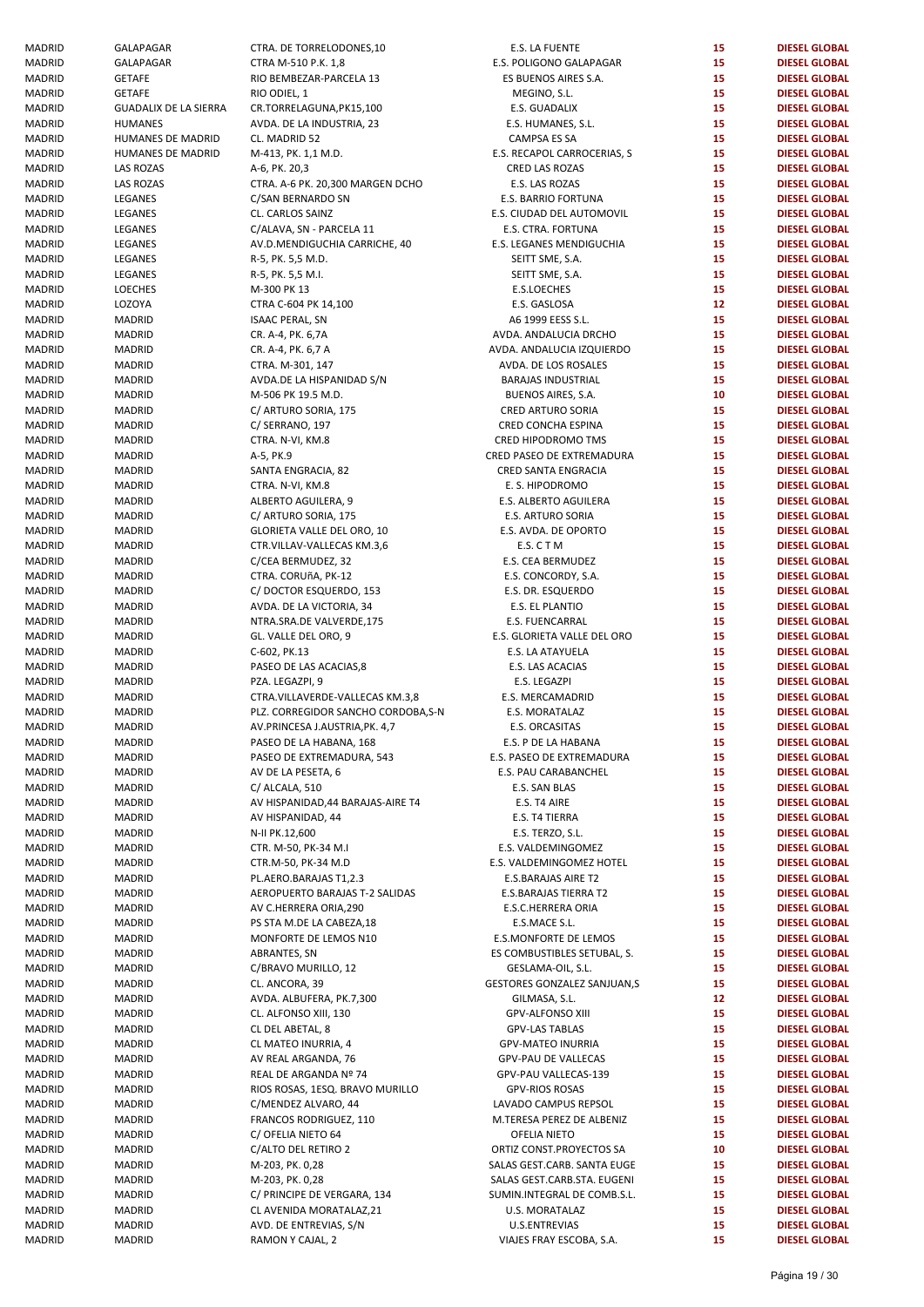| MADRID                  | GALAPAGAR                    | CTRA. DE TORRELODONES,10                                |
|-------------------------|------------------------------|---------------------------------------------------------|
| MADRID                  | GALAPAGAR                    | CTRA M-510 P.K. 1,8                                     |
| <b>MADRID</b>           | GETAFE                       | RIO BEMBEZAR-PARCELA 13                                 |
| <b>MADRID</b>           | GETAFE                       | RIO ODIEL, 1                                            |
| MADRID                  | <b>GUADALIX DE LA SIERRA</b> | CR.TORRELAGUNA, PK15, 100                               |
| <b>MADRID</b>           | <b>HUMANES</b>               | AVDA. DE LA INDUSTRIA, 23                               |
| MADRID                  | <b>HUMANES DE MADRID</b>     | CL. MADRID 52                                           |
| MADRID                  | <b>HUMANES DE MADRID</b>     | M-413, PK. 1,1 M.D.                                     |
| MADRID                  | LAS ROZAS                    | A-6, PK. 20,3                                           |
| MADRID                  | <b>LAS ROZAS</b>             | CTRA. A-6 PK. 20,300 MARGEN                             |
| MADRID                  | LEGANES                      | C/SAN BERNARDO SN                                       |
| MADRID                  | LEGANES                      | CL. CARLOS SAINZ                                        |
| MADRID                  | LEGANES                      | C/ALAVA, SN - PARCELA 11                                |
| <b>MADRID</b>           | LEGANES                      | AV.D.MENDIGUCHIA CARRICH                                |
| <b>MADRID</b>           | LEGANES                      | R-5, PK. 5,5 M.D.                                       |
| MADRID                  | LEGANES                      | R-5, PK. 5,5 M.I.                                       |
| MADRID                  | <b>LOECHES</b>               | M-300 PK 13                                             |
| MADRID                  | LOZOYA                       | CTRA C-604 PK 14,100                                    |
| MADRID                  | MADRID                       | <b>ISAAC PERAL, SN</b>                                  |
| MADRID                  | MADRID                       | CR. A-4, PK. 6,7A                                       |
| <b>MADRID</b>           | MADRID                       | CR. A-4, PK. 6,7 A                                      |
| MADRID                  | MADRID                       | CTRA. M-301, 147                                        |
| MADRID                  | MADRID                       | AVDA.DE LA HISPANIDAD S/N                               |
| MADRID                  | MADRID                       | M-506 PK 19.5 M.D.                                      |
| MADRID                  | <b>MADRID</b>                | C/ ARTURO SORIA, 175                                    |
| MADRID                  | MADRID                       | C/ SERRANO, 197                                         |
| MADRID                  | <b>MADRID</b>                | CTRA. N-VI, KM.8                                        |
| MADRID                  | MADRID                       | A-5, PK.9                                               |
| MADRID                  | MADRID                       | SANTA ENGRACIA, 82                                      |
| MADRID                  | MADRID                       | CTRA. N-VI, KM.8                                        |
| MADRID                  | MADRID                       | ALBERTO AGUILERA, 9                                     |
| MADRID                  | MADRID                       | C/ ARTURO SORIA, 175                                    |
| MADRID                  | MADRID                       | GLORIETA VALLE DEL ORO, 10                              |
| MADRID                  | MADRID                       | CTR.VILLAV-VALLECAS KM.3,6                              |
| MADRID                  | MADRID                       | C/CEA BERMUDEZ, 32                                      |
| MADRID                  | MADRID                       | CTRA. CORUñA, PK-12                                     |
| MADRID                  | MADRID                       | C/DOCTOR ESQUERDO, 153                                  |
| MADRID                  | MADRID                       | AVDA. DE LA VICTORIA, 34                                |
| MADRID                  | MADRID                       | NTRA.SRA.DE VALVERDE,175                                |
| MADRID                  | MADRID                       | GL. VALLE DEL ORO, 9                                    |
| MADRID                  | MADRID                       | C-602, PK.13                                            |
| <b>MADRID</b>           |                              |                                                         |
|                         | MADRID                       | PASEO DE LAS ACACIAS,8                                  |
| MADRID<br><b>MADRID</b> | MADRID<br><b>MADRID</b>      | PZA. LEGAZPI, 9                                         |
|                         |                              | CTRA.VILLAVERDE-VALLECAS I<br>PLZ. CORREGIDOR SANCHO CO |
| MADRID<br><b>MADRID</b> | MADRID<br><b>MADRID</b>      |                                                         |
|                         |                              | AV.PRINCESA J.AUSTRIA, PK. 4,                           |
| MADRID<br>MADRID        | MADRID<br>MADRID             | PASEO DE LA HABANA, 168                                 |
| MADRID                  |                              | PASEO DE EXTREMADURA, 54                                |
|                         | MADRID                       | AV DE LA PESETA, 6                                      |
| MADRID                  | MADRID                       | C/ ALCALA, 510                                          |
| MADRID                  | MADRID                       | AV HISPANIDAD, 44 BARAJAS-A                             |
| MADRID                  | MADRID                       | AV HISPANIDAD, 44                                       |
| MADRID                  | MADRID                       | N-II PK.12,600                                          |
| <b>MADRID</b>           | <b>MADRID</b>                | CTR. M-50, PK-34 M.I                                    |
| MADRID                  | MADRID                       | CTR.M-50, PK-34 M.D                                     |
| <b>MADRID</b>           | MADRID                       | PL.AERO.BARAJAS T1,2.3                                  |
| MADRID                  | MADRID                       | <b>AEROPUERTO BARAJAS T-2 SA</b>                        |
| <b>MADRID</b>           | MADRID                       | AV C.HERRERA ORIA,290                                   |
| MADRID                  | MADRID                       | PS STA M.DE LA CABEZA, 18                               |
| MADRID                  | MADRID                       | MONFORTE DE LEMOS N10                                   |
| MADRID                  | MADRID                       | ABRANTES, SN                                            |
| MADRID                  | MADRID                       | C/BRAVO MURILLO, 12                                     |
| MADRID                  | MADRID                       | CL. ANCORA, 39                                          |
| MADRID                  | MADRID                       | AVDA. ALBUFERA, PK.7,300                                |
| MADRID                  | MADRID                       | CL. ALFONSO XIII, 130                                   |
| MADRID                  | MADRID                       | CL DEL ABETAL, 8                                        |
| MADRID                  | MADRID                       | CL MATEO INURRIA, 4                                     |
| MADRID                  | MADRID                       | AV REAL ARGANDA, 76                                     |
| MADRID                  | MADRID                       | REAL DE ARGANDA Nº 74                                   |
| MADRID                  | MADRID                       | RIOS ROSAS, 1ESQ. BRAVO MI                              |
| MADRID                  | MADRID                       | C/MENDEZ ALVARO, 44                                     |
| MADRID                  | MADRID                       | FRANCOS RODRIGUEZ, 110                                  |
| MADRID                  | MADRID                       | C/ OFELIA NIETO 64                                      |
| MADRID                  | MADRID                       | C/ALTO DEL RETIRO 2                                     |
| MADRID                  | MADRID                       | M-203, PK. 0,28                                         |
| MADRID                  | MADRID                       | M-203, PK. 0,28                                         |
| MADRID                  | MADRID                       | C/ PRINCIPE DE VERGARA, 134                             |
| MADRID                  | MADRID                       | CL AVENIDA MORATALAZ, 21                                |
| MADRID                  | MADRID                       | AVD. DE ENTREVIAS, S/N                                  |
| MADRID                  | MADRID                       | RAMON Y CAJAL, 2                                        |

| MADRID | GALAPAGAR                    | CTRA. DE TORRELODONES,10            | E.S. LA FUENTE              | 15 | <b>DIESEL GLOBAL</b> |
|--------|------------------------------|-------------------------------------|-----------------------------|----|----------------------|
| MADRID | GALAPAGAR                    | CTRA M-510 P.K. 1,8                 | E.S. POLIGONO GALAPAGAR     | 15 | <b>DIESEL GLOBAL</b> |
| MADRID | <b>GETAFE</b>                | RIO BEMBEZAR-PARCELA 13             | ES BUENOS AIRES S.A.        | 15 | <b>DIESEL GLOBAL</b> |
|        |                              |                                     |                             |    |                      |
| MADRID | <b>GETAFE</b>                | RIO ODIEL, 1                        | MEGINO, S.L.                | 15 | <b>DIESEL GLOBAL</b> |
| MADRID | <b>GUADALIX DE LA SIERRA</b> | CR.TORRELAGUNA, PK15, 100           | E.S. GUADALIX               | 15 | <b>DIESEL GLOBAL</b> |
| MADRID | <b>HUMANES</b>               | AVDA. DE LA INDUSTRIA, 23           | E.S. HUMANES, S.L.          | 15 | <b>DIESEL GLOBAL</b> |
| MADRID | HUMANES DE MADRID            | CL. MADRID 52                       | CAMPSA ES SA                | 15 | <b>DIESEL GLOBAL</b> |
| MADRID | HUMANES DE MADRID            | M-413, PK. 1,1 M.D.                 | E.S. RECAPOL CARROCERIAS, S | 15 | <b>DIESEL GLOBAL</b> |
| MADRID | LAS ROZAS                    | A-6, PK. 20,3                       | CRED LAS ROZAS              | 15 | <b>DIESEL GLOBAL</b> |
| MADRID | LAS ROZAS                    | CTRA. A-6 PK. 20,300 MARGEN DCHO    | E.S. LAS ROZAS              | 15 | <b>DIESEL GLOBAL</b> |
|        | LEGANES                      | C/SAN BERNARDO SN                   | <b>E.S. BARRIO FORTUNA</b>  | 15 |                      |
| MADRID |                              |                                     |                             |    | <b>DIESEL GLOBAL</b> |
| MADRID | LEGANES                      | CL. CARLOS SAINZ                    | E.S. CIUDAD DEL AUTOMOVIL   | 15 | <b>DIESEL GLOBAL</b> |
| MADRID | LEGANES                      | C/ALAVA, SN - PARCELA 11            | E.S. CTRA. FORTUNA          | 15 | <b>DIESEL GLOBAL</b> |
| MADRID | LEGANES                      | AV.D.MENDIGUCHIA CARRICHE, 40       | E.S. LEGANES MENDIGUCHIA    | 15 | <b>DIESEL GLOBAL</b> |
| MADRID | LEGANES                      | R-5, PK. 5,5 M.D.                   | SEITT SME, S.A.             | 15 | <b>DIESEL GLOBAL</b> |
| MADRID | LEGANES                      | R-5, PK. 5,5 M.I.                   | SEITT SME, S.A.             | 15 | <b>DIESEL GLOBAL</b> |
|        |                              |                                     |                             | 15 |                      |
| MADRID | <b>LOECHES</b>               | M-300 PK 13                         | E.S.LOECHES                 |    | <b>DIESEL GLOBAL</b> |
| MADRID | LOZOYA                       | CTRA C-604 PK 14,100                | E.S. GASLOSA                | 12 | <b>DIESEL GLOBAL</b> |
| MADRID | MADRID                       | <b>ISAAC PERAL, SN</b>              | A6 1999 EESS S.L.           | 15 | <b>DIESEL GLOBAL</b> |
| MADRID | MADRID                       | CR. A-4, PK. 6,7A                   | AVDA. ANDALUCIA DRCHO       | 15 | <b>DIESEL GLOBAL</b> |
| MADRID | <b>MADRID</b>                | CR. A-4, PK. 6,7 A                  | AVDA. ANDALUCIA IZQUIERDO   | 15 | <b>DIESEL GLOBAL</b> |
| MADRID | <b>MADRID</b>                | CTRA. M-301, 147                    | AVDA. DE LOS ROSALES        | 15 | <b>DIESEL GLOBAL</b> |
| MADRID | MADRID                       | AVDA.DE LA HISPANIDAD S/N           | <b>BARAJAS INDUSTRIAL</b>   | 15 | <b>DIESEL GLOBAL</b> |
|        |                              |                                     |                             |    |                      |
| MADRID | MADRID                       | M-506 PK 19.5 M.D.                  | BUENOS AIRES, S.A.          | 10 | <b>DIESEL GLOBAL</b> |
| MADRID | <b>MADRID</b>                | C/ ARTURO SORIA, 175                | CRED ARTURO SORIA           | 15 | <b>DIESEL GLOBAL</b> |
| MADRID | MADRID                       | C/ SERRANO, 197                     | CRED CONCHA ESPINA          | 15 | <b>DIESEL GLOBAL</b> |
| MADRID | <b>MADRID</b>                | CTRA. N-VI, KM.8                    | <b>CRED HIPODROMO TMS</b>   | 15 | <b>DIESEL GLOBAL</b> |
| MADRID | MADRID                       | A-5, PK.9                           | CRED PASEO DE EXTREMADURA   | 15 | <b>DIESEL GLOBAL</b> |
| MADRID | <b>MADRID</b>                | SANTA ENGRACIA, 82                  | CRED SANTA ENGRACIA         | 15 | <b>DIESEL GLOBAL</b> |
|        |                              |                                     |                             |    |                      |
| MADRID | MADRID                       | CTRA. N-VI, KM.8                    | E. S. HIPODROMO             | 15 | <b>DIESEL GLOBAL</b> |
| MADRID | MADRID                       | ALBERTO AGUILERA, 9                 | E.S. ALBERTO AGUILERA       | 15 | <b>DIESEL GLOBAL</b> |
| MADRID | MADRID                       | C/ ARTURO SORIA, 175                | E.S. ARTURO SORIA           | 15 | <b>DIESEL GLOBAL</b> |
| MADRID | <b>MADRID</b>                | GLORIETA VALLE DEL ORO, 10          | E.S. AVDA. DE OPORTO        | 15 | <b>DIESEL GLOBAL</b> |
| MADRID | MADRID                       | CTR.VILLAV-VALLECAS KM.3,6          | E.S. C T M                  | 15 | <b>DIESEL GLOBAL</b> |
| MADRID | <b>MADRID</b>                | C/CEA BERMUDEZ, 32                  | E.S. CEA BERMUDEZ           | 15 | <b>DIESEL GLOBAL</b> |
| MADRID | MADRID                       | CTRA. CORUñA, PK-12                 | E.S. CONCORDY, S.A.         | 15 | <b>DIESEL GLOBAL</b> |
|        |                              |                                     |                             |    |                      |
| MADRID | MADRID                       | C/DOCTOR ESQUERDO, 153              | E.S. DR. ESQUERDO           | 15 | <b>DIESEL GLOBAL</b> |
| MADRID | <b>MADRID</b>                | AVDA. DE LA VICTORIA, 34            | E.S. EL PLANTIO             | 15 | <b>DIESEL GLOBAL</b> |
| MADRID | MADRID                       | NTRA.SRA.DE VALVERDE,175            | E.S. FUENCARRAL             | 15 | <b>DIESEL GLOBAL</b> |
| MADRID | MADRID                       | GL. VALLE DEL ORO, 9                | E.S. GLORIETA VALLE DEL ORO | 15 | <b>DIESEL GLOBAL</b> |
| MADRID | MADRID                       | C-602, PK.13                        | E.S. LA ATAYUELA            | 15 | <b>DIESEL GLOBAL</b> |
| MADRID | <b>MADRID</b>                | PASEO DE LAS ACACIAS,8              | E.S. LAS ACACIAS            | 15 | <b>DIESEL GLOBAL</b> |
|        |                              |                                     |                             |    |                      |
| MADRID | <b>MADRID</b>                | PZA. LEGAZPI, 9                     | E.S. LEGAZPI                | 15 | <b>DIESEL GLOBAL</b> |
| MADRID | MADRID                       | CTRA.VILLAVERDE-VALLECAS KM.3,8     | E.S. MERCAMADRID            | 15 | <b>DIESEL GLOBAL</b> |
| MADRID | MADRID                       | PLZ. CORREGIDOR SANCHO CORDOBA, S-N | E.S. MORATALAZ              | 15 | <b>DIESEL GLOBAL</b> |
| MADRID | <b>MADRID</b>                | AV.PRINCESA J.AUSTRIA, PK. 4,7      | E.S. ORCASITAS              | 15 | <b>DIESEL GLOBAL</b> |
| MADRID | MADRID                       | PASEO DE LA HABANA, 168             | E.S. P DE LA HABANA         | 15 | <b>DIESEL GLOBAL</b> |
| MADRID | MADRID                       | PASEO DE EXTREMADURA, 543           | E.S. PASEO DE EXTREMADURA   | 15 | <b>DIESEL GLOBAL</b> |
| MADRID | MADRID                       | AV DE LA PESETA, 6                  |                             | 15 | <b>DIESEL GLOBAL</b> |
|        |                              |                                     | E.S. PAU CARABANCHEL        |    |                      |
| MADRID | MADRID                       | C/ ALCALA, 510                      | E.S. SAN BLAS               | 15 | <b>DIESEL GLOBAL</b> |
| MADRID | MADRID                       | AV HISPANIDAD, 44 BARAJAS-AIRE T4   | E.S. T4 AIRE                | 15 | <b>DIESEL GLOBAL</b> |
| MADRID | MADRID                       | AV HISPANIDAD, 44                   | E.S. T4 TIERRA              | 15 | <b>DIESEL GLOBAL</b> |
| MADRID | MADRID                       | N-II PK.12,600                      | E.S. TERZO, S.L.            | 15 | <b>DIESEL GLOBAL</b> |
| MADRID | MADRID                       | CTR. M-50, PK-34 M.I                | E.S. VALDEMINGOMEZ          | 15 | <b>DIESEL GLOBAL</b> |
| MADRID | <b>MADRID</b>                | CTR.M-50, PK-34 M.D                 | E.S. VALDEMINGOMEZ HOTEL    | 15 | <b>DIESEL GLOBAL</b> |
|        |                              |                                     |                             |    |                      |
| MADRID | MADRID                       | PL.AERO.BARAJAS T1,2.3              | E.S.BARAJAS AIRE T2         | 15 | <b>DIESEL GLOBAL</b> |
| MADRID | MADRID                       | AEROPUERTO BARAJAS T-2 SALIDAS      | E.S.BARAJAS TIERRA T2       | 15 | <b>DIESEL GLOBAL</b> |
| MADRID | MADRID                       | AV C.HERRERA ORIA, 290              | E.S.C.HERRERA ORIA          | 15 | <b>DIESEL GLOBAL</b> |
| MADRID | MADRID                       | PS STA M.DE LA CABEZA, 18           | E.S.MACE S.L.               | 15 | <b>DIESEL GLOBAL</b> |
| MADRID | MADRID                       | MONFORTE DE LEMOS N10               | E.S.MONFORTE DE LEMOS       | 15 | <b>DIESEL GLOBAL</b> |
| MADRID | MADRID                       | ABRANTES, SN                        | ES COMBUSTIBLES SETUBAL, S. | 15 | <b>DIESEL GLOBAL</b> |
| MADRID | MADRID                       | C/BRAVO MURILLO, 12                 | GESLAMA-OIL, S.L.           | 15 | <b>DIESEL GLOBAL</b> |
|        |                              |                                     |                             |    |                      |
| MADRID | MADRID                       | CL. ANCORA, 39                      | GESTORES GONZALEZ SANJUAN,S | 15 | <b>DIESEL GLOBAL</b> |
| MADRID | MADRID                       | AVDA. ALBUFERA, PK.7,300            | GILMASA, S.L.               | 12 | <b>DIESEL GLOBAL</b> |
| MADRID | MADRID                       | CL. ALFONSO XIII, 130               | <b>GPV-ALFONSO XIII</b>     | 15 | <b>DIESEL GLOBAL</b> |
| MADRID | MADRID                       | CL DEL ABETAL, 8                    | <b>GPV-LAS TABLAS</b>       | 15 | <b>DIESEL GLOBAL</b> |
| MADRID | MADRID                       | CL MATEO INURRIA, 4                 | <b>GPV-MATEO INURRIA</b>    | 15 | <b>DIESEL GLOBAL</b> |
|        |                              | AV REAL ARGANDA, 76                 | GPV-PAU DE VALLECAS         | 15 | <b>DIESEL GLOBAL</b> |
| MADRID | MADRID                       |                                     |                             |    |                      |
| MADRID | MADRID                       | REAL DE ARGANDA Nº 74               | GPV-PAU VALLECAS-139        | 15 | <b>DIESEL GLOBAL</b> |
| MADRID | MADRID                       | RIOS ROSAS, 1ESQ. BRAVO MURILLO     | <b>GPV-RIOS ROSAS</b>       | 15 | <b>DIESEL GLOBAL</b> |
| MADRID | MADRID                       | C/MENDEZ ALVARO, 44                 | LAVADO CAMPUS REPSOL        | 15 | <b>DIESEL GLOBAL</b> |
| MADRID | MADRID                       | FRANCOS RODRIGUEZ, 110              | M.TERESA PEREZ DE ALBENIZ   | 15 | <b>DIESEL GLOBAL</b> |
| MADRID | MADRID                       | C/OFELIA NIETO 64                   | OFELIA NIETO                | 15 | <b>DIESEL GLOBAL</b> |
| MADRID | MADRID                       | C/ALTO DEL RETIRO 2                 | ORTIZ CONST.PROYECTOS SA    | 10 | <b>DIESEL GLOBAL</b> |
|        |                              |                                     |                             |    |                      |
| MADRID | MADRID                       | M-203, PK. 0,28                     | SALAS GEST.CARB. SANTA EUGE | 15 | <b>DIESEL GLOBAL</b> |
| MADRID | MADRID                       | M-203, PK. 0,28                     | SALAS GEST.CARB.STA. EUGENI | 15 | <b>DIESEL GLOBAL</b> |
| MADRID | MADRID                       | C/ PRINCIPE DE VERGARA, 134         | SUMIN.INTEGRAL DE COMB.S.L. | 15 | <b>DIESEL GLOBAL</b> |
| MADRID | MADRID                       | CL AVENIDA MORATALAZ, 21            | U.S. MORATALAZ              | 15 | <b>DIESEL GLOBAL</b> |
| MADRID | MADRID                       | AVD. DE ENTREVIAS, S/N              | U.S.ENTREVIAS               | 15 | <b>DIESEL GLOBAL</b> |
| MADRID | MADRID                       | RAMON Y CAJAL, 2                    | VIAJES FRAY ESCOBA, S.A.    | 15 | <b>DIESEL GLOBAL</b> |
|        |                              |                                     |                             |    |                      |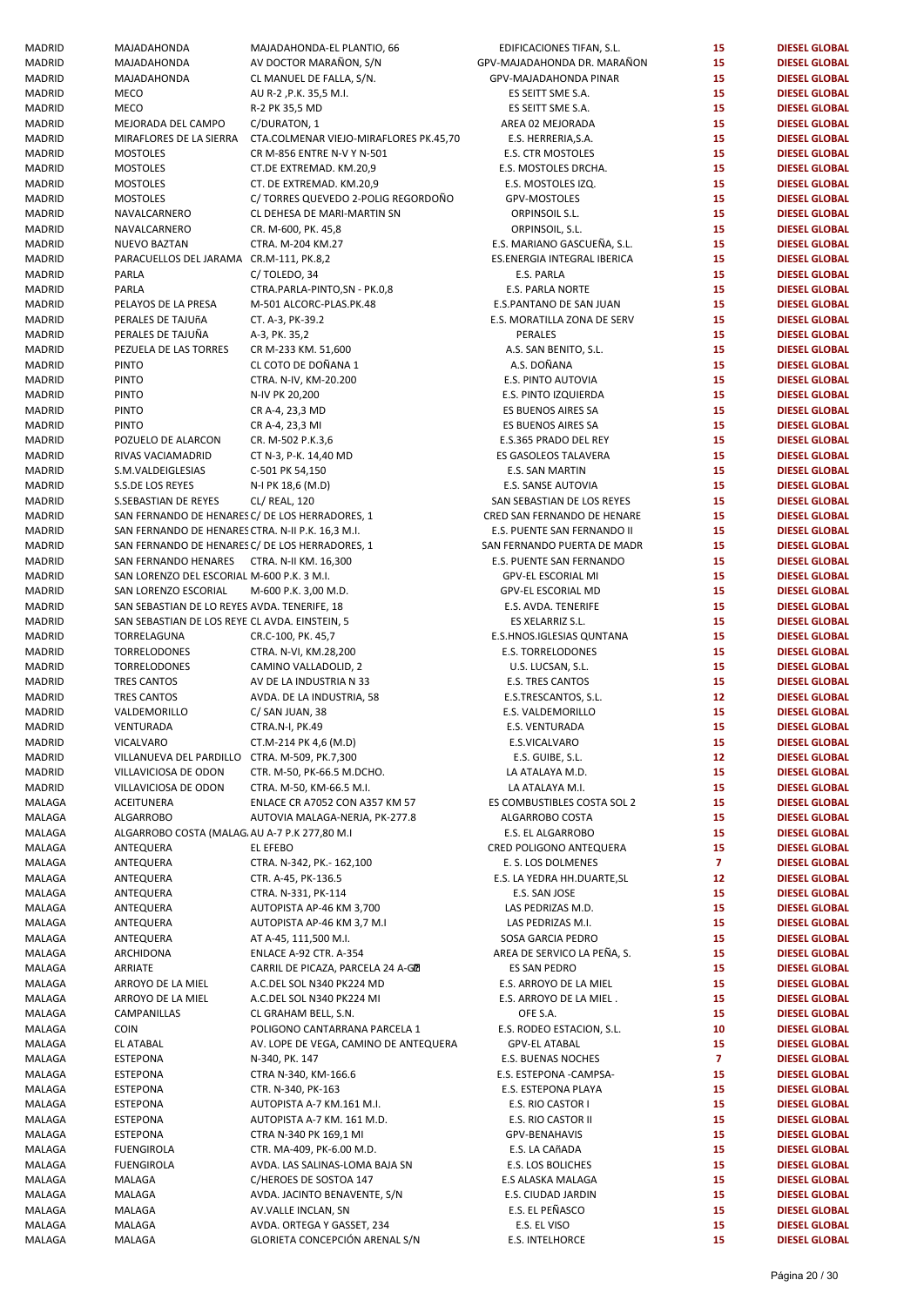| MADRID        | MAJADAHONDA                                       | MAJADAHONDA-EL PLANTIO, 66             | EDIFICACIONES TIFAN, S.L.   | 15             | <b>DIESEL GLOBAL</b> |
|---------------|---------------------------------------------------|----------------------------------------|-----------------------------|----------------|----------------------|
| MADRID        | MAJADAHONDA                                       | AV DOCTOR MARAÑON, S/N                 | GPV-MAJADAHONDA DR. MARAÑON | 15             | <b>DIESEL GLOBAL</b> |
| MADRID        | MAJADAHONDA                                       | CL MANUEL DE FALLA, S/N.               | GPV-MAJADAHONDA PINAR       | 15             | <b>DIESEL GLOBAL</b> |
| MADRID        | <b>MECO</b>                                       | AU R-2, P.K. 35,5 M.I.                 | ES SEITT SME S.A.           | 15             | <b>DIESEL GLOBAL</b> |
| MADRID        | <b>MECO</b>                                       | R-2 PK 35,5 MD                         | ES SEITT SME S.A.           | 15             | <b>DIESEL GLOBAL</b> |
| MADRID        | MEJORADA DEL CAMPO                                | C/DURATON, 1                           | AREA 02 MEJORADA            | 15             | <b>DIESEL GLOBAL</b> |
| MADRID        | MIRAFLORES DE LA SIERRA                           | CTA.COLMENAR VIEJO-MIRAFLORES PK.45,70 | E.S. HERRERIA, S.A.         | 15             | <b>DIESEL GLOBAL</b> |
| MADRID        | <b>MOSTOLES</b>                                   | CR M-856 ENTRE N-V Y N-501             | E.S. CTR MOSTOLES           | 15             | <b>DIESEL GLOBAL</b> |
|               |                                                   |                                        |                             |                |                      |
| MADRID        | <b>MOSTOLES</b>                                   | CT.DE EXTREMAD. KM.20,9                | E.S. MOSTOLES DRCHA.        | 15             | <b>DIESEL GLOBAL</b> |
| <b>MADRID</b> | <b>MOSTOLES</b>                                   | CT. DE EXTREMAD. KM.20,9               | E.S. MOSTOLES IZQ.          | 15             | <b>DIESEL GLOBAL</b> |
| <b>MADRID</b> | <b>MOSTOLES</b>                                   | C/ TORRES QUEVEDO 2-POLIG REGORDOÑO    | GPV-MOSTOLES                | 15             | <b>DIESEL GLOBAL</b> |
| <b>MADRID</b> | NAVALCARNERO                                      | CL DEHESA DE MARI-MARTIN SN            | ORPINSOIL S.L.              | 15             | <b>DIESEL GLOBAL</b> |
|               |                                                   |                                        |                             | 15             | <b>DIESEL GLOBAL</b> |
| MADRID        | NAVALCARNERO                                      | CR. M-600, PK. 45,8                    | ORPINSOIL, S.L.             |                |                      |
| MADRID        | <b>NUEVO BAZTAN</b>                               | CTRA. M-204 KM.27                      | E.S. MARIANO GASCUEÑA, S.L. | 15             | <b>DIESEL GLOBAL</b> |
| <b>MADRID</b> | PARACUELLOS DEL JARAMA CR.M-111, PK.8,2           |                                        | ES.ENERGIA INTEGRAL IBERICA | 15             | <b>DIESEL GLOBAL</b> |
| <b>MADRID</b> | PARLA                                             | C/TOLEDO, 34                           | E.S. PARLA                  | 15             | <b>DIESEL GLOBAL</b> |
| <b>MADRID</b> | PARLA                                             |                                        |                             | 15             | <b>DIESEL GLOBAL</b> |
|               |                                                   | CTRA.PARLA-PINTO,SN - PK.0,8           | <b>E.S. PARLA NORTE</b>     |                |                      |
| <b>MADRID</b> | PELAYOS DE LA PRESA                               | M-501 ALCORC-PLAS.PK.48                | E.S.PANTANO DE SAN JUAN     | 15             | <b>DIESEL GLOBAL</b> |
| MADRID        | PERALES DE TAJUÑA                                 | CT. A-3, PK-39.2                       | E.S. MORATILLA ZONA DE SERV | 15             | <b>DIESEL GLOBAL</b> |
| <b>MADRID</b> | PERALES DE TAJUÑA                                 | A-3, PK. 35,2                          | PERALES                     | 15             | <b>DIESEL GLOBAL</b> |
| <b>MADRID</b> | PEZUELA DE LAS TORRES                             | CR M-233 KM. 51,600                    | A.S. SAN BENITO, S.L.       | 15             | <b>DIESEL GLOBAL</b> |
|               |                                                   |                                        |                             |                |                      |
| <b>MADRID</b> | <b>PINTO</b>                                      | CL COTO DE DOÑANA 1                    | A.S. DOÑANA                 | 15             | <b>DIESEL GLOBAL</b> |
| <b>MADRID</b> | <b>PINTO</b>                                      | CTRA. N-IV, KM-20.200                  | E.S. PINTO AUTOVIA          | 15             | <b>DIESEL GLOBAL</b> |
| MADRID        | <b>PINTO</b>                                      | N-IV PK 20,200                         | E.S. PINTO IZQUIERDA        | 15             | <b>DIESEL GLOBAL</b> |
| <b>MADRID</b> | <b>PINTO</b>                                      | CR A-4, 23,3 MD                        | ES BUENOS AIRES SA          | 15             | <b>DIESEL GLOBAL</b> |
|               |                                                   |                                        |                             |                |                      |
| <b>MADRID</b> | <b>PINTO</b>                                      | CR A-4, 23,3 MI                        | ES BUENOS AIRES SA          | 15             | <b>DIESEL GLOBAL</b> |
| <b>MADRID</b> | POZUELO DE ALARCON                                | CR. M-502 P.K.3,6                      | E.S.365 PRADO DEL REY       | 15             | <b>DIESEL GLOBAL</b> |
| <b>MADRID</b> | RIVAS VACIAMADRID                                 | CT N-3, P-K. 14,40 MD                  | ES GASOLEOS TALAVERA        | 15             | <b>DIESEL GLOBAL</b> |
| MADRID        | S.M.VALDEIGLESIAS                                 | C-501 PK 54,150                        | E.S. SAN MARTIN             | 15             | <b>DIESEL GLOBAL</b> |
|               |                                                   |                                        |                             |                |                      |
| <b>MADRID</b> | S.S.DE LOS REYES                                  | N-I PK 18,6 (M.D)                      | E.S. SANSE AUTOVIA          | 15             | <b>DIESEL GLOBAL</b> |
| <b>MADRID</b> | S.SEBASTIAN DE REYES                              | CL/ REAL, 120                          | SAN SEBASTIAN DE LOS REYES  | 15             | <b>DIESEL GLOBAL</b> |
| <b>MADRID</b> | SAN FERNANDO DE HENARES C/ DE LOS HERRADORES, 1   |                                        | CRED SAN FERNANDO DE HENARE | 15             | <b>DIESEL GLOBAL</b> |
| <b>MADRID</b> | SAN FERNANDO DE HENARES CTRA. N-II P.K. 16,3 M.I. |                                        | E.S. PUENTE SAN FERNANDO II | 15             | <b>DIESEL GLOBAL</b> |
|               |                                                   |                                        |                             |                |                      |
| MADRID        | SAN FERNANDO DE HENARES C/ DE LOS HERRADORES, 1   |                                        | SAN FERNANDO PUERTA DE MADR | 15             | <b>DIESEL GLOBAL</b> |
| MADRID        | SAN FERNANDO HENARES CTRA. N-II KM. 16,300        |                                        | E.S. PUENTE SAN FERNANDO    | 15             | <b>DIESEL GLOBAL</b> |
| <b>MADRID</b> | SAN LORENZO DEL ESCORIAL M-600 P.K. 3 M.I.        |                                        | GPV-EL ESCORIAL MI          | 15             | <b>DIESEL GLOBAL</b> |
| <b>MADRID</b> | SAN LORENZO ESCORIAL                              | M-600 P.K. 3,00 M.D.                   | GPV-EL ESCORIAL MD          | 15             | <b>DIESEL GLOBAL</b> |
|               |                                                   |                                        |                             |                |                      |
| <b>MADRID</b> | SAN SEBASTIAN DE LO REYES AVDA. TENERIFE, 18      |                                        | E.S. AVDA. TENERIFE         | 15             | <b>DIESEL GLOBAL</b> |
| <b>MADRID</b> | SAN SEBASTIAN DE LOS REYE CL AVDA. EINSTEIN, 5    |                                        | ES XELARRIZ S.L.            | 15             | <b>DIESEL GLOBAL</b> |
| MADRID        | TORRELAGUNA                                       | CR.C-100, PK. 45,7                     | E.S.HNOS.IGLESIAS QUNTANA   | 15             | <b>DIESEL GLOBAL</b> |
| <b>MADRID</b> | TORRELODONES                                      | CTRA. N-VI, KM.28,200                  | <b>E.S. TORRELODONES</b>    | 15             | <b>DIESEL GLOBAL</b> |
|               |                                                   |                                        |                             |                |                      |
| <b>MADRID</b> | TORRELODONES                                      | CAMINO VALLADOLID, 2                   | U.S. LUCSAN, S.L.           | 15             | <b>DIESEL GLOBAL</b> |
| <b>MADRID</b> | <b>TRES CANTOS</b>                                | AV DE LA INDUSTRIA N 33                | <b>E.S. TRES CANTOS</b>     | 15             | <b>DIESEL GLOBAL</b> |
| <b>MADRID</b> | <b>TRES CANTOS</b>                                | AVDA. DE LA INDUSTRIA, 58              | E.S.TRESCANTOS, S.L.        | 12             | <b>DIESEL GLOBAL</b> |
| MADRID        | VALDEMORILLO                                      | C/ SAN JUAN, 38                        | E.S. VALDEMORILLO           | 15             | <b>DIESEL GLOBAL</b> |
|               |                                                   |                                        |                             |                |                      |
| <b>MADRID</b> | VENTURADA                                         | CTRA.N-I, PK.49                        | E.S. VENTURADA              | 15             | <b>DIESEL GLOBAL</b> |
| MADRID        | VICALVARO                                         | CT.M-214 PK 4,6 (M.D)                  | E.S.VICALVARO               | 15             | <b>DIESEL GLOBAL</b> |
| MADRID        | VILLANUEVA DEL PARDILLO CTRA. M-509, PK.7,300     |                                        | E.S. GUIBE, S.L.            | 12             | <b>DIESEL GLOBAL</b> |
| MADRID        | VILLAVICIOSA DE ODON                              | CTR. M-50, PK-66.5 M.DCHO.             | LA ATALAYA M.D.             | 15             | <b>DIESEL GLOBAL</b> |
|               |                                                   |                                        |                             |                |                      |
| MADRID        | VILLAVICIOSA DE ODON                              | CTRA. M-50, KM-66.5 M.I.               | LA ATALAYA M.I.             | 15             | <b>DIESEL GLOBAL</b> |
| MALAGA        | ACEITUNERA                                        | ENLACE CR A7052 CON A357 KM 57         | ES COMBUSTIBLES COSTA SOL 2 | 15             | <b>DIESEL GLOBAL</b> |
| MALAGA        | <b>ALGARROBO</b>                                  | AUTOVIA MALAGA-NERJA, PK-277.8         | ALGARROBO COSTA             | 15             | <b>DIESEL GLOBAL</b> |
| MALAGA        | ALGARROBO COSTA (MALAG AU A-7 P.K 277,80 M.I      |                                        | E.S. EL ALGARROBO           | 15             | <b>DIESEL GLOBAL</b> |
|               |                                                   |                                        |                             |                |                      |
| MALAGA        | ANTEQUERA                                         | EL EFEBO                               | CRED POLIGONO ANTEQUERA     | 15             | <b>DIESEL GLOBAL</b> |
| MALAGA        | ANTEQUERA                                         | CTRA. N-342, PK.- 162,100              | E. S. LOS DOLMENES          | $\mathbf{7}$   | <b>DIESEL GLOBAL</b> |
| MALAGA        | ANTEQUERA                                         | CTR. A-45, PK-136.5                    | E.S. LA YEDRA HH.DUARTE, SL | 12             | <b>DIESEL GLOBAL</b> |
| MALAGA        | ANTEQUERA                                         | CTRA. N-331, PK-114                    | E.S. SAN JOSE               | 15             | <b>DIESEL GLOBAL</b> |
| MALAGA        | ANTEQUERA                                         | AUTOPISTA AP-46 KM 3,700               | LAS PEDRIZAS M.D.           | 15             | <b>DIESEL GLOBAL</b> |
|               |                                                   |                                        |                             |                |                      |
| MALAGA        | ANTEQUERA                                         | AUTOPISTA AP-46 KM 3,7 M.I             | LAS PEDRIZAS M.I.           | 15             | <b>DIESEL GLOBAL</b> |
| MALAGA        | ANTEQUERA                                         | AT A-45, 111,500 M.I.                  | SOSA GARCIA PEDRO           | 15             | <b>DIESEL GLOBAL</b> |
| MALAGA        | ARCHIDONA                                         | ENLACE A-92 CTR. A-354                 | AREA DE SERVICO LA PEÑA, S. | 15             | <b>DIESEL GLOBAL</b> |
| MALAGA        | ARRIATE                                           | CARRIL DE PICAZA, PARCELA 24 A-GE      | ES SAN PEDRO                | 15             | <b>DIESEL GLOBAL</b> |
| MALAGA        |                                                   |                                        |                             | 15             | <b>DIESEL GLOBAL</b> |
|               | ARROYO DE LA MIEL                                 | A.C.DEL SOL N340 PK224 MD              | E.S. ARROYO DE LA MIEL      |                |                      |
| MALAGA        | ARROYO DE LA MIEL                                 | A.C.DEL SOL N340 PK224 MI              | E.S. ARROYO DE LA MIEL.     | 15             | <b>DIESEL GLOBAL</b> |
| MALAGA        | CAMPANILLAS                                       | CL GRAHAM BELL, S.N.                   | OFE S.A.                    | 15             | <b>DIESEL GLOBAL</b> |
| MALAGA        | <b>COIN</b>                                       | POLIGONO CANTARRANA PARCELA 1          | E.S. RODEO ESTACION, S.L.   | 10             | <b>DIESEL GLOBAL</b> |
| MALAGA        | <b>EL ATABAL</b>                                  | AV. LOPE DE VEGA, CAMINO DE ANTEQUERA  | <b>GPV-EL ATABAL</b>        | 15             | <b>DIESEL GLOBAL</b> |
|               |                                                   |                                        |                             |                |                      |
| MALAGA        | <b>ESTEPONA</b>                                   | N-340, PK. 147                         | E.S. BUENAS NOCHES          | $\overline{7}$ | <b>DIESEL GLOBAL</b> |
| MALAGA        | <b>ESTEPONA</b>                                   | CTRA N-340, KM-166.6                   | E.S. ESTEPONA -CAMPSA-      | 15             | <b>DIESEL GLOBAL</b> |
| MALAGA        | <b>ESTEPONA</b>                                   | CTR. N-340, PK-163                     | E.S. ESTEPONA PLAYA         | 15             | <b>DIESEL GLOBAL</b> |
| MALAGA        | <b>ESTEPONA</b>                                   | AUTOPISTA A-7 KM.161 M.I.              | E.S. RIO CASTOR I           | 15             | <b>DIESEL GLOBAL</b> |
|               |                                                   |                                        |                             |                |                      |
| MALAGA        | <b>ESTEPONA</b>                                   | AUTOPISTA A-7 KM. 161 M.D.             | E.S. RIO CASTOR II          | 15             | <b>DIESEL GLOBAL</b> |
| MALAGA        | <b>ESTEPONA</b>                                   | CTRA N-340 PK 169,1 MI                 | GPV-BENAHAVIS               | 15             | <b>DIESEL GLOBAL</b> |
| MALAGA        | FUENGIROLA                                        | CTR. MA-409, PK-6.00 M.D.              | E.S. LA CAñADA              | 15             | <b>DIESEL GLOBAL</b> |
| MALAGA        | FUENGIROLA                                        | AVDA. LAS SALINAS-LOMA BAJA SN         | E.S. LOS BOLICHES           | 15             | <b>DIESEL GLOBAL</b> |
|               |                                                   |                                        |                             |                |                      |
| MALAGA        | MALAGA                                            | C/HEROES DE SOSTOA 147                 | E.S ALASKA MALAGA           | 15             | <b>DIESEL GLOBAL</b> |
| MALAGA        | MALAGA                                            | AVDA. JACINTO BENAVENTE, S/N           | E.S. CIUDAD JARDIN          | 15             | <b>DIESEL GLOBAL</b> |
| MALAGA        | MALAGA                                            | AV.VALLE INCLAN, SN                    | E.S. EL PEÑASCO             | 15             | <b>DIESEL GLOBAL</b> |
| MALAGA        | MALAGA                                            | AVDA. ORTEGA Y GASSET, 234             | E.S. EL VISO                | 15             | <b>DIESEL GLOBAL</b> |
| MALAGA        |                                                   | GLORIETA CONCEPCIÓN ARENAL S/N         | E.S. INTELHORCE             | 15             | <b>DIESEL GLOBAL</b> |
|               | MALAGA                                            |                                        |                             |                |                      |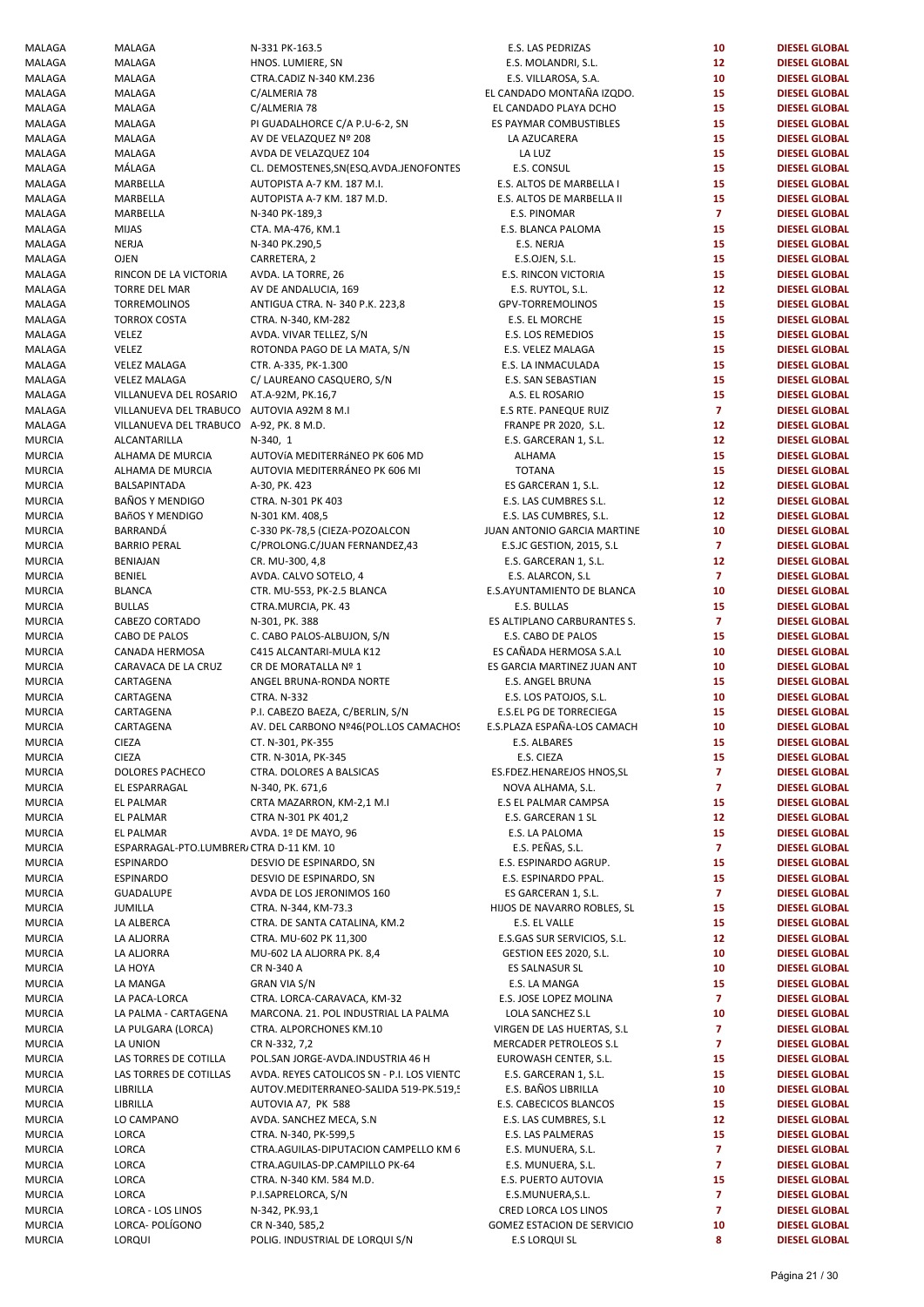| MALAGA        | MALAGA                                    | N-331 PK-163.5                             | E.S. LAS PEDRIZAS            | 10                      | <b>DIESEL GLOBAL</b> |
|---------------|-------------------------------------------|--------------------------------------------|------------------------------|-------------------------|----------------------|
| MALAGA        | MALAGA                                    | HNOS. LUMIERE, SN                          | E.S. MOLANDRI, S.L.          | 12 <sub>2</sub>         | <b>DIESEL GLOBAL</b> |
| MALAGA        | MALAGA                                    | CTRA.CADIZ N-340 KM.236                    | E.S. VILLAROSA, S.A.         | 10                      | <b>DIESEL GLOBAL</b> |
| MALAGA        | MALAGA                                    | C/ALMERIA 78                               | EL CANDADO MONTAÑA IZQDO.    | 15                      | <b>DIESEL GLOBAL</b> |
| MALAGA        | MALAGA                                    | C/ALMERIA 78                               | EL CANDADO PLAYA DCHO        | 15                      | <b>DIESEL GLOBAL</b> |
| MALAGA        | MALAGA                                    | PI GUADALHORCE C/A P.U-6-2, SN             | ES PAYMAR COMBUSTIBLES       | 15                      | <b>DIESEL GLOBAL</b> |
| MALAGA        | MALAGA                                    | AV DE VELAZQUEZ Nº 208                     | LA AZUCARERA                 | 15                      | <b>DIESEL GLOBAL</b> |
| MALAGA        | MALAGA                                    | AVDA DE VELAZQUEZ 104                      | LA LUZ                       | 15                      | <b>DIESEL GLOBAL</b> |
| MALAGA        | MÁLAGA                                    |                                            | E.S. CONSUL                  | 15                      | <b>DIESEL GLOBAL</b> |
|               |                                           | CL. DEMOSTENES, SN(ESQ. AVDA. JENOFONTES   |                              | 15                      |                      |
| MALAGA        | MARBELLA                                  | AUTOPISTA A-7 KM. 187 M.I.                 | E.S. ALTOS DE MARBELLA I     |                         | <b>DIESEL GLOBAL</b> |
| MALAGA        | MARBELLA                                  | AUTOPISTA A-7 KM. 187 M.D.                 | E.S. ALTOS DE MARBELLA II    | 15                      | <b>DIESEL GLOBAL</b> |
| MALAGA        | MARBELLA                                  | N-340 PK-189,3                             | E.S. PINOMAR                 | $\overline{7}$          | <b>DIESEL GLOBAL</b> |
| MALAGA        | <b>MIJAS</b>                              | CTA. MA-476, KM.1                          | E.S. BLANCA PALOMA           | 15                      | <b>DIESEL GLOBAL</b> |
| MALAGA        | <b>NERJA</b>                              | N-340 PK.290,5                             | E.S. NERJA                   | 15                      | <b>DIESEL GLOBAL</b> |
| MALAGA        | <b>OJEN</b>                               | CARRETERA, 2                               | E.S.OJEN, S.L.               | 15                      | <b>DIESEL GLOBAL</b> |
| MALAGA        | RINCON DE LA VICTORIA                     | AVDA. LA TORRE, 26                         | E.S. RINCON VICTORIA         | 15                      | <b>DIESEL GLOBAL</b> |
| MALAGA        | TORRE DEL MAR                             | AV DE ANDALUCIA, 169                       | E.S. RUYTOL, S.L.            | 12 <sub>2</sub>         | <b>DIESEL GLOBAL</b> |
| MALAGA        | TORREMOLINOS                              | ANTIGUA CTRA. N-340 P.K. 223,8             | GPV-TORREMOLINOS             | 15                      | <b>DIESEL GLOBAL</b> |
| MALAGA        | <b>TORROX COSTA</b>                       | CTRA. N-340, KM-282                        | E.S. EL MORCHE               | 15                      | <b>DIESEL GLOBAL</b> |
| MALAGA        | VELEZ                                     | AVDA. VIVAR TELLEZ, S/N                    | E.S. LOS REMEDIOS            | 15                      | <b>DIESEL GLOBAL</b> |
| MALAGA        | VELEZ                                     | ROTONDA PAGO DE LA MATA, S/N               | E.S. VELEZ MALAGA            | 15                      | <b>DIESEL GLOBAL</b> |
| MALAGA        | <b>VELEZ MALAGA</b>                       | CTR. A-335, PK-1.300                       | E.S. LA INMACULADA           | 15                      | <b>DIESEL GLOBAL</b> |
|               |                                           |                                            |                              | 15                      |                      |
| MALAGA        | <b>VELEZ MALAGA</b>                       | C/ LAUREANO CASQUERO, S/N                  | E.S. SAN SEBASTIAN           |                         | <b>DIESEL GLOBAL</b> |
| MALAGA        | VILLANUEVA DEL ROSARIO                    | AT.A-92M, PK.16,7                          | A.S. EL ROSARIO              | 15                      | <b>DIESEL GLOBAL</b> |
| MALAGA        | VILLANUEVA DEL TRABUCO AUTOVIA A92M 8 M.I |                                            | <b>E.S RTE. PANEQUE RUIZ</b> | $\overline{7}$          | <b>DIESEL GLOBAL</b> |
| MALAGA        | VILLANUEVA DEL TRABUCO A-92, PK. 8 M.D.   |                                            | <b>FRANPE PR 2020, S.L.</b>  | 12                      | <b>DIESEL GLOBAL</b> |
| MURCIA        | ALCANTARILLA                              | N-340, 1                                   | E.S. GARCERAN 1, S.L.        | 12                      | <b>DIESEL GLOBAL</b> |
| MURCIA        | ALHAMA DE MURCIA                          | AUTOVÍA MEDITERRÁNEO PK 606 MD             | <b>ALHAMA</b>                | 15                      | <b>DIESEL GLOBAL</b> |
| MURCIA        | ALHAMA DE MURCIA                          | AUTOVIA MEDITERRÁNEO PK 606 MI             | <b>TOTANA</b>                | 15                      | <b>DIESEL GLOBAL</b> |
| MURCIA        | BALSAPINTADA                              | A-30, PK. 423                              | ES GARCERAN 1, S.L.          | 12 <sub>2</sub>         | <b>DIESEL GLOBAL</b> |
| MURCIA        | <b>BAÑOS Y MENDIGO</b>                    | CTRA. N-301 PK 403                         | E.S. LAS CUMBRES S.L.        | 12 <sub>2</sub>         | <b>DIESEL GLOBAL</b> |
| MURCIA        | <b>BAñOS Y MENDIGO</b>                    | N-301 KM. 408,5                            | E.S. LAS CUMBRES, S.L.       | 12 <sub>2</sub>         | <b>DIESEL GLOBAL</b> |
| MURCIA        | BARRANDÁ                                  | C-330 PK-78,5 (CIEZA-POZOALCON             | JUAN ANTONIO GARCIA MARTINE  | 10                      | <b>DIESEL GLOBAL</b> |
| MURCIA        | <b>BARRIO PERAL</b>                       | C/PROLONG.C/JUAN FERNANDEZ,43              | E.S.JC GESTION, 2015, S.L    | $\overline{7}$          | <b>DIESEL GLOBAL</b> |
|               | <b>BENIAJAN</b>                           |                                            |                              | 12 <sub>2</sub>         | <b>DIESEL GLOBAL</b> |
| MURCIA        |                                           | CR. MU-300, 4,8                            | E.S. GARCERAN 1, S.L.        |                         |                      |
| MURCIA        | <b>BENIEL</b>                             | AVDA. CALVO SOTELO, 4                      | E.S. ALARCON, S.L            | $\overline{7}$          | <b>DIESEL GLOBAL</b> |
| MURCIA        | <b>BLANCA</b>                             | CTR. MU-553, PK-2.5 BLANCA                 | E.S.AYUNTAMIENTO DE BLANCA   | 10                      | <b>DIESEL GLOBAL</b> |
| MURCIA        | <b>BULLAS</b>                             | CTRA.MURCIA, PK. 43                        | E.S. BULLAS                  | 15                      | <b>DIESEL GLOBAL</b> |
| MURCIA        | CABEZO CORTADO                            | N-301, PK. 388                             | ES ALTIPLANO CARBURANTES S.  | $\overline{7}$          | <b>DIESEL GLOBAL</b> |
| MURCIA        | CABO DE PALOS                             | C. CABO PALOS-ALBUJON, S/N                 | E.S. CABO DE PALOS           | 15                      | <b>DIESEL GLOBAL</b> |
| MURCIA        | CANADA HERMOSA                            | C415 ALCANTARI-MULA K12                    | ES CAÑADA HERMOSA S.A.L      | 10                      | <b>DIESEL GLOBAL</b> |
| MURCIA        | CARAVACA DE LA CRUZ                       | CR DE MORATALLA Nº 1                       | ES GARCIA MARTINEZ JUAN ANT  | 10                      | <b>DIESEL GLOBAL</b> |
| <b>MURCIA</b> | CARTAGENA                                 | ANGEL BRUNA-RONDA NORTE                    | E.S. ANGEL BRUNA             | 15                      | <b>DIESEL GLOBAL</b> |
| MURCIA        | CARTAGENA                                 | <b>CTRA. N-332</b>                         | E.S. LOS PATOJOS, S.L.       | 10                      | <b>DIESEL GLOBAL</b> |
| MURCIA        | CARTAGENA                                 | P.I. CABEZO BAEZA, C/BERLIN, S/N           | E.S.EL PG DE TORRECIEGA      | 15                      | <b>DIESEL GLOBAL</b> |
| MURCIA        | CARTAGENA                                 | AV. DEL CARBONO Nº46(POL.LOS CAMACHOS      | E.S.PLAZA ESPAÑA-LOS CAMACH  | 10                      | <b>DIESEL GLOBAL</b> |
| MURCIA        | <b>CIEZA</b>                              | CT. N-301, PK-355                          | E.S. ALBARES                 | 15                      | <b>DIESEL GLOBAL</b> |
| MURCIA        | <b>CIEZA</b>                              | CTR. N-301A, PK-345                        | E.S. CIEZA                   | 15                      | <b>DIESEL GLOBAL</b> |
| MURCIA        | DOLORES PACHECO                           | CTRA. DOLORES A BALSICAS                   | ES.FDEZ.HENAREJOS HNOS,SL    | 7                       | <b>DIESEL GLOBAL</b> |
|               | EL ESPARRAGAL                             |                                            | NOVA ALHAMA, S.L.            | $\overline{7}$          |                      |
| MURCIA        |                                           | N-340, PK. 671,6                           |                              |                         | <b>DIESEL GLOBAL</b> |
| MURCIA        | EL PALMAR                                 | CRTA MAZARRON, KM-2,1 M.I                  | E.S EL PALMAR CAMPSA         | 15                      | <b>DIESEL GLOBAL</b> |
| MURCIA        | EL PALMAR                                 | CTRA N-301 PK 401,2                        | E.S. GARCERAN 1 SL           | 12                      | <b>DIESEL GLOBAL</b> |
| MURCIA        | <b>EL PALMAR</b>                          | AVDA. 1º DE MAYO, 96                       | E.S. LA PALOMA               | 15                      | <b>DIESEL GLOBAL</b> |
| MURCIA        | ESPARRAGAL-PTO.LUMBRER, CTRA D-11 KM. 10  |                                            | E.S. PEÑAS, S.L.             | $\mathbf{7}$            | <b>DIESEL GLOBAL</b> |
| MURCIA        | <b>ESPINARDO</b>                          | DESVIO DE ESPINARDO, SN                    | E.S. ESPINARDO AGRUP.        | 15                      | <b>DIESEL GLOBAL</b> |
| MURCIA        | <b>ESPINARDO</b>                          | DESVIO DE ESPINARDO, SN                    | E.S. ESPINARDO PPAL.         | 15                      | <b>DIESEL GLOBAL</b> |
| MURCIA        | <b>GUADALUPE</b>                          | AVDA DE LOS JERONIMOS 160                  | ES GARCERAN 1, S.L.          | $\overline{7}$          | <b>DIESEL GLOBAL</b> |
| MURCIA        | JUMILLA                                   | CTRA. N-344, KM-73.3                       | HIJOS DE NAVARRO ROBLES, SL  | 15                      | <b>DIESEL GLOBAL</b> |
| MURCIA        | LA ALBERCA                                | CTRA. DE SANTA CATALINA, KM.2              | E.S. EL VALLE                | 15                      | <b>DIESEL GLOBAL</b> |
| MURCIA        | LA ALJORRA                                | CTRA. MU-602 PK 11,300                     | E.S.GAS SUR SERVICIOS, S.L.  | 12                      | <b>DIESEL GLOBAL</b> |
| MURCIA        | LA ALJORRA                                | MU-602 LA ALJORRA PK. 8,4                  | GESTION EES 2020, S.L.       | 10                      | <b>DIESEL GLOBAL</b> |
| MURCIA        | LA HOYA                                   | CR N-340 A                                 | ES SALNASUR SL               | 10                      | <b>DIESEL GLOBAL</b> |
| MURCIA        | LA MANGA                                  | <b>GRAN VIA S/N</b>                        | E.S. LA MANGA                | 15                      | <b>DIESEL GLOBAL</b> |
| MURCIA        | LA PACA-LORCA                             | CTRA. LORCA-CARAVACA, KM-32                | E.S. JOSE LOPEZ MOLINA       | $\overline{7}$          | <b>DIESEL GLOBAL</b> |
| MURCIA        | LA PALMA - CARTAGENA                      | MARCONA. 21. POL INDUSTRIAL LA PALMA       | LOLA SANCHEZ S.L             | 10                      | <b>DIESEL GLOBAL</b> |
|               |                                           |                                            |                              |                         |                      |
| MURCIA        | LA PULGARA (LORCA)                        | CTRA. ALPORCHONES KM.10                    | VIRGEN DE LAS HUERTAS, S.L   | $\overline{7}$          | <b>DIESEL GLOBAL</b> |
| MURCIA        | LA UNION                                  | CR N-332, 7,2                              | MERCADER PETROLEOS S.L       | $\overline{7}$          | <b>DIESEL GLOBAL</b> |
| MURCIA        | LAS TORRES DE COTILLA                     | POL.SAN JORGE-AVDA.INDUSTRIA 46 H          | EUROWASH CENTER, S.L.        | 15                      | <b>DIESEL GLOBAL</b> |
| MURCIA        | LAS TORRES DE COTILLAS                    | AVDA. REYES CATOLICOS SN - P.I. LOS VIENTO | E.S. GARCERAN 1, S.L.        | 15                      | <b>DIESEL GLOBAL</b> |
| MURCIA        | LIBRILLA                                  | AUTOV.MEDITERRANEO-SALIDA 519-PK.519,5     | E.S. BAÑOS LIBRILLA          | 10                      | <b>DIESEL GLOBAL</b> |
| MURCIA        | LIBRILLA                                  | AUTOVIA A7, PK 588                         | E.S. CABECICOS BLANCOS       | 15                      | <b>DIESEL GLOBAL</b> |
| MURCIA        | LO CAMPANO                                | AVDA. SANCHEZ MECA, S.N                    | E.S. LAS CUMBRES, S.L.       | 12                      | <b>DIESEL GLOBAL</b> |
| MURCIA        | LORCA                                     | CTRA. N-340, PK-599,5                      | E.S. LAS PALMERAS            | 15                      | <b>DIESEL GLOBAL</b> |
| MURCIA        | LORCA                                     | CTRA.AGUILAS-DIPUTACION CAMPELLO KM 6      | E.S. MUNUERA, S.L.           | $\overline{7}$          | <b>DIESEL GLOBAL</b> |
| MURCIA        | LORCA                                     | CTRA.AGUILAS-DP.CAMPILLO PK-64             | E.S. MUNUERA, S.L.           | $\overline{7}$          | <b>DIESEL GLOBAL</b> |
| MURCIA        | LORCA                                     | CTRA. N-340 KM. 584 M.D.                   | E.S. PUERTO AUTOVIA          | 15                      | <b>DIESEL GLOBAL</b> |
| MURCIA        | LORCA                                     | P.I.SAPRELORCA, S/N                        | E.S.MUNUERA, S.L.            | $\overline{7}$          | <b>DIESEL GLOBAL</b> |
| MURCIA        | LORCA - LOS LINOS                         | N-342, PK.93,1                             | CRED LORCA LOS LINOS         | $\overline{\mathbf{z}}$ | <b>DIESEL GLOBAL</b> |
| MURCIA        | LORCA- POLÍGONO                           | CR N-340, 585,2                            | GOMEZ ESTACION DE SERVICIO   | 10                      | <b>DIESEL GLOBAL</b> |
|               |                                           | POLIG. INDUSTRIAL DE LORQUI S/N            |                              |                         |                      |
| MURCIA        | <b>LORQUI</b>                             |                                            | <b>E.S LORQUI SL</b>         | 8                       | <b>DIESEL GLOBAL</b> |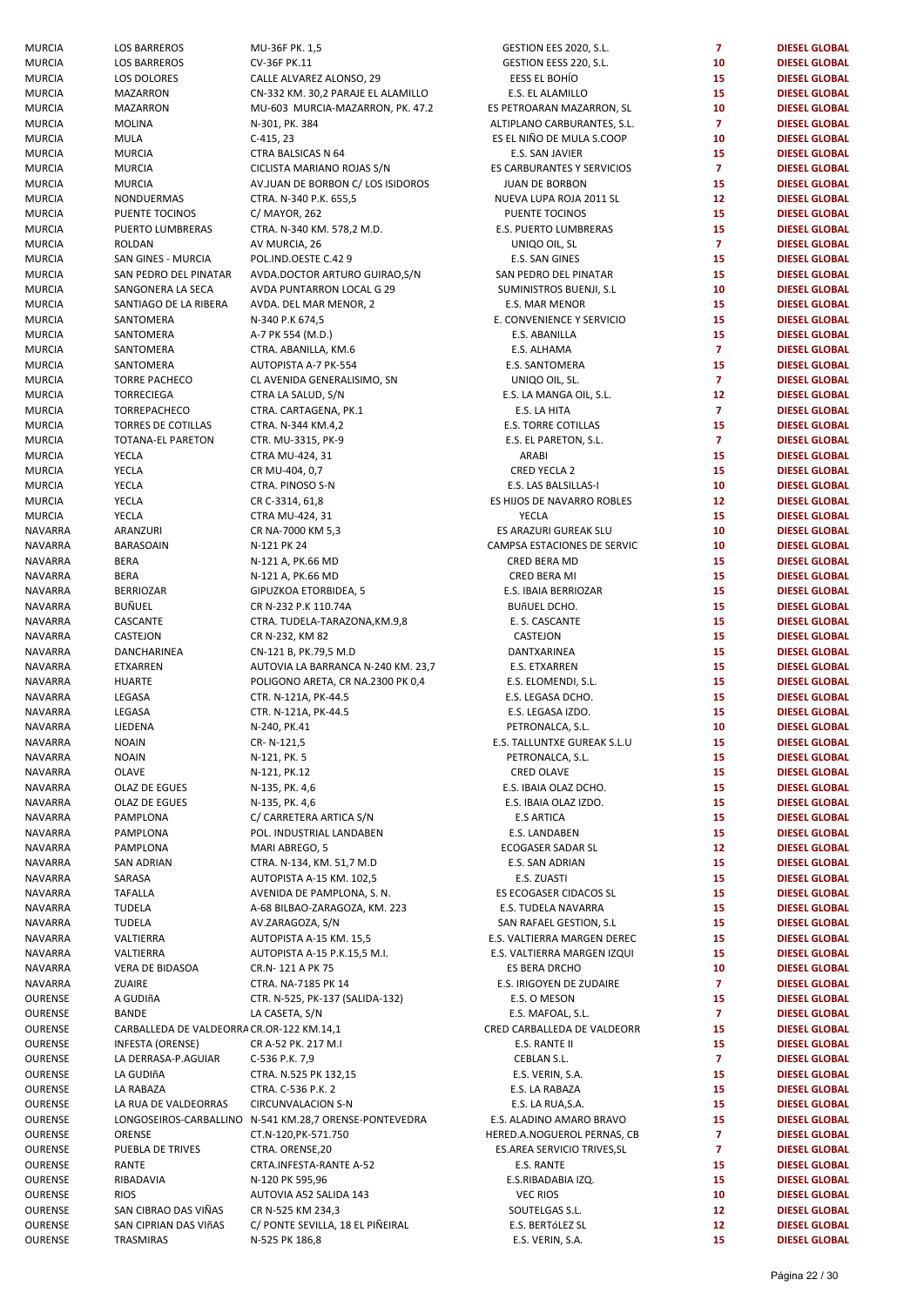| MURCIA         | <b>LOS BARREROS</b>                       | MU-36F PK. 1,5                                         | GESTION EES 2020, S.L.      | $\overline{7}$ | <b>DIESEL GLOBAL</b> |
|----------------|-------------------------------------------|--------------------------------------------------------|-----------------------------|----------------|----------------------|
| MURCIA         | LOS BARREROS                              | CV-36F PK.11                                           | GESTION EESS 220, S.L.      | 10             | <b>DIESEL GLOBAL</b> |
| MURCIA         | LOS DOLORES                               | CALLE ALVAREZ ALONSO, 29                               | EESS EL BOHÍO               | 15             | <b>DIESEL GLOBAL</b> |
|                |                                           |                                                        |                             |                |                      |
| MURCIA         | <b>MAZARRON</b>                           | CN-332 KM. 30,2 PARAJE EL ALAMILLO                     | E.S. EL ALAMILLO            | 15             | <b>DIESEL GLOBAL</b> |
| MURCIA         | <b>MAZARRON</b>                           | MU-603 MURCIA-MAZARRON, PK. 47.2                       | ES PETROARAN MAZARRON, SL   | 10             | <b>DIESEL GLOBAL</b> |
| MURCIA         | <b>MOLINA</b>                             | N-301, PK. 384                                         | ALTIPLANO CARBURANTES, S.L. | $\overline{7}$ | <b>DIESEL GLOBAL</b> |
| MURCIA         | <b>MULA</b>                               | $C-415, 23$                                            | ES EL NIÑO DE MULA S.COOP   | 10             | <b>DIESEL GLOBAL</b> |
| MURCIA         | <b>MURCIA</b>                             | CTRA BALSICAS N 64                                     | E.S. SAN JAVIER             | 15             | <b>DIESEL GLOBAL</b> |
| MURCIA         | <b>MURCIA</b>                             | CICLISTA MARIANO ROJAS S/N                             | ES CARBURANTES Y SERVICIOS  | $\overline{7}$ | <b>DIESEL GLOBAL</b> |
| MURCIA         | <b>MURCIA</b>                             | AV.JUAN DE BORBON C/ LOS ISIDOROS                      | <b>JUAN DE BORBON</b>       | 15             | <b>DIESEL GLOBAL</b> |
|                |                                           |                                                        |                             | 12             |                      |
| MURCIA         | NONDUERMAS                                | CTRA. N-340 P.K. 655,5                                 | NUEVA LUPA ROJA 2011 SL     |                | <b>DIESEL GLOBAL</b> |
| MURCIA         | PUENTE TOCINOS                            | C/ MAYOR, 262                                          | PUENTE TOCINOS              | 15             | <b>DIESEL GLOBAL</b> |
| MURCIA         | PUERTO LUMBRERAS                          | CTRA. N-340 KM. 578,2 M.D.                             | E.S. PUERTO LUMBRERAS       | 15             | <b>DIESEL GLOBAL</b> |
| MURCIA         | ROLDAN                                    | AV MURCIA, 26                                          | UNIQO OIL, SL               | $\overline{7}$ | <b>DIESEL GLOBAL</b> |
| MURCIA         | SAN GINES - MURCIA                        | POL.IND.OESTE C.42 9                                   | E.S. SAN GINES              | 15             | <b>DIESEL GLOBAL</b> |
| MURCIA         | SAN PEDRO DEL PINATAR                     | AVDA.DOCTOR ARTURO GUIRAO, S/N                         | SAN PEDRO DEL PINATAR       | 15             | <b>DIESEL GLOBAL</b> |
| MURCIA         | SANGONERA LA SECA                         | AVDA PUNTARRON LOCAL G 29                              | SUMINISTROS BUENJI, S.L     | 10             | <b>DIESEL GLOBAL</b> |
|                |                                           |                                                        |                             |                |                      |
| MURCIA         | SANTIAGO DE LA RIBERA                     | AVDA. DEL MAR MENOR, 2                                 | E.S. MAR MENOR              | 15             | <b>DIESEL GLOBAL</b> |
| MURCIA         | SANTOMERA                                 | N-340 P.K 674,5                                        | E. CONVENIENCE Y SERVICIO   | 15             | <b>DIESEL GLOBAL</b> |
| MURCIA         | SANTOMERA                                 | A-7 PK 554 (M.D.)                                      | E.S. ABANILLA               | 15             | <b>DIESEL GLOBAL</b> |
| MURCIA         | SANTOMERA                                 | CTRA. ABANILLA, KM.6                                   | E.S. ALHAMA                 | $\overline{7}$ | <b>DIESEL GLOBAL</b> |
| MURCIA         | SANTOMERA                                 | AUTOPISTA A-7 PK-554                                   | E.S. SANTOMERA              | 15             | <b>DIESEL GLOBAL</b> |
| MURCIA         | <b>TORRE PACHECO</b>                      | CL AVENIDA GENERALISIMO, SN                            | UNIQO OIL, SL.              | $\overline{7}$ | <b>DIESEL GLOBAL</b> |
|                |                                           |                                                        |                             |                |                      |
| MURCIA         | <b>TORRECIEGA</b>                         | CTRA LA SALUD, S/N                                     | E.S. LA MANGA OIL, S.L.     | 12             | <b>DIESEL GLOBAL</b> |
| MURCIA         | TORREPACHECO                              | CTRA. CARTAGENA, PK.1                                  | E.S. LA HITA                | $\overline{7}$ | <b>DIESEL GLOBAL</b> |
| MURCIA         | TORRES DE COTILLAS                        | CTRA. N-344 KM.4,2                                     | <b>E.S. TORRE COTILLAS</b>  | 15             | <b>DIESEL GLOBAL</b> |
| MURCIA         | <b>TOTANA-EL PARETON</b>                  | CTR. MU-3315, PK-9                                     | E.S. EL PARETON, S.L.       | $\overline{7}$ | <b>DIESEL GLOBAL</b> |
| MURCIA         | YECLA                                     | CTRA MU-424, 31                                        | ARABI                       | 15             | <b>DIESEL GLOBAL</b> |
| MURCIA         | YECLA                                     | CR MU-404, 0,7                                         | <b>CRED YECLA 2</b>         | 15             | <b>DIESEL GLOBAL</b> |
|                |                                           |                                                        |                             |                |                      |
| MURCIA         | YECLA                                     | CTRA. PINOSO S-N                                       | E.S. LAS BALSILLAS-I        | 10             | <b>DIESEL GLOBAL</b> |
| MURCIA         | YECLA                                     | CR C-3314, 61,8                                        | ES HIJOS DE NAVARRO ROBLES  | 12             | <b>DIESEL GLOBAL</b> |
| MURCIA         | YECLA                                     | CTRA MU-424, 31                                        | <b>YECLA</b>                | 15             | <b>DIESEL GLOBAL</b> |
| NAVARRA        | ARANZURI                                  | CR NA-7000 KM 5,3                                      | ES ARAZURI GUREAK SLU       | 10             | <b>DIESEL GLOBAL</b> |
| NAVARRA        | <b>BARASOAIN</b>                          | N-121 PK 24                                            | CAMPSA ESTACIONES DE SERVIC | 10             | <b>DIESEL GLOBAL</b> |
| NAVARRA        | <b>BERA</b>                               | N-121 A, PK.66 MD                                      | CRED BERA MD                | 15             | <b>DIESEL GLOBAL</b> |
| NAVARRA        | <b>BERA</b>                               | N-121 A, PK.66 MD                                      | CRED BERA MI                | 15             | <b>DIESEL GLOBAL</b> |
|                |                                           |                                                        |                             |                |                      |
| NAVARRA        | <b>BERRIOZAR</b>                          | GIPUZKOA ETORBIDEA, 5                                  | E.S. IBAIA BERRIOZAR        | 15             | <b>DIESEL GLOBAL</b> |
| NAVARRA        | <b>BUÑUEL</b>                             | CR N-232 P.K 110.74A                                   | <b>BUÑUEL DCHO.</b>         | 15             | <b>DIESEL GLOBAL</b> |
| NAVARRA        | CASCANTE                                  | CTRA. TUDELA-TARAZONA, KM.9,8                          | E. S. CASCANTE              | 15             | <b>DIESEL GLOBAL</b> |
| NAVARRA        | CASTEJON                                  | CR N-232, KM 82                                        | CASTEJON                    | 15             | <b>DIESEL GLOBAL</b> |
| NAVARRA        | DANCHARINEA                               | CN-121 B, PK.79,5 M.D                                  | DANTXARINEA                 | 15             | <b>DIESEL GLOBAL</b> |
| NAVARRA        | ETXARREN                                  | AUTOVIA LA BARRANCA N-240 KM. 23,7                     | <b>E.S. ETXARREN</b>        | 15             | <b>DIESEL GLOBAL</b> |
|                |                                           |                                                        |                             | 15             | <b>DIESEL GLOBAL</b> |
| NAVARRA        | <b>HUARTE</b>                             | POLIGONO ARETA, CR NA.2300 PK 0,4                      | E.S. ELOMENDI, S.L.         |                |                      |
| NAVARRA        | LEGASA                                    | CTR. N-121A, PK-44.5                                   | E.S. LEGASA DCHO.           | 15             | <b>DIESEL GLOBAL</b> |
| NAVARRA        | LEGASA                                    | CTR. N-121A, PK-44.5                                   | E.S. LEGASA IZDO.           | 15             | <b>DIESEL GLOBAL</b> |
| NAVARRA        | LIEDENA                                   | N-240, PK.41                                           | PETRONALCA, S.L.            | 10             | <b>DIESEL GLOBAL</b> |
| NAVARRA        | <b>NOAIN</b>                              | CR-N-121,5                                             | E.S. TALLUNTXE GUREAK S.L.U | 15             | <b>DIESEL GLOBAL</b> |
| NAVARRA        | <b>NOAIN</b>                              | N-121, PK. 5                                           | PETRONALCA, S.L.            | 15             | <b>DIESEL GLOBAL</b> |
| NAVARRA        | OLAVE                                     | N-121, PK.12                                           | <b>CRED OLAVE</b>           | 15             | <b>DIESEL GLOBAL</b> |
|                |                                           |                                                        |                             |                |                      |
| NAVARRA        | OLAZ DE EGUES                             | N-135, PK. 4,6                                         | E.S. IBAIA OLAZ DCHO.       | 15             | <b>DIESEL GLOBAL</b> |
| NAVARRA        | OLAZ DE EGUES                             | N-135, PK. 4,6                                         | E.S. IBAIA OLAZ IZDO.       | 15             | <b>DIESEL GLOBAL</b> |
| NAVARRA        | PAMPLONA                                  | C/ CARRETERA ARTICA S/N                                | <b>E.S ARTICA</b>           | 15             | <b>DIESEL GLOBAL</b> |
| NAVARRA        | PAMPLONA                                  | POL. INDUSTRIAL LANDABEN                               | E.S. LANDABEN               | 15             | <b>DIESEL GLOBAL</b> |
| NAVARRA        | PAMPLONA                                  | MARI ABREGO, 5                                         | ECOGASER SADAR SL           | 12             | <b>DIESEL GLOBAL</b> |
| NAVARRA        | <b>SAN ADRIAN</b>                         | CTRA. N-134, KM. 51,7 M.D                              | E.S. SAN ADRIAN             | 15             | <b>DIESEL GLOBAL</b> |
| NAVARRA        | SARASA                                    | AUTOPISTA A-15 KM. 102,5                               | E.S. ZUASTI                 | 15             | <b>DIESEL GLOBAL</b> |
|                |                                           |                                                        |                             |                |                      |
| NAVARRA        | <b>TAFALLA</b>                            | AVENIDA DE PAMPLONA, S. N.                             | ES ECOGASER CIDACOS SL      | 15             | <b>DIESEL GLOBAL</b> |
| NAVARRA        | <b>TUDELA</b>                             | A-68 BILBAO-ZARAGOZA, KM. 223                          | E.S. TUDELA NAVARRA         | 15             | <b>DIESEL GLOBAL</b> |
| <b>NAVARRA</b> | <b>TUDELA</b>                             | AV.ZARAGOZA, S/N                                       | SAN RAFAEL GESTION, S.L     | 15             | <b>DIESEL GLOBAL</b> |
| NAVARRA        | VALTIERRA                                 | AUTOPISTA A-15 KM. 15,5                                | E.S. VALTIERRA MARGEN DEREC | 15             | <b>DIESEL GLOBAL</b> |
| NAVARRA        | VALTIERRA                                 | AUTOPISTA A-15 P.K.15,5 M.I.                           | E.S. VALTIERRA MARGEN IZQUI | 15             | <b>DIESEL GLOBAL</b> |
| NAVARRA        | VERA DE BIDASOA                           | CR.N-121 A PK 75                                       | ES BERA DRCHO               | 10             | <b>DIESEL GLOBAL</b> |
|                |                                           |                                                        |                             |                |                      |
| NAVARRA        | ZUAIRE                                    | CTRA. NA-7185 PK 14                                    | E.S. IRIGOYEN DE ZUDAIRE    | $\overline{7}$ | <b>DIESEL GLOBAL</b> |
| OURENSE        | A GUDIñA                                  | CTR. N-525, PK-137 (SALIDA-132)                        | E.S. O MESON                | 15             | <b>DIESEL GLOBAL</b> |
| OURENSE        | <b>BANDE</b>                              | LA CASETA, S/N                                         | E.S. MAFOAL, S.L.           | $\overline{7}$ | <b>DIESEL GLOBAL</b> |
| OURENSE        | CARBALLEDA DE VALDEORRA CR.OR-122 KM.14,1 |                                                        | CRED CARBALLEDA DE VALDEORR | 15             | <b>DIESEL GLOBAL</b> |
| OURENSE        | <b>INFESTA (ORENSE)</b>                   | CR A-52 PK. 217 M.I                                    | E.S. RANTE II               | 15             | <b>DIESEL GLOBAL</b> |
| OURENSE        | LA DERRASA-P.AGUIAR                       | C-536 P.K. 7,9                                         | CEBLAN S.L.                 | $\overline{7}$ | <b>DIESEL GLOBAL</b> |
|                |                                           |                                                        |                             |                |                      |
| OURENSE        | LA GUDIñA                                 | CTRA. N.525 PK 132,15                                  | E.S. VERIN, S.A.            | 15             | <b>DIESEL GLOBAL</b> |
| OURENSE        | LA RABAZA                                 | CTRA. C-536 P.K. 2                                     | E.S. LA RABAZA              | 15             | <b>DIESEL GLOBAL</b> |
| OURENSE        | LA RUA DE VALDEORRAS                      | <b>CIRCUNVALACION S-N</b>                              | E.S. LA RUA, S.A.           | 15             | <b>DIESEL GLOBAL</b> |
| OURENSE        |                                           | LONGOSEIROS-CARBALLINO N-541 KM.28,7 ORENSE-PONTEVEDRA | E.S. ALADINO AMARO BRAVO    | 15             | <b>DIESEL GLOBAL</b> |
| OURENSE        | ORENSE                                    | CT.N-120, PK-571.750                                   | HERED.A.NOGUEROL PERNAS, CB | $\overline{7}$ | <b>DIESEL GLOBAL</b> |
| OURENSE        | PUEBLA DE TRIVES                          | CTRA. ORENSE, 20                                       | ES.AREA SERVICIO TRIVES, SL | $\overline{7}$ | <b>DIESEL GLOBAL</b> |
| OURENSE        | RANTE                                     | CRTA.INFESTA-RANTE A-52                                | E.S. RANTE                  | 15             | <b>DIESEL GLOBAL</b> |
|                |                                           |                                                        |                             |                |                      |
| OURENSE        | RIBADAVIA                                 | N-120 PK 595,96                                        | E.S.RIBADABIA IZQ.          | 15             | <b>DIESEL GLOBAL</b> |
| OURENSE        | <b>RIOS</b>                               | AUTOVIA A52 SALIDA 143                                 | <b>VEC RIOS</b>             | 10             | <b>DIESEL GLOBAL</b> |
| OURENSE        | SAN CIBRAO DAS VIÑAS                      | CR N-525 KM 234,3                                      | SOUTELGAS S.L.              | 12             | <b>DIESEL GLOBAL</b> |
| OURENSE        | SAN CIPRIAN DAS VIñAS                     | C/ PONTE SEVILLA, 18 EL PIÑEIRAL                       | E.S. BERTÓLEZ SL            | 12             | <b>DIESEL GLOBAL</b> |
| OURENSE        | TRASMIRAS                                 | N-525 PK 186,8                                         | E.S. VERIN, S.A.            | 15             | <b>DIESEL GLOBAL</b> |
|                |                                           |                                                        |                             |                |                      |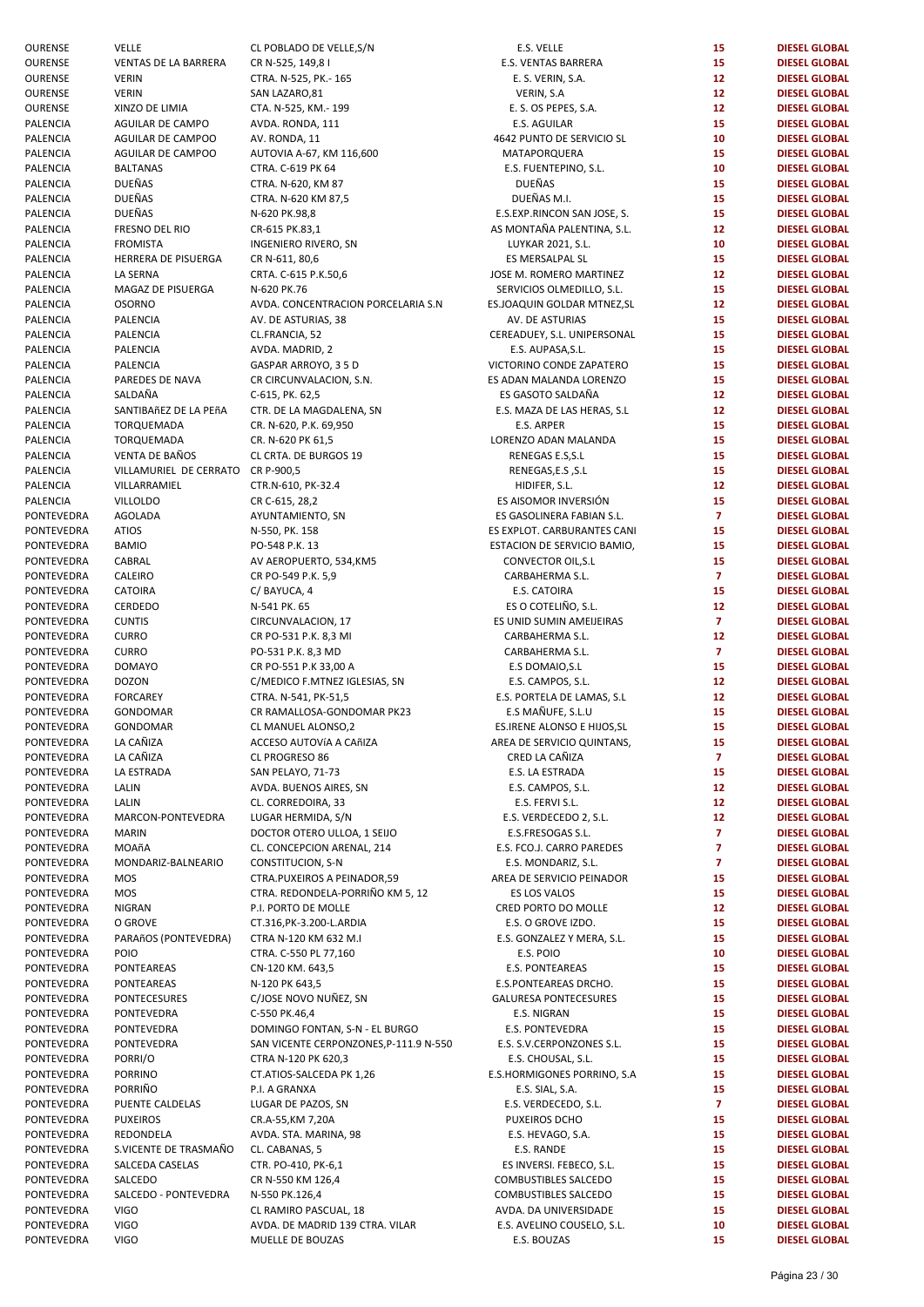|                            |                                                                                                                                                                                                                                                                                                                                                                                                                                                                                                                                                                                                                                                                                                                                                                                                                                                                              |                                                                                                                                                                                                                                                                                                                                                                                                                                                                                                                                                                                                                                                                                                                                                                                                                                                                                                                                                                                                                                                                                                                                                                                                                                                   |                                                                                                                                                                                                                                                                                                                                                                                                                                                                                                                                                                                                                                                                                                                                                                                                                                                                                                                                                                                                                                                                                                                                                                                                                                                                                                                               | <b>DIESEL GLOBAL</b>                                                                                                                                                                                                                                                                                                                                                                                                      |
|----------------------------|------------------------------------------------------------------------------------------------------------------------------------------------------------------------------------------------------------------------------------------------------------------------------------------------------------------------------------------------------------------------------------------------------------------------------------------------------------------------------------------------------------------------------------------------------------------------------------------------------------------------------------------------------------------------------------------------------------------------------------------------------------------------------------------------------------------------------------------------------------------------------|---------------------------------------------------------------------------------------------------------------------------------------------------------------------------------------------------------------------------------------------------------------------------------------------------------------------------------------------------------------------------------------------------------------------------------------------------------------------------------------------------------------------------------------------------------------------------------------------------------------------------------------------------------------------------------------------------------------------------------------------------------------------------------------------------------------------------------------------------------------------------------------------------------------------------------------------------------------------------------------------------------------------------------------------------------------------------------------------------------------------------------------------------------------------------------------------------------------------------------------------------|-------------------------------------------------------------------------------------------------------------------------------------------------------------------------------------------------------------------------------------------------------------------------------------------------------------------------------------------------------------------------------------------------------------------------------------------------------------------------------------------------------------------------------------------------------------------------------------------------------------------------------------------------------------------------------------------------------------------------------------------------------------------------------------------------------------------------------------------------------------------------------------------------------------------------------------------------------------------------------------------------------------------------------------------------------------------------------------------------------------------------------------------------------------------------------------------------------------------------------------------------------------------------------------------------------------------------------|---------------------------------------------------------------------------------------------------------------------------------------------------------------------------------------------------------------------------------------------------------------------------------------------------------------------------------------------------------------------------------------------------------------------------|
|                            |                                                                                                                                                                                                                                                                                                                                                                                                                                                                                                                                                                                                                                                                                                                                                                                                                                                                              |                                                                                                                                                                                                                                                                                                                                                                                                                                                                                                                                                                                                                                                                                                                                                                                                                                                                                                                                                                                                                                                                                                                                                                                                                                                   |                                                                                                                                                                                                                                                                                                                                                                                                                                                                                                                                                                                                                                                                                                                                                                                                                                                                                                                                                                                                                                                                                                                                                                                                                                                                                                                               | <b>DIESEL GLOBAL</b>                                                                                                                                                                                                                                                                                                                                                                                                      |
| <b>VERIN</b>               | CTRA. N-525, PK.- 165                                                                                                                                                                                                                                                                                                                                                                                                                                                                                                                                                                                                                                                                                                                                                                                                                                                        | E. S. VERIN, S.A.                                                                                                                                                                                                                                                                                                                                                                                                                                                                                                                                                                                                                                                                                                                                                                                                                                                                                                                                                                                                                                                                                                                                                                                                                                 | 12 <sub>2</sub>                                                                                                                                                                                                                                                                                                                                                                                                                                                                                                                                                                                                                                                                                                                                                                                                                                                                                                                                                                                                                                                                                                                                                                                                                                                                                                               | <b>DIESEL GLOBAL</b>                                                                                                                                                                                                                                                                                                                                                                                                      |
| <b>VERIN</b>               |                                                                                                                                                                                                                                                                                                                                                                                                                                                                                                                                                                                                                                                                                                                                                                                                                                                                              |                                                                                                                                                                                                                                                                                                                                                                                                                                                                                                                                                                                                                                                                                                                                                                                                                                                                                                                                                                                                                                                                                                                                                                                                                                                   | 12 <sub>2</sub>                                                                                                                                                                                                                                                                                                                                                                                                                                                                                                                                                                                                                                                                                                                                                                                                                                                                                                                                                                                                                                                                                                                                                                                                                                                                                                               | <b>DIESEL GLOBAL</b>                                                                                                                                                                                                                                                                                                                                                                                                      |
|                            |                                                                                                                                                                                                                                                                                                                                                                                                                                                                                                                                                                                                                                                                                                                                                                                                                                                                              |                                                                                                                                                                                                                                                                                                                                                                                                                                                                                                                                                                                                                                                                                                                                                                                                                                                                                                                                                                                                                                                                                                                                                                                                                                                   |                                                                                                                                                                                                                                                                                                                                                                                                                                                                                                                                                                                                                                                                                                                                                                                                                                                                                                                                                                                                                                                                                                                                                                                                                                                                                                                               | <b>DIESEL GLOBAL</b>                                                                                                                                                                                                                                                                                                                                                                                                      |
|                            |                                                                                                                                                                                                                                                                                                                                                                                                                                                                                                                                                                                                                                                                                                                                                                                                                                                                              |                                                                                                                                                                                                                                                                                                                                                                                                                                                                                                                                                                                                                                                                                                                                                                                                                                                                                                                                                                                                                                                                                                                                                                                                                                                   |                                                                                                                                                                                                                                                                                                                                                                                                                                                                                                                                                                                                                                                                                                                                                                                                                                                                                                                                                                                                                                                                                                                                                                                                                                                                                                                               | <b>DIESEL GLOBAL</b>                                                                                                                                                                                                                                                                                                                                                                                                      |
|                            |                                                                                                                                                                                                                                                                                                                                                                                                                                                                                                                                                                                                                                                                                                                                                                                                                                                                              |                                                                                                                                                                                                                                                                                                                                                                                                                                                                                                                                                                                                                                                                                                                                                                                                                                                                                                                                                                                                                                                                                                                                                                                                                                                   |                                                                                                                                                                                                                                                                                                                                                                                                                                                                                                                                                                                                                                                                                                                                                                                                                                                                                                                                                                                                                                                                                                                                                                                                                                                                                                                               | <b>DIESEL GLOBAL</b>                                                                                                                                                                                                                                                                                                                                                                                                      |
|                            |                                                                                                                                                                                                                                                                                                                                                                                                                                                                                                                                                                                                                                                                                                                                                                                                                                                                              |                                                                                                                                                                                                                                                                                                                                                                                                                                                                                                                                                                                                                                                                                                                                                                                                                                                                                                                                                                                                                                                                                                                                                                                                                                                   |                                                                                                                                                                                                                                                                                                                                                                                                                                                                                                                                                                                                                                                                                                                                                                                                                                                                                                                                                                                                                                                                                                                                                                                                                                                                                                                               |                                                                                                                                                                                                                                                                                                                                                                                                                           |
|                            |                                                                                                                                                                                                                                                                                                                                                                                                                                                                                                                                                                                                                                                                                                                                                                                                                                                                              |                                                                                                                                                                                                                                                                                                                                                                                                                                                                                                                                                                                                                                                                                                                                                                                                                                                                                                                                                                                                                                                                                                                                                                                                                                                   |                                                                                                                                                                                                                                                                                                                                                                                                                                                                                                                                                                                                                                                                                                                                                                                                                                                                                                                                                                                                                                                                                                                                                                                                                                                                                                                               | <b>DIESEL GLOBAL</b>                                                                                                                                                                                                                                                                                                                                                                                                      |
|                            | CTRA. C-619 PK 64                                                                                                                                                                                                                                                                                                                                                                                                                                                                                                                                                                                                                                                                                                                                                                                                                                                            |                                                                                                                                                                                                                                                                                                                                                                                                                                                                                                                                                                                                                                                                                                                                                                                                                                                                                                                                                                                                                                                                                                                                                                                                                                                   |                                                                                                                                                                                                                                                                                                                                                                                                                                                                                                                                                                                                                                                                                                                                                                                                                                                                                                                                                                                                                                                                                                                                                                                                                                                                                                                               | <b>DIESEL GLOBAL</b>                                                                                                                                                                                                                                                                                                                                                                                                      |
| DUEÑAS                     | CTRA. N-620, KM 87                                                                                                                                                                                                                                                                                                                                                                                                                                                                                                                                                                                                                                                                                                                                                                                                                                                           | DUEÑAS                                                                                                                                                                                                                                                                                                                                                                                                                                                                                                                                                                                                                                                                                                                                                                                                                                                                                                                                                                                                                                                                                                                                                                                                                                            | 15                                                                                                                                                                                                                                                                                                                                                                                                                                                                                                                                                                                                                                                                                                                                                                                                                                                                                                                                                                                                                                                                                                                                                                                                                                                                                                                            | <b>DIESEL GLOBAL</b>                                                                                                                                                                                                                                                                                                                                                                                                      |
| <b>DUEÑAS</b>              |                                                                                                                                                                                                                                                                                                                                                                                                                                                                                                                                                                                                                                                                                                                                                                                                                                                                              | DUEÑAS M.I.                                                                                                                                                                                                                                                                                                                                                                                                                                                                                                                                                                                                                                                                                                                                                                                                                                                                                                                                                                                                                                                                                                                                                                                                                                       |                                                                                                                                                                                                                                                                                                                                                                                                                                                                                                                                                                                                                                                                                                                                                                                                                                                                                                                                                                                                                                                                                                                                                                                                                                                                                                                               | <b>DIESEL GLOBAL</b>                                                                                                                                                                                                                                                                                                                                                                                                      |
|                            |                                                                                                                                                                                                                                                                                                                                                                                                                                                                                                                                                                                                                                                                                                                                                                                                                                                                              |                                                                                                                                                                                                                                                                                                                                                                                                                                                                                                                                                                                                                                                                                                                                                                                                                                                                                                                                                                                                                                                                                                                                                                                                                                                   |                                                                                                                                                                                                                                                                                                                                                                                                                                                                                                                                                                                                                                                                                                                                                                                                                                                                                                                                                                                                                                                                                                                                                                                                                                                                                                                               | <b>DIESEL GLOBAL</b>                                                                                                                                                                                                                                                                                                                                                                                                      |
|                            |                                                                                                                                                                                                                                                                                                                                                                                                                                                                                                                                                                                                                                                                                                                                                                                                                                                                              |                                                                                                                                                                                                                                                                                                                                                                                                                                                                                                                                                                                                                                                                                                                                                                                                                                                                                                                                                                                                                                                                                                                                                                                                                                                   |                                                                                                                                                                                                                                                                                                                                                                                                                                                                                                                                                                                                                                                                                                                                                                                                                                                                                                                                                                                                                                                                                                                                                                                                                                                                                                                               |                                                                                                                                                                                                                                                                                                                                                                                                                           |
|                            |                                                                                                                                                                                                                                                                                                                                                                                                                                                                                                                                                                                                                                                                                                                                                                                                                                                                              |                                                                                                                                                                                                                                                                                                                                                                                                                                                                                                                                                                                                                                                                                                                                                                                                                                                                                                                                                                                                                                                                                                                                                                                                                                                   |                                                                                                                                                                                                                                                                                                                                                                                                                                                                                                                                                                                                                                                                                                                                                                                                                                                                                                                                                                                                                                                                                                                                                                                                                                                                                                                               | <b>DIESEL GLOBAL</b>                                                                                                                                                                                                                                                                                                                                                                                                      |
|                            |                                                                                                                                                                                                                                                                                                                                                                                                                                                                                                                                                                                                                                                                                                                                                                                                                                                                              |                                                                                                                                                                                                                                                                                                                                                                                                                                                                                                                                                                                                                                                                                                                                                                                                                                                                                                                                                                                                                                                                                                                                                                                                                                                   |                                                                                                                                                                                                                                                                                                                                                                                                                                                                                                                                                                                                                                                                                                                                                                                                                                                                                                                                                                                                                                                                                                                                                                                                                                                                                                                               | <b>DIESEL GLOBAL</b>                                                                                                                                                                                                                                                                                                                                                                                                      |
|                            |                                                                                                                                                                                                                                                                                                                                                                                                                                                                                                                                                                                                                                                                                                                                                                                                                                                                              |                                                                                                                                                                                                                                                                                                                                                                                                                                                                                                                                                                                                                                                                                                                                                                                                                                                                                                                                                                                                                                                                                                                                                                                                                                                   |                                                                                                                                                                                                                                                                                                                                                                                                                                                                                                                                                                                                                                                                                                                                                                                                                                                                                                                                                                                                                                                                                                                                                                                                                                                                                                                               | <b>DIESEL GLOBAL</b>                                                                                                                                                                                                                                                                                                                                                                                                      |
| LA SERNA                   | CRTA. C-615 P.K.50,6                                                                                                                                                                                                                                                                                                                                                                                                                                                                                                                                                                                                                                                                                                                                                                                                                                                         | JOSE M. ROMERO MARTINEZ                                                                                                                                                                                                                                                                                                                                                                                                                                                                                                                                                                                                                                                                                                                                                                                                                                                                                                                                                                                                                                                                                                                                                                                                                           | 12 <sub>2</sub>                                                                                                                                                                                                                                                                                                                                                                                                                                                                                                                                                                                                                                                                                                                                                                                                                                                                                                                                                                                                                                                                                                                                                                                                                                                                                                               | <b>DIESEL GLOBAL</b>                                                                                                                                                                                                                                                                                                                                                                                                      |
|                            | N-620 PK.76                                                                                                                                                                                                                                                                                                                                                                                                                                                                                                                                                                                                                                                                                                                                                                                                                                                                  |                                                                                                                                                                                                                                                                                                                                                                                                                                                                                                                                                                                                                                                                                                                                                                                                                                                                                                                                                                                                                                                                                                                                                                                                                                                   |                                                                                                                                                                                                                                                                                                                                                                                                                                                                                                                                                                                                                                                                                                                                                                                                                                                                                                                                                                                                                                                                                                                                                                                                                                                                                                                               | <b>DIESEL GLOBAL</b>                                                                                                                                                                                                                                                                                                                                                                                                      |
|                            |                                                                                                                                                                                                                                                                                                                                                                                                                                                                                                                                                                                                                                                                                                                                                                                                                                                                              |                                                                                                                                                                                                                                                                                                                                                                                                                                                                                                                                                                                                                                                                                                                                                                                                                                                                                                                                                                                                                                                                                                                                                                                                                                                   |                                                                                                                                                                                                                                                                                                                                                                                                                                                                                                                                                                                                                                                                                                                                                                                                                                                                                                                                                                                                                                                                                                                                                                                                                                                                                                                               | <b>DIESEL GLOBAL</b>                                                                                                                                                                                                                                                                                                                                                                                                      |
|                            |                                                                                                                                                                                                                                                                                                                                                                                                                                                                                                                                                                                                                                                                                                                                                                                                                                                                              |                                                                                                                                                                                                                                                                                                                                                                                                                                                                                                                                                                                                                                                                                                                                                                                                                                                                                                                                                                                                                                                                                                                                                                                                                                                   |                                                                                                                                                                                                                                                                                                                                                                                                                                                                                                                                                                                                                                                                                                                                                                                                                                                                                                                                                                                                                                                                                                                                                                                                                                                                                                                               | <b>DIESEL GLOBAL</b>                                                                                                                                                                                                                                                                                                                                                                                                      |
|                            |                                                                                                                                                                                                                                                                                                                                                                                                                                                                                                                                                                                                                                                                                                                                                                                                                                                                              |                                                                                                                                                                                                                                                                                                                                                                                                                                                                                                                                                                                                                                                                                                                                                                                                                                                                                                                                                                                                                                                                                                                                                                                                                                                   |                                                                                                                                                                                                                                                                                                                                                                                                                                                                                                                                                                                                                                                                                                                                                                                                                                                                                                                                                                                                                                                                                                                                                                                                                                                                                                                               |                                                                                                                                                                                                                                                                                                                                                                                                                           |
|                            |                                                                                                                                                                                                                                                                                                                                                                                                                                                                                                                                                                                                                                                                                                                                                                                                                                                                              |                                                                                                                                                                                                                                                                                                                                                                                                                                                                                                                                                                                                                                                                                                                                                                                                                                                                                                                                                                                                                                                                                                                                                                                                                                                   |                                                                                                                                                                                                                                                                                                                                                                                                                                                                                                                                                                                                                                                                                                                                                                                                                                                                                                                                                                                                                                                                                                                                                                                                                                                                                                                               | <b>DIESEL GLOBAL</b>                                                                                                                                                                                                                                                                                                                                                                                                      |
|                            |                                                                                                                                                                                                                                                                                                                                                                                                                                                                                                                                                                                                                                                                                                                                                                                                                                                                              |                                                                                                                                                                                                                                                                                                                                                                                                                                                                                                                                                                                                                                                                                                                                                                                                                                                                                                                                                                                                                                                                                                                                                                                                                                                   |                                                                                                                                                                                                                                                                                                                                                                                                                                                                                                                                                                                                                                                                                                                                                                                                                                                                                                                                                                                                                                                                                                                                                                                                                                                                                                                               | <b>DIESEL GLOBAL</b>                                                                                                                                                                                                                                                                                                                                                                                                      |
| PALENCIA                   | GASPAR ARROYO, 35 D                                                                                                                                                                                                                                                                                                                                                                                                                                                                                                                                                                                                                                                                                                                                                                                                                                                          | VICTORINO CONDE ZAPATERO                                                                                                                                                                                                                                                                                                                                                                                                                                                                                                                                                                                                                                                                                                                                                                                                                                                                                                                                                                                                                                                                                                                                                                                                                          |                                                                                                                                                                                                                                                                                                                                                                                                                                                                                                                                                                                                                                                                                                                                                                                                                                                                                                                                                                                                                                                                                                                                                                                                                                                                                                                               | <b>DIESEL GLOBAL</b>                                                                                                                                                                                                                                                                                                                                                                                                      |
| PAREDES DE NAVA            | CR CIRCUNVALACION, S.N.                                                                                                                                                                                                                                                                                                                                                                                                                                                                                                                                                                                                                                                                                                                                                                                                                                                      | ES ADAN MALANDA LORENZO                                                                                                                                                                                                                                                                                                                                                                                                                                                                                                                                                                                                                                                                                                                                                                                                                                                                                                                                                                                                                                                                                                                                                                                                                           | 15                                                                                                                                                                                                                                                                                                                                                                                                                                                                                                                                                                                                                                                                                                                                                                                                                                                                                                                                                                                                                                                                                                                                                                                                                                                                                                                            | <b>DIESEL GLOBAL</b>                                                                                                                                                                                                                                                                                                                                                                                                      |
|                            |                                                                                                                                                                                                                                                                                                                                                                                                                                                                                                                                                                                                                                                                                                                                                                                                                                                                              |                                                                                                                                                                                                                                                                                                                                                                                                                                                                                                                                                                                                                                                                                                                                                                                                                                                                                                                                                                                                                                                                                                                                                                                                                                                   |                                                                                                                                                                                                                                                                                                                                                                                                                                                                                                                                                                                                                                                                                                                                                                                                                                                                                                                                                                                                                                                                                                                                                                                                                                                                                                                               | <b>DIESEL GLOBAL</b>                                                                                                                                                                                                                                                                                                                                                                                                      |
|                            |                                                                                                                                                                                                                                                                                                                                                                                                                                                                                                                                                                                                                                                                                                                                                                                                                                                                              |                                                                                                                                                                                                                                                                                                                                                                                                                                                                                                                                                                                                                                                                                                                                                                                                                                                                                                                                                                                                                                                                                                                                                                                                                                                   |                                                                                                                                                                                                                                                                                                                                                                                                                                                                                                                                                                                                                                                                                                                                                                                                                                                                                                                                                                                                                                                                                                                                                                                                                                                                                                                               | <b>DIESEL GLOBAL</b>                                                                                                                                                                                                                                                                                                                                                                                                      |
|                            |                                                                                                                                                                                                                                                                                                                                                                                                                                                                                                                                                                                                                                                                                                                                                                                                                                                                              |                                                                                                                                                                                                                                                                                                                                                                                                                                                                                                                                                                                                                                                                                                                                                                                                                                                                                                                                                                                                                                                                                                                                                                                                                                                   |                                                                                                                                                                                                                                                                                                                                                                                                                                                                                                                                                                                                                                                                                                                                                                                                                                                                                                                                                                                                                                                                                                                                                                                                                                                                                                                               |                                                                                                                                                                                                                                                                                                                                                                                                                           |
|                            |                                                                                                                                                                                                                                                                                                                                                                                                                                                                                                                                                                                                                                                                                                                                                                                                                                                                              |                                                                                                                                                                                                                                                                                                                                                                                                                                                                                                                                                                                                                                                                                                                                                                                                                                                                                                                                                                                                                                                                                                                                                                                                                                                   |                                                                                                                                                                                                                                                                                                                                                                                                                                                                                                                                                                                                                                                                                                                                                                                                                                                                                                                                                                                                                                                                                                                                                                                                                                                                                                                               | <b>DIESEL GLOBAL</b>                                                                                                                                                                                                                                                                                                                                                                                                      |
|                            |                                                                                                                                                                                                                                                                                                                                                                                                                                                                                                                                                                                                                                                                                                                                                                                                                                                                              |                                                                                                                                                                                                                                                                                                                                                                                                                                                                                                                                                                                                                                                                                                                                                                                                                                                                                                                                                                                                                                                                                                                                                                                                                                                   |                                                                                                                                                                                                                                                                                                                                                                                                                                                                                                                                                                                                                                                                                                                                                                                                                                                                                                                                                                                                                                                                                                                                                                                                                                                                                                                               | <b>DIESEL GLOBAL</b>                                                                                                                                                                                                                                                                                                                                                                                                      |
|                            | CL CRTA. DE BURGOS 19                                                                                                                                                                                                                                                                                                                                                                                                                                                                                                                                                                                                                                                                                                                                                                                                                                                        | RENEGAS E.S,S.L                                                                                                                                                                                                                                                                                                                                                                                                                                                                                                                                                                                                                                                                                                                                                                                                                                                                                                                                                                                                                                                                                                                                                                                                                                   | 15                                                                                                                                                                                                                                                                                                                                                                                                                                                                                                                                                                                                                                                                                                                                                                                                                                                                                                                                                                                                                                                                                                                                                                                                                                                                                                                            | <b>DIESEL GLOBAL</b>                                                                                                                                                                                                                                                                                                                                                                                                      |
|                            |                                                                                                                                                                                                                                                                                                                                                                                                                                                                                                                                                                                                                                                                                                                                                                                                                                                                              | RENEGAS,E.S,S.L                                                                                                                                                                                                                                                                                                                                                                                                                                                                                                                                                                                                                                                                                                                                                                                                                                                                                                                                                                                                                                                                                                                                                                                                                                   | 15                                                                                                                                                                                                                                                                                                                                                                                                                                                                                                                                                                                                                                                                                                                                                                                                                                                                                                                                                                                                                                                                                                                                                                                                                                                                                                                            | <b>DIESEL GLOBAL</b>                                                                                                                                                                                                                                                                                                                                                                                                      |
|                            |                                                                                                                                                                                                                                                                                                                                                                                                                                                                                                                                                                                                                                                                                                                                                                                                                                                                              |                                                                                                                                                                                                                                                                                                                                                                                                                                                                                                                                                                                                                                                                                                                                                                                                                                                                                                                                                                                                                                                                                                                                                                                                                                                   |                                                                                                                                                                                                                                                                                                                                                                                                                                                                                                                                                                                                                                                                                                                                                                                                                                                                                                                                                                                                                                                                                                                                                                                                                                                                                                                               | <b>DIESEL GLOBAL</b>                                                                                                                                                                                                                                                                                                                                                                                                      |
|                            |                                                                                                                                                                                                                                                                                                                                                                                                                                                                                                                                                                                                                                                                                                                                                                                                                                                                              |                                                                                                                                                                                                                                                                                                                                                                                                                                                                                                                                                                                                                                                                                                                                                                                                                                                                                                                                                                                                                                                                                                                                                                                                                                                   |                                                                                                                                                                                                                                                                                                                                                                                                                                                                                                                                                                                                                                                                                                                                                                                                                                                                                                                                                                                                                                                                                                                                                                                                                                                                                                                               | <b>DIESEL GLOBAL</b>                                                                                                                                                                                                                                                                                                                                                                                                      |
|                            |                                                                                                                                                                                                                                                                                                                                                                                                                                                                                                                                                                                                                                                                                                                                                                                                                                                                              |                                                                                                                                                                                                                                                                                                                                                                                                                                                                                                                                                                                                                                                                                                                                                                                                                                                                                                                                                                                                                                                                                                                                                                                                                                                   |                                                                                                                                                                                                                                                                                                                                                                                                                                                                                                                                                                                                                                                                                                                                                                                                                                                                                                                                                                                                                                                                                                                                                                                                                                                                                                                               |                                                                                                                                                                                                                                                                                                                                                                                                                           |
|                            |                                                                                                                                                                                                                                                                                                                                                                                                                                                                                                                                                                                                                                                                                                                                                                                                                                                                              |                                                                                                                                                                                                                                                                                                                                                                                                                                                                                                                                                                                                                                                                                                                                                                                                                                                                                                                                                                                                                                                                                                                                                                                                                                                   |                                                                                                                                                                                                                                                                                                                                                                                                                                                                                                                                                                                                                                                                                                                                                                                                                                                                                                                                                                                                                                                                                                                                                                                                                                                                                                                               | <b>DIESEL GLOBAL</b>                                                                                                                                                                                                                                                                                                                                                                                                      |
|                            |                                                                                                                                                                                                                                                                                                                                                                                                                                                                                                                                                                                                                                                                                                                                                                                                                                                                              |                                                                                                                                                                                                                                                                                                                                                                                                                                                                                                                                                                                                                                                                                                                                                                                                                                                                                                                                                                                                                                                                                                                                                                                                                                                   |                                                                                                                                                                                                                                                                                                                                                                                                                                                                                                                                                                                                                                                                                                                                                                                                                                                                                                                                                                                                                                                                                                                                                                                                                                                                                                                               | <b>DIESEL GLOBAL</b>                                                                                                                                                                                                                                                                                                                                                                                                      |
| <b>BAMIO</b>               | PO-548 P.K. 13                                                                                                                                                                                                                                                                                                                                                                                                                                                                                                                                                                                                                                                                                                                                                                                                                                                               | ESTACION DE SERVICIO BAMIO,                                                                                                                                                                                                                                                                                                                                                                                                                                                                                                                                                                                                                                                                                                                                                                                                                                                                                                                                                                                                                                                                                                                                                                                                                       |                                                                                                                                                                                                                                                                                                                                                                                                                                                                                                                                                                                                                                                                                                                                                                                                                                                                                                                                                                                                                                                                                                                                                                                                                                                                                                                               | <b>DIESEL GLOBAL</b>                                                                                                                                                                                                                                                                                                                                                                                                      |
| CABRAL                     | AV AEROPUERTO, 534, KM5                                                                                                                                                                                                                                                                                                                                                                                                                                                                                                                                                                                                                                                                                                                                                                                                                                                      | CONVECTOR OIL, S.L                                                                                                                                                                                                                                                                                                                                                                                                                                                                                                                                                                                                                                                                                                                                                                                                                                                                                                                                                                                                                                                                                                                                                                                                                                | 15                                                                                                                                                                                                                                                                                                                                                                                                                                                                                                                                                                                                                                                                                                                                                                                                                                                                                                                                                                                                                                                                                                                                                                                                                                                                                                                            | <b>DIESEL GLOBAL</b>                                                                                                                                                                                                                                                                                                                                                                                                      |
|                            |                                                                                                                                                                                                                                                                                                                                                                                                                                                                                                                                                                                                                                                                                                                                                                                                                                                                              |                                                                                                                                                                                                                                                                                                                                                                                                                                                                                                                                                                                                                                                                                                                                                                                                                                                                                                                                                                                                                                                                                                                                                                                                                                                   |                                                                                                                                                                                                                                                                                                                                                                                                                                                                                                                                                                                                                                                                                                                                                                                                                                                                                                                                                                                                                                                                                                                                                                                                                                                                                                                               | <b>DIESEL GLOBAL</b>                                                                                                                                                                                                                                                                                                                                                                                                      |
|                            |                                                                                                                                                                                                                                                                                                                                                                                                                                                                                                                                                                                                                                                                                                                                                                                                                                                                              |                                                                                                                                                                                                                                                                                                                                                                                                                                                                                                                                                                                                                                                                                                                                                                                                                                                                                                                                                                                                                                                                                                                                                                                                                                                   |                                                                                                                                                                                                                                                                                                                                                                                                                                                                                                                                                                                                                                                                                                                                                                                                                                                                                                                                                                                                                                                                                                                                                                                                                                                                                                                               | <b>DIESEL GLOBAL</b>                                                                                                                                                                                                                                                                                                                                                                                                      |
|                            |                                                                                                                                                                                                                                                                                                                                                                                                                                                                                                                                                                                                                                                                                                                                                                                                                                                                              |                                                                                                                                                                                                                                                                                                                                                                                                                                                                                                                                                                                                                                                                                                                                                                                                                                                                                                                                                                                                                                                                                                                                                                                                                                                   |                                                                                                                                                                                                                                                                                                                                                                                                                                                                                                                                                                                                                                                                                                                                                                                                                                                                                                                                                                                                                                                                                                                                                                                                                                                                                                                               |                                                                                                                                                                                                                                                                                                                                                                                                                           |
|                            |                                                                                                                                                                                                                                                                                                                                                                                                                                                                                                                                                                                                                                                                                                                                                                                                                                                                              |                                                                                                                                                                                                                                                                                                                                                                                                                                                                                                                                                                                                                                                                                                                                                                                                                                                                                                                                                                                                                                                                                                                                                                                                                                                   |                                                                                                                                                                                                                                                                                                                                                                                                                                                                                                                                                                                                                                                                                                                                                                                                                                                                                                                                                                                                                                                                                                                                                                                                                                                                                                                               | <b>DIESEL GLOBAL</b>                                                                                                                                                                                                                                                                                                                                                                                                      |
|                            |                                                                                                                                                                                                                                                                                                                                                                                                                                                                                                                                                                                                                                                                                                                                                                                                                                                                              |                                                                                                                                                                                                                                                                                                                                                                                                                                                                                                                                                                                                                                                                                                                                                                                                                                                                                                                                                                                                                                                                                                                                                                                                                                                   |                                                                                                                                                                                                                                                                                                                                                                                                                                                                                                                                                                                                                                                                                                                                                                                                                                                                                                                                                                                                                                                                                                                                                                                                                                                                                                                               | <b>DIESEL GLOBAL</b>                                                                                                                                                                                                                                                                                                                                                                                                      |
| <b>CURRO</b>               | CR PO-531 P.K. 8,3 MI                                                                                                                                                                                                                                                                                                                                                                                                                                                                                                                                                                                                                                                                                                                                                                                                                                                        | CARBAHERMA S.L.                                                                                                                                                                                                                                                                                                                                                                                                                                                                                                                                                                                                                                                                                                                                                                                                                                                                                                                                                                                                                                                                                                                                                                                                                                   |                                                                                                                                                                                                                                                                                                                                                                                                                                                                                                                                                                                                                                                                                                                                                                                                                                                                                                                                                                                                                                                                                                                                                                                                                                                                                                                               | <b>DIESEL GLOBAL</b>                                                                                                                                                                                                                                                                                                                                                                                                      |
| <b>CURRO</b>               | PO-531 P.K. 8,3 MD                                                                                                                                                                                                                                                                                                                                                                                                                                                                                                                                                                                                                                                                                                                                                                                                                                                           | CARBAHERMA S.L.                                                                                                                                                                                                                                                                                                                                                                                                                                                                                                                                                                                                                                                                                                                                                                                                                                                                                                                                                                                                                                                                                                                                                                                                                                   | $\overline{7}$                                                                                                                                                                                                                                                                                                                                                                                                                                                                                                                                                                                                                                                                                                                                                                                                                                                                                                                                                                                                                                                                                                                                                                                                                                                                                                                | <b>DIESEL GLOBAL</b>                                                                                                                                                                                                                                                                                                                                                                                                      |
|                            |                                                                                                                                                                                                                                                                                                                                                                                                                                                                                                                                                                                                                                                                                                                                                                                                                                                                              |                                                                                                                                                                                                                                                                                                                                                                                                                                                                                                                                                                                                                                                                                                                                                                                                                                                                                                                                                                                                                                                                                                                                                                                                                                                   |                                                                                                                                                                                                                                                                                                                                                                                                                                                                                                                                                                                                                                                                                                                                                                                                                                                                                                                                                                                                                                                                                                                                                                                                                                                                                                                               | <b>DIESEL GLOBAL</b>                                                                                                                                                                                                                                                                                                                                                                                                      |
|                            |                                                                                                                                                                                                                                                                                                                                                                                                                                                                                                                                                                                                                                                                                                                                                                                                                                                                              |                                                                                                                                                                                                                                                                                                                                                                                                                                                                                                                                                                                                                                                                                                                                                                                                                                                                                                                                                                                                                                                                                                                                                                                                                                                   |                                                                                                                                                                                                                                                                                                                                                                                                                                                                                                                                                                                                                                                                                                                                                                                                                                                                                                                                                                                                                                                                                                                                                                                                                                                                                                                               | <b>DIESEL GLOBAL</b>                                                                                                                                                                                                                                                                                                                                                                                                      |
|                            |                                                                                                                                                                                                                                                                                                                                                                                                                                                                                                                                                                                                                                                                                                                                                                                                                                                                              |                                                                                                                                                                                                                                                                                                                                                                                                                                                                                                                                                                                                                                                                                                                                                                                                                                                                                                                                                                                                                                                                                                                                                                                                                                                   |                                                                                                                                                                                                                                                                                                                                                                                                                                                                                                                                                                                                                                                                                                                                                                                                                                                                                                                                                                                                                                                                                                                                                                                                                                                                                                                               |                                                                                                                                                                                                                                                                                                                                                                                                                           |
|                            |                                                                                                                                                                                                                                                                                                                                                                                                                                                                                                                                                                                                                                                                                                                                                                                                                                                                              |                                                                                                                                                                                                                                                                                                                                                                                                                                                                                                                                                                                                                                                                                                                                                                                                                                                                                                                                                                                                                                                                                                                                                                                                                                                   |                                                                                                                                                                                                                                                                                                                                                                                                                                                                                                                                                                                                                                                                                                                                                                                                                                                                                                                                                                                                                                                                                                                                                                                                                                                                                                                               | <b>DIESEL GLOBAL</b>                                                                                                                                                                                                                                                                                                                                                                                                      |
|                            |                                                                                                                                                                                                                                                                                                                                                                                                                                                                                                                                                                                                                                                                                                                                                                                                                                                                              |                                                                                                                                                                                                                                                                                                                                                                                                                                                                                                                                                                                                                                                                                                                                                                                                                                                                                                                                                                                                                                                                                                                                                                                                                                                   |                                                                                                                                                                                                                                                                                                                                                                                                                                                                                                                                                                                                                                                                                                                                                                                                                                                                                                                                                                                                                                                                                                                                                                                                                                                                                                                               | <b>DIESEL GLOBAL</b>                                                                                                                                                                                                                                                                                                                                                                                                      |
|                            | CL MANUEL ALONSO,2                                                                                                                                                                                                                                                                                                                                                                                                                                                                                                                                                                                                                                                                                                                                                                                                                                                           |                                                                                                                                                                                                                                                                                                                                                                                                                                                                                                                                                                                                                                                                                                                                                                                                                                                                                                                                                                                                                                                                                                                                                                                                                                                   |                                                                                                                                                                                                                                                                                                                                                                                                                                                                                                                                                                                                                                                                                                                                                                                                                                                                                                                                                                                                                                                                                                                                                                                                                                                                                                                               | <b>DIESEL GLOBAL</b>                                                                                                                                                                                                                                                                                                                                                                                                      |
| LA CAÑIZA                  | ACCESO AUTOVÍA A CAñIZA                                                                                                                                                                                                                                                                                                                                                                                                                                                                                                                                                                                                                                                                                                                                                                                                                                                      | AREA DE SERVICIO QUINTANS,                                                                                                                                                                                                                                                                                                                                                                                                                                                                                                                                                                                                                                                                                                                                                                                                                                                                                                                                                                                                                                                                                                                                                                                                                        | 15                                                                                                                                                                                                                                                                                                                                                                                                                                                                                                                                                                                                                                                                                                                                                                                                                                                                                                                                                                                                                                                                                                                                                                                                                                                                                                                            | <b>DIESEL GLOBAL</b>                                                                                                                                                                                                                                                                                                                                                                                                      |
|                            |                                                                                                                                                                                                                                                                                                                                                                                                                                                                                                                                                                                                                                                                                                                                                                                                                                                                              |                                                                                                                                                                                                                                                                                                                                                                                                                                                                                                                                                                                                                                                                                                                                                                                                                                                                                                                                                                                                                                                                                                                                                                                                                                                   |                                                                                                                                                                                                                                                                                                                                                                                                                                                                                                                                                                                                                                                                                                                                                                                                                                                                                                                                                                                                                                                                                                                                                                                                                                                                                                                               | <b>DIESEL GLOBAL</b>                                                                                                                                                                                                                                                                                                                                                                                                      |
|                            |                                                                                                                                                                                                                                                                                                                                                                                                                                                                                                                                                                                                                                                                                                                                                                                                                                                                              |                                                                                                                                                                                                                                                                                                                                                                                                                                                                                                                                                                                                                                                                                                                                                                                                                                                                                                                                                                                                                                                                                                                                                                                                                                                   |                                                                                                                                                                                                                                                                                                                                                                                                                                                                                                                                                                                                                                                                                                                                                                                                                                                                                                                                                                                                                                                                                                                                                                                                                                                                                                                               | <b>DIESEL GLOBAL</b>                                                                                                                                                                                                                                                                                                                                                                                                      |
|                            |                                                                                                                                                                                                                                                                                                                                                                                                                                                                                                                                                                                                                                                                                                                                                                                                                                                                              |                                                                                                                                                                                                                                                                                                                                                                                                                                                                                                                                                                                                                                                                                                                                                                                                                                                                                                                                                                                                                                                                                                                                                                                                                                                   |                                                                                                                                                                                                                                                                                                                                                                                                                                                                                                                                                                                                                                                                                                                                                                                                                                                                                                                                                                                                                                                                                                                                                                                                                                                                                                                               |                                                                                                                                                                                                                                                                                                                                                                                                                           |
|                            |                                                                                                                                                                                                                                                                                                                                                                                                                                                                                                                                                                                                                                                                                                                                                                                                                                                                              |                                                                                                                                                                                                                                                                                                                                                                                                                                                                                                                                                                                                                                                                                                                                                                                                                                                                                                                                                                                                                                                                                                                                                                                                                                                   |                                                                                                                                                                                                                                                                                                                                                                                                                                                                                                                                                                                                                                                                                                                                                                                                                                                                                                                                                                                                                                                                                                                                                                                                                                                                                                                               | <b>DIESEL GLOBAL</b>                                                                                                                                                                                                                                                                                                                                                                                                      |
|                            |                                                                                                                                                                                                                                                                                                                                                                                                                                                                                                                                                                                                                                                                                                                                                                                                                                                                              |                                                                                                                                                                                                                                                                                                                                                                                                                                                                                                                                                                                                                                                                                                                                                                                                                                                                                                                                                                                                                                                                                                                                                                                                                                                   |                                                                                                                                                                                                                                                                                                                                                                                                                                                                                                                                                                                                                                                                                                                                                                                                                                                                                                                                                                                                                                                                                                                                                                                                                                                                                                                               | <b>DIESEL GLOBAL</b>                                                                                                                                                                                                                                                                                                                                                                                                      |
|                            | LUGAR HERMIDA, S/N                                                                                                                                                                                                                                                                                                                                                                                                                                                                                                                                                                                                                                                                                                                                                                                                                                                           |                                                                                                                                                                                                                                                                                                                                                                                                                                                                                                                                                                                                                                                                                                                                                                                                                                                                                                                                                                                                                                                                                                                                                                                                                                                   | 12                                                                                                                                                                                                                                                                                                                                                                                                                                                                                                                                                                                                                                                                                                                                                                                                                                                                                                                                                                                                                                                                                                                                                                                                                                                                                                                            | <b>DIESEL GLOBAL</b>                                                                                                                                                                                                                                                                                                                                                                                                      |
| <b>MARIN</b>               | DOCTOR OTERO ULLOA, 1 SEIJO                                                                                                                                                                                                                                                                                                                                                                                                                                                                                                                                                                                                                                                                                                                                                                                                                                                  | E.S.FRESOGAS S.L.                                                                                                                                                                                                                                                                                                                                                                                                                                                                                                                                                                                                                                                                                                                                                                                                                                                                                                                                                                                                                                                                                                                                                                                                                                 | $\overline{7}$                                                                                                                                                                                                                                                                                                                                                                                                                                                                                                                                                                                                                                                                                                                                                                                                                                                                                                                                                                                                                                                                                                                                                                                                                                                                                                                | <b>DIESEL GLOBAL</b>                                                                                                                                                                                                                                                                                                                                                                                                      |
|                            |                                                                                                                                                                                                                                                                                                                                                                                                                                                                                                                                                                                                                                                                                                                                                                                                                                                                              |                                                                                                                                                                                                                                                                                                                                                                                                                                                                                                                                                                                                                                                                                                                                                                                                                                                                                                                                                                                                                                                                                                                                                                                                                                                   |                                                                                                                                                                                                                                                                                                                                                                                                                                                                                                                                                                                                                                                                                                                                                                                                                                                                                                                                                                                                                                                                                                                                                                                                                                                                                                                               | <b>DIESEL GLOBAL</b>                                                                                                                                                                                                                                                                                                                                                                                                      |
|                            |                                                                                                                                                                                                                                                                                                                                                                                                                                                                                                                                                                                                                                                                                                                                                                                                                                                                              |                                                                                                                                                                                                                                                                                                                                                                                                                                                                                                                                                                                                                                                                                                                                                                                                                                                                                                                                                                                                                                                                                                                                                                                                                                                   |                                                                                                                                                                                                                                                                                                                                                                                                                                                                                                                                                                                                                                                                                                                                                                                                                                                                                                                                                                                                                                                                                                                                                                                                                                                                                                                               | <b>DIESEL GLOBAL</b>                                                                                                                                                                                                                                                                                                                                                                                                      |
|                            |                                                                                                                                                                                                                                                                                                                                                                                                                                                                                                                                                                                                                                                                                                                                                                                                                                                                              |                                                                                                                                                                                                                                                                                                                                                                                                                                                                                                                                                                                                                                                                                                                                                                                                                                                                                                                                                                                                                                                                                                                                                                                                                                                   |                                                                                                                                                                                                                                                                                                                                                                                                                                                                                                                                                                                                                                                                                                                                                                                                                                                                                                                                                                                                                                                                                                                                                                                                                                                                                                                               |                                                                                                                                                                                                                                                                                                                                                                                                                           |
|                            |                                                                                                                                                                                                                                                                                                                                                                                                                                                                                                                                                                                                                                                                                                                                                                                                                                                                              |                                                                                                                                                                                                                                                                                                                                                                                                                                                                                                                                                                                                                                                                                                                                                                                                                                                                                                                                                                                                                                                                                                                                                                                                                                                   |                                                                                                                                                                                                                                                                                                                                                                                                                                                                                                                                                                                                                                                                                                                                                                                                                                                                                                                                                                                                                                                                                                                                                                                                                                                                                                                               | <b>DIESEL GLOBAL</b>                                                                                                                                                                                                                                                                                                                                                                                                      |
|                            |                                                                                                                                                                                                                                                                                                                                                                                                                                                                                                                                                                                                                                                                                                                                                                                                                                                                              |                                                                                                                                                                                                                                                                                                                                                                                                                                                                                                                                                                                                                                                                                                                                                                                                                                                                                                                                                                                                                                                                                                                                                                                                                                                   |                                                                                                                                                                                                                                                                                                                                                                                                                                                                                                                                                                                                                                                                                                                                                                                                                                                                                                                                                                                                                                                                                                                                                                                                                                                                                                                               | <b>DIESEL GLOBAL</b>                                                                                                                                                                                                                                                                                                                                                                                                      |
| NIGRAN                     | P.I. PORTO DE MOLLE                                                                                                                                                                                                                                                                                                                                                                                                                                                                                                                                                                                                                                                                                                                                                                                                                                                          | CRED PORTO DO MOLLE                                                                                                                                                                                                                                                                                                                                                                                                                                                                                                                                                                                                                                                                                                                                                                                                                                                                                                                                                                                                                                                                                                                                                                                                                               | 12                                                                                                                                                                                                                                                                                                                                                                                                                                                                                                                                                                                                                                                                                                                                                                                                                                                                                                                                                                                                                                                                                                                                                                                                                                                                                                                            | <b>DIESEL GLOBAL</b>                                                                                                                                                                                                                                                                                                                                                                                                      |
| O GROVE                    | CT.316, PK-3.200-L. ARDIA                                                                                                                                                                                                                                                                                                                                                                                                                                                                                                                                                                                                                                                                                                                                                                                                                                                    | E.S. O GROVE IZDO.                                                                                                                                                                                                                                                                                                                                                                                                                                                                                                                                                                                                                                                                                                                                                                                                                                                                                                                                                                                                                                                                                                                                                                                                                                | 15                                                                                                                                                                                                                                                                                                                                                                                                                                                                                                                                                                                                                                                                                                                                                                                                                                                                                                                                                                                                                                                                                                                                                                                                                                                                                                                            | <b>DIESEL GLOBAL</b>                                                                                                                                                                                                                                                                                                                                                                                                      |
|                            |                                                                                                                                                                                                                                                                                                                                                                                                                                                                                                                                                                                                                                                                                                                                                                                                                                                                              |                                                                                                                                                                                                                                                                                                                                                                                                                                                                                                                                                                                                                                                                                                                                                                                                                                                                                                                                                                                                                                                                                                                                                                                                                                                   |                                                                                                                                                                                                                                                                                                                                                                                                                                                                                                                                                                                                                                                                                                                                                                                                                                                                                                                                                                                                                                                                                                                                                                                                                                                                                                                               | <b>DIESEL GLOBAL</b>                                                                                                                                                                                                                                                                                                                                                                                                      |
|                            |                                                                                                                                                                                                                                                                                                                                                                                                                                                                                                                                                                                                                                                                                                                                                                                                                                                                              |                                                                                                                                                                                                                                                                                                                                                                                                                                                                                                                                                                                                                                                                                                                                                                                                                                                                                                                                                                                                                                                                                                                                                                                                                                                   |                                                                                                                                                                                                                                                                                                                                                                                                                                                                                                                                                                                                                                                                                                                                                                                                                                                                                                                                                                                                                                                                                                                                                                                                                                                                                                                               | <b>DIESEL GLOBAL</b>                                                                                                                                                                                                                                                                                                                                                                                                      |
|                            |                                                                                                                                                                                                                                                                                                                                                                                                                                                                                                                                                                                                                                                                                                                                                                                                                                                                              |                                                                                                                                                                                                                                                                                                                                                                                                                                                                                                                                                                                                                                                                                                                                                                                                                                                                                                                                                                                                                                                                                                                                                                                                                                                   |                                                                                                                                                                                                                                                                                                                                                                                                                                                                                                                                                                                                                                                                                                                                                                                                                                                                                                                                                                                                                                                                                                                                                                                                                                                                                                                               |                                                                                                                                                                                                                                                                                                                                                                                                                           |
|                            |                                                                                                                                                                                                                                                                                                                                                                                                                                                                                                                                                                                                                                                                                                                                                                                                                                                                              |                                                                                                                                                                                                                                                                                                                                                                                                                                                                                                                                                                                                                                                                                                                                                                                                                                                                                                                                                                                                                                                                                                                                                                                                                                                   |                                                                                                                                                                                                                                                                                                                                                                                                                                                                                                                                                                                                                                                                                                                                                                                                                                                                                                                                                                                                                                                                                                                                                                                                                                                                                                                               | <b>DIESEL GLOBAL</b>                                                                                                                                                                                                                                                                                                                                                                                                      |
|                            |                                                                                                                                                                                                                                                                                                                                                                                                                                                                                                                                                                                                                                                                                                                                                                                                                                                                              |                                                                                                                                                                                                                                                                                                                                                                                                                                                                                                                                                                                                                                                                                                                                                                                                                                                                                                                                                                                                                                                                                                                                                                                                                                                   |                                                                                                                                                                                                                                                                                                                                                                                                                                                                                                                                                                                                                                                                                                                                                                                                                                                                                                                                                                                                                                                                                                                                                                                                                                                                                                                               | <b>DIESEL GLOBAL</b>                                                                                                                                                                                                                                                                                                                                                                                                      |
| <b>PONTECESURES</b>        | C/JOSE NOVO NUÑEZ, SN                                                                                                                                                                                                                                                                                                                                                                                                                                                                                                                                                                                                                                                                                                                                                                                                                                                        | <b>GALURESA PONTECESURES</b>                                                                                                                                                                                                                                                                                                                                                                                                                                                                                                                                                                                                                                                                                                                                                                                                                                                                                                                                                                                                                                                                                                                                                                                                                      | 15                                                                                                                                                                                                                                                                                                                                                                                                                                                                                                                                                                                                                                                                                                                                                                                                                                                                                                                                                                                                                                                                                                                                                                                                                                                                                                                            | <b>DIESEL GLOBAL</b>                                                                                                                                                                                                                                                                                                                                                                                                      |
| PONTEVEDRA                 | C-550 PK.46,4                                                                                                                                                                                                                                                                                                                                                                                                                                                                                                                                                                                                                                                                                                                                                                                                                                                                | E.S. NIGRAN                                                                                                                                                                                                                                                                                                                                                                                                                                                                                                                                                                                                                                                                                                                                                                                                                                                                                                                                                                                                                                                                                                                                                                                                                                       | 15                                                                                                                                                                                                                                                                                                                                                                                                                                                                                                                                                                                                                                                                                                                                                                                                                                                                                                                                                                                                                                                                                                                                                                                                                                                                                                                            | <b>DIESEL GLOBAL</b>                                                                                                                                                                                                                                                                                                                                                                                                      |
|                            |                                                                                                                                                                                                                                                                                                                                                                                                                                                                                                                                                                                                                                                                                                                                                                                                                                                                              |                                                                                                                                                                                                                                                                                                                                                                                                                                                                                                                                                                                                                                                                                                                                                                                                                                                                                                                                                                                                                                                                                                                                                                                                                                                   |                                                                                                                                                                                                                                                                                                                                                                                                                                                                                                                                                                                                                                                                                                                                                                                                                                                                                                                                                                                                                                                                                                                                                                                                                                                                                                                               | <b>DIESEL GLOBAL</b>                                                                                                                                                                                                                                                                                                                                                                                                      |
|                            |                                                                                                                                                                                                                                                                                                                                                                                                                                                                                                                                                                                                                                                                                                                                                                                                                                                                              |                                                                                                                                                                                                                                                                                                                                                                                                                                                                                                                                                                                                                                                                                                                                                                                                                                                                                                                                                                                                                                                                                                                                                                                                                                                   |                                                                                                                                                                                                                                                                                                                                                                                                                                                                                                                                                                                                                                                                                                                                                                                                                                                                                                                                                                                                                                                                                                                                                                                                                                                                                                                               | <b>DIESEL GLOBAL</b>                                                                                                                                                                                                                                                                                                                                                                                                      |
|                            |                                                                                                                                                                                                                                                                                                                                                                                                                                                                                                                                                                                                                                                                                                                                                                                                                                                                              |                                                                                                                                                                                                                                                                                                                                                                                                                                                                                                                                                                                                                                                                                                                                                                                                                                                                                                                                                                                                                                                                                                                                                                                                                                                   |                                                                                                                                                                                                                                                                                                                                                                                                                                                                                                                                                                                                                                                                                                                                                                                                                                                                                                                                                                                                                                                                                                                                                                                                                                                                                                                               |                                                                                                                                                                                                                                                                                                                                                                                                                           |
|                            |                                                                                                                                                                                                                                                                                                                                                                                                                                                                                                                                                                                                                                                                                                                                                                                                                                                                              |                                                                                                                                                                                                                                                                                                                                                                                                                                                                                                                                                                                                                                                                                                                                                                                                                                                                                                                                                                                                                                                                                                                                                                                                                                                   |                                                                                                                                                                                                                                                                                                                                                                                                                                                                                                                                                                                                                                                                                                                                                                                                                                                                                                                                                                                                                                                                                                                                                                                                                                                                                                                               | <b>DIESEL GLOBAL</b>                                                                                                                                                                                                                                                                                                                                                                                                      |
| <b>PORRINO</b>             | CT.ATIOS-SALCEDA PK 1,26                                                                                                                                                                                                                                                                                                                                                                                                                                                                                                                                                                                                                                                                                                                                                                                                                                                     | E.S.HORMIGONES PORRINO, S.A                                                                                                                                                                                                                                                                                                                                                                                                                                                                                                                                                                                                                                                                                                                                                                                                                                                                                                                                                                                                                                                                                                                                                                                                                       | 15                                                                                                                                                                                                                                                                                                                                                                                                                                                                                                                                                                                                                                                                                                                                                                                                                                                                                                                                                                                                                                                                                                                                                                                                                                                                                                                            | <b>DIESEL GLOBAL</b>                                                                                                                                                                                                                                                                                                                                                                                                      |
| PORRIÑO                    | P.I. A GRANXA                                                                                                                                                                                                                                                                                                                                                                                                                                                                                                                                                                                                                                                                                                                                                                                                                                                                | E.S. SIAL, S.A.                                                                                                                                                                                                                                                                                                                                                                                                                                                                                                                                                                                                                                                                                                                                                                                                                                                                                                                                                                                                                                                                                                                                                                                                                                   | 15                                                                                                                                                                                                                                                                                                                                                                                                                                                                                                                                                                                                                                                                                                                                                                                                                                                                                                                                                                                                                                                                                                                                                                                                                                                                                                                            | <b>DIESEL GLOBAL</b>                                                                                                                                                                                                                                                                                                                                                                                                      |
| PUENTE CALDELAS            | LUGAR DE PAZOS, SN                                                                                                                                                                                                                                                                                                                                                                                                                                                                                                                                                                                                                                                                                                                                                                                                                                                           | E.S. VERDECEDO, S.L.                                                                                                                                                                                                                                                                                                                                                                                                                                                                                                                                                                                                                                                                                                                                                                                                                                                                                                                                                                                                                                                                                                                                                                                                                              | $\overline{7}$                                                                                                                                                                                                                                                                                                                                                                                                                                                                                                                                                                                                                                                                                                                                                                                                                                                                                                                                                                                                                                                                                                                                                                                                                                                                                                                | <b>DIESEL GLOBAL</b>                                                                                                                                                                                                                                                                                                                                                                                                      |
|                            |                                                                                                                                                                                                                                                                                                                                                                                                                                                                                                                                                                                                                                                                                                                                                                                                                                                                              |                                                                                                                                                                                                                                                                                                                                                                                                                                                                                                                                                                                                                                                                                                                                                                                                                                                                                                                                                                                                                                                                                                                                                                                                                                                   |                                                                                                                                                                                                                                                                                                                                                                                                                                                                                                                                                                                                                                                                                                                                                                                                                                                                                                                                                                                                                                                                                                                                                                                                                                                                                                                               | <b>DIESEL GLOBAL</b>                                                                                                                                                                                                                                                                                                                                                                                                      |
|                            |                                                                                                                                                                                                                                                                                                                                                                                                                                                                                                                                                                                                                                                                                                                                                                                                                                                                              |                                                                                                                                                                                                                                                                                                                                                                                                                                                                                                                                                                                                                                                                                                                                                                                                                                                                                                                                                                                                                                                                                                                                                                                                                                                   |                                                                                                                                                                                                                                                                                                                                                                                                                                                                                                                                                                                                                                                                                                                                                                                                                                                                                                                                                                                                                                                                                                                                                                                                                                                                                                                               |                                                                                                                                                                                                                                                                                                                                                                                                                           |
|                            |                                                                                                                                                                                                                                                                                                                                                                                                                                                                                                                                                                                                                                                                                                                                                                                                                                                                              |                                                                                                                                                                                                                                                                                                                                                                                                                                                                                                                                                                                                                                                                                                                                                                                                                                                                                                                                                                                                                                                                                                                                                                                                                                                   |                                                                                                                                                                                                                                                                                                                                                                                                                                                                                                                                                                                                                                                                                                                                                                                                                                                                                                                                                                                                                                                                                                                                                                                                                                                                                                                               | <b>DIESEL GLOBAL</b>                                                                                                                                                                                                                                                                                                                                                                                                      |
|                            |                                                                                                                                                                                                                                                                                                                                                                                                                                                                                                                                                                                                                                                                                                                                                                                                                                                                              |                                                                                                                                                                                                                                                                                                                                                                                                                                                                                                                                                                                                                                                                                                                                                                                                                                                                                                                                                                                                                                                                                                                                                                                                                                                   |                                                                                                                                                                                                                                                                                                                                                                                                                                                                                                                                                                                                                                                                                                                                                                                                                                                                                                                                                                                                                                                                                                                                                                                                                                                                                                                               | <b>DIESEL GLOBAL</b>                                                                                                                                                                                                                                                                                                                                                                                                      |
| SALCEDA CASELAS            | CTR. PO-410, PK-6,1                                                                                                                                                                                                                                                                                                                                                                                                                                                                                                                                                                                                                                                                                                                                                                                                                                                          | ES INVERSI. FEBECO, S.L.                                                                                                                                                                                                                                                                                                                                                                                                                                                                                                                                                                                                                                                                                                                                                                                                                                                                                                                                                                                                                                                                                                                                                                                                                          | 15                                                                                                                                                                                                                                                                                                                                                                                                                                                                                                                                                                                                                                                                                                                                                                                                                                                                                                                                                                                                                                                                                                                                                                                                                                                                                                                            | <b>DIESEL GLOBAL</b>                                                                                                                                                                                                                                                                                                                                                                                                      |
| SALCEDO                    | CR N-550 KM 126,4                                                                                                                                                                                                                                                                                                                                                                                                                                                                                                                                                                                                                                                                                                                                                                                                                                                            | COMBUSTIBLES SALCEDO                                                                                                                                                                                                                                                                                                                                                                                                                                                                                                                                                                                                                                                                                                                                                                                                                                                                                                                                                                                                                                                                                                                                                                                                                              | 15                                                                                                                                                                                                                                                                                                                                                                                                                                                                                                                                                                                                                                                                                                                                                                                                                                                                                                                                                                                                                                                                                                                                                                                                                                                                                                                            | <b>DIESEL GLOBAL</b>                                                                                                                                                                                                                                                                                                                                                                                                      |
|                            |                                                                                                                                                                                                                                                                                                                                                                                                                                                                                                                                                                                                                                                                                                                                                                                                                                                                              |                                                                                                                                                                                                                                                                                                                                                                                                                                                                                                                                                                                                                                                                                                                                                                                                                                                                                                                                                                                                                                                                                                                                                                                                                                                   | 15                                                                                                                                                                                                                                                                                                                                                                                                                                                                                                                                                                                                                                                                                                                                                                                                                                                                                                                                                                                                                                                                                                                                                                                                                                                                                                                            | <b>DIESEL GLOBAL</b>                                                                                                                                                                                                                                                                                                                                                                                                      |
|                            |                                                                                                                                                                                                                                                                                                                                                                                                                                                                                                                                                                                                                                                                                                                                                                                                                                                                              |                                                                                                                                                                                                                                                                                                                                                                                                                                                                                                                                                                                                                                                                                                                                                                                                                                                                                                                                                                                                                                                                                                                                                                                                                                                   |                                                                                                                                                                                                                                                                                                                                                                                                                                                                                                                                                                                                                                                                                                                                                                                                                                                                                                                                                                                                                                                                                                                                                                                                                                                                                                                               |                                                                                                                                                                                                                                                                                                                                                                                                                           |
|                            |                                                                                                                                                                                                                                                                                                                                                                                                                                                                                                                                                                                                                                                                                                                                                                                                                                                                              |                                                                                                                                                                                                                                                                                                                                                                                                                                                                                                                                                                                                                                                                                                                                                                                                                                                                                                                                                                                                                                                                                                                                                                                                                                                   |                                                                                                                                                                                                                                                                                                                                                                                                                                                                                                                                                                                                                                                                                                                                                                                                                                                                                                                                                                                                                                                                                                                                                                                                                                                                                                                               |                                                                                                                                                                                                                                                                                                                                                                                                                           |
| <b>VIGO</b>                | CL RAMIRO PASCUAL, 18                                                                                                                                                                                                                                                                                                                                                                                                                                                                                                                                                                                                                                                                                                                                                                                                                                                        | AVDA. DA UNIVERSIDADE                                                                                                                                                                                                                                                                                                                                                                                                                                                                                                                                                                                                                                                                                                                                                                                                                                                                                                                                                                                                                                                                                                                                                                                                                             | 15                                                                                                                                                                                                                                                                                                                                                                                                                                                                                                                                                                                                                                                                                                                                                                                                                                                                                                                                                                                                                                                                                                                                                                                                                                                                                                                            | <b>DIESEL GLOBAL</b>                                                                                                                                                                                                                                                                                                                                                                                                      |
| <b>VIGO</b><br><b>VIGO</b> | AVDA. DE MADRID 139 CTRA. VILAR<br>MUELLE DE BOUZAS                                                                                                                                                                                                                                                                                                                                                                                                                                                                                                                                                                                                                                                                                                                                                                                                                          | E.S. AVELINO COUSELO, S.L.<br>E.S. BOUZAS                                                                                                                                                                                                                                                                                                                                                                                                                                                                                                                                                                                                                                                                                                                                                                                                                                                                                                                                                                                                                                                                                                                                                                                                         | 10<br>15                                                                                                                                                                                                                                                                                                                                                                                                                                                                                                                                                                                                                                                                                                                                                                                                                                                                                                                                                                                                                                                                                                                                                                                                                                                                                                                      | <b>DIESEL GLOBAL</b><br><b>DIESEL GLOBAL</b>                                                                                                                                                                                                                                                                                                                                                                              |
|                            | <b>VELLE</b><br>VENTAS DE LA BARRERA<br>XINZO DE LIMIA<br>AGUILAR DE CAMPO<br>AGUILAR DE CAMPOO<br>AGUILAR DE CAMPOO<br><b>BALTANAS</b><br><b>DUEÑAS</b><br>FRESNO DEL RIO<br><b>FROMISTA</b><br>HERRERA DE PISUERGA<br>MAGAZ DE PISUERGA<br><b>OSORNO</b><br>PALENCIA<br>PALENCIA<br>PALENCIA<br>SALDAÑA<br>SANTIBAñEZ DE LA PEñA<br>TORQUEMADA<br>TORQUEMADA<br>VENTA DE BAÑOS<br>VILLARRAMIEL<br><b>VILLOLDO</b><br>AGOLADA<br><b>ATIOS</b><br>CALEIRO<br>CATOIRA<br>CERDEDO<br><b>CUNTIS</b><br><b>DOMAYO</b><br><b>DOZON</b><br><b>FORCAREY</b><br>GONDOMAR<br>GONDOMAR<br>LA CAÑIZA<br>LA ESTRADA<br>LALIN<br>LALIN<br>MARCON-PONTEVEDRA<br>MOAñA<br>MONDARIZ-BALNEARIO<br><b>MOS</b><br><b>MOS</b><br>PARAñOS (PONTEVEDRA)<br><b>POIO</b><br>PONTEAREAS<br>PONTEAREAS<br>PONTEVEDRA<br>PONTEVEDRA<br>PORRI/O<br><b>PUXEIROS</b><br>REDONDELA<br>S.VICENTE DE TRASMAÑO | CL POBLADO DE VELLE, S/N<br>CR N-525, 149,81<br>SAN LAZARO,81<br>CTA. N-525, KM.- 199<br>AVDA. RONDA, 111<br>AV. RONDA, 11<br>AUTOVIA A-67, KM 116,600<br>CTRA. N-620 KM 87,5<br>N-620 PK.98,8<br>CR-615 PK.83,1<br>INGENIERO RIVERO, SN<br>CR N-611, 80,6<br>AVDA. CONCENTRACION PORCELARIA S.N<br>AV. DE ASTURIAS, 38<br>CL.FRANCIA, 52<br>AVDA. MADRID, 2<br>C-615, PK. 62,5<br>CTR. DE LA MAGDALENA, SN<br>CR. N-620, P.K. 69,950<br>CR. N-620 PK 61,5<br>VILLAMURIEL DE CERRATO CR P-900,5<br>CTR.N-610, PK-32.4<br>CR C-615, 28,2<br>AYUNTAMIENTO, SN<br>N-550, PK. 158<br>CR PO-549 P.K. 5,9<br>C/BAYUCA, 4<br>N-541 PK. 65<br>CIRCUNVALACION, 17<br>CR PO-551 P.K 33,00 A<br>C/MEDICO F.MTNEZ IGLESIAS, SN<br>CTRA. N-541, PK-51,5<br>CR RAMALLOSA-GONDOMAR PK23<br>CL PROGRESO 86<br>SAN PELAYO, 71-73<br>AVDA. BUENOS AIRES, SN<br>CL. CORREDOIRA, 33<br>CL. CONCEPCION ARENAL, 214<br>CONSTITUCION, S-N<br>CTRA.PUXEIROS A PEINADOR,59<br>CTRA. REDONDELA-PORRIÑO KM 5, 12<br>CTRA N-120 KM 632 M.I<br>CTRA. C-550 PL 77,160<br>CN-120 KM. 643,5<br>N-120 PK 643,5<br>DOMINGO FONTAN, S-N - EL BURGO<br>SAN VICENTE CERPONZONES, P-111.9 N-550<br>CTRA N-120 PK 620,3<br>CR.A-55, KM 7, 20A<br>AVDA. STA. MARINA, 98<br>CL. CABANAS, 5 | E.S. VELLE<br>E.S. VENTAS BARRERA<br>VERIN, S.A<br>E. S. OS PEPES, S.A.<br><b>E.S. AGUILAR</b><br>4642 PUNTO DE SERVICIO SL<br>MATAPORQUERA<br>E.S. FUENTEPINO, S.L.<br>E.S.EXP.RINCON SAN JOSE, S.<br>AS MONTAÑA PALENTINA, S.L.<br>LUYKAR 2021, S.L.<br>ES MERSALPAL SL<br>SERVICIOS OLMEDILLO, S.L.<br>ES.JOAQUIN GOLDAR MTNEZ, SL<br>AV. DE ASTURIAS<br>CEREADUEY, S.L. UNIPERSONAL<br>E.S. AUPASA, S.L.<br>ES GASOTO SALDAÑA<br>E.S. MAZA DE LAS HERAS, S.L<br>E.S. ARPER<br>LORENZO ADAN MALANDA<br>HIDIFER, S.L.<br>ES AISOMOR INVERSIÓN<br>ES GASOLINERA FABIAN S.L.<br>ES EXPLOT. CARBURANTES CANI<br>CARBAHERMA S.L.<br><b>E.S. CATOIRA</b><br>ES O COTELIÑO, S.L.<br>ES UNID SUMIN AMEIJEIRAS<br>E.S DOMAIO, S.L<br>E.S. CAMPOS, S.L.<br>E.S. PORTELA DE LAMAS, S.L<br>E.S MAÑUFE, S.L.U<br>ES.IRENE ALONSO E HIJOS, SL<br>CRED LA CAÑIZA<br>E.S. LA ESTRADA<br>E.S. CAMPOS, S.L.<br>E.S. FERVI S.L.<br>E.S. VERDECEDO 2, S.L.<br>E.S. FCO.J. CARRO PAREDES<br>E.S. MONDARIZ, S.L.<br>AREA DE SERVICIO PEINADOR<br>ES LOS VALOS<br>E.S. GONZALEZ Y MERA, S.L.<br>E.S. POIO<br>E.S. PONTEAREAS<br>E.S.PONTEAREAS DRCHO.<br>E.S. PONTEVEDRA<br>E.S. S.V.CERPONZONES S.L.<br>E.S. CHOUSAL, S.L.<br>PUXEIROS DCHO<br>E.S. HEVAGO, S.A.<br>E.S. RANDE<br>SALCEDO - PONTEVEDRA<br>N-550 PK.126,4<br>COMBUSTIBLES SALCEDO | 15<br>15<br>12<br>15<br>10<br>15<br>10<br>15<br>15<br>12<br>10<br>15<br>15<br>12<br>15<br>15<br>15<br>15<br>12<br>12<br>15<br>15<br>12<br>15<br>$\mathbf{7}$<br>15<br>15<br>$\overline{7}$<br>15<br>12<br>$\overline{7}$<br>12 <sub>2</sub><br>15<br>12<br>12<br>15<br>15<br>$\overline{7}$<br>15<br>12<br>12<br>$\overline{7}$<br>$\overline{7}$<br>15<br>15<br>15<br>10<br>15<br>15<br>15<br>15<br>15<br>15<br>15<br>15 |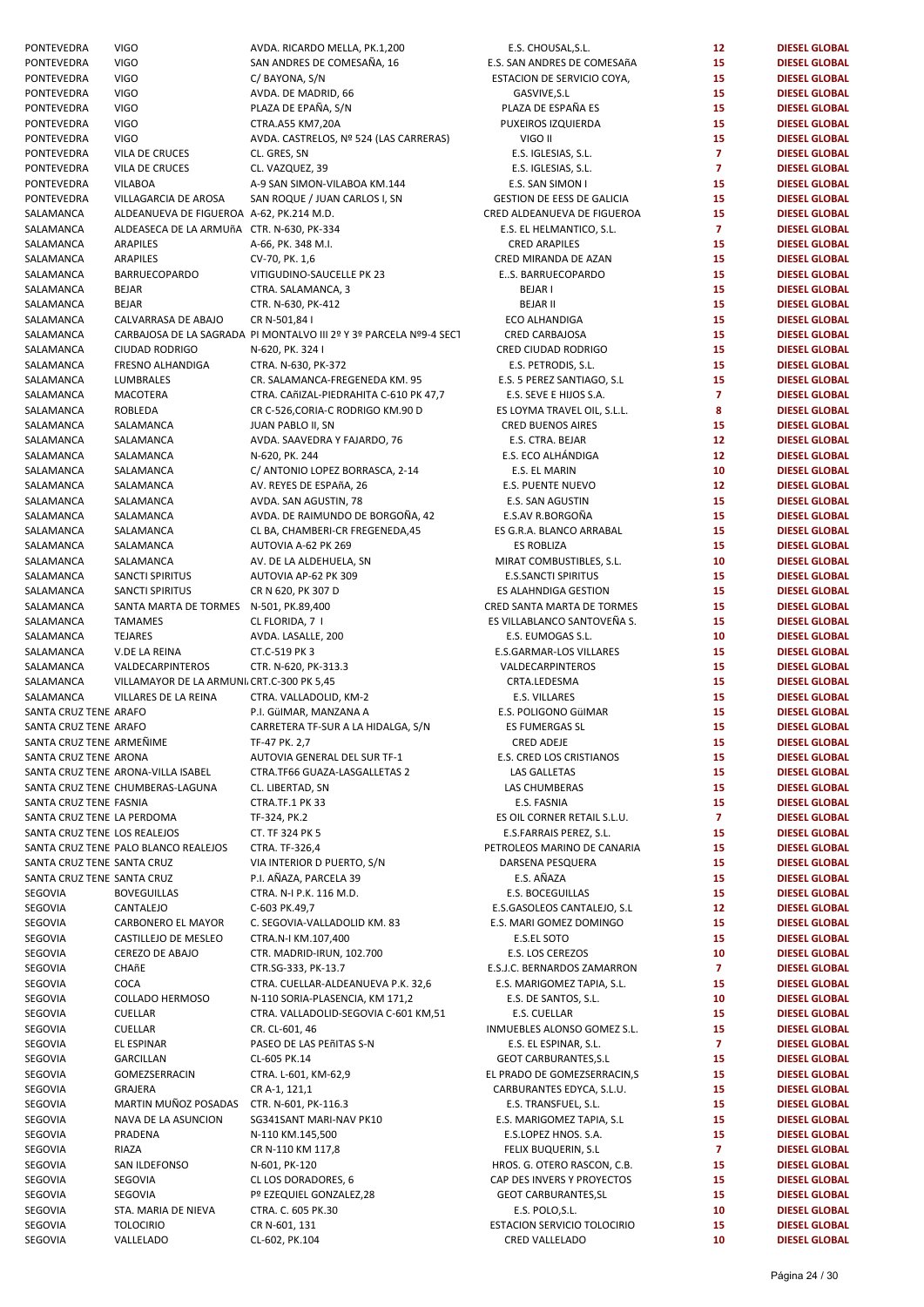PONTEVEDRA VIGO **AVDA. RICARDO MELLA, PK.1,200**<br>PONTEVEDRA VIGO SAN ANDRES DE COMESAÑA 16 PONTEVEDRA VIGO SAN ANDRES DE COMESAÑA, 16<br>
PONTEVEDRA VIGO SAN ANDRES DE COMESAÑA, 16 PONTEVEDRA VIGO C/ BAYONA, S/N ESTACION DE SERVICIO COYA, **15 DIESEL GLOBAL**  PONTEVEDRA VIGO AVDA. DE MADRID, 66 GASVIVE,S.L **15 DIESEL GLOBAL**  PONTEVEDRA VIGO PLAZA DE EPAÑA, S/N PONTEVEDRA VIGO CTRA.A55 KM7,20A PUXEIROS IZQUIERDA **15 DIESEL GLOBAL**  PONTEVEDRA VIGO AVDA. CASTRELOS, № 524 (LAS CARRERAS) PONTEVEDRA VILADE CRUCES CL. GRES, SN E.S. IGLESIAS, S.L. **7 DIESEL GLOBAL**  PONTEVEDRA VILADE CRUCES CL. VAZQUEZ, 39 E.S. IGLESIAS, S.L. **7 DIESEL GLOBAL**  PONTEVEDRA VILABOA A-9 SAN SIMON-VILABOA KM.144 PONTEVEDRA VILLAGARCIA DE AROSA SAN ROQUE / JUAN CARLOS I, SN GESTION DE EESS DE GALICIA **15 DIESEL GLOBAL**  SALAMANCA ALDEANUEVA DE FIGUEROA A-62, PK.214 M.D. SALAMANCA ALDEASECA DE LA ARMUñA CTR. N-630, PK-334 SALAMANCA ARAPILES A-66, PK. 348 M.I. CRED ARAPILES **15 DIESEL GLOBAL**  SALAMANCA ARAPILES CV-70, PK. 1,6 CRED MIRANDA DE AZAN **15 DIESEL GLOBAL**  SALAMANCA BARRUECOPARDO VITIGUDINO-SAUCELLE PK 23 SALAMANCA BEJAR CTRA. SALAMANCA, 3 BEJAR I **15 DIESEL GLOBAL**  SALAMANCA BEJAR CTR. N-630, PK-412 BEJAR II **15 DIESEL GLOBAL**  SALAMANCA CALVARRASA DE ABAJO CR N-501,84 I ECO ALHANDIGA **15 DIESEL GLOBAL**  SALAMANCA CARBAJOSA DE LA SAGRADA PI MONTALVO III 2º Y 3º PARCELA Nº9-4 SECT SALAMANCA CIUDAD RODRIGO N-620, PK. 324 I CRED CIUDAD RODRIGO **15 DIESEL GLOBAL**  SALAMANCA FRESNO ALHANDIGA CTRA. N-630, PK-372 SALAMANCA LUMBRALES CR. SALAMANCA-FREGENEDA KM. 95 SALAMANCA MACOTERA CTRA. CAñIZAL-PIEDRAHITA C-610 PK 47,7 SALAMANCA ROBLEDA CR C-526.CORIA-C RODRIGO KM.90 D SALAMANCA SALAMANCA JUAN PABLO II, SN SALAMANCA SALAMANCA AVDA. SAAVEDRA Y FAJARDO. 76 SALAMANCA SALAMANCA N-620, PK. 244 E.S. ECO ALHÁNDIGA **12 DIESEL GLOBAL**  SALAMANCA SALAMANCA C/ ANTONIO LOPEZ BORRASCA, 2-14 SALAMANCA SALAMANCA AV. REYES DE ESPAñA, 26<br>SALAMANCA SALAMANCA AVDA. SAN AGUSTIN, 78 SALAMANCA SALAMANCA AVDA. SAN AGUSTIN, 78<br>SALAMANCA SALAMANCA AVDA DE RAIMIJNDO D SALAMANCA SALAMANCA AVDA. DE RAIMUNDO DE BORGOÑA, 42 E.S.AV R.BORGOÑA **15 DIESEL GLOBAL**  SALAMANCA SALAMANCA CL BA, CHAMBERI-CR FREGENEDA,45 SALAMANCA SALAMANCA AUTOVIA A-62 PK 269 ES ROBLIZA **15 DIESEL GLOBAL**  SALAMANCA SALAMANCA AV. DE LA ALDEHUELA, SN SALAMANCA SANCTI SPIRITUS AUTOVIA AP-62 PK 309 SALAMANCA SANCTI SPIRITUS CR N 620, PK 307 D ES ALAHNDIGA GESTION **15 DIESEL GLOBAL**  SALAMANCA SANTA MARTA DE TORMES N-501, PK.89,400 SALAMANCA TAMAMES CLFLORIDA, 7 I ES VILLABLANCO SANTOVEÑA S. **15 DIESEL GLOBAL**  SALAMANCA TEJARES AVDA. LASALLE, 200 SALAMANCA V.DELA REINA CT.C-519 PK 3 E.S.GARMAR-LOS VILLARES **15 DIESEL GLOBAL**  SALAMANCA VALDECARPINTEROS CTR. N-620, PK-313.3 SALAMANCA VILLAMAYOR DE LA ARMUNI<sub>L</sub> CRT.C-300 PK 5,45 SALAMANCA VILLARES DE LA REINA CTRA, VALLADOLID, KM-2 SANTA CRUZ TENE ARAFO P.I. GüIMAR, MANZANA A E.S. POLIGONO GüIMAR **15 DIESEL GLOBAL**  SANTA CRUZ TENE ARAFO CARRETERA TF-SUR A LA HIDALGA, S/N SANTA CRUZ TENE ARMEÑIME TF-47 PK. 2.7 SANTA CRUZ TENE ARONA **AUTOVIA GENERAL DEL SUR TF-1** SANTA CRUZ TENE ARONA-VILLA ISABEL CTRA.TF66 GUAZA-LAS GALLETAS 2 SANTA CRUZ TENE CHUMBERAS-LAGUNA CL. LIBERTAD, SN SANTA CRUZ TENE FASNIA **1988 CTRA.TF.1 PK 33** SANTA CRUZ TENE LA PERDOMA TF-324, PK.2 SANTA CRUZ TENE LOS REALEJOS CT. TF 324 PK 5 SANTA CRUZ TENE PALO BLANCO REALEJOS CTRA. TF-326,4 SANTA CRUZ TENE SANTA CRUZ VIA INTERIOR D PUERTO, S/N SANTA CRUZ TENE SANTA CRUZ **P.I. AÑAZA, PARCELA 39** SEGOVIA BOVEGUILLAS CTRA. N-I P.K. 116 M.D. SEGOVIA CANTALEJO C-603 PK.49,7 E.S.GASOLEOS CANTALEJO, S.L **12 DIESEL GLOBAL**  SEGOVIA CARBONERO EL MAYOR C. SEGOVIA-VALLADOLID KM. 83 SEGOVIA CASTILLEJO DE MESLEO CTRA.N-I KM.107,400 SEGOVIA CEREZO DE ABAJO CTR. MADRID-IRUN, 102.700 SEGOVIA CHAñE CTR.SG-333, PK-13.7 E.S.J.C. BERNARDOS ZAMARRON **7 DIESEL GLOBAL**  SEGOVIA COCA CORPORATION COCA CTRA. CUELLAR-ALDEANUEVA P.K. 32.6 SEGOVIA COLLADO HERMOSO N-110 SORIA-PLASENCIA, KM 171,2 SEGOVIA CUELLAR CTRA. VALLADOLID-SEGOVIA C-601 KM,51 SEGOVIA CUELLAR CR.CL-601, 46 INMUEBLES ALONSO GOMEZ S.L. **15 DIESEL GLOBAL**  SEGOVIA EL ESPINAR PASEO DE LAS PEñITAS S-N SEGOVIA GARCILLAN CL-605 PK.14 GEOT CARBURANTES,S.L **15 DIESEL GLOBAL**  SEGOVIA GOMEZSERRACIN CTRA. L-601, KM-62,9 SEGOVIA GRAJERA CRA-1, 121,1 CARBURANTES EDYCA, S.L.U. **15 DIESEL GLOBAL**  SEGOVIA MARTIN MUÑOZ POSADAS CTR. N-601, PK-116.3 SEGOVIA NAVA DE LA ASUNCION SG341SANT MARI-NAV PK10 SEGOVIA PRADENA N-110 KM.145,500 E.S.LOPEZ HNOS. S.A. **15 DIESEL GLOBAL**  SEGOVIA RIAZA CR N-110 KM 117,8 FELIX BUQUERIN, S.L **7 DIESEL GLOBAL**  SEGOVIA SAN ILDEFONSO N-601, PK-120 HROS. G. OTERO RASCON, C.B. **15 DIESEL GLOBAL**  SEGOVIA SEGOVIA **CLLOS DORADORES, 6** SEGOVIA SEGOVIA SEGOVIA Pº EZEQUIEL GONZALEZ.28 SEGOVIA STA. MARIA DE NIEVA CTRA. C. 605 PK.30 SEGOVIA TOLOCIRIO CR N-601, 131 ESTACION SERVICIO TOLOCIRIO **15 DIESEL GLOBAL**  SEGOVIA VALLELADO CL-602, PK.104 CRED VALLELADO **10 DIESEL GLOBAL** 

| E.S. CHOUSAL, S.L.                                    | 12                      | <b>DIESEL GLOBAL</b>                         |
|-------------------------------------------------------|-------------------------|----------------------------------------------|
| E.S. SAN ANDRES DE COMESAñA                           | 15                      | <b>DIESEL GLOBAL</b>                         |
| ESTACION DE SERVICIO COYA,                            | 15                      | <b>DIESEL GLOBAL</b>                         |
| GASVIVE, S.L                                          | 15                      | <b>DIESEL GLOBAL</b>                         |
| PLAZA DE ESPAÑA ES                                    | 15                      | <b>DIESEL GLOBAL</b>                         |
| PUXEIROS IZQUIERDA                                    | 15                      | <b>DIESEL GLOBAL</b>                         |
| VIGO II                                               | 15                      | <b>DIESEL GLOBAL</b>                         |
| E.S. IGLESIAS, S.L.                                   | $\overline{7}$          | <b>DIESEL GLOBAL</b>                         |
| E.S. IGLESIAS, S.L.                                   | $\overline{\mathbf{z}}$ | <b>DIESEL GLOBAL</b>                         |
| E.S. SAN SIMON I<br><b>GESTION DE EESS DE GALICIA</b> | 15<br>15                | <b>DIESEL GLOBAL</b><br><b>DIESEL GLOBAL</b> |
| CRED ALDEANUEVA DE FIGUEROA                           | 15                      | <b>DIESEL GLOBAL</b>                         |
| E.S. EL HELMANTICO, S.L.                              | 7                       | <b>DIESEL GLOBAL</b>                         |
| <b>CRED ARAPILES</b>                                  | 15                      | <b>DIESEL GLOBAL</b>                         |
| CRED MIRANDA DE AZAN                                  | 15                      | <b>DIESEL GLOBAL</b>                         |
| ES. BARRUECOPARDO                                     | 15                      | <b>DIESEL GLOBAL</b>                         |
| <b>BEJARI</b>                                         | 15                      | <b>DIESEL GLOBAL</b>                         |
| <b>BEJAR II</b>                                       | 15                      | <b>DIESEL GLOBAL</b>                         |
| <b>ECO ALHANDIGA</b>                                  | 15                      | <b>DIESEL GLOBAL</b>                         |
| <b>CRED CARBAJOSA</b>                                 | 15                      | <b>DIESEL GLOBAL</b>                         |
| CRED CIUDAD RODRIGO                                   | 15                      | <b>DIESEL GLOBAL</b>                         |
| E.S. PETRODIS, S.L.                                   | 15                      | <b>DIESEL GLOBAL</b>                         |
| E.S. 5 PEREZ SANTIAGO, S.L                            | 15                      | <b>DIESEL GLOBAL</b>                         |
| E.S. SEVE E HIJOS S.A.                                | $\overline{7}$          | <b>DIESEL GLOBAL</b>                         |
| ES LOYMA TRAVEL OIL, S.L.L.                           | 8                       | <b>DIESEL GLOBAL</b>                         |
| <b>CRED BUENOS AIRES</b>                              | 15                      | <b>DIESEL GLOBAL</b>                         |
| E.S. CTRA. BEJAR                                      | 12                      | <b>DIESEL GLOBAL</b>                         |
| E.S. ECO ALHÁNDIGA<br>E.S. EL MARIN                   | 12                      | <b>DIESEL GLOBAL</b>                         |
| <b>E.S. PUENTE NUEVO</b>                              | 10<br>12                | <b>DIESEL GLOBAL</b><br><b>DIESEL GLOBAL</b> |
| E.S. SAN AGUSTIN                                      | 15                      | <b>DIESEL GLOBAL</b>                         |
| E.S.AV R.BORGOÑA                                      | 15                      | <b>DIESEL GLOBAL</b>                         |
| ES G.R.A. BLANCO ARRABAL                              | 15                      | <b>DIESEL GLOBAL</b>                         |
| <b>ES ROBLIZA</b>                                     | 15                      | <b>DIESEL GLOBAL</b>                         |
| MIRAT COMBUSTIBLES, S.L.                              | 10                      | <b>DIESEL GLOBAL</b>                         |
| <b>E.S.SANCTI SPIRITUS</b>                            | 15                      | <b>DIESEL GLOBAL</b>                         |
| ES ALAHNDIGA GESTION                                  | 15                      | <b>DIESEL GLOBAL</b>                         |
| CRED SANTA MARTA DE TORMES                            | 15                      | <b>DIESEL GLOBAL</b>                         |
| ES VILLABLANCO SANTOVEÑA S.                           | 15                      | <b>DIESEL GLOBAL</b>                         |
| E.S. EUMOGAS S.L.                                     | 10                      | <b>DIESEL GLOBAL</b>                         |
| <b>E.S.GARMAR-LOS VILLARES</b>                        | 15                      | <b>DIESEL GLOBAL</b>                         |
| VALDECARPINTEROS                                      | 15                      | <b>DIESEL GLOBAL</b>                         |
| CRTA.LEDESMA                                          | 15                      | <b>DIESEL GLOBAL</b>                         |
| <b>E.S. VILLARES</b>                                  | 15                      | <b>DIESEL GLOBAL</b>                         |
| E.S. POLIGONO GÜIMAR<br><b>ES FUMERGAS SL</b>         | 15<br>15                | <b>DIESEL GLOBAL</b><br><b>DIESEL GLOBAL</b> |
| <b>CRED ADEJE</b>                                     | 15                      | <b>DIESEL GLOBAL</b>                         |
| E.S. CRED LOS CRISTIANOS                              | 15                      | <b>DIESEL GLOBAL</b>                         |
| <b>LAS GALLETAS</b>                                   | 15                      | <b>DIESEL GLOBAL</b>                         |
| <b>LAS CHUMBERAS</b>                                  | 15                      | <b>DIESEL GLOBAL</b>                         |
| E.S. FASNIA                                           | 15                      | <b>DIESEL GLOBAL</b>                         |
| ES OIL CORNER RETAIL S.L.U.                           | $\overline{7}$          | <b>DIESEL GLOBAL</b>                         |
| E.S.FARRAIS PEREZ, S.L.                               | 15                      | <b>DIESEL GLOBAL</b>                         |
| PETROLEOS MARINO DE CANARIA                           | 15                      | <b>DIESEL GLOBAL</b>                         |
| <b>DARSENA PESQUERA</b>                               | 15                      | <b>DIESEL GLOBAL</b>                         |
| E.S. AÑAZA                                            | 15                      | <b>DIESEL GLOBAL</b>                         |
| <b>E.S. BOCEGUILLAS</b>                               | 15                      | <b>DIESEL GLOBAL</b>                         |
| E.S.GASOLEOS CANTALEJO, S.L                           | 12                      | <b>DIESEL GLOBAL</b>                         |
| E.S. MARI GOMEZ DOMINGO                               | 15                      | <b>DIESEL GLOBAL</b>                         |
| E.S.EL SOTO                                           | 15                      | <b>DIESEL GLOBAL</b>                         |
| E.S. LOS CEREZOS                                      | 10                      | <b>DIESEL GLOBAL</b>                         |
| E.S.J.C. BERNARDOS ZAMARRON                           | $\overline{7}$          | <b>DIESEL GLOBAL</b>                         |
| E.S. MARIGOMEZ TAPIA, S.L.<br>E.S. DE SANTOS, S.L.    | 15<br>10                | <b>DIESEL GLOBAL</b><br><b>DIESEL GLOBAL</b> |
| E.S. CUELLAR                                          | 15                      | <b>DIESEL GLOBAL</b>                         |
| INMUEBLES ALONSO GOMEZ S.L.                           | 15                      | <b>DIESEL GLOBAL</b>                         |
| E.S. EL ESPINAR, S.L.                                 | 7                       | <b>DIESEL GLOBAL</b>                         |
| <b>GEOT CARBURANTES, S.L</b>                          | 15                      | <b>DIESEL GLOBAL</b>                         |
| EL PRADO DE GOMEZSERRACIN,S                           | 15                      | <b>DIESEL GLOBAL</b>                         |
| CARBURANTES EDYCA, S.L.U.                             | 15                      | <b>DIESEL GLOBAL</b>                         |
| E.S. TRANSFUEL, S.L.                                  | 15                      | <b>DIESEL GLOBAL</b>                         |
| E.S. MARIGOMEZ TAPIA, S.L                             | 15                      | <b>DIESEL GLOBAL</b>                         |
| E.S.LOPEZ HNOS. S.A.                                  | 15                      | <b>DIESEL GLOBAL</b>                         |
| FELIX BUQUERIN, S.L                                   | 7                       | <b>DIESEL GLOBAL</b>                         |
| HROS. G. OTERO RASCON, C.B.                           | 15                      | <b>DIESEL GLOBAL</b>                         |
| CAP DES INVERS Y PROYECTOS                            | 15                      | <b>DIESEL GLOBAL</b>                         |
| <b>GEOT CARBURANTES, SL</b>                           | 15                      | <b>DIESEL GLOBAL</b>                         |
| E.S. POLO, S.L.                                       | 10                      | <b>DIESEL GLOBAL</b>                         |
| ESTACION SERVICIO TOLOCIRIO<br>CRED VALLELADO         | 15<br>10                | <b>DIESEL GLOBAL</b><br><b>DIESEL GLOBAL</b> |
|                                                       |                         |                                              |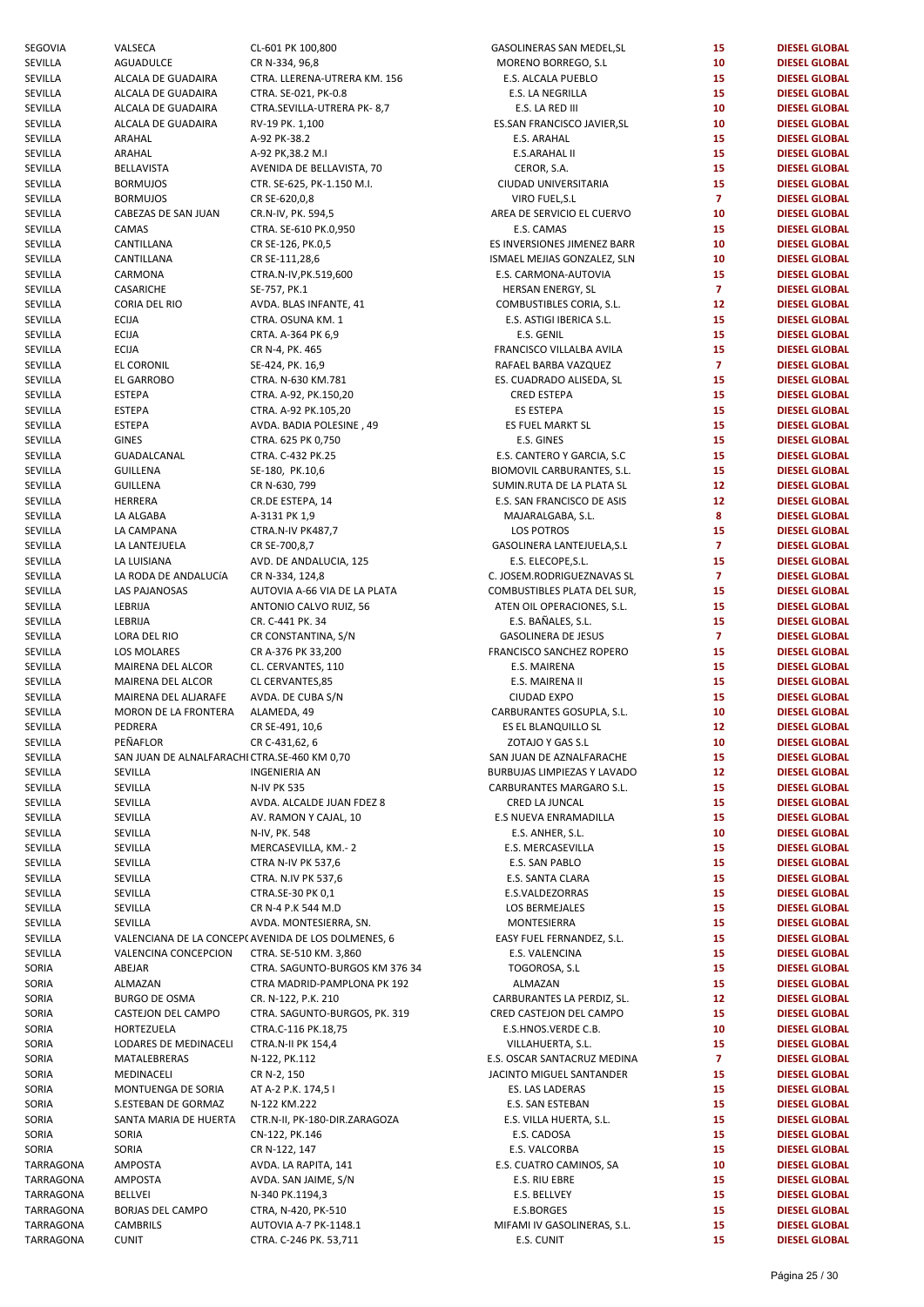| SEGOVIA   | VALSECA                                      | CL-601 PK 100,800                                  | GASOLINERAS SAN MEDEL, SL   | 15              | <b>DIESEL GLOBAL</b> |
|-----------|----------------------------------------------|----------------------------------------------------|-----------------------------|-----------------|----------------------|
| SEVILLA   | AGUADULCE                                    | CR N-334, 96,8                                     | MORENO BORREGO, S.L.        | 10              | <b>DIESEL GLOBAL</b> |
| SEVILLA   | ALCALA DE GUADAIRA                           | CTRA. LLERENA-UTRERA KM. 156                       | E.S. ALCALA PUEBLO          | 15              | <b>DIESEL GLOBAL</b> |
| SEVILLA   | ALCALA DE GUADAIRA                           | CTRA. SE-021, PK-0.8                               | E.S. LA NEGRILLA            | 15              | <b>DIESEL GLOBAL</b> |
| SEVILLA   | ALCALA DE GUADAIRA                           | CTRA.SEVILLA-UTRERA PK-8,7                         | E.S. LA RED III             | 10              | <b>DIESEL GLOBAL</b> |
| SEVILLA   | ALCALA DE GUADAIRA                           | RV-19 PK. 1,100                                    | ES.SAN FRANCISCO JAVIER, SL | 10              | <b>DIESEL GLOBAL</b> |
| SEVILLA   | ARAHAL                                       | A-92 PK-38.2                                       | E.S. ARAHAL                 | 15              | <b>DIESEL GLOBAL</b> |
| SEVILLA   | ARAHAL                                       | A-92 PK, 38.2 M.I                                  | E.S.ARAHAL II               | 15              | <b>DIESEL GLOBAL</b> |
| SEVILLA   | <b>BELLAVISTA</b>                            | AVENIDA DE BELLAVISTA, 70                          | CEROR, S.A.                 | 15              | <b>DIESEL GLOBAL</b> |
|           |                                              |                                                    |                             |                 |                      |
| SEVILLA   | <b>BORMUJOS</b>                              | CTR. SE-625, PK-1.150 M.I.                         | CIUDAD UNIVERSITARIA        | 15              | <b>DIESEL GLOBAL</b> |
| SEVILLA   | <b>BORMUJOS</b>                              | CR SE-620,0,8                                      | VIRO FUEL, S.L              | $\overline{7}$  | <b>DIESEL GLOBAL</b> |
| SEVILLA   | CABEZAS DE SAN JUAN                          | CR.N-IV, PK. 594,5                                 | AREA DE SERVICIO EL CUERVO  | 10              | <b>DIESEL GLOBAL</b> |
| SEVILLA   | CAMAS                                        | CTRA. SE-610 PK.0,950                              | E.S. CAMAS                  | 15              | <b>DIESEL GLOBAL</b> |
| SEVILLA   | CANTILLANA                                   | CR SE-126, PK.0,5                                  | ES INVERSIONES JIMENEZ BARR | 10              | <b>DIESEL GLOBAL</b> |
| SEVILLA   | CANTILLANA                                   | CR SE-111,28,6                                     | ISMAEL MEJIAS GONZALEZ, SLN | 10              | <b>DIESEL GLOBAL</b> |
| SEVILLA   | CARMONA                                      | CTRA.N-IV, PK.519,600                              | E.S. CARMONA-AUTOVIA        | 15              | <b>DIESEL GLOBAL</b> |
| SEVILLA   | CASARICHE                                    | SE-757, PK.1                                       | HERSAN ENERGY, SL           | $\overline{7}$  | <b>DIESEL GLOBAL</b> |
| SEVILLA   | CORIA DEL RIO                                | AVDA. BLAS INFANTE, 41                             | COMBUSTIBLES CORIA, S.L.    | 12              | <b>DIESEL GLOBAL</b> |
| SEVILLA   | <b>ECIJA</b>                                 | CTRA. OSUNA KM. 1                                  | E.S. ASTIGI IBERICA S.L.    | 15              | <b>DIESEL GLOBAL</b> |
|           |                                              |                                                    |                             |                 |                      |
| SEVILLA   | <b>ECIJA</b>                                 | CRTA. A-364 PK 6,9                                 | E.S. GENIL                  | 15              | <b>DIESEL GLOBAL</b> |
| SEVILLA   | <b>ECIJA</b>                                 | CR N-4, PK. 465                                    | FRANCISCO VILLALBA AVILA    | 15              | <b>DIESEL GLOBAL</b> |
| SEVILLA   | EL CORONIL                                   | SE-424, PK. 16,9                                   | RAFAEL BARBA VAZQUEZ        | $\overline{7}$  | <b>DIESEL GLOBAL</b> |
| SEVILLA   | EL GARROBO                                   | CTRA. N-630 KM.781                                 | ES. CUADRADO ALISEDA, SL    | 15              | <b>DIESEL GLOBAL</b> |
| SEVILLA   | <b>ESTEPA</b>                                | CTRA. A-92, PK.150,20                              | CRED ESTEPA                 | 15              | <b>DIESEL GLOBAL</b> |
| SEVILLA   | <b>ESTEPA</b>                                | CTRA. A-92 PK.105,20                               | ES ESTEPA                   | 15              | <b>DIESEL GLOBAL</b> |
| SEVILLA   | <b>ESTEPA</b>                                | AVDA. BADIA POLESINE, 49                           | ES FUEL MARKT SL            | 15              | <b>DIESEL GLOBAL</b> |
| SEVILLA   | <b>GINES</b>                                 | CTRA. 625 PK 0,750                                 | E.S. GINES                  | 15              | <b>DIESEL GLOBAL</b> |
| SEVILLA   | GUADALCANAL                                  | CTRA. C-432 PK.25                                  | E.S. CANTERO Y GARCIA, S.C  | 15              | <b>DIESEL GLOBAL</b> |
|           |                                              |                                                    |                             | 15              |                      |
| SEVILLA   | <b>GUILLENA</b>                              | SE-180, PK.10,6                                    | BIOMOVIL CARBURANTES, S.L.  |                 | <b>DIESEL GLOBAL</b> |
| SEVILLA   | <b>GUILLENA</b>                              | CR N-630, 799                                      | SUMIN.RUTA DE LA PLATA SL   | 12 <sub>2</sub> | <b>DIESEL GLOBAL</b> |
| SEVILLA   | HERRERA                                      | CR.DE ESTEPA, 14                                   | E.S. SAN FRANCISCO DE ASIS  | 12              | <b>DIESEL GLOBAL</b> |
| SEVILLA   | LA ALGABA                                    | A-3131 PK 1,9                                      | MAJARALGABA, S.L.           | 8               | <b>DIESEL GLOBAL</b> |
| SEVILLA   | LA CAMPANA                                   | CTRA.N-IV PK487,7                                  | LOS POTROS                  | 15              | <b>DIESEL GLOBAL</b> |
| SEVILLA   | LA LANTEJUELA                                | CR SE-700,8,7                                      | GASOLINERA LANTEJUELA, S.L  | $\overline{7}$  | <b>DIESEL GLOBAL</b> |
| SEVILLA   | LA LUISIANA                                  | AVD. DE ANDALUCIA, 125                             | E.S. ELECOPE, S.L.          | 15              | <b>DIESEL GLOBAL</b> |
| SEVILLA   | LA RODA DE ANDALUCÍA                         | CR N-334, 124,8                                    | C. JOSEM.RODRIGUEZNAVAS SL  | $\overline{7}$  | <b>DIESEL GLOBAL</b> |
| SEVILLA   | <b>LAS PAJANOSAS</b>                         | AUTOVIA A-66 VIA DE LA PLATA                       | COMBUSTIBLES PLATA DEL SUR, | 15              | <b>DIESEL GLOBAL</b> |
| SEVILLA   | LEBRIJA                                      | ANTONIO CALVO RUIZ, 56                             | ATEN OIL OPERACIONES, S.L.  | 15              | <b>DIESEL GLOBAL</b> |
|           |                                              |                                                    |                             | 15              |                      |
| SEVILLA   | LEBRIJA                                      | CR. C-441 PK. 34                                   | E.S. BAÑALES, S.L.          |                 | <b>DIESEL GLOBAL</b> |
| SEVILLA   | LORA DEL RIO                                 | CR CONSTANTINA, S/N                                | <b>GASOLINERA DE JESUS</b>  | $\overline{7}$  | <b>DIESEL GLOBAL</b> |
| SEVILLA   | LOS MOLARES                                  | CR A-376 PK 33,200                                 | FRANCISCO SANCHEZ ROPERO    | 15              | <b>DIESEL GLOBAL</b> |
| SEVILLA   | MAIRENA DEL ALCOR                            | CL. CERVANTES, 110                                 | E.S. MAIRENA                | 15              | <b>DIESEL GLOBAL</b> |
| SEVILLA   | MAIRENA DEL ALCOR                            | CL CERVANTES,85                                    | E.S. MAIRENA II             | 15              | <b>DIESEL GLOBAL</b> |
| SEVILLA   | MAIRENA DEL ALJARAFE                         | AVDA. DE CUBA S/N                                  | <b>CIUDAD EXPO</b>          | 15              | <b>DIESEL GLOBAL</b> |
| SEVILLA   | MORON DE LA FRONTERA                         | ALAMEDA, 49                                        | CARBURANTES GOSUPLA, S.L.   | 10              | <b>DIESEL GLOBAL</b> |
| SEVILLA   | PEDRERA                                      | CR SE-491, 10,6                                    | ES EL BLANQUILLO SL         | 12              | <b>DIESEL GLOBAL</b> |
| SEVILLA   | PEÑAFLOR                                     | CR C-431,62, 6                                     | ZOTAJO Y GAS S.L            | 10              | <b>DIESEL GLOBAL</b> |
| SEVILLA   | SAN JUAN DE ALNALFARACHI CTRA.SE-460 KM 0,70 |                                                    | SAN JUAN DE AZNALFARACHE    | 15              | <b>DIESEL GLOBAL</b> |
| SEVILLA   |                                              |                                                    |                             | 12              | <b>DIESEL GLOBAL</b> |
|           | SEVILLA                                      | INGENIERIA AN                                      | BURBUJAS LIMPIEZAS Y LAVADO |                 |                      |
| SEVILLA   | SEVILLA                                      | <b>N-IV PK 535</b>                                 | CARBURANTES MARGARO S.L.    | 15              | <b>DIESEL GLOBAL</b> |
| SEVILLA   | SEVILLA                                      | AVDA. ALCALDE JUAN FDEZ 8                          | CRED LA JUNCAL              | 15              | <b>DIESEL GLOBAL</b> |
| SEVILLA   | SEVILLA                                      | AV. RAMON Y CAJAL, 10                              | E.S NUEVA ENRAMADILLA       | 15              | <b>DIESEL GLOBAL</b> |
| SEVILLA   | SEVILLA                                      | N-IV, PK. 548                                      | E.S. ANHER, S.L.            | 10              | <b>DIESEL GLOBAL</b> |
| SEVILLA   | SEVILLA                                      | MERCASEVILLA, KM.-2                                | E.S. MERCASEVILLA           | 15              | <b>DIESEL GLOBAL</b> |
| SEVILLA   | SEVILLA                                      | <b>CTRA N-IV PK 537,6</b>                          | E.S. SAN PABLO              | 15              | <b>DIESEL GLOBAL</b> |
| SEVILLA   | SEVILLA                                      | CTRA. N.IV PK 537,6                                | E.S. SANTA CLARA            | 15              | <b>DIESEL GLOBAL</b> |
| SEVILLA   | SEVILLA                                      | CTRA.SE-30 PK 0,1                                  | E.S.VALDEZORRAS             | 15              | <b>DIESEL GLOBAL</b> |
| SEVILLA   | SEVILLA                                      | CR N-4 P.K 544 M.D                                 | LOS BERMEJALES              | 15              | <b>DIESEL GLOBAL</b> |
| SEVILLA   | SEVILLA                                      | AVDA. MONTESIERRA, SN.                             | MONTESIERRA                 | 15              | <b>DIESEL GLOBAL</b> |
|           |                                              |                                                    |                             |                 |                      |
| SEVILLA   |                                              | VALENCIANA DE LA CONCEP(AVENIDA DE LOS DOLMENES, 6 | EASY FUEL FERNANDEZ, S.L.   | 15              | <b>DIESEL GLOBAL</b> |
| SEVILLA   | VALENCINA CONCEPCION                         | CTRA. SE-510 KM. 3,860                             | E.S. VALENCINA              | 15              | <b>DIESEL GLOBAL</b> |
| SORIA     | ABEJAR                                       | CTRA. SAGUNTO-BURGOS KM 376 34                     | TOGOROSA, S.L               | 15              | <b>DIESEL GLOBAL</b> |
| SORIA     | ALMAZAN                                      | CTRA MADRID-PAMPLONA PK 192                        | ALMAZAN                     | 15              | <b>DIESEL GLOBAL</b> |
| SORIA     | <b>BURGO DE OSMA</b>                         | CR. N-122, P.K. 210                                | CARBURANTES LA PERDIZ, SL.  | 12 <sup>2</sup> | <b>DIESEL GLOBAL</b> |
| SORIA     | CASTEJON DEL CAMPO                           | CTRA. SAGUNTO-BURGOS, PK. 319                      | CRED CASTEJON DEL CAMPO     | 15              | <b>DIESEL GLOBAL</b> |
| SORIA     | HORTEZUELA                                   | CTRA.C-116 PK.18,75                                | E.S.HNOS.VERDE C.B.         | 10              | <b>DIESEL GLOBAL</b> |
| SORIA     | LODARES DE MEDINACELI                        | <b>CTRA.N-II PK 154,4</b>                          | VILLAHUERTA, S.L.           | 15              | <b>DIESEL GLOBAL</b> |
| SORIA     | MATALEBRERAS                                 | N-122, PK.112                                      | E.S. OSCAR SANTACRUZ MEDINA | $\overline{7}$  | <b>DIESEL GLOBAL</b> |
| SORIA     | MEDINACELI                                   | CR N-2, 150                                        | JACINTO MIGUEL SANTANDER    | 15              | <b>DIESEL GLOBAL</b> |
| SORIA     | MONTUENGA DE SORIA                           | AT A-2 P.K. 174,5 I                                | ES. LAS LADERAS             | 15              | <b>DIESEL GLOBAL</b> |
|           |                                              |                                                    |                             |                 |                      |
| SORIA     | S.ESTEBAN DE GORMAZ                          | N-122 KM.222                                       | E.S. SAN ESTEBAN            | 15              | <b>DIESEL GLOBAL</b> |
| SORIA     | SANTA MARIA DE HUERTA                        | CTR.N-II, PK-180-DIR.ZARAGOZA                      | E.S. VILLA HUERTA, S.L.     | 15              | <b>DIESEL GLOBAL</b> |
| SORIA     | SORIA                                        | CN-122, PK.146                                     | E.S. CADOSA                 | 15              | <b>DIESEL GLOBAL</b> |
| SORIA     | SORIA                                        | CR N-122, 147                                      | E.S. VALCORBA               | 15              | <b>DIESEL GLOBAL</b> |
| TARRAGONA | AMPOSTA                                      | AVDA. LA RAPITA, 141                               | E.S. CUATRO CAMINOS, SA     | 10              | <b>DIESEL GLOBAL</b> |
| TARRAGONA | AMPOSTA                                      | AVDA. SAN JAIME, S/N                               | E.S. RIU EBRE               | 15              | <b>DIESEL GLOBAL</b> |
| TARRAGONA | BELLVEI                                      | N-340 PK.1194,3                                    | E.S. BELLVEY                | 15              | <b>DIESEL GLOBAL</b> |
| TARRAGONA | <b>BORJAS DEL CAMPO</b>                      | CTRA, N-420, PK-510                                | E.S.BORGES                  | 15              | <b>DIESEL GLOBAL</b> |
| TARRAGONA | CAMBRILS                                     | AUTOVIA A-7 PK-1148.1                              | MIFAMI IV GASOLINERAS, S.L. | 15              | <b>DIESEL GLOBAL</b> |
| TARRAGONA | <b>CUNIT</b>                                 | CTRA. C-246 PK. 53,711                             | E.S. CUNIT                  | 15              | <b>DIESEL GLOBAL</b> |
|           |                                              |                                                    |                             |                 |                      |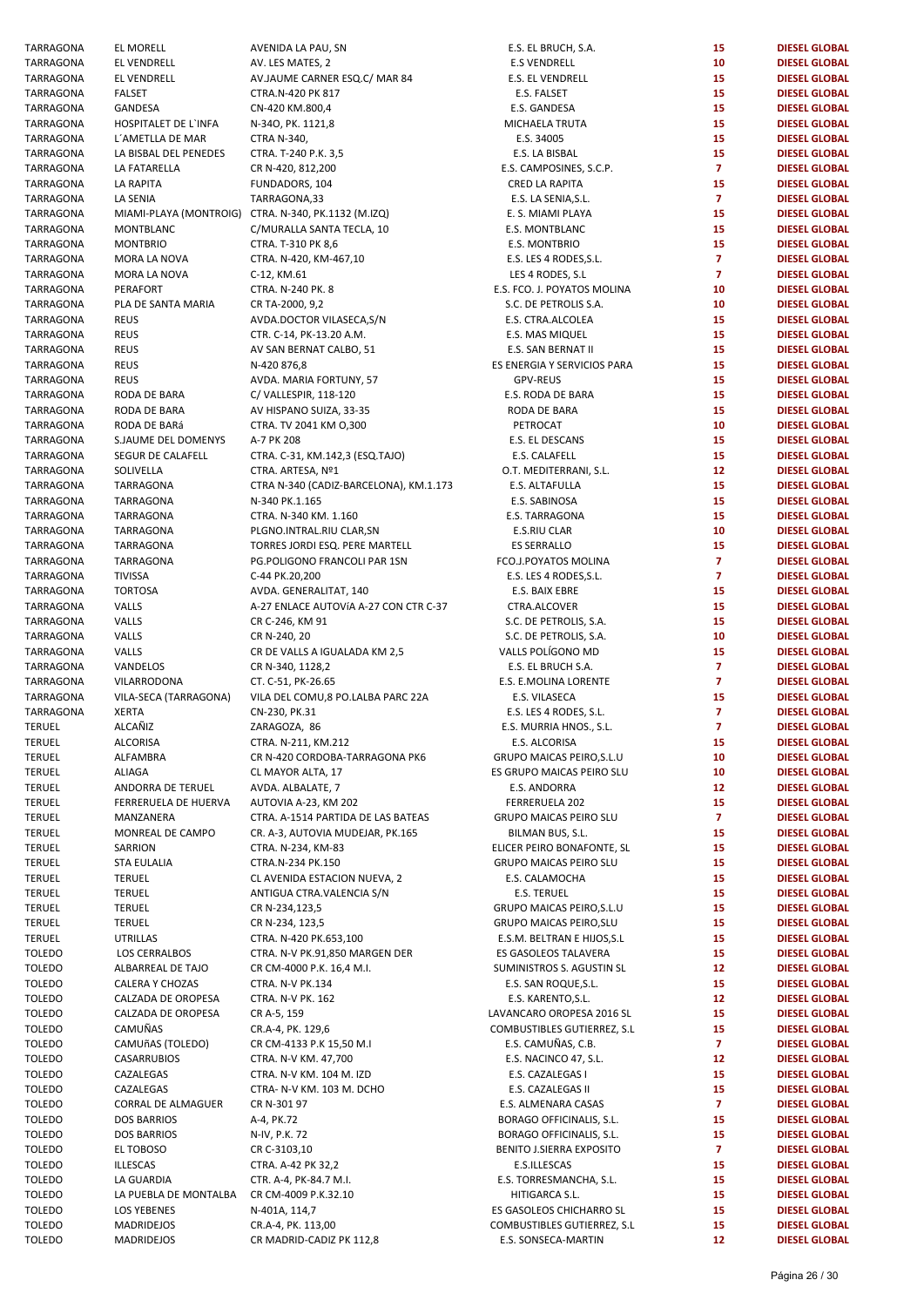| TARRAGONA        | EL MORELL                              | AVENIDA LA PAU, SN                                  | E.S. EL BRUCH, S.A.                                | 15              | <b>DIESEL GLOBAL</b>                         |
|------------------|----------------------------------------|-----------------------------------------------------|----------------------------------------------------|-----------------|----------------------------------------------|
| TARRAGONA        | EL VENDRELL                            | AV. LES MATES, 2                                    | <b>E.S VENDRELL</b>                                | 10              | <b>DIESEL GLOBAL</b>                         |
|                  |                                        |                                                     |                                                    |                 |                                              |
| TARRAGONA        | EL VENDRELL                            | AV.JAUME CARNER ESQ.C/ MAR 84                       | E.S. EL VENDRELL                                   | 15              | <b>DIESEL GLOBAL</b>                         |
| TARRAGONA        | <b>FALSET</b>                          | CTRA.N-420 PK 817                                   | E.S. FALSET                                        | 15              | <b>DIESEL GLOBAL</b>                         |
| TARRAGONA        | GANDESA                                | CN-420 KM.800,4                                     | E.S. GANDESA                                       | 15              | <b>DIESEL GLOBAL</b>                         |
| TARRAGONA        | HOSPITALET DE L'INFA                   | N-340, PK. 1121,8                                   | MICHAELA TRUTA                                     | 15              | <b>DIESEL GLOBAL</b>                         |
|                  |                                        |                                                     |                                                    |                 |                                              |
| TARRAGONA        | L'AMETLLA DE MAR                       | CTRA N-340,                                         | E.S. 34005                                         | 15              | <b>DIESEL GLOBAL</b>                         |
| TARRAGONA        | LA BISBAL DEL PENEDES                  | CTRA. T-240 P.K. 3,5                                | E.S. LA BISBAL                                     | 15              | <b>DIESEL GLOBAL</b>                         |
| TARRAGONA        | LA FATARELLA                           | CR N-420, 812, 200                                  | E.S. CAMPOSINES, S.C.P.                            | $\overline{7}$  | <b>DIESEL GLOBAL</b>                         |
| TARRAGONA        | LA RAPITA                              | FUNDADORS, 104                                      | CRED LA RAPITA                                     | 15              | <b>DIESEL GLOBAL</b>                         |
|                  |                                        |                                                     |                                                    |                 |                                              |
| TARRAGONA        | LA SENIA                               | TARRAGONA,33                                        | E.S. LA SENIA, S.L.                                | $\mathbf{7}$    | <b>DIESEL GLOBAL</b>                         |
| TARRAGONA        |                                        | MIAMI-PLAYA (MONTROIG) CTRA. N-340, PK.1132 (M.IZQ) | E. S. MIAMI PLAYA                                  | 15              | <b>DIESEL GLOBAL</b>                         |
| TARRAGONA        | MONTBLANC                              | C/MURALLA SANTA TECLA, 10                           | E.S. MONTBLANC                                     | 15              | <b>DIESEL GLOBAL</b>                         |
| TARRAGONA        | <b>MONTBRIO</b>                        | CTRA. T-310 PK 8,6                                  | E.S. MONTBRIO                                      | 15              | <b>DIESEL GLOBAL</b>                         |
|                  |                                        |                                                     |                                                    |                 |                                              |
| TARRAGONA        | MORA LA NOVA                           | CTRA. N-420, KM-467,10                              | E.S. LES 4 RODES, S.L.                             | $\overline{7}$  | <b>DIESEL GLOBAL</b>                         |
| TARRAGONA        | MORA LA NOVA                           | C-12, KM.61                                         | LES 4 RODES, S.L                                   | $\overline{7}$  | <b>DIESEL GLOBAL</b>                         |
| TARRAGONA        | PERAFORT                               | CTRA. N-240 PK. 8                                   | E.S. FCO. J. POYATOS MOLINA                        | 10              | <b>DIESEL GLOBAL</b>                         |
|                  |                                        |                                                     |                                                    |                 |                                              |
| TARRAGONA        | PLA DE SANTA MARIA                     | CR TA-2000, 9,2                                     | S.C. DE PETROLIS S.A.                              | 10              | <b>DIESEL GLOBAL</b>                         |
| TARRAGONA        | <b>REUS</b>                            | AVDA.DOCTOR VILASECA,S/N                            | E.S. CTRA.ALCOLEA                                  | 15              | <b>DIESEL GLOBAL</b>                         |
| TARRAGONA        | <b>REUS</b>                            | CTR. C-14, PK-13.20 A.M.                            | E.S. MAS MIQUEL                                    | 15              | <b>DIESEL GLOBAL</b>                         |
| TARRAGONA        | <b>REUS</b>                            | AV SAN BERNAT CALBO, 51                             | E.S. SAN BERNAT II                                 | 15              | <b>DIESEL GLOBAL</b>                         |
|                  |                                        |                                                     |                                                    |                 |                                              |
| TARRAGONA        | <b>REUS</b>                            | N-420 876,8                                         | ES ENERGIA Y SERVICIOS PARA                        | 15              | <b>DIESEL GLOBAL</b>                         |
| TARRAGONA        | <b>REUS</b>                            | AVDA. MARIA FORTUNY, 57                             | GPV-REUS                                           | 15              | <b>DIESEL GLOBAL</b>                         |
| TARRAGONA        | RODA DE BARA                           | C/ VALLESPIR, 118-120                               | E.S. RODA DE BARA                                  | 15              | <b>DIESEL GLOBAL</b>                         |
|                  | RODA DE BARA                           |                                                     |                                                    | 15              |                                              |
| TARRAGONA        |                                        | AV HISPANO SUIZA, 33-35                             | RODA DE BARA                                       |                 | <b>DIESEL GLOBAL</b>                         |
| TARRAGONA        | RODA DE BARá                           | CTRA. TV 2041 KM 0,300                              | PETROCAT                                           | 10              | <b>DIESEL GLOBAL</b>                         |
| TARRAGONA        | S.JAUME DEL DOMENYS                    | A-7 PK 208                                          | E.S. EL DESCANS                                    | 15              | <b>DIESEL GLOBAL</b>                         |
| TARRAGONA        | SEGUR DE CALAFELL                      | CTRA. C-31, KM.142,3 (ESQ.TAJO)                     | E.S. CALAFELL                                      | 15              | <b>DIESEL GLOBAL</b>                         |
|                  |                                        |                                                     |                                                    |                 |                                              |
| TARRAGONA        | SOLIVELLA                              | CTRA. ARTESA, Nº1                                   | O.T. MEDITERRANI, S.L.                             | 12              | <b>DIESEL GLOBAL</b>                         |
| TARRAGONA        | TARRAGONA                              | CTRA N-340 (CADIZ-BARCELONA), KM.1.173              | E.S. ALTAFULLA                                     | 15              | <b>DIESEL GLOBAL</b>                         |
| TARRAGONA        | TARRAGONA                              | N-340 PK.1.165                                      | E.S. SABINOSA                                      | 15              | <b>DIESEL GLOBAL</b>                         |
|                  |                                        |                                                     |                                                    |                 |                                              |
| TARRAGONA        | TARRAGONA                              | CTRA. N-340 KM. 1.160                               | E.S. TARRAGONA                                     | 15              | <b>DIESEL GLOBAL</b>                         |
| TARRAGONA        | TARRAGONA                              | PLGNO.INTRAL.RIU CLAR,SN                            | E.S.RIU CLAR                                       | 10              | <b>DIESEL GLOBAL</b>                         |
| TARRAGONA        | TARRAGONA                              | TORRES JORDI ESQ. PERE MARTELL                      | <b>ES SERRALLO</b>                                 | 15              | <b>DIESEL GLOBAL</b>                         |
| TARRAGONA        | TARRAGONA                              | PG.POLIGONO FRANCOLI PAR 1SN                        | FCO.J.POYATOS MOLINA                               | $\overline{7}$  | <b>DIESEL GLOBAL</b>                         |
|                  |                                        |                                                     |                                                    |                 |                                              |
| TARRAGONA        | <b>TIVISSA</b>                         | C-44 PK.20,200                                      | E.S. LES 4 RODES, S.L.                             | $\overline{7}$  | <b>DIESEL GLOBAL</b>                         |
| TARRAGONA        | <b>TORTOSA</b>                         | AVDA. GENERALITAT, 140                              | E.S. BAIX EBRE                                     | 15              | <b>DIESEL GLOBAL</b>                         |
| TARRAGONA        | VALLS                                  | A-27 ENLACE AUTOVÍA A-27 CON CTR C-37               | CTRA.ALCOVER                                       | 15              | <b>DIESEL GLOBAL</b>                         |
| TARRAGONA        | VALLS                                  | CR C-246, KM 91                                     | S.C. DE PETROLIS, S.A.                             | 15              | <b>DIESEL GLOBAL</b>                         |
|                  |                                        |                                                     |                                                    |                 |                                              |
| TARRAGONA        | VALLS                                  | CR N-240, 20                                        | S.C. DE PETROLIS, S.A.                             | 10              | <b>DIESEL GLOBAL</b>                         |
| TARRAGONA        | VALLS                                  | CR DE VALLS A IGUALADA KM 2,5                       | VALLS POLÍGONO MD                                  | 15              | <b>DIESEL GLOBAL</b>                         |
| TARRAGONA        | VANDELOS                               | CR N-340, 1128,2                                    | E.S. EL BRUCH S.A.                                 | $\overline{7}$  | <b>DIESEL GLOBAL</b>                         |
|                  |                                        |                                                     |                                                    | $\overline{7}$  |                                              |
| TARRAGONA        | VILARRODONA                            | CT. C-51, PK-26.65                                  | E.S. E.MOLINA LORENTE                              |                 | <b>DIESEL GLOBAL</b>                         |
| TARRAGONA        | VILA-SECA (TARRAGONA)                  | VILA DEL COMU, 8 PO.LALBA PARC 22A                  | E.S. VILASECA                                      | 15              | <b>DIESEL GLOBAL</b>                         |
| TARRAGONA        | <b>XERTA</b>                           | CN-230, PK.31                                       | E.S. LES 4 RODES, S.L.                             | $\overline{7}$  | <b>DIESEL GLOBAL</b>                         |
| TERUEL           | ALCAÑIZ                                | ZARAGOZA, 86                                        | E.S. MURRIA HNOS., S.L.                            | $\overline{7}$  | <b>DIESEL GLOBAL</b>                         |
|                  |                                        |                                                     |                                                    |                 |                                              |
| TERUEL           | ALCORISA                               | CTRA. N-211, KM.212                                 | E.S. ALCORISA                                      | 15              | <b>DIESEL GLOBAL</b>                         |
| TERUEL           | ALFAMBRA                               | CR N-420 CORDOBA-TARRAGONA PK6                      | GRUPO MAICAS PEIRO, S.L.U                          | 10              | <b>DIESEL GLOBAL</b>                         |
| TERUEL           | <b>ALIAGA</b>                          | CL MAYOR ALTA, 17                                   | ES GRUPO MAICAS PEIRO SLU                          | 10              | <b>DIESEL GLOBAL</b>                         |
| TERUEL           | ANDORRA DE TERUEL                      | AVDA. ALBALATE, 7                                   | E.S. ANDORRA                                       | 12 <sub>2</sub> | <b>DIESEL GLOBAL</b>                         |
|                  |                                        |                                                     |                                                    |                 |                                              |
| TERUEL           | FERRERUELA DE HUERVA                   | AUTOVIA A-23, KM 202                                | FERRERUELA 202                                     | 15              | <b>DIESEL GLOBAL</b>                         |
| TERUEL           | MANZANERA                              | CTRA. A-1514 PARTIDA DE LAS BATEAS                  | <b>GRUPO MAICAS PEIRO SLU</b>                      | $\overline{7}$  | <b>DIESEL GLOBAL</b>                         |
| TERUEL           | MONREAL DE CAMPO                       | CR. A-3, AUTOVIA MUDEJAR, PK.165                    | BILMAN BUS, S.L.                                   | 15              | <b>DIESEL GLOBAL</b>                         |
|                  |                                        |                                                     |                                                    |                 |                                              |
| TERUEL           | SARRION                                | CTRA. N-234, KM-83                                  | ELICER PEIRO BONAFONTE, SL                         | 15              | <b>DIESEL GLOBAL</b>                         |
| TERUEL           | <b>STA EULALIA</b>                     | CTRA.N-234 PK.150                                   | <b>GRUPO MAICAS PEIRO SLU</b>                      | 15              | <b>DIESEL GLOBAL</b>                         |
| TERUEL           | <b>TERUEL</b>                          | CL AVENIDA ESTACION NUEVA, 2                        | E.S. CALAMOCHA                                     | 15              | <b>DIESEL GLOBAL</b>                         |
| TERUEL           | <b>TERUEL</b>                          | ANTIGUA CTRA.VALENCIA S/N                           | <b>E.S. TERUEL</b>                                 | 15              | <b>DIESEL GLOBAL</b>                         |
|                  |                                        |                                                     |                                                    |                 |                                              |
| TERUEL           | <b>TERUEL</b>                          | CR N-234,123,5                                      | GRUPO MAICAS PEIRO, S.L.U                          | 15              | <b>DIESEL GLOBAL</b>                         |
| TERUEL           | <b>TERUEL</b>                          | CR N-234, 123,5                                     | <b>GRUPO MAICAS PEIRO, SLU</b>                     | 15              | <b>DIESEL GLOBAL</b>                         |
| TERUEL           | <b>UTRILLAS</b>                        | CTRA. N-420 PK.653,100                              | E.S.M. BELTRAN E HIJOS, S.L                        | 15              | <b>DIESEL GLOBAL</b>                         |
|                  |                                        |                                                     |                                                    |                 | <b>DIESEL GLOBAL</b>                         |
| Toledo           | LOS CERRALBOS                          | CTRA. N-V PK.91,850 MARGEN DER                      | ES GASOLEOS TALAVERA                               | 15              |                                              |
| TOLEDO           | ALBARREAL DE TAJO                      | CR CM-4000 P.K. 16,4 M.I.                           | SUMINISTROS S. AGUSTIN SL                          | 12              | <b>DIESEL GLOBAL</b>                         |
| TOLEDO           | CALERA Y CHOZAS                        | CTRA. N-V PK.134                                    | E.S. SAN ROQUE, S.L.                               | 15              | <b>DIESEL GLOBAL</b>                         |
| TOLEDO           | CALZADA DE OROPESA                     | CTRA. N-V PK. 162                                   | E.S. KARENTO, S.L.                                 | 12 <sub>2</sub> | <b>DIESEL GLOBAL</b>                         |
|                  |                                        |                                                     |                                                    |                 |                                              |
| TOLEDO           | CALZADA DE OROPESA                     | CR A-5, 159                                         | LAVANCARO OROPESA 2016 SL                          | 15              | <b>DIESEL GLOBAL</b>                         |
| TOLEDO           | CAMUÑAS                                | CR.A-4, PK. 129,6                                   | COMBUSTIBLES GUTIERREZ, S.L                        | 15              | <b>DIESEL GLOBAL</b>                         |
| TOLEDO           | CAMUñAS (TOLEDO)                       | CR CM-4133 P.K 15,50 M.I                            | E.S. CAMUÑAS, C.B.                                 | $\overline{7}$  | <b>DIESEL GLOBAL</b>                         |
| TOLEDO           | CASARRUBIOS                            | CTRA. N-V KM. 47,700                                | E.S. NACINCO 47, S.L.                              | 12              | <b>DIESEL GLOBAL</b>                         |
|                  |                                        |                                                     |                                                    |                 |                                              |
| Toledo           | CAZALEGAS                              | CTRA. N-V KM. 104 M. IZD                            | E.S. CAZALEGAS I                                   | 15              | <b>DIESEL GLOBAL</b>                         |
| TOLEDO           | CAZALEGAS                              | CTRA- N-V KM. 103 M. DCHO                           | E.S. CAZALEGAS II                                  | 15              | <b>DIESEL GLOBAL</b>                         |
| TOLEDO           | CORRAL DE ALMAGUER                     | CR N-301 97                                         | E.S. ALMENARA CASAS                                | $\overline{7}$  | <b>DIESEL GLOBAL</b>                         |
|                  |                                        |                                                     |                                                    |                 |                                              |
| TOLEDO           | <b>DOS BARRIOS</b>                     | A-4, PK.72                                          | BORAGO OFFICINALIS, S.L.                           | 15              | <b>DIESEL GLOBAL</b>                         |
| TOLEDO           | <b>DOS BARRIOS</b>                     | N-IV, P.K. 72                                       | BORAGO OFFICINALIS, S.L.                           | 15              | <b>DIESEL GLOBAL</b>                         |
| TOLEDO           | EL TOBOSO                              | CR C-3103,10                                        | BENITO J.SIERRA EXPOSITO                           | $\overline{7}$  | <b>DIESEL GLOBAL</b>                         |
|                  | <b>ILLESCAS</b>                        |                                                     |                                                    | 15              |                                              |
| TOLEDO           |                                        | CTRA. A-42 PK 32,2                                  | E.S.ILLESCAS                                       |                 | <b>DIESEL GLOBAL</b>                         |
| TOLEDO           | LA GUARDIA                             | CTR. A-4, PK-84.7 M.I.                              | E.S. TORRESMANCHA, S.L.                            | 15              | <b>DIESEL GLOBAL</b>                         |
| Toledo           | LA PUEBLA DE MONTALBA                  | CR CM-4009 P.K.32.10                                | HITIGARCA S.L.                                     | 15              | <b>DIESEL GLOBAL</b>                         |
| TOLEDO           |                                        |                                                     |                                                    | 15              | <b>DIESEL GLOBAL</b>                         |
|                  |                                        |                                                     |                                                    |                 |                                              |
|                  | <b>LOS YEBENES</b>                     | N-401A, 114,7                                       | ES GASOLEOS CHICHARRO SL                           |                 |                                              |
| TOLEDO<br>TOLEDO | <b>MADRIDEJOS</b><br><b>MADRIDEJOS</b> | CR.A-4, PK. 113,00<br>CR MADRID-CADIZ PK 112,8      | COMBUSTIBLES GUTIERREZ, S.L<br>E.S. SONSECA-MARTIN | 15<br>12        | <b>DIESEL GLOBAL</b><br><b>DIESEL GLOBAL</b> |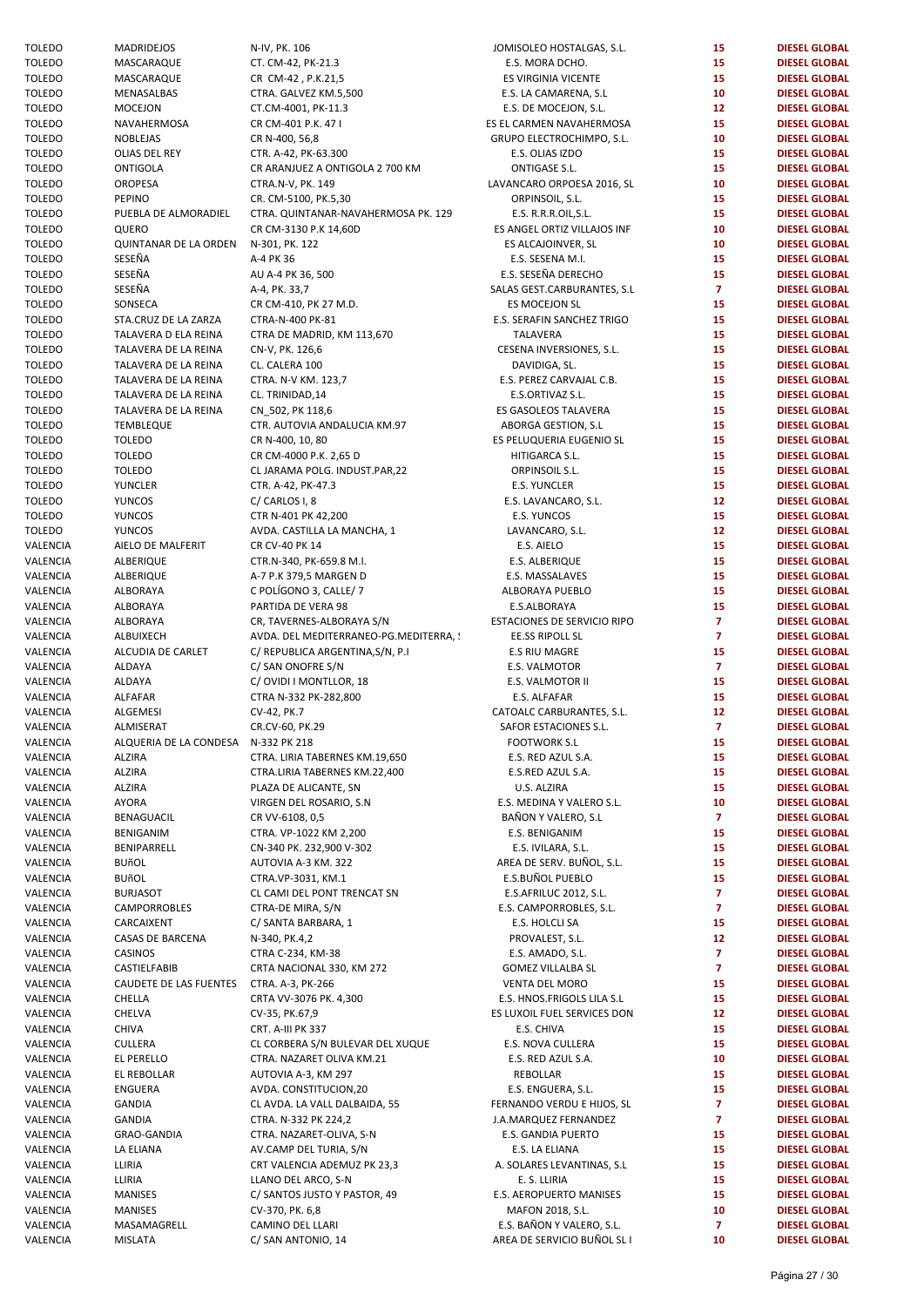| Toledo        | <b>MADRIDEJOS</b>                   | N-IV, PK. 106                          | JOMISOLEO HOSTALGAS, S.L.   | 15              | <b>DIESEL GLOBAL</b> |
|---------------|-------------------------------------|----------------------------------------|-----------------------------|-----------------|----------------------|
| TOLEDO        | MASCARAQUE                          | CT. CM-42, PK-21.3                     | E.S. MORA DCHO.             | 15              | <b>DIESEL GLOBAL</b> |
| Toledo        | MASCARAQUE                          | CR CM-42, P.K.21,5                     | ES VIRGINIA VICENTE         | 15              | <b>DIESEL GLOBAL</b> |
|               |                                     |                                        |                             |                 |                      |
| Toledo        | MENASALBAS                          | CTRA. GALVEZ KM.5,500                  | E.S. LA CAMARENA, S.L       | 10              | <b>DIESEL GLOBAL</b> |
| Toledo        | <b>MOCEJON</b>                      | CT.CM-4001, PK-11.3                    | E.S. DE MOCEJON, S.L.       | 12              | <b>DIESEL GLOBAL</b> |
| Toledo        | NAVAHERMOSA                         | CR CM-401 P.K. 47 I                    | ES EL CARMEN NAVAHERMOSA    | 15              | <b>DIESEL GLOBAL</b> |
| TOLEDO        | NOBLEJAS                            | CR N-400, 56,8                         | GRUPO ELECTROCHIMPO, S.L.   | 10              | <b>DIESEL GLOBAL</b> |
| TOLEDO        | OLIAS DEL REY                       | CTR. A-42, PK-63.300                   | E.S. OLIAS IZDO             | 15              | <b>DIESEL GLOBAL</b> |
| Toledo        | <b>ONTIGOLA</b>                     | CR ARANJUEZ A ONTIGOLA 2 700 KM        | ONTIGASE S.L.               | 15              | <b>DIESEL GLOBAL</b> |
| <b>TOLEDO</b> | <b>OROPESA</b>                      | CTRA.N-V, PK. 149                      | LAVANCARO ORPOESA 2016, SL  | 10              | <b>DIESEL GLOBAL</b> |
|               |                                     |                                        |                             |                 |                      |
| Toledo        | PEPINO                              | CR. CM-5100, PK.5,30                   | ORPINSOIL, S.L.             | 15              | <b>DIESEL GLOBAL</b> |
| TOLEDO        | PUEBLA DE ALMORADIEL                | CTRA. QUINTANAR-NAVAHERMOSA PK. 129    | E.S. R.R.R.OIL, S.L.        | 15              | <b>DIESEL GLOBAL</b> |
| TOLEDO        | QUERO                               | CR CM-3130 P.K 14,60D                  | ES ANGEL ORTIZ VILLAJOS INF | 10              | <b>DIESEL GLOBAL</b> |
| Toledo        | QUINTANAR DE LA ORDEN               | N-301, PK. 122                         | ES ALCAJOINVER, SL          | 10              | <b>DIESEL GLOBAL</b> |
| TOLEDO        | SESEÑA                              | A-4 PK 36                              | E.S. SESENA M.I.            | 15              | <b>DIESEL GLOBAL</b> |
| TOLEDO        | SESEÑA                              | AU A-4 PK 36, 500                      | E.S. SESEÑA DERECHO         | 15              | <b>DIESEL GLOBAL</b> |
|               |                                     |                                        |                             |                 |                      |
| Toledo        | SESEÑA                              | A-4, PK. 33,7                          | SALAS GEST.CARBURANTES, S.L | $\overline{7}$  | <b>DIESEL GLOBAL</b> |
| TOLEDO        | SONSECA                             | CR CM-410, PK 27 M.D.                  | ES MOCEJON SL               | 15              | <b>DIESEL GLOBAL</b> |
| TOLEDO        | STA.CRUZ DE LA ZARZA                | CTRA-N-400 PK-81                       | E.S. SERAFIN SANCHEZ TRIGO  | 15              | <b>DIESEL GLOBAL</b> |
| Toledo        | TALAVERA D ELA REINA                | CTRA DE MADRID, KM 113,670             | TALAVERA                    | 15              | <b>DIESEL GLOBAL</b> |
| TOLEDO        | TALAVERA DE LA REINA                | CN-V, PK. 126,6                        | CESENA INVERSIONES, S.L.    | 15              | <b>DIESEL GLOBAL</b> |
| Toledo        | TALAVERA DE LA REINA                | CL. CALERA 100                         | DAVIDIGA, SL.               | 15              | <b>DIESEL GLOBAL</b> |
|               |                                     |                                        |                             |                 |                      |
| TOLEDO        | TALAVERA DE LA REINA                | CTRA. N-V KM. 123,7                    | E.S. PEREZ CARVAJAL C.B.    | 15              | <b>DIESEL GLOBAL</b> |
| Toledo        | TALAVERA DE LA REINA                | CL. TRINIDAD, 14                       | E.S.ORTIVAZ S.L.            | 15              | <b>DIESEL GLOBAL</b> |
| Toledo        | TALAVERA DE LA REINA                | CN_502, PK 118,6                       | ES GASOLEOS TALAVERA        | 15              | <b>DIESEL GLOBAL</b> |
| TOLEDO        | TEMBLEQUE                           | CTR. AUTOVIA ANDALUCIA KM.97           | ABORGA GESTION, S.L         | 15              | <b>DIESEL GLOBAL</b> |
| Toledo        | <b>TOLEDO</b>                       | CR N-400, 10, 80                       | ES PELUQUERIA EUGENIO SL    | 15              | <b>DIESEL GLOBAL</b> |
| Toledo        | <b>TOLEDO</b>                       | CR CM-4000 P.K. 2,65 D                 | HITIGARCA S.L.              | 15              | <b>DIESEL GLOBAL</b> |
|               |                                     |                                        |                             |                 |                      |
| TOLEDO        | <b>TOLEDO</b>                       | CL JARAMA POLG. INDUST.PAR,22          | ORPINSOIL S.L.              | 15              | <b>DIESEL GLOBAL</b> |
| Toledo        | YUNCLER                             | CTR. A-42, PK-47.3                     | <b>E.S. YUNCLER</b>         | 15              | <b>DIESEL GLOBAL</b> |
| Toledo        | <b>YUNCOS</b>                       | C/CARLOS I, 8                          | E.S. LAVANCARO, S.L.        | 12              | <b>DIESEL GLOBAL</b> |
| TOLEDO        | <b>YUNCOS</b>                       | CTR N-401 PK 42,200                    | E.S. YUNCOS                 | 15              | <b>DIESEL GLOBAL</b> |
| TOLEDO        | <b>YUNCOS</b>                       | AVDA. CASTILLA LA MANCHA, 1            | LAVANCARO, S.L.             | 12 <sup>2</sup> | <b>DIESEL GLOBAL</b> |
| VALENCIA      | AIELO DE MALFERIT                   | CR CV-40 PK 14                         | E.S. AIELO                  | 15              | <b>DIESEL GLOBAL</b> |
| VALENCIA      | ALBERIQUE                           | CTR.N-340, PK-659.8 M.I.               | E.S. ALBERIQUE              | 15              | <b>DIESEL GLOBAL</b> |
|               |                                     |                                        |                             |                 |                      |
| VALENCIA      | ALBERIQUE                           | A-7 P.K 379,5 MARGEN D                 | E.S. MASSALAVES             | 15              | <b>DIESEL GLOBAL</b> |
| VALENCIA      | ALBORAYA                            | C POLÍGONO 3, CALLE/ 7                 | ALBORAYA PUEBLO             | 15              | <b>DIESEL GLOBAL</b> |
| VALENCIA      | ALBORAYA                            | PARTIDA DE VERA 98                     | E.S.ALBORAYA                | 15              | <b>DIESEL GLOBAL</b> |
| VALENCIA      | ALBORAYA                            | CR, TAVERNES-ALBORAYA S/N              | ESTACIONES DE SERVICIO RIPO | $\overline{7}$  | <b>DIESEL GLOBAL</b> |
| VALENCIA      | ALBUIXECH                           | AVDA. DEL MEDITERRANEO-PG.MEDITERRA, ! | EE.SS RIPOLL SL             | $\overline{7}$  | <b>DIESEL GLOBAL</b> |
| VALENCIA      | ALCUDIA DE CARLET                   | C/ REPUBLICA ARGENTINA, S/N, P.I.      | E.S RIU MAGRE               | 15              | <b>DIESEL GLOBAL</b> |
|               |                                     |                                        |                             |                 |                      |
| VALENCIA      | ALDAYA                              | C/ SAN ONOFRE S/N                      | E.S. VALMOTOR               | $\mathbf{7}$    | <b>DIESEL GLOBAL</b> |
| VALENCIA      | ALDAYA                              | C/OVIDI I MONTLLOR, 18                 | E.S. VALMOTOR II            | 15              | <b>DIESEL GLOBAL</b> |
| VALENCIA      | ALFAFAR                             | CTRA N-332 PK-282,800                  | E.S. ALFAFAR                | 15              | <b>DIESEL GLOBAL</b> |
| VALENCIA      | ALGEMESI                            | CV-42, PK.7                            | CATOALC CARBURANTES, S.L.   | 12 <sup>2</sup> | <b>DIESEL GLOBAL</b> |
| VALENCIA      | ALMISERAT                           | CR.CV-60, PK.29                        | SAFOR ESTACIONES S.L.       | $\overline{7}$  | <b>DIESEL GLOBAL</b> |
| VALENCIA      | ALQUERIA DE LA CONDESA N-332 PK 218 |                                        | <b>FOOTWORK S.L</b>         | 15              | <b>DIESEL GLOBAL</b> |
| VALENCIA      |                                     |                                        |                             |                 |                      |
|               | <b>ALZIRA</b>                       | CTRA. LIRIA TABERNES KM.19,650         | E.S. RED AZUL S.A.          | 15              | <b>DIESEL GLOBAL</b> |
| VALENCIA      | <b>ALZIRA</b>                       | CTRA.LIRIA TABERNES KM.22,400          | E.S.RED AZUL S.A.           | 15              | <b>DIESEL GLOBAL</b> |
| VALENCIA      | <b>ALZIRA</b>                       | PLAZA DE ALICANTE, SN                  | U.S. ALZIRA                 | 15              | <b>DIESEL GLOBAL</b> |
| VALENCIA      | <b>AYORA</b>                        | VIRGEN DEL ROSARIO, S.N.               | E.S. MEDINA Y VALERO S.L.   | 10              | <b>DIESEL GLOBAL</b> |
| VALENCIA      | BENAGUACIL                          | CR VV-6108, 0,5                        | BAÑON Y VALERO, S.L         | $\overline{7}$  | <b>DIESEL GLOBAL</b> |
| VALENCIA      | <b>BENIGANIM</b>                    | CTRA. VP-1022 KM 2,200                 | E.S. BENIGANIM              | 15              | <b>DIESEL GLOBAL</b> |
|               |                                     | CN-340 PK. 232,900 V-302               |                             |                 |                      |
| VALENCIA      | BENIPARRELL                         |                                        | E.S. IVILARA, S.L.          | 15              | <b>DIESEL GLOBAL</b> |
| VALENCIA      | <b>BUñOL</b>                        | AUTOVIA A-3 KM. 322                    | AREA DE SERV. BUÑOL, S.L.   | 15              | <b>DIESEL GLOBAL</b> |
| VALENCIA      | <b>BUñOL</b>                        | CTRA.VP-3031, KM.1                     | E.S.BUÑOL PUEBLO            | 15              | <b>DIESEL GLOBAL</b> |
| VALENCIA      | <b>BURJASOT</b>                     | CL CAMI DEL PONT TRENCAT SN            | E.S.AFRILUC 2012, S.L.      | $\overline{7}$  | <b>DIESEL GLOBAL</b> |
| VALENCIA      | CAMPORROBLES                        | CTRA-DE MIRA, S/N                      | E.S. CAMPORROBLES, S.L.     | $\overline{7}$  | <b>DIESEL GLOBAL</b> |
| VALENCIA      | CARCAIXENT                          | C/ SANTA BARBARA, 1                    | E.S. HOLCLI SA              | 15              | <b>DIESEL GLOBAL</b> |
| VALENCIA      | CASAS DE BARCENA                    | N-340, PK.4,2                          | PROVALEST, S.L.             | 12              | <b>DIESEL GLOBAL</b> |
|               |                                     |                                        |                             | $\overline{7}$  |                      |
| VALENCIA      | CASINOS                             | CTRA C-234, KM-38                      | E.S. AMADO, S.L.            |                 | <b>DIESEL GLOBAL</b> |
| VALENCIA      | CASTIELFABIB                        | CRTA NACIONAL 330, KM 272              | <b>GOMEZ VILLALBA SL</b>    | $\overline{7}$  | <b>DIESEL GLOBAL</b> |
| VALENCIA      | CAUDETE DE LAS FUENTES              | CTRA. A-3, PK-266                      | <b>VENTA DEL MORO</b>       | 15              | <b>DIESEL GLOBAL</b> |
| VALENCIA      | CHELLA                              | CRTA VV-3076 PK. 4,300                 | E.S. HNOS.FRIGOLS LILA S.L  | 15              | <b>DIESEL GLOBAL</b> |
| VALENCIA      | CHELVA                              | CV-35, PK.67,9                         | ES LUXOIL FUEL SERVICES DON | 12              | <b>DIESEL GLOBAL</b> |
| VALENCIA      | <b>CHIVA</b>                        | CRT. A-III PK 337                      | E.S. CHIVA                  | 15              | <b>DIESEL GLOBAL</b> |
|               |                                     |                                        |                             |                 |                      |
| VALENCIA      | CULLERA                             | CL CORBERA S/N BULEVAR DEL XUQUE       | E.S. NOVA CULLERA           | 15              | <b>DIESEL GLOBAL</b> |
| VALENCIA      | EL PERELLO                          | CTRA. NAZARET OLIVA KM.21              | E.S. RED AZUL S.A.          | 10              | <b>DIESEL GLOBAL</b> |
| VALENCIA      | EL REBOLLAR                         | AUTOVIA A-3, KM 297                    | REBOLLAR                    | 15              | <b>DIESEL GLOBAL</b> |
| VALENCIA      | <b>ENGUERA</b>                      | AVDA. CONSTITUCION, 20                 | E.S. ENGUERA, S.L.          | 15              | <b>DIESEL GLOBAL</b> |
| VALENCIA      | <b>GANDIA</b>                       | CL AVDA. LA VALL DALBAIDA, 55          | FERNANDO VERDU E HIJOS, SL  | $\overline{7}$  | <b>DIESEL GLOBAL</b> |
| VALENCIA      | <b>GANDIA</b>                       | CTRA. N-332 PK 224,2                   | J.A.MARQUEZ FERNANDEZ       | $\overline{7}$  | <b>DIESEL GLOBAL</b> |
|               |                                     |                                        |                             |                 |                      |
| VALENCIA      | <b>GRAO-GANDIA</b>                  | CTRA. NAZARET-OLIVA, S-N               | E.S. GANDIA PUERTO          | 15              | <b>DIESEL GLOBAL</b> |
| VALENCIA      | LA ELIANA                           | AV.CAMP DEL TURIA, S/N                 | E.S. LA ELIANA              | 15              | <b>DIESEL GLOBAL</b> |
| VALENCIA      | LLIRIA                              | CRT VALENCIA ADEMUZ PK 23,3            | A. SOLARES LEVANTINAS, S.L. | 15              | <b>DIESEL GLOBAL</b> |
| VALENCIA      | LLIRIA                              | LLANO DEL ARCO, S-N                    | E. S. LLIRIA                | 15              | <b>DIESEL GLOBAL</b> |
| VALENCIA      | <b>MANISES</b>                      | C/ SANTOS JUSTO Y PASTOR, 49           | E.S. AEROPUERTO MANISES     | 15              | <b>DIESEL GLOBAL</b> |
| VALENCIA      | <b>MANISES</b>                      | CV-370, PK. 6,8                        | MAFON 2018, S.L.            | 10              | <b>DIESEL GLOBAL</b> |
|               |                                     |                                        |                             |                 |                      |
| VALENCIA      | MASAMAGRELL                         | CAMINO DEL LLARI                       | E.S. BAÑON Y VALERO, S.L.   | $\overline{7}$  | <b>DIESEL GLOBAL</b> |
| VALENCIA      | <b>MISLATA</b>                      | C/ SAN ANTONIO, 14                     | AREA DE SERVICIO BUÑOL SL I | 10              | <b>DIESEL GLOBAL</b> |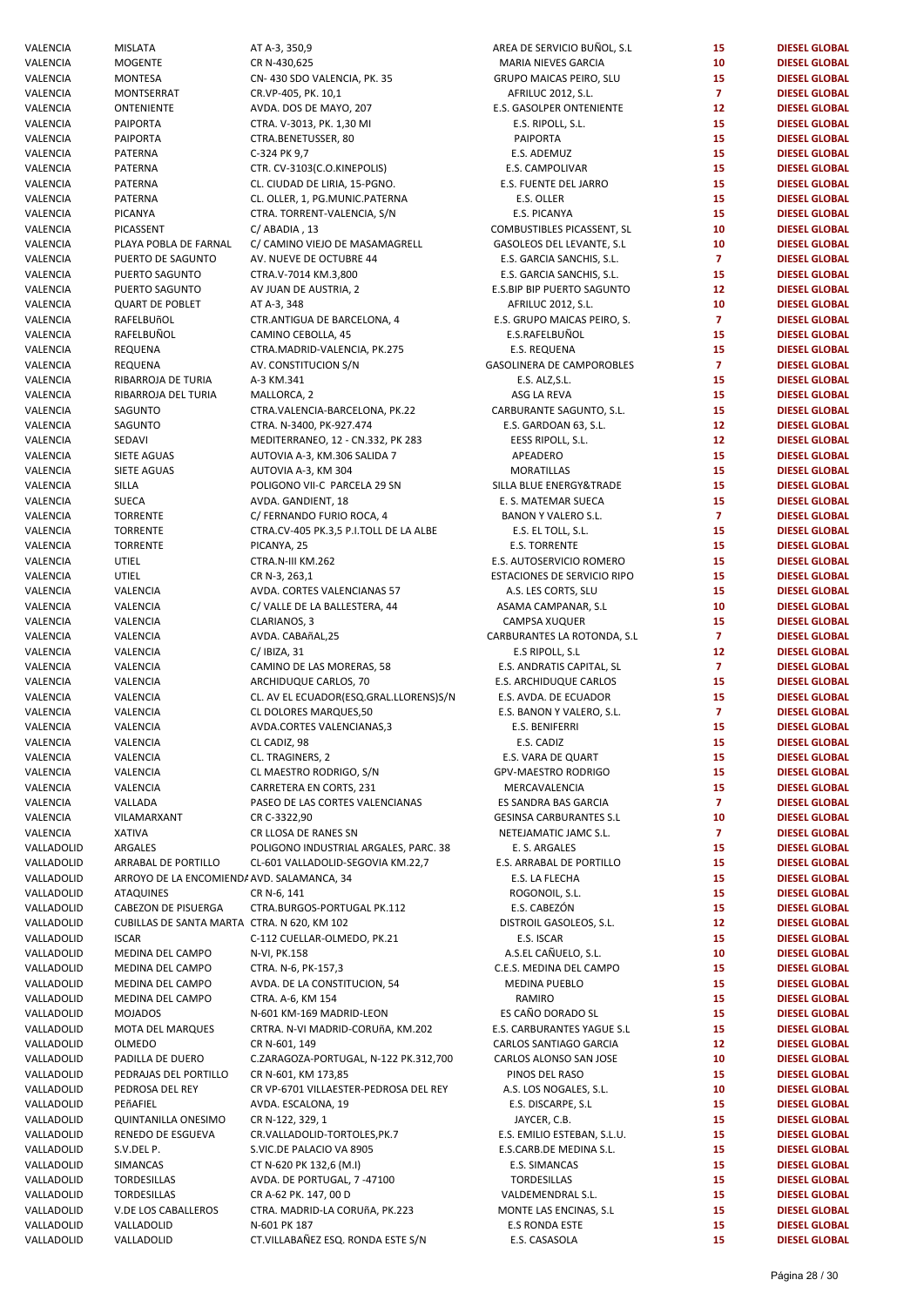| VALENCIA                 | <b>MISLATA</b>                              | AT A-3, 350,9                                     | AREA DE SERVICIO BUÑOL, S.L            | 15             | <b>DIESEL GLOBAL</b>                         |
|--------------------------|---------------------------------------------|---------------------------------------------------|----------------------------------------|----------------|----------------------------------------------|
| VALENCIA                 | <b>MOGENTE</b>                              | CR N-430,625                                      | <b>MARIA NIEVES GARCIA</b>             | 10             | <b>DIESEL GLOBAL</b>                         |
| VALENCIA                 | <b>MONTESA</b>                              | CN-430 SDO VALENCIA, PK. 35                       | <b>GRUPO MAICAS PEIRO, SLU</b>         | 15             | <b>DIESEL GLOBAL</b>                         |
|                          |                                             |                                                   |                                        |                |                                              |
| VALENCIA                 | <b>MONTSERRAT</b>                           | CR.VP-405, PK. 10,1                               | AFRILUC 2012, S.L.                     | $\overline{7}$ | <b>DIESEL GLOBAL</b>                         |
| VALENCIA                 | <b>ONTENIENTE</b>                           | AVDA. DOS DE MAYO, 207                            | E.S. GASOLPER ONTENIENTE               | 12             | <b>DIESEL GLOBAL</b>                         |
| VALENCIA                 | <b>PAIPORTA</b>                             | CTRA. V-3013, PK. 1,30 MI                         | E.S. RIPOLL, S.L.                      | 15             | <b>DIESEL GLOBAL</b>                         |
| VALENCIA                 | PAIPORTA                                    | CTRA.BENETUSSER, 80                               | PAIPORTA                               | 15             | <b>DIESEL GLOBAL</b>                         |
| VALENCIA                 | PATERNA                                     | C-324 PK 9,7                                      | E.S. ADEMUZ                            | 15             | <b>DIESEL GLOBAL</b>                         |
| VALENCIA                 | PATERNA                                     | CTR. CV-3103(C.O.KINEPOLIS)                       | E.S. CAMPOLIVAR                        | 15             | <b>DIESEL GLOBAL</b>                         |
| VALENCIA                 | PATERNA                                     | CL. CIUDAD DE LIRIA, 15-PGNO.                     | E.S. FUENTE DEL JARRO                  | 15             | <b>DIESEL GLOBAL</b>                         |
|                          |                                             |                                                   |                                        |                |                                              |
| VALENCIA                 | PATERNA                                     | CL. OLLER, 1, PG.MUNIC.PATERNA                    | E.S. OLLER                             | 15             | <b>DIESEL GLOBAL</b>                         |
| VALENCIA                 | PICANYA                                     | CTRA. TORRENT-VALENCIA, S/N                       | E.S. PICANYA                           | 15             | <b>DIESEL GLOBAL</b>                         |
| VALENCIA                 | PICASSENT                                   | C/ABADIA, 13                                      | COMBUSTIBLES PICASSENT, SL             | 10             | <b>DIESEL GLOBAL</b>                         |
| VALENCIA                 | PLAYA POBLA DE FARNAL                       | C/ CAMINO VIEJO DE MASAMAGRELL                    | GASOLEOS DEL LEVANTE, S.L              | 10             | <b>DIESEL GLOBAL</b>                         |
| VALENCIA                 | PUERTO DE SAGUNTO                           | AV. NUEVE DE OCTUBRE 44                           | E.S. GARCIA SANCHIS, S.L.              | $\overline{7}$ | <b>DIESEL GLOBAL</b>                         |
| VALENCIA                 | PUERTO SAGUNTO                              | CTRA.V-7014 KM.3,800                              | E.S. GARCIA SANCHIS, S.L.              | 15             | <b>DIESEL GLOBAL</b>                         |
|                          |                                             |                                                   |                                        |                |                                              |
| VALENCIA                 | PUERTO SAGUNTO                              | AV JUAN DE AUSTRIA, 2                             | E.S.BIP BIP PUERTO SAGUNTO             | 12             | <b>DIESEL GLOBAL</b>                         |
| VALENCIA                 | <b>QUART DE POBLET</b>                      | AT A-3, 348                                       | AFRILUC 2012, S.L.                     | 10             | <b>DIESEL GLOBAL</b>                         |
| VALENCIA                 | RAFELBUñOL                                  | CTR.ANTIGUA DE BARCELONA, 4                       | E.S. GRUPO MAICAS PEIRO, S.            | $\overline{7}$ | <b>DIESEL GLOBAL</b>                         |
| VALENCIA                 | RAFELBUÑOL                                  | CAMINO CEBOLLA, 45                                | E.S.RAFELBUÑOL                         | 15             | <b>DIESEL GLOBAL</b>                         |
| VALENCIA                 | REQUENA                                     | CTRA.MADRID-VALENCIA, PK.275                      | E.S. REQUENA                           | 15             | <b>DIESEL GLOBAL</b>                         |
| VALENCIA                 | <b>REQUENA</b>                              | AV. CONSTITUCION S/N                              | <b>GASOLINERA DE CAMPOROBLES</b>       | $\mathbf{7}$   | <b>DIESEL GLOBAL</b>                         |
|                          |                                             |                                                   |                                        | 15             | <b>DIESEL GLOBAL</b>                         |
| VALENCIA                 | RIBARROJA DE TURIA                          | A-3 KM.341                                        | E.S. ALZ, S.L.                         |                |                                              |
| VALENCIA                 | RIBARROJA DEL TURIA                         | MALLORCA, 2                                       | ASG LA REVA                            | 15             | <b>DIESEL GLOBAL</b>                         |
| VALENCIA                 | SAGUNTO                                     | CTRA.VALENCIA-BARCELONA, PK.22                    | CARBURANTE SAGUNTO, S.L.               | 15             | <b>DIESEL GLOBAL</b>                         |
| VALENCIA                 | SAGUNTO                                     | CTRA. N-3400, PK-927.474                          | E.S. GARDOAN 63, S.L.                  | 12             | <b>DIESEL GLOBAL</b>                         |
| VALENCIA                 | SEDAVI                                      | MEDITERRANEO, 12 - CN.332, PK 283                 | EESS RIPOLL, S.L.                      | 12             | <b>DIESEL GLOBAL</b>                         |
| VALENCIA                 | SIETE AGUAS                                 | AUTOVIA A-3, KM.306 SALIDA 7                      | APEADERO                               | 15             | <b>DIESEL GLOBAL</b>                         |
|                          | <b>SIETE AGUAS</b>                          |                                                   |                                        | 15             |                                              |
| VALENCIA                 |                                             | AUTOVIA A-3, KM 304                               | <b>MORATILLAS</b>                      |                | <b>DIESEL GLOBAL</b>                         |
| VALENCIA                 | SILLA                                       | POLIGONO VII-C PARCELA 29 SN                      | SILLA BLUE ENERGY™                     | 15             | <b>DIESEL GLOBAL</b>                         |
| VALENCIA                 | <b>SUECA</b>                                | AVDA. GANDIENT, 18                                | E. S. MATEMAR SUECA                    | 15             | <b>DIESEL GLOBAL</b>                         |
| VALENCIA                 | <b>TORRENTE</b>                             | C/ FERNANDO FURIO ROCA, 4                         | BANON Y VALERO S.L.                    | $\overline{7}$ | <b>DIESEL GLOBAL</b>                         |
| VALENCIA                 | <b>TORRENTE</b>                             | CTRA.CV-405 PK.3,5 P.I.TOLL DE LA ALBE            | E.S. EL TOLL, S.L.                     | 15             | <b>DIESEL GLOBAL</b>                         |
| VALENCIA                 | <b>TORRENTE</b>                             | PICANYA, 25                                       | <b>E.S. TORRENTE</b>                   | 15             | <b>DIESEL GLOBAL</b>                         |
| VALENCIA                 | UTIEL                                       | CTRA.N-III KM.262                                 | E.S. AUTOSERVICIO ROMERO               | 15             | <b>DIESEL GLOBAL</b>                         |
|                          |                                             |                                                   |                                        |                |                                              |
| VALENCIA                 | UTIEL                                       | CR N-3, 263,1                                     | ESTACIONES DE SERVICIO RIPO            | 15             | <b>DIESEL GLOBAL</b>                         |
| VALENCIA                 | VALENCIA                                    | AVDA. CORTES VALENCIANAS 57                       | A.S. LES CORTS, SLU                    | 15             | <b>DIESEL GLOBAL</b>                         |
| VALENCIA                 | VALENCIA                                    | C/VALLE DE LA BALLESTERA, 44                      | ASAMA CAMPANAR, S.L                    | 10             | <b>DIESEL GLOBAL</b>                         |
| VALENCIA                 | VALENCIA                                    | CLARIANOS, 3                                      | CAMPSA XUQUER                          | 15             | <b>DIESEL GLOBAL</b>                         |
| VALENCIA                 | VALENCIA                                    | AVDA. CABAñAL, 25                                 | CARBURANTES LA ROTONDA, S.L            | $\overline{7}$ | <b>DIESEL GLOBAL</b>                         |
| VALENCIA                 | VALENCIA                                    | $C/$ IBIZA, 31                                    | E.S RIPOLL, S.L                        | 12             | <b>DIESEL GLOBAL</b>                         |
|                          |                                             |                                                   |                                        |                |                                              |
| VALENCIA                 | VALENCIA                                    | CAMINO DE LAS MORERAS, 58                         | E.S. ANDRATIS CAPITAL, SL              | $\overline{7}$ | <b>DIESEL GLOBAL</b>                         |
| VALENCIA                 | VALENCIA                                    | ARCHIDUQUE CARLOS, 70                             | E.S. ARCHIDUQUE CARLOS                 | 15             | <b>DIESEL GLOBAL</b>                         |
| VALENCIA                 | VALENCIA                                    | CL. AV EL ECUADOR(ESQ.GRAL.LLORENS)S/N            | E.S. AVDA. DE ECUADOR                  | 15             | <b>DIESEL GLOBAL</b>                         |
| VALENCIA                 | VALENCIA                                    | CL DOLORES MARQUES,50                             | E.S. BANON Y VALERO, S.L.              | $\overline{7}$ | <b>DIESEL GLOBAL</b>                         |
| VALENCIA                 | VALENCIA                                    | AVDA.CORTES VALENCIANAS,3                         | E.S. BENIFERRI                         | 15             | <b>DIESEL GLOBAL</b>                         |
| VALENCIA                 | VALENCIA                                    | CL CADIZ, 98                                      | E.S. CADIZ                             | 15             | <b>DIESEL GLOBAL</b>                         |
|                          |                                             |                                                   |                                        |                |                                              |
| VALENCIA                 | VALENCIA                                    | CL. TRAGINERS, 2                                  | E.S. VARA DE QUART                     | 15             | <b>DIESEL GLOBAL</b>                         |
| VALENCIA                 | VALENCIA                                    | CL MAESTRO RODRIGO, S/N                           | <b>GPV-MAESTRO RODRIGO</b>             | 15             | <b>DIESEL GLOBAL</b>                         |
| VALENCIA                 | VALENCIA                                    | CARRETERA EN CORTS, 231                           | MERCAVALENCIA                          | 15             | <b>DIESEL GLOBAL</b>                         |
| VALENCIA                 | VALLADA                                     | PASEO DE LAS CORTES VALENCIANAS                   | ES SANDRA BAS GARCIA                   | $\overline{7}$ | <b>DIESEL GLOBAL</b>                         |
| VALENCIA                 | VILAMARXANT                                 | CR C-3322,90                                      | <b>GESINSA CARBURANTES S.L</b>         | 10             | <b>DIESEL GLOBAL</b>                         |
| VALENCIA                 | <b>XATIVA</b>                               | CR LLOSA DE RANES SN                              | NETEJAMATIC JAMC S.L.                  | $\overline{7}$ | <b>DIESEL GLOBAL</b>                         |
| VALLADOLID               | ARGALES                                     | POLIGONO INDUSTRIAL ARGALES, PARC. 38             | E. S. ARGALES                          | 15             | <b>DIESEL GLOBAL</b>                         |
|                          |                                             |                                                   |                                        |                |                                              |
| VALLADOLID               | ARRABAL DE PORTILLO                         | CL-601 VALLADOLID-SEGOVIA KM.22,7                 | E.S. ARRABAL DE PORTILLO               | 15             | <b>DIESEL GLOBAL</b>                         |
| VALLADOLID               | ARROYO DE LA ENCOMIENDI AVD. SALAMANCA, 34  |                                                   | E.S. LA FLECHA                         | 15             | <b>DIESEL GLOBAL</b>                         |
| VALLADOLID               | <b>ATAQUINES</b>                            | CR N-6, 141                                       | ROGONOIL, S.L.                         | 15             | <b>DIESEL GLOBAL</b>                         |
| VALLADOLID               | <b>CABEZON DE PISUERGA</b>                  | CTRA.BURGOS-PORTUGAL PK.112                       | E.S. CABEZÓN                           | 15             | <b>DIESEL GLOBAL</b>                         |
| VALLADOLID               | CUBILLAS DE SANTA MARTA CTRA. N 620, KM 102 |                                                   | DISTROIL GASOLEOS, S.L.                | 12             | <b>DIESEL GLOBAL</b>                         |
| VALLADOLID               | <b>ISCAR</b>                                | C-112 CUELLAR-OLMEDO, PK.21                       | E.S. ISCAR                             | 15             | <b>DIESEL GLOBAL</b>                         |
| VALLADOLID               | MEDINA DEL CAMPO                            | N-VI, PK.158                                      | A.S.EL CAÑUELO, S.L.                   | 10             | <b>DIESEL GLOBAL</b>                         |
|                          |                                             |                                                   |                                        |                |                                              |
| VALLADOLID               | MEDINA DEL CAMPO                            | CTRA. N-6, PK-157,3                               | C.E.S. MEDINA DEL CAMPO                | 15             | <b>DIESEL GLOBAL</b>                         |
| VALLADOLID               | MEDINA DEL CAMPO                            | AVDA. DE LA CONSTITUCION, 54                      | MEDINA PUEBLO                          | 15             | <b>DIESEL GLOBAL</b>                         |
| VALLADOLID               | MEDINA DEL CAMPO                            | CTRA. A-6, KM 154                                 | RAMIRO                                 | 15             | <b>DIESEL GLOBAL</b>                         |
| VALLADOLID               | <b>MOJADOS</b>                              | N-601 KM-169 MADRID-LEON                          | ES CAÑO DORADO SL                      | 15             | <b>DIESEL GLOBAL</b>                         |
| VALLADOLID               | MOTA DEL MARQUES                            | CRTRA. N-VI MADRID-CORUñA, KM.202                 | E.S. CARBURANTES YAGUE S.L             | 15             | <b>DIESEL GLOBAL</b>                         |
| VALLADOLID               | OLMEDO                                      |                                                   |                                        | 12             | <b>DIESEL GLOBAL</b>                         |
|                          |                                             | CR N-601, 149                                     | CARLOS SANTIAGO GARCIA                 |                |                                              |
| VALLADOLID               | PADILLA DE DUERO                            | C.ZARAGOZA-PORTUGAL, N-122 PK.312,700             | CARLOS ALONSO SAN JOSE                 | 10             | <b>DIESEL GLOBAL</b>                         |
| VALLADOLID               | PEDRAJAS DEL PORTILLO                       | CR N-601, KM 173,85                               | PINOS DEL RASO                         | 15             | <b>DIESEL GLOBAL</b>                         |
| VALLADOLID               | PEDROSA DEL REY                             | CR VP-6701 VILLAESTER-PEDROSA DEL REY             | A.S. LOS NOGALES, S.L.                 | 10             | <b>DIESEL GLOBAL</b>                         |
| VALLADOLID               | PEñAFIEL                                    | AVDA. ESCALONA, 19                                | E.S. DISCARPE, S.L                     | 15             | <b>DIESEL GLOBAL</b>                         |
| VALLADOLID               | <b>QUINTANILLA ONESIMO</b>                  | CR N-122, 329, 1                                  | JAYCER, C.B.                           | 15             | <b>DIESEL GLOBAL</b>                         |
| VALLADOLID               | RENEDO DE ESGUEVA                           | CR.VALLADOLID-TORTOLES, PK.7                      | E.S. EMILIO ESTEBAN, S.L.U.            | 15             | <b>DIESEL GLOBAL</b>                         |
|                          |                                             |                                                   |                                        |                |                                              |
| VALLADOLID               | S.V.DEL P.                                  | S.VIC.DE PALACIO VA 8905                          | E.S.CARB.DE MEDINA S.L.                | 15             | <b>DIESEL GLOBAL</b>                         |
| VALLADOLID               | SIMANCAS                                    | CT N-620 PK 132,6 (M.I)                           | E.S. SIMANCAS                          | 15             | <b>DIESEL GLOBAL</b>                         |
| VALLADOLID               | TORDESILLAS                                 | AVDA. DE PORTUGAL, 7 -47100                       | TORDESILLAS                            | 15             | <b>DIESEL GLOBAL</b>                         |
| VALLADOLID               | TORDESILLAS                                 | CR A-62 PK. 147, 00 D                             | VALDEMENDRAL S.L.                      | 15             | <b>DIESEL GLOBAL</b>                         |
| VALLADOLID               |                                             |                                                   |                                        | 15             | <b>DIESEL GLOBAL</b>                         |
|                          |                                             |                                                   |                                        |                |                                              |
|                          | V.DE LOS CABALLEROS                         | CTRA. MADRID-LA CORUñA, PK.223                    | MONTE LAS ENCINAS, S.L                 |                |                                              |
| VALLADOLID<br>VALLADOLID | VALLADOLID<br>VALLADOLID                    | N-601 PK 187<br>CT.VILLABAÑEZ ESQ. RONDA ESTE S/N | <b>E.S RONDA ESTE</b><br>E.S. CASASOLA | 15<br>15       | <b>DIESEL GLOBAL</b><br><b>DIESEL GLOBAL</b> |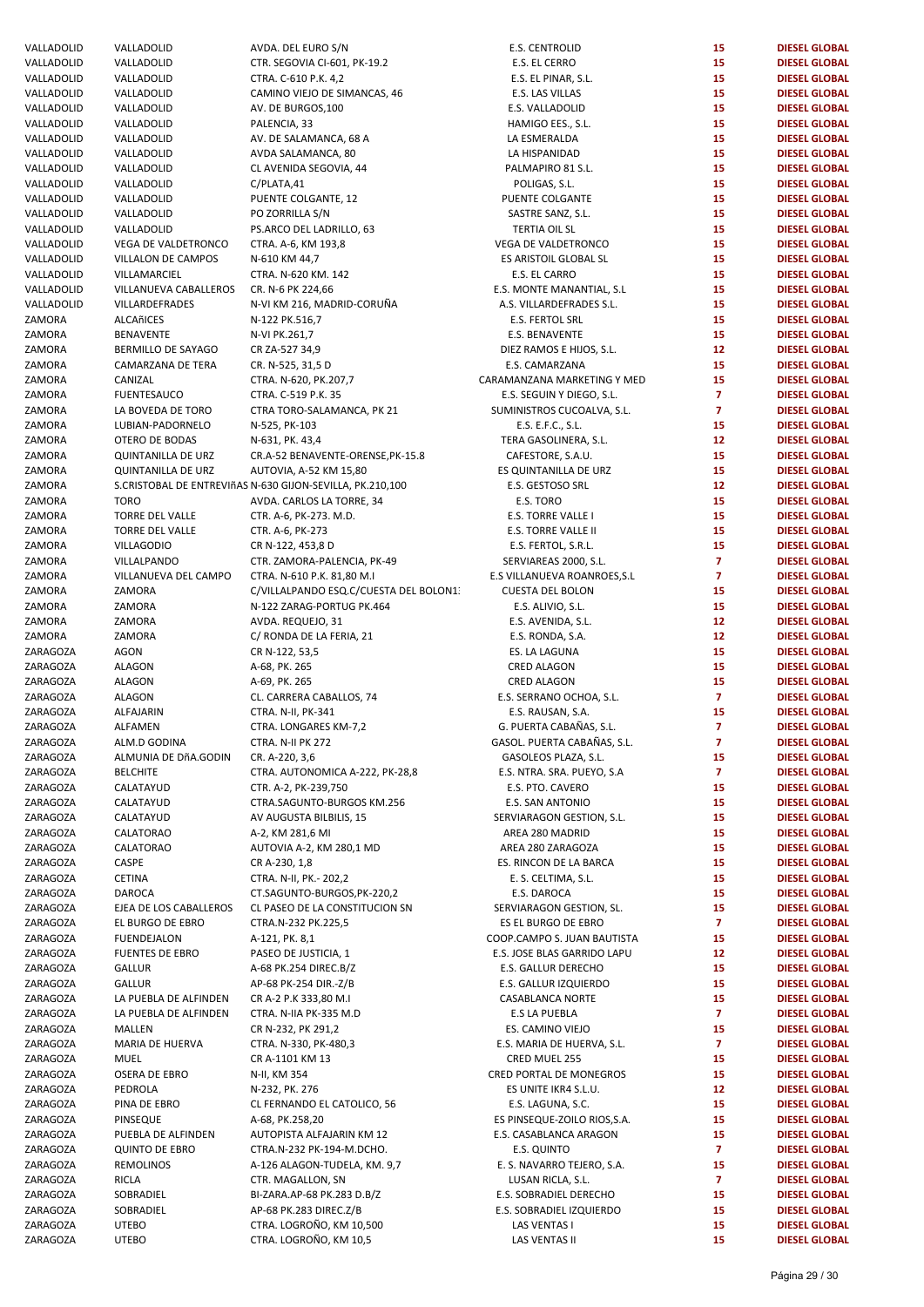| VALLADOLID | VALLADOLID                | AVDA. DEL EURO S/N                                        | <b>E.S. CENTROLID</b>        | 15              | <b>DIESEL GLOBAL</b> |
|------------|---------------------------|-----------------------------------------------------------|------------------------------|-----------------|----------------------|
| VALLADOLID | VALLADOLID                | CTR. SEGOVIA CI-601, PK-19.2                              | E.S. EL CERRO                | 15              | <b>DIESEL GLOBAL</b> |
| VALLADOLID | VALLADOLID                | CTRA. C-610 P.K. 4,2                                      | E.S. EL PINAR, S.L.          | 15              | <b>DIESEL GLOBAL</b> |
| VALLADOLID | VALLADOLID                | CAMINO VIEJO DE SIMANCAS, 46                              | E.S. LAS VILLAS              | 15              | <b>DIESEL GLOBAL</b> |
|            |                           |                                                           |                              |                 |                      |
| VALLADOLID | VALLADOLID                | AV. DE BURGOS, 100                                        | E.S. VALLADOLID              | 15              | <b>DIESEL GLOBAL</b> |
| VALLADOLID | VALLADOLID                | PALENCIA, 33                                              | HAMIGO EES., S.L.            | 15              | <b>DIESEL GLOBAL</b> |
| VALLADOLID | VALLADOLID                | AV. DE SALAMANCA, 68 A                                    | LA ESMERALDA                 | 15              | <b>DIESEL GLOBAL</b> |
| VALLADOLID | VALLADOLID                | AVDA SALAMANCA, 80                                        | LA HISPANIDAD                | 15              | <b>DIESEL GLOBAL</b> |
| VALLADOLID | VALLADOLID                | CL AVENIDA SEGOVIA, 44                                    | PALMAPIRO 81 S.L.            | 15              | <b>DIESEL GLOBAL</b> |
|            |                           |                                                           |                              |                 |                      |
| VALLADOLID | VALLADOLID                | C/PLATA,41                                                | POLIGAS, S.L.                | 15              | <b>DIESEL GLOBAL</b> |
| VALLADOLID | VALLADOLID                | PUENTE COLGANTE, 12                                       | PUENTE COLGANTE              | 15              | <b>DIESEL GLOBAL</b> |
| VALLADOLID | VALLADOLID                | PO ZORRILLA S/N                                           | SASTRE SANZ, S.L.            | 15              | <b>DIESEL GLOBAL</b> |
| VALLADOLID | VALLADOLID                | PS.ARCO DEL LADRILLO, 63                                  | <b>TERTIA OIL SL</b>         | 15              | <b>DIESEL GLOBAL</b> |
| VALLADOLID | VEGA DE VALDETRONCO       | CTRA. A-6, KM 193,8                                       | VEGA DE VALDETRONCO          | 15              | <b>DIESEL GLOBAL</b> |
|            |                           |                                                           |                              |                 |                      |
| VALLADOLID | VILLALON DE CAMPOS        | N-610 KM 44,7                                             | ES ARISTOIL GLOBAL SL        | 15              | <b>DIESEL GLOBAL</b> |
| VALLADOLID | VILLAMARCIEL              | CTRA. N-620 KM. 142                                       | E.S. EL CARRO                | 15              | <b>DIESEL GLOBAL</b> |
| VALLADOLID | VILLANUEVA CABALLEROS     | CR. N-6 PK 224,66                                         | E.S. MONTE MANANTIAL, S.L    | 15              | <b>DIESEL GLOBAL</b> |
| VALLADOLID | VILLARDEFRADES            | N-VI KM 216, MADRID-CORUÑA                                | A.S. VILLARDEFRADES S.L.     | 15              | <b>DIESEL GLOBAL</b> |
|            |                           |                                                           |                              |                 |                      |
| ZAMORA     | ALCAñICES                 | N-122 PK.516,7                                            | E.S. FERTOL SRL              | 15              | <b>DIESEL GLOBAL</b> |
| ZAMORA     | <b>BENAVENTE</b>          | N-VI PK.261,7                                             | E.S. BENAVENTE               | 15              | <b>DIESEL GLOBAL</b> |
| ZAMORA     | BERMILLO DE SAYAGO        | CR ZA-527 34,9                                            | DIEZ RAMOS E HIJOS, S.L.     | 12 <sup>2</sup> | <b>DIESEL GLOBAL</b> |
| ZAMORA     | CAMARZANA DE TERA         | CR. N-525, 31,5 D                                         | E.S. CAMARZANA               | 15              | <b>DIESEL GLOBAL</b> |
| ZAMORA     | CANIZAL                   | CTRA. N-620, PK.207,7                                     | CARAMANZANA MARKETING Y MED  | 15              | <b>DIESEL GLOBAL</b> |
|            |                           |                                                           |                              |                 |                      |
| ZAMORA     | <b>FUENTESAUCO</b>        | CTRA. C-519 P.K. 35                                       | E.S. SEGUIN Y DIEGO, S.L.    | $\overline{7}$  | <b>DIESEL GLOBAL</b> |
| ZAMORA     | LA BOVEDA DE TORO         | CTRA TORO-SALAMANCA, PK 21                                | SUMINISTROS CUCOALVA, S.L.   | $\overline{7}$  | <b>DIESEL GLOBAL</b> |
| ZAMORA     | LUBIAN-PADORNELO          | N-525, PK-103                                             | E.S. E.F.C., S.L.            | 15              | <b>DIESEL GLOBAL</b> |
| ZAMORA     | OTERO DE BODAS            | N-631, PK. 43,4                                           | TERA GASOLINERA, S.L.        | 12              | <b>DIESEL GLOBAL</b> |
|            |                           |                                                           |                              |                 |                      |
| ZAMORA     | <b>QUINTANILLA DE URZ</b> | CR.A-52 BENAVENTE-ORENSE, PK-15.8                         | CAFESTORE, S.A.U.            | 15              | <b>DIESEL GLOBAL</b> |
| ZAMORA     | <b>QUINTANILLA DE URZ</b> | AUTOVIA, A-52 KM 15,80                                    | ES QUINTANILLA DE URZ        | 15              | <b>DIESEL GLOBAL</b> |
| ZAMORA     |                           | S.CRISTOBAL DE ENTREVIñAS N-630 GIJON-SEVILLA, PK.210,100 | E.S. GESTOSO SRL             | 12 <sup>2</sup> | <b>DIESEL GLOBAL</b> |
| ZAMORA     | <b>TORO</b>               | AVDA. CARLOS LA TORRE, 34                                 | E.S. TORO                    | 15              | <b>DIESEL GLOBAL</b> |
| ZAMORA     | TORRE DEL VALLE           |                                                           |                              | 15              | <b>DIESEL GLOBAL</b> |
|            |                           | CTR. A-6, PK-273. M.D.                                    | E.S. TORRE VALLE I           |                 |                      |
| ZAMORA     | TORRE DEL VALLE           | CTR. A-6, PK-273                                          | E.S. TORRE VALLE II          | 15              | <b>DIESEL GLOBAL</b> |
| ZAMORA     | <b>VILLAGODIO</b>         | CR N-122, 453,8 D                                         | E.S. FERTOL, S.R.L.          | 15              | <b>DIESEL GLOBAL</b> |
| ZAMORA     | VILLALPANDO               | CTR. ZAMORA-PALENCIA, PK-49                               | SERVIAREAS 2000, S.L.        | $\overline{7}$  | <b>DIESEL GLOBAL</b> |
| ZAMORA     | VILLANUEVA DEL CAMPO      | CTRA. N-610 P.K. 81,80 M.I                                | E.S VILLANUEVA ROANROES, S.L | $\mathbf{7}$    | <b>DIESEL GLOBAL</b> |
|            |                           |                                                           |                              |                 |                      |
| ZAMORA     | ZAMORA                    | C/VILLALPANDO ESQ.C/CUESTA DEL BOLON1:                    | <b>CUESTA DEL BOLON</b>      | 15              | <b>DIESEL GLOBAL</b> |
| ZAMORA     | ZAMORA                    | N-122 ZARAG-PORTUG PK.464                                 | E.S. ALIVIO, S.L.            | 15              | <b>DIESEL GLOBAL</b> |
| ZAMORA     | ZAMORA                    | AVDA. REQUEJO, 31                                         | E.S. AVENIDA, S.L.           | 12              | <b>DIESEL GLOBAL</b> |
| ZAMORA     | ZAMORA                    | C/ RONDA DE LA FERIA, 21                                  | E.S. RONDA, S.A.             | 12 <sup>2</sup> | <b>DIESEL GLOBAL</b> |
| ZARAGOZA   | <b>AGON</b>               | CR N-122, 53,5                                            | ES. LA LAGUNA                | 15              | <b>DIESEL GLOBAL</b> |
|            |                           |                                                           |                              |                 |                      |
| ZARAGOZA   | ALAGON                    | A-68, PK. 265                                             | <b>CRED ALAGON</b>           | 15              | <b>DIESEL GLOBAL</b> |
| ZARAGOZA   | ALAGON                    | A-69, PK. 265                                             | <b>CRED ALAGON</b>           | 15              | <b>DIESEL GLOBAL</b> |
| ZARAGOZA   | <b>ALAGON</b>             | CL. CARRERA CABALLOS, 74                                  | E.S. SERRANO OCHOA, S.L.     | $\mathbf{7}$    | <b>DIESEL GLOBAL</b> |
| ZARAGOZA   | <b>ALFAJARIN</b>          | CTRA. N-II, PK-341                                        | E.S. RAUSAN, S.A.            | 15              | <b>DIESEL GLOBAL</b> |
| ZARAGOZA   | ALFAMEN                   |                                                           | G. PUERTA CABAÑAS, S.L.      | $\overline{7}$  | <b>DIESEL GLOBAL</b> |
|            |                           | CTRA. LONGARES KM-7,2                                     |                              |                 |                      |
| ZARAGOZA   | ALM.D GODINA              | CTRA. N-II PK 272                                         | GASOL. PUERTA CABAÑAS, S.L.  | $\overline{7}$  | <b>DIESEL GLOBAL</b> |
| ZARAGOZA   | ALMUNIA DE DÑA.GODIN      | CR. A-220, 3,6                                            | GASOLEOS PLAZA, S.L.         | 15              | <b>DIESEL GLOBAL</b> |
| ZARAGOZA   | <b>BELCHITE</b>           | CTRA. AUTONOMICA A-222, PK-28,8                           | E.S. NTRA. SRA. PUEYO, S.A.  | $\mathbf{7}$    | <b>DIESEL GLOBAL</b> |
| ZARAGOZA   | CALATAYUD                 | CTR. A-2, PK-239,750                                      | E.S. PTO. CAVERO             | 15              | <b>DIESEL GLOBAL</b> |
|            |                           |                                                           |                              |                 |                      |
| ZARAGOZA   | CALATAYUD                 | CTRA.SAGUNTO-BURGOS KM.256                                | E.S. SAN ANTONIO             | 15              | <b>DIESEL GLOBAL</b> |
| ZARAGOZA   | CALATAYUD                 | AV AUGUSTA BILBILIS, 15                                   | SERVIARAGON GESTION, S.L.    | 15              | <b>DIESEL GLOBAL</b> |
| ZARAGOZA   | CALATORAO                 | A-2, KM 281,6 MI                                          | AREA 280 MADRID              | 15              | <b>DIESEL GLOBAL</b> |
| ZARAGOZA   | <b>CALATORAO</b>          | AUTOVIA A-2, KM 280,1 MD                                  | AREA 280 ZARAGOZA            | 15              | <b>DIESEL GLOBAL</b> |
| ZARAGOZA   | CASPE                     |                                                           |                              | 15              | <b>DIESEL GLOBAL</b> |
|            |                           | CR A-230, 1,8                                             | ES. RINCON DE LA BARCA       |                 |                      |
| ZARAGOZA   | CETINA                    | CTRA. N-II, PK.- 202,2                                    | E. S. CELTIMA, S.L.          | 15              | <b>DIESEL GLOBAL</b> |
| ZARAGOZA   | <b>DAROCA</b>             | CT.SAGUNTO-BURGOS, PK-220,2                               | E.S. DAROCA                  | 15              | <b>DIESEL GLOBAL</b> |
| ZARAGOZA   | EJEA DE LOS CABALLEROS    | CL PASEO DE LA CONSTITUCION SN                            | SERVIARAGON GESTION, SL.     | 15              | <b>DIESEL GLOBAL</b> |
| ZARAGOZA   | EL BURGO DE EBRO          | CTRA.N-232 PK.225,5                                       | ES EL BURGO DE EBRO          | $\overline{7}$  | <b>DIESEL GLOBAL</b> |
| ZARAGOZA   | FUENDEJALON               | A-121, PK. 8,1                                            | COOP.CAMPO S. JUAN BAUTISTA  | 15              | <b>DIESEL GLOBAL</b> |
|            |                           |                                                           |                              |                 |                      |
| ZARAGOZA   | <b>FUENTES DE EBRO</b>    | PASEO DE JUSTICIA, 1                                      | E.S. JOSE BLAS GARRIDO LAPU  | 12              | <b>DIESEL GLOBAL</b> |
| ZARAGOZA   | GALLUR                    | A-68 PK.254 DIREC.B/Z                                     | E.S. GALLUR DERECHO          | 15              | <b>DIESEL GLOBAL</b> |
| ZARAGOZA   | <b>GALLUR</b>             | AP-68 PK-254 DIR.-Z/B                                     | E.S. GALLUR IZQUIERDO        | 15              | <b>DIESEL GLOBAL</b> |
| ZARAGOZA   | LA PUEBLA DE ALFINDEN     | CR A-2 P.K 333,80 M.I                                     | CASABLANCA NORTE             | 15              | <b>DIESEL GLOBAL</b> |
| ZARAGOZA   | LA PUEBLA DE ALFINDEN     |                                                           |                              | $\mathbf{7}$    | <b>DIESEL GLOBAL</b> |
|            |                           | CTRA. N-IIA PK-335 M.D                                    | <b>E.S LA PUEBLA</b>         |                 |                      |
| ZARAGOZA   | MALLEN                    | CR N-232, PK 291,2                                        | ES. CAMINO VIEJO             | 15              | <b>DIESEL GLOBAL</b> |
| ZARAGOZA   | MARIA DE HUERVA           | CTRA. N-330, PK-480,3                                     | E.S. MARIA DE HUERVA, S.L.   | $\mathbf{7}$    | <b>DIESEL GLOBAL</b> |
| ZARAGOZA   | <b>MUEL</b>               | CR A-1101 KM 13                                           | CRED MUEL 255                | 15              | <b>DIESEL GLOBAL</b> |
| ZARAGOZA   | OSERA DE EBRO             | N-II, KM 354                                              | CRED PORTAL DE MONEGROS      | 15              | <b>DIESEL GLOBAL</b> |
|            |                           |                                                           |                              |                 |                      |
| ZARAGOZA   | PEDROLA                   | N-232, PK. 276                                            | ES UNITE IKR4 S.L.U.         | 12              | <b>DIESEL GLOBAL</b> |
| ZARAGOZA   | PINA DE EBRO              | CL FERNANDO EL CATOLICO, 56                               | E.S. LAGUNA, S.C.            | 15              | <b>DIESEL GLOBAL</b> |
| ZARAGOZA   | PINSEQUE                  | A-68, PK.258,20                                           | ES PINSEQUE-ZOILO RIOS, S.A. | 15              | <b>DIESEL GLOBAL</b> |
| ZARAGOZA   | PUEBLA DE ALFINDEN        | AUTOPISTA ALFAJARIN KM 12                                 | E.S. CASABLANCA ARAGON       | 15              | <b>DIESEL GLOBAL</b> |
| ZARAGOZA   | <b>QUINTO DE EBRO</b>     | CTRA.N-232 PK-194-M.DCHO.                                 | <b>E.S. QUINTO</b>           | $\overline{7}$  | <b>DIESEL GLOBAL</b> |
|            |                           |                                                           |                              |                 |                      |
| ZARAGOZA   | <b>REMOLINOS</b>          | A-126 ALAGON-TUDELA, KM. 9,7                              | E. S. NAVARRO TEJERO, S.A.   | 15              | <b>DIESEL GLOBAL</b> |
| ZARAGOZA   | RICLA                     | CTR. MAGALLON, SN                                         | LUSAN RICLA, S.L.            | $\overline{7}$  | <b>DIESEL GLOBAL</b> |
| ZARAGOZA   | SOBRADIEL                 | BI-ZARA.AP-68 PK.283 D.B/Z                                | E.S. SOBRADIEL DERECHO       | 15              | <b>DIESEL GLOBAL</b> |
| ZARAGOZA   | SOBRADIEL                 | AP-68 PK.283 DIREC.Z/B                                    | E.S. SOBRADIEL IZQUIERDO     | 15              | <b>DIESEL GLOBAL</b> |
| ZARAGOZA   | <b>UTEBO</b>              | CTRA. LOGROÑO, KM 10,500                                  | LAS VENTAS I                 | 15              | <b>DIESEL GLOBAL</b> |
|            |                           |                                                           |                              |                 |                      |
| ZARAGOZA   | <b>UTEBO</b>              | CTRA. LOGROÑO, KM 10,5                                    | LAS VENTAS II                | 15              | <b>DIESEL GLOBAL</b> |